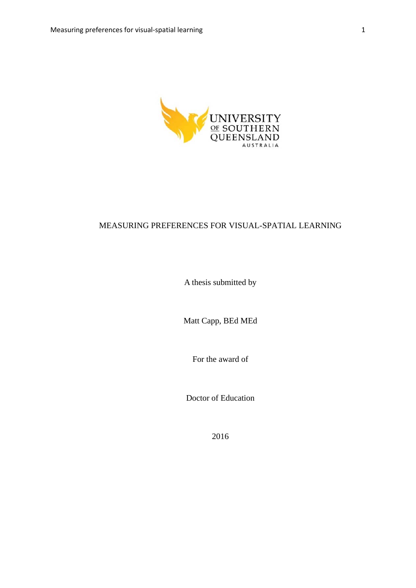

## MEASURING PREFERENCES FOR VISUAL-SPATIAL LEARNING

A thesis submitted by

Matt Capp, BEd MEd

For the award of

Doctor of Education

2016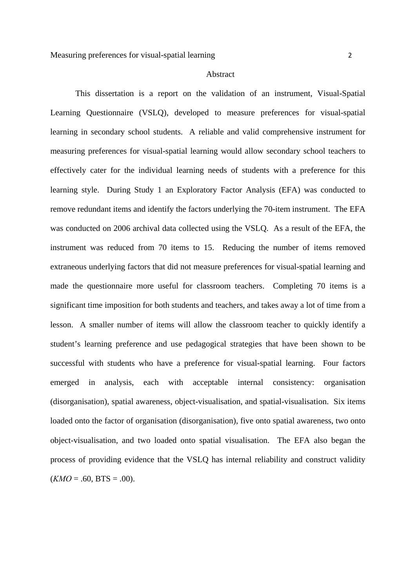#### Abstract

This dissertation is a report on the validation of an instrument, Visual-Spatial Learning Questionnaire (VSLQ), developed to measure preferences for visual-spatial learning in secondary school students. A reliable and valid comprehensive instrument for measuring preferences for visual-spatial learning would allow secondary school teachers to effectively cater for the individual learning needs of students with a preference for this learning style. During Study 1 an Exploratory Factor Analysis (EFA) was conducted to remove redundant items and identify the factors underlying the 70-item instrument. The EFA was conducted on 2006 archival data collected using the VSLQ. As a result of the EFA, the instrument was reduced from 70 items to 15. Reducing the number of items removed extraneous underlying factors that did not measure preferences for visual-spatial learning and made the questionnaire more useful for classroom teachers. Completing 70 items is a significant time imposition for both students and teachers, and takes away a lot of time from a lesson. A smaller number of items will allow the classroom teacher to quickly identify a student's learning preference and use pedagogical strategies that have been shown to be successful with students who have a preference for visual-spatial learning. Four factors emerged in analysis, each with acceptable internal consistency: organisation (disorganisation), spatial awareness, object-visualisation, and spatial-visualisation. Six items loaded onto the factor of organisation (disorganisation), five onto spatial awareness, two onto object-visualisation, and two loaded onto spatial visualisation. The EFA also began the process of providing evidence that the VSLQ has internal reliability and construct validity  $(KMO = .60, BTS = .00).$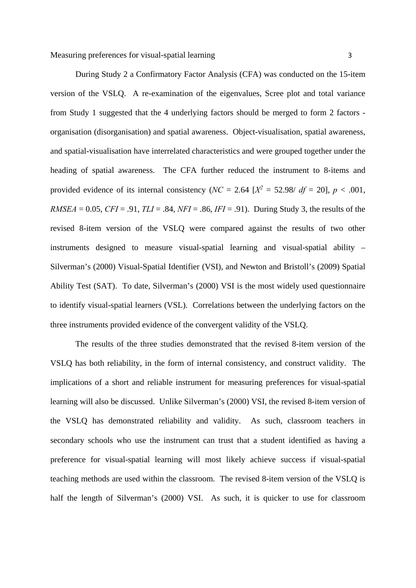During Study 2 a Confirmatory Factor Analysis (CFA) was conducted on the 15-item version of the VSLQ. A re-examination of the eigenvalues, Scree plot and total variance from Study 1 suggested that the 4 underlying factors should be merged to form 2 factors organisation (disorganisation) and spatial awareness. Object-visualisation, spatial awareness, and spatial-visualisation have interrelated characteristics and were grouped together under the heading of spatial awareness. The CFA further reduced the instrument to 8-items and provided evidence of its internal consistency ( $NC = 2.64$  [ $X^2 = 52.98/df = 20$ ],  $p < .001$ , *RMSEA* = 0.05, *CFI* = .91, *TLI* = .84, *NFI* = .86, *IFI* = .91). During Study 3, the results of the revised 8-item version of the VSLQ were compared against the results of two other instruments designed to measure visual-spatial learning and visual-spatial ability – Silverman's (2000) Visual-Spatial Identifier (VSI), and Newton and Bristoll's (2009) Spatial Ability Test (SAT). To date, Silverman's (2000) VSI is the most widely used questionnaire to identify visual-spatial learners (VSL). Correlations between the underlying factors on the three instruments provided evidence of the convergent validity of the VSLQ.

The results of the three studies demonstrated that the revised 8-item version of the VSLQ has both reliability, in the form of internal consistency, and construct validity. The implications of a short and reliable instrument for measuring preferences for visual-spatial learning will also be discussed. Unlike Silverman's (2000) VSI, the revised 8-item version of the VSLQ has demonstrated reliability and validity. As such, classroom teachers in secondary schools who use the instrument can trust that a student identified as having a preference for visual-spatial learning will most likely achieve success if visual-spatial teaching methods are used within the classroom. The revised 8-item version of the VSLQ is half the length of Silverman's (2000) VSI. As such, it is quicker to use for classroom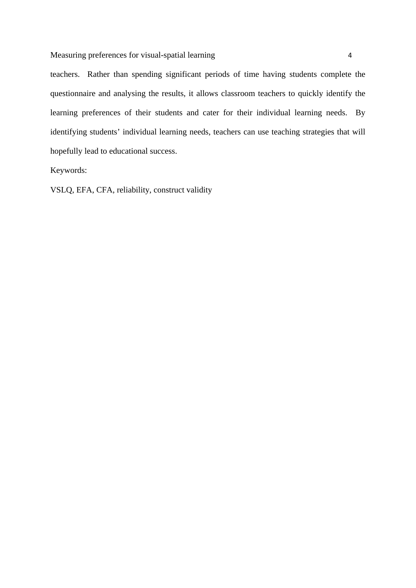Measuring preferences for visual-spatial learning 4

teachers. Rather than spending significant periods of time having students complete the questionnaire and analysing the results, it allows classroom teachers to quickly identify the learning preferences of their students and cater for their individual learning needs. By identifying students' individual learning needs, teachers can use teaching strategies that will hopefully lead to educational success.

Keywords:

VSLQ, EFA, CFA, reliability, construct validity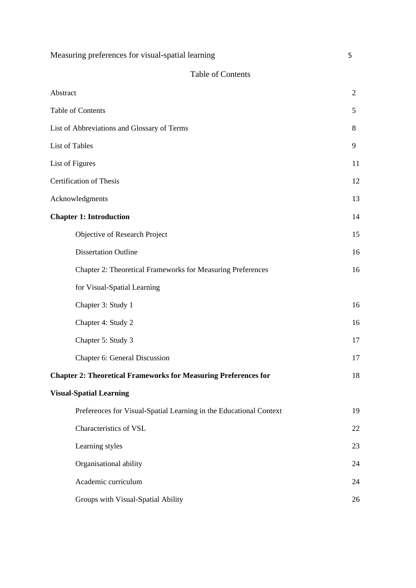| Measuring preferences for visual-spatial learning                      | 5              |
|------------------------------------------------------------------------|----------------|
| <b>Table of Contents</b>                                               |                |
| Abstract                                                               | $\overline{2}$ |
| Table of Contents                                                      | 5              |
| List of Abbreviations and Glossary of Terms                            | 8              |
| List of Tables                                                         | 9              |
| List of Figures                                                        | 11             |
| <b>Certification of Thesis</b>                                         | 12             |
| Acknowledgments                                                        | 13             |
| <b>Chapter 1: Introduction</b>                                         | 14             |
| Objective of Research Project                                          | 15             |
| <b>Dissertation Outline</b>                                            | 16             |
| Chapter 2: Theoretical Frameworks for Measuring Preferences            | 16             |
| for Visual-Spatial Learning                                            |                |
| Chapter 3: Study 1                                                     | 16             |
| Chapter 4: Study 2                                                     | 16             |
| Chapter 5: Study 3                                                     | 17             |
| Chapter 6: General Discussion                                          | 17             |
| <b>Chapter 2: Theoretical Frameworks for Measuring Preferences for</b> | 18             |
| <b>Visual-Spatial Learning</b>                                         |                |
| Preferences for Visual-Spatial Learning in the Educational Context     | 19             |
| Characteristics of VSL                                                 | 22             |
| Learning styles                                                        | 23             |
| Organisational ability                                                 | 24             |
| Academic curriculum                                                    | 24             |
| Groups with Visual-Spatial Ability                                     | 26             |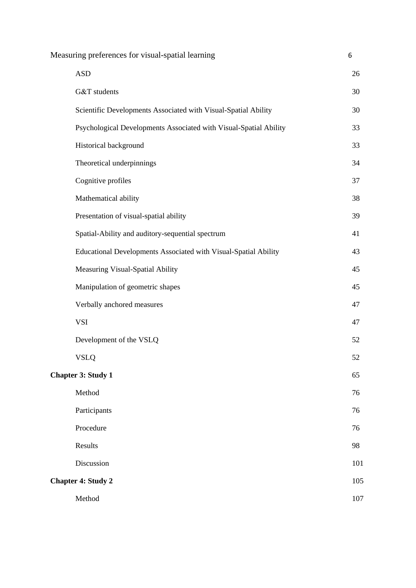| Measuring preferences for visual-spatial learning                 |     |
|-------------------------------------------------------------------|-----|
| <b>ASD</b>                                                        | 26  |
| G&T students                                                      | 30  |
| Scientific Developments Associated with Visual-Spatial Ability    | 30  |
| Psychological Developments Associated with Visual-Spatial Ability | 33  |
| Historical background                                             | 33  |
| Theoretical underpinnings                                         | 34  |
| Cognitive profiles                                                | 37  |
| Mathematical ability                                              | 38  |
| Presentation of visual-spatial ability                            | 39  |
| Spatial-Ability and auditory-sequential spectrum                  | 41  |
| Educational Developments Associated with Visual-Spatial Ability   | 43  |
| Measuring Visual-Spatial Ability                                  | 45  |
| Manipulation of geometric shapes                                  | 45  |
| Verbally anchored measures                                        | 47  |
| <b>VSI</b>                                                        | 47  |
| Development of the VSLQ                                           | 52  |
| <b>VSLQ</b>                                                       | 52  |
| <b>Chapter 3: Study 1</b>                                         | 65  |
| Method                                                            | 76  |
| Participants                                                      | 76  |
| Procedure                                                         | 76  |
| Results                                                           | 98  |
| Discussion                                                        | 101 |
| <b>Chapter 4: Study 2</b>                                         | 105 |
| Method                                                            | 107 |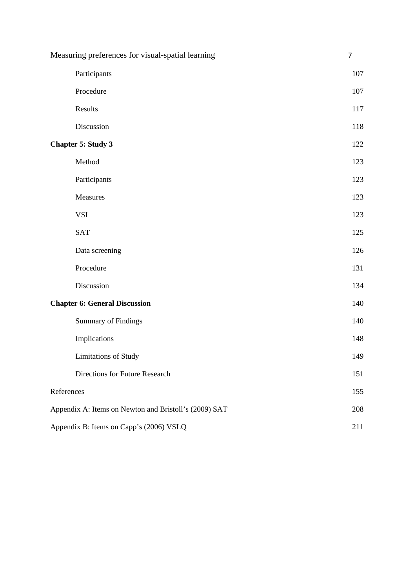| Measuring preferences for visual-spatial learning     |     |
|-------------------------------------------------------|-----|
| Participants                                          | 107 |
| Procedure                                             | 107 |
| Results                                               | 117 |
| Discussion                                            | 118 |
| <b>Chapter 5: Study 3</b>                             | 122 |
| Method                                                | 123 |
| Participants                                          | 123 |
| Measures                                              | 123 |
| <b>VSI</b>                                            | 123 |
| <b>SAT</b>                                            | 125 |
| Data screening                                        | 126 |
| Procedure                                             | 131 |
| Discussion                                            | 134 |
| <b>Chapter 6: General Discussion</b>                  | 140 |
| <b>Summary of Findings</b>                            | 140 |
| Implications                                          | 148 |
| Limitations of Study                                  | 149 |
| Directions for Future Research                        | 151 |
| References                                            | 155 |
| Appendix A: Items on Newton and Bristoll's (2009) SAT | 208 |
| Appendix B: Items on Capp's (2006) VSLQ               | 211 |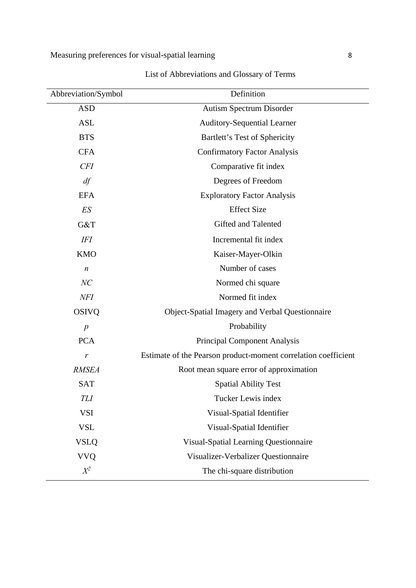| Abbreviation/Symbol | Definition                                                     |
|---------------------|----------------------------------------------------------------|
| <b>ASD</b>          | Autism Spectrum Disorder                                       |
| <b>ASL</b>          | <b>Auditory-Sequential Learner</b>                             |
| <b>BTS</b>          | Bartlett's Test of Sphericity                                  |
| <b>CFA</b>          | <b>Confirmatory Factor Analysis</b>                            |
| <b>CFI</b>          | Comparative fit index                                          |
| df                  | Degrees of Freedom                                             |
| <b>EFA</b>          | <b>Exploratory Factor Analysis</b>                             |
| ES                  | <b>Effect Size</b>                                             |
| G&T                 | Gifted and Talented                                            |
| <b>IFI</b>          | Incremental fit index                                          |
| <b>KMO</b>          | Kaiser-Mayer-Olkin                                             |
| $\boldsymbol{n}$    | Number of cases                                                |
| NC                  | Normed chi square                                              |
| <b>NFI</b>          | Normed fit index                                               |
| <b>OSIVQ</b>        | Object-Spatial Imagery and Verbal Questionnaire                |
| $\boldsymbol{p}$    | Probability                                                    |
| <b>PCA</b>          | <b>Principal Component Analysis</b>                            |
| r                   | Estimate of the Pearson product-moment correlation coefficient |
| <b>RMSEA</b>        | Root mean square error of approximation                        |
| <b>SAT</b>          | <b>Spatial Ability Test</b>                                    |
| TLI                 | Tucker Lewis index                                             |
| <b>VSI</b>          | Visual-Spatial Identifier                                      |
| <b>VSL</b>          | Visual-Spatial Identifier                                      |
| <b>VSLQ</b>         | Visual-Spatial Learning Questionnaire                          |
| <b>VVQ</b>          | Visualizer-Verbalizer Questionnaire                            |
| $X^2$               | The chi-square distribution                                    |

List of Abbreviations and Glossary of Terms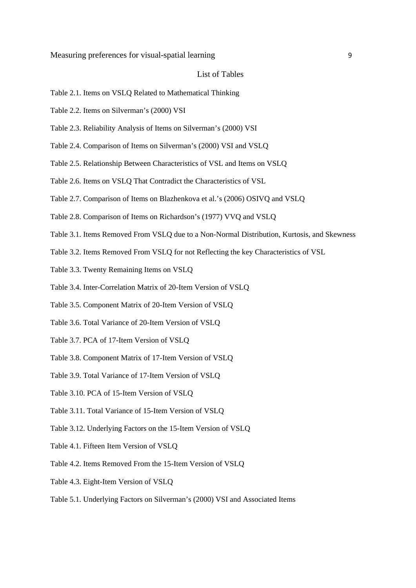### List of Tables

- Table 2.1. Items on VSLQ Related to Mathematical Thinking
- Table 2.2. Items on Silverman's (2000) VSI
- Table 2.3. Reliability Analysis of Items on Silverman's (2000) VSI
- Table 2.4. Comparison of Items on Silverman's (2000) VSI and VSLQ
- Table 2.5. Relationship Between Characteristics of VSL and Items on VSLQ
- Table 2.6. Items on VSLQ That Contradict the Characteristics of VSL
- Table 2.7. Comparison of Items on Blazhenkova et al.'s (2006) OSIVQ and VSLQ
- Table 2.8. Comparison of Items on Richardson's (1977) VVQ and VSLQ
- Table 3.1. Items Removed From VSLQ due to a Non-Normal Distribution, Kurtosis, and Skewness
- Table 3.2. Items Removed From VSLQ for not Reflecting the key Characteristics of VSL
- Table 3.3. Twenty Remaining Items on VSLQ
- Table 3.4. Inter-Correlation Matrix of 20-Item Version of VSLQ
- Table 3.5. Component Matrix of 20-Item Version of VSLQ
- Table 3.6. Total Variance of 20-Item Version of VSLQ
- Table 3.7. PCA of 17-Item Version of VSLQ
- Table 3.8. Component Matrix of 17-Item Version of VSLQ
- Table 3.9. Total Variance of 17-Item Version of VSLQ
- Table 3.10. PCA of 15-Item Version of VSLQ
- Table 3.11. Total Variance of 15-Item Version of VSLQ
- Table 3.12. Underlying Factors on the 15-Item Version of VSLQ
- Table 4.1. Fifteen Item Version of VSLQ
- Table 4.2. Items Removed From the 15-Item Version of VSLQ
- Table 4.3. Eight-Item Version of VSLQ
- Table 5.1. Underlying Factors on Silverman's (2000) VSI and Associated Items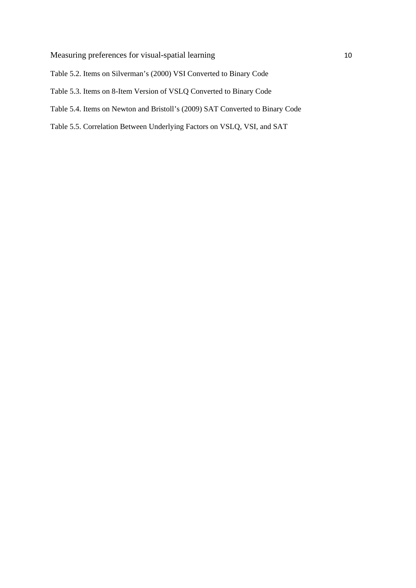- Table 5.2. Items on Silverman's (2000) VSI Converted to Binary Code
- Table 5.3. Items on 8-Item Version of VSLQ Converted to Binary Code
- Table 5.4. Items on Newton and Bristoll's (2009) SAT Converted to Binary Code
- Table 5.5. Correlation Between Underlying Factors on VSLQ, VSI, and SAT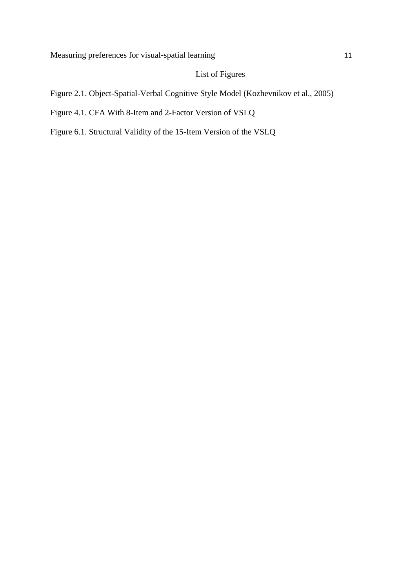# List of Figures

- Figure 2.1. Object-Spatial-Verbal Cognitive Style Model (Kozhevnikov et al., 2005)
- Figure 4.1. CFA With 8-Item and 2-Factor Version of VSLQ
- Figure 6.1. Structural Validity of the 15-Item Version of the VSLQ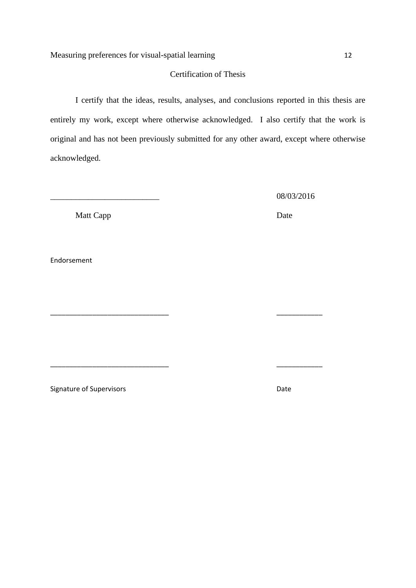## Certification of Thesis

I certify that the ideas, results, analyses, and conclusions reported in this thesis are entirely my work, except where otherwise acknowledged. I also certify that the work is original and has not been previously submitted for any other award, except where otherwise acknowledged.

\_\_\_\_\_\_\_\_\_\_\_\_\_\_\_\_\_\_\_\_\_\_\_\_\_\_\_\_\_\_\_ \_\_\_\_\_\_\_\_\_\_\_\_

\_\_\_\_\_\_\_\_\_\_\_\_\_\_\_\_\_\_\_\_\_\_\_\_\_\_\_\_\_\_\_ \_\_\_\_\_\_\_\_\_\_\_\_

\_\_\_\_\_\_\_\_\_\_\_\_\_\_\_\_\_\_\_\_\_\_\_\_\_\_ 08/03/2016

Matt Capp Date

Endorsement

Signature of Supervisors **Contact State State** Date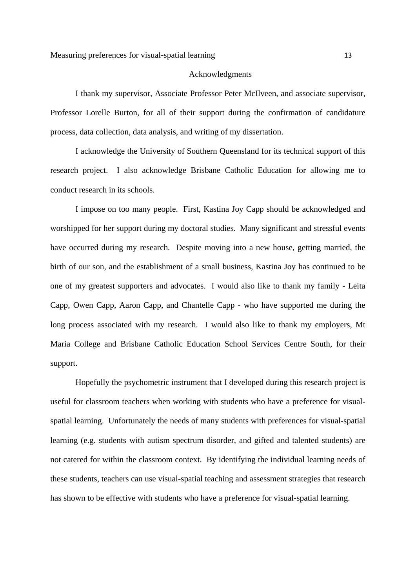### Acknowledgments

I thank my supervisor, Associate Professor Peter McIlveen, and associate supervisor, Professor Lorelle Burton, for all of their support during the confirmation of candidature process, data collection, data analysis, and writing of my dissertation.

I acknowledge the University of Southern Queensland for its technical support of this research project. I also acknowledge Brisbane Catholic Education for allowing me to conduct research in its schools.

I impose on too many people. First, Kastina Joy Capp should be acknowledged and worshipped for her support during my doctoral studies. Many significant and stressful events have occurred during my research. Despite moving into a new house, getting married, the birth of our son, and the establishment of a small business, Kastina Joy has continued to be one of my greatest supporters and advocates. I would also like to thank my family - Leita Capp, Owen Capp, Aaron Capp, and Chantelle Capp - who have supported me during the long process associated with my research. I would also like to thank my employers, Mt Maria College and Brisbane Catholic Education School Services Centre South, for their support.

Hopefully the psychometric instrument that I developed during this research project is useful for classroom teachers when working with students who have a preference for visualspatial learning. Unfortunately the needs of many students with preferences for visual-spatial learning (e.g. students with autism spectrum disorder, and gifted and talented students) are not catered for within the classroom context. By identifying the individual learning needs of these students, teachers can use visual-spatial teaching and assessment strategies that research has shown to be effective with students who have a preference for visual-spatial learning.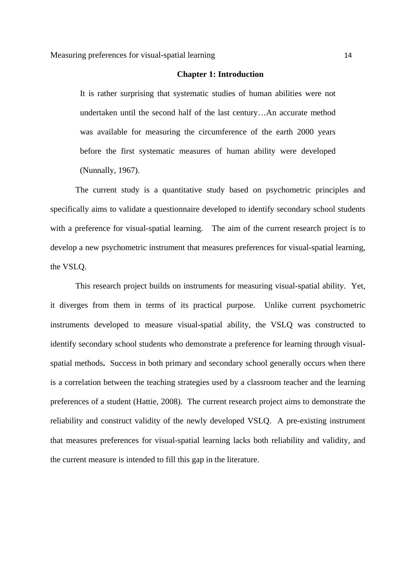#### **Chapter 1: Introduction**

It is rather surprising that systematic studies of human abilities were not undertaken until the second half of the last century…An accurate method was available for measuring the circumference of the earth 2000 years before the first systematic measures of human ability were developed (Nunnally, 1967).

The current study is a quantitative study based on psychometric principles and specifically aims to validate a questionnaire developed to identify secondary school students with a preference for visual-spatial learning. The aim of the current research project is to develop a new psychometric instrument that measures preferences for visual-spatial learning, the VSLQ.

This research project builds on instruments for measuring visual-spatial ability. Yet, it diverges from them in terms of its practical purpose. Unlike current psychometric instruments developed to measure visual-spatial ability, the VSLQ was constructed to identify secondary school students who demonstrate a preference for learning through visualspatial methods**.** Success in both primary and secondary school generally occurs when there is a correlation between the teaching strategies used by a classroom teacher and the learning preferences of a student (Hattie, 2008). The current research project aims to demonstrate the reliability and construct validity of the newly developed VSLQ. A pre-existing instrument that measures preferences for visual-spatial learning lacks both reliability and validity, and the current measure is intended to fill this gap in the literature.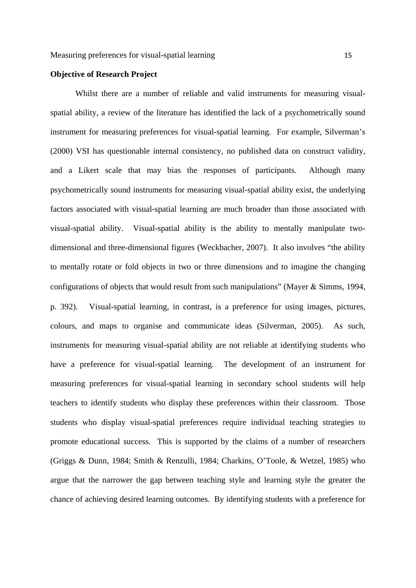## **Objective of Research Project**

Whilst there are a number of reliable and valid instruments for measuring visualspatial ability, a review of the literature has identified the lack of a psychometrically sound instrument for measuring preferences for visual-spatial learning. For example, Silverman's (2000) VSI has questionable internal consistency, no published data on construct validity, and a Likert scale that may bias the responses of participants. Although many psychometrically sound instruments for measuring visual-spatial ability exist, the underlying factors associated with visual-spatial learning are much broader than those associated with visual-spatial ability. Visual-spatial ability is the ability to mentally manipulate twodimensional and three-dimensional figures (Weckbacher, 2007). It also involves "the ability to mentally rotate or fold objects in two or three dimensions and to imagine the changing configurations of objects that would result from such manipulations" (Mayer  $\&$  Simms, 1994, p. 392). Visual-spatial learning, in contrast, is a preference for using images, pictures, colours, and maps to organise and communicate ideas (Silverman, 2005). As such, instruments for measuring visual-spatial ability are not reliable at identifying students who have a preference for visual-spatial learning. The development of an instrument for measuring preferences for visual-spatial learning in secondary school students will help teachers to identify students who display these preferences within their classroom. Those students who display visual-spatial preferences require individual teaching strategies to promote educational success. This is supported by the claims of a number of researchers (Griggs & Dunn, 1984; Smith & Renzulli, 1984; Charkins, O'Toole, & Wetzel, 1985) who argue that the narrower the gap between teaching style and learning style the greater the chance of achieving desired learning outcomes. By identifying students with a preference for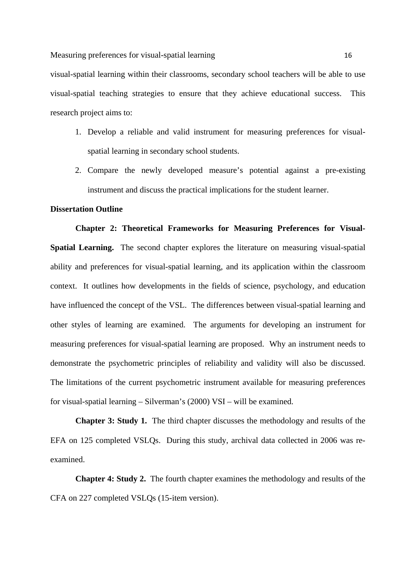visual-spatial learning within their classrooms, secondary school teachers will be able to use visual-spatial teaching strategies to ensure that they achieve educational success. This research project aims to:

- 1. Develop a reliable and valid instrument for measuring preferences for visualspatial learning in secondary school students.
- 2. Compare the newly developed measure's potential against a pre-existing instrument and discuss the practical implications for the student learner.

## **Dissertation Outline**

**Chapter 2: Theoretical Frameworks for Measuring Preferences for Visual-Spatial Learning.** The second chapter explores the literature on measuring visual-spatial ability and preferences for visual-spatial learning, and its application within the classroom context. It outlines how developments in the fields of science, psychology, and education have influenced the concept of the VSL. The differences between visual-spatial learning and other styles of learning are examined. The arguments for developing an instrument for measuring preferences for visual-spatial learning are proposed. Why an instrument needs to demonstrate the psychometric principles of reliability and validity will also be discussed. The limitations of the current psychometric instrument available for measuring preferences for visual-spatial learning – Silverman's (2000) VSI – will be examined.

**Chapter 3: Study 1.** The third chapter discusses the methodology and results of the EFA on 125 completed VSLQs. During this study, archival data collected in 2006 was reexamined.

**Chapter 4: Study 2.** The fourth chapter examines the methodology and results of the CFA on 227 completed VSLQs (15-item version).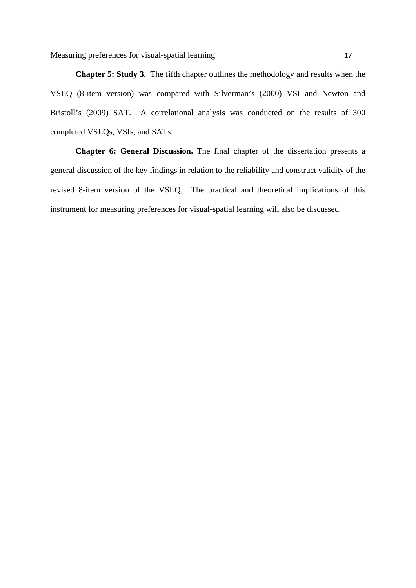**Chapter 5: Study 3.** The fifth chapter outlines the methodology and results when the VSLQ (8-item version) was compared with Silverman's (2000) VSI and Newton and Bristoll's (2009) SAT. A correlational analysis was conducted on the results of 300 completed VSLQs, VSIs, and SATs.

**Chapter 6: General Discussion.** The final chapter of the dissertation presents a general discussion of the key findings in relation to the reliability and construct validity of the revised 8-item version of the VSLQ. The practical and theoretical implications of this instrument for measuring preferences for visual-spatial learning will also be discussed.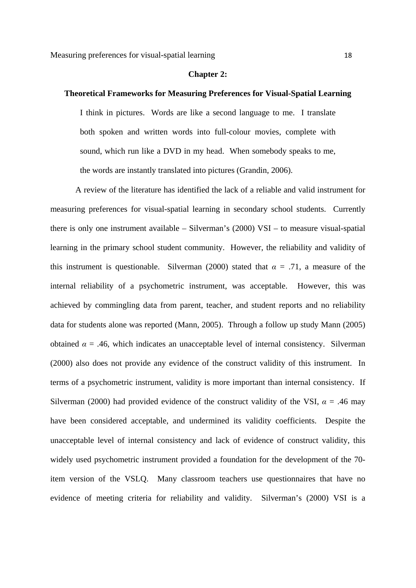#### **Chapter 2:**

## **Theoretical Frameworks for Measuring Preferences for Visual-Spatial Learning**

I think in pictures. Words are like a second language to me. I translate both spoken and written words into full-colour movies, complete with sound, which run like a DVD in my head. When somebody speaks to me, the words are instantly translated into pictures (Grandin, 2006).

A review of the literature has identified the lack of a reliable and valid instrument for measuring preferences for visual-spatial learning in secondary school students. Currently there is only one instrument available – Silverman's (2000) VSI – to measure visual-spatial learning in the primary school student community. However, the reliability and validity of this instrument is questionable. Silverman (2000) stated that  $\alpha = .71$ , a measure of the internal reliability of a psychometric instrument, was acceptable. However, this was achieved by commingling data from parent, teacher, and student reports and no reliability data for students alone was reported (Mann, 2005). Through a follow up study Mann (2005) obtained  $\alpha = .46$ , which indicates an unacceptable level of internal consistency. Silverman (2000) also does not provide any evidence of the construct validity of this instrument. In terms of a psychometric instrument, validity is more important than internal consistency. If Silverman (2000) had provided evidence of the construct validity of the VSI,  $\alpha = .46$  may have been considered acceptable, and undermined its validity coefficients. Despite the unacceptable level of internal consistency and lack of evidence of construct validity, this widely used psychometric instrument provided a foundation for the development of the 70 item version of the VSLQ. Many classroom teachers use questionnaires that have no evidence of meeting criteria for reliability and validity. Silverman's (2000) VSI is a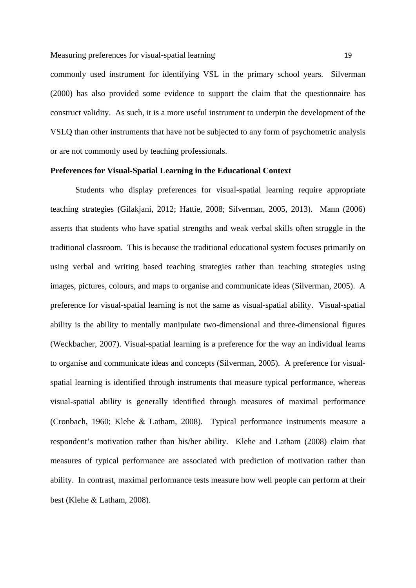commonly used instrument for identifying VSL in the primary school years. Silverman (2000) has also provided some evidence to support the claim that the questionnaire has construct validity. As such, it is a more useful instrument to underpin the development of the VSLQ than other instruments that have not be subjected to any form of psychometric analysis or are not commonly used by teaching professionals.

## **Preferences for Visual-Spatial Learning in the Educational Context**

Students who display preferences for visual-spatial learning require appropriate teaching strategies (Gilakjani, 2012; Hattie, 2008; Silverman, 2005, 2013). Mann (2006) asserts that students who have spatial strengths and weak verbal skills often struggle in the traditional classroom. This is because the traditional educational system focuses primarily on using verbal and writing based teaching strategies rather than teaching strategies using images, pictures, colours, and maps to organise and communicate ideas (Silverman, 2005). A preference for visual-spatial learning is not the same as visual-spatial ability. Visual-spatial ability is the ability to mentally manipulate two-dimensional and three-dimensional figures (Weckbacher, 2007). Visual-spatial learning is a preference for the way an individual learns to organise and communicate ideas and concepts (Silverman, 2005). A preference for visualspatial learning is identified through instruments that measure typical performance, whereas visual-spatial ability is generally identified through measures of maximal performance (Cronbach, 1960; Klehe & Latham, 2008). Typical performance instruments measure a respondent's motivation rather than his/her ability. Klehe and Latham (2008) claim that measures of typical performance are associated with prediction of motivation rather than ability. In contrast, maximal performance tests measure how well people can perform at their best (Klehe & Latham, 2008).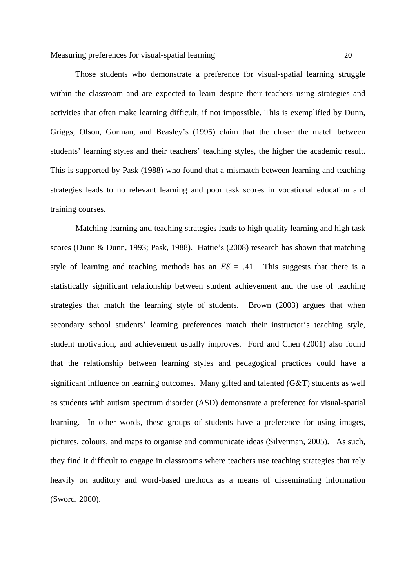Measuring preferences for visual-spatial learning 20

Those students who demonstrate a preference for visual-spatial learning struggle within the classroom and are expected to learn despite their teachers using strategies and activities that often make learning difficult, if not impossible. This is exemplified by Dunn, Griggs, Olson, Gorman, and Beasley's (1995) claim that the closer the match between students' learning styles and their teachers' teaching styles, the higher the academic result. This is supported by Pask (1988) who found that a mismatch between learning and teaching strategies leads to no relevant learning and poor task scores in vocational education and training courses.

Matching learning and teaching strategies leads to high quality learning and high task scores (Dunn & Dunn, 1993; Pask, 1988).Hattie's (2008) research has shown that matching style of learning and teaching methods has an  $ES = .41$ . This suggests that there is a statistically significant relationship between student achievement and the use of teaching strategies that match the learning style of students. Brown (2003) argues that when secondary school students' learning preferences match their instructor's teaching style, student motivation, and achievement usually improves. Ford and Chen (2001) also found that the relationship between learning styles and pedagogical practices could have a significant influence on learning outcomes. Many gifted and talented  $(G&T)$  students as well as students with autism spectrum disorder (ASD) demonstrate a preference for visual-spatial learning. In other words, these groups of students have a preference for using images, pictures, colours, and maps to organise and communicate ideas (Silverman, 2005). As such, they find it difficult to engage in classrooms where teachers use teaching strategies that rely heavily on auditory and word-based methods as a means of disseminating information (Sword, 2000).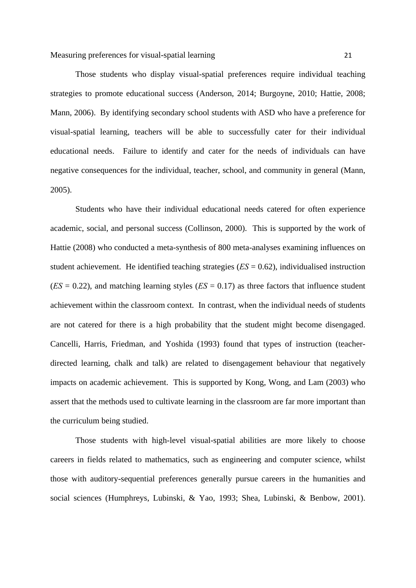Those students who display visual-spatial preferences require individual teaching strategies to promote educational success (Anderson, 2014; Burgoyne, 2010; Hattie, 2008; Mann, 2006). By identifying secondary school students with ASD who have a preference for visual-spatial learning, teachers will be able to successfully cater for their individual educational needs. Failure to identify and cater for the needs of individuals can have negative consequences for the individual, teacher, school, and community in general (Mann, 2005).

Students who have their individual educational needs catered for often experience academic, social, and personal success (Collinson, 2000). This is supported by the work of Hattie (2008) who conducted a meta-synthesis of 800 meta-analyses examining influences on student achievement. He identified teaching strategies (*ES* = 0.62), individualised instruction  $(ES = 0.22)$ , and matching learning styles  $(ES = 0.17)$  as three factors that influence student achievement within the classroom context. In contrast, when the individual needs of students are not catered for there is a high probability that the student might become disengaged. Cancelli, Harris, Friedman, and Yoshida (1993) found that types of instruction (teacherdirected learning, chalk and talk) are related to disengagement behaviour that negatively impacts on academic achievement. This is supported by Kong, Wong, and Lam (2003) who assert that the methods used to cultivate learning in the classroom are far more important than the curriculum being studied.

Those students with high-level visual-spatial abilities are more likely to choose careers in fields related to mathematics, such as engineering and computer science, whilst those with auditory-sequential preferences generally pursue careers in the humanities and social sciences (Humphreys, Lubinski, & Yao, 1993; Shea, Lubinski, & Benbow, 2001).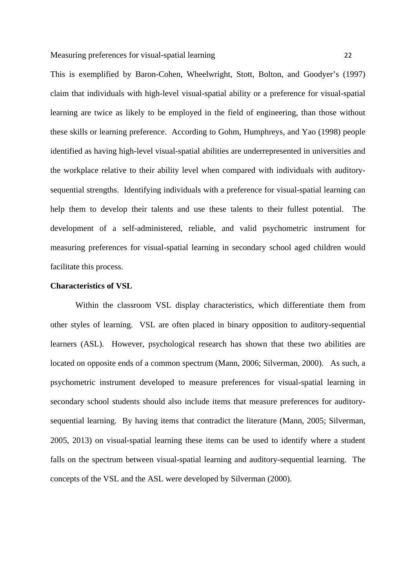This is exemplified by Baron-Cohen, Wheelwright, Stott, Bolton, and Goodyer's (1997) claim that individuals with high-level visual-spatial ability or a preference for visual-spatial learning are twice as likely to be employed in the field of engineering, than those without these skills or learning preference. According to Gohm, Humphreys, and Yao (1998) people identified as having high-level visual-spatial abilities are underrepresented in universities and the workplace relative to their ability level when compared with individuals with auditorysequential strengths. Identifying individuals with a preference for visual-spatial learning can help them to develop their talents and use these talents to their fullest potential. The development of a self-administered, reliable, and valid psychometric instrument for measuring preferences for visual-spatial learning in secondary school aged children would facilitate this process.

## **Characteristics of VSL**

Within the classroom VSL display characteristics, which differentiate them from other styles of learning. VSL are often placed in binary opposition to auditory-sequential learners (ASL). However, psychological research has shown that these two abilities are located on opposite ends of a common spectrum (Mann, 2006; Silverman, 2000). As such, a psychometric instrument developed to measure preferences for visual-spatial learning in secondary school students should also include items that measure preferences for auditorysequential learning. By having items that contradict the literature (Mann, 2005; Silverman, 2005, 2013) on visual-spatial learning these items can be used to identify where a student falls on the spectrum between visual-spatial learning and auditory-sequential learning. The concepts of the VSL and the ASL were developed by Silverman (2000).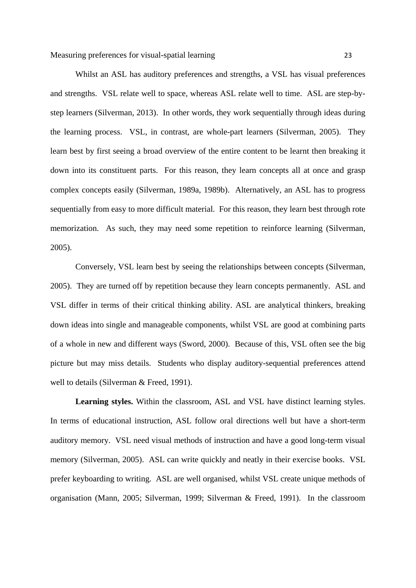Measuring preferences for visual-spatial learning 23

Whilst an ASL has auditory preferences and strengths, a VSL has visual preferences and strengths. VSL relate well to space, whereas ASL relate well to time. ASL are step-bystep learners (Silverman, 2013). In other words, they work sequentially through ideas during the learning process. VSL, in contrast, are whole-part learners (Silverman, 2005). They learn best by first seeing a broad overview of the entire content to be learnt then breaking it down into its constituent parts. For this reason, they learn concepts all at once and grasp complex concepts easily (Silverman, 1989a, 1989b). Alternatively, an ASL has to progress sequentially from easy to more difficult material. For this reason, they learn best through rote memorization. As such, they may need some repetition to reinforce learning (Silverman, 2005).

Conversely, VSL learn best by seeing the relationships between concepts (Silverman, 2005). They are turned off by repetition because they learn concepts permanently. ASL and VSL differ in terms of their critical thinking ability. ASL are analytical thinkers, breaking down ideas into single and manageable components, whilst VSL are good at combining parts of a whole in new and different ways (Sword, 2000). Because of this, VSL often see the big picture but may miss details. Students who display auditory-sequential preferences attend well to details (Silverman & Freed, 1991).

**Learning styles.** Within the classroom, ASL and VSL have distinct learning styles. In terms of educational instruction, ASL follow oral directions well but have a short-term auditory memory. VSL need visual methods of instruction and have a good long-term visual memory (Silverman, 2005). ASL can write quickly and neatly in their exercise books. VSL prefer keyboarding to writing. ASL are well organised, whilst VSL create unique methods of organisation (Mann, 2005; Silverman, 1999; Silverman & Freed, 1991). In the classroom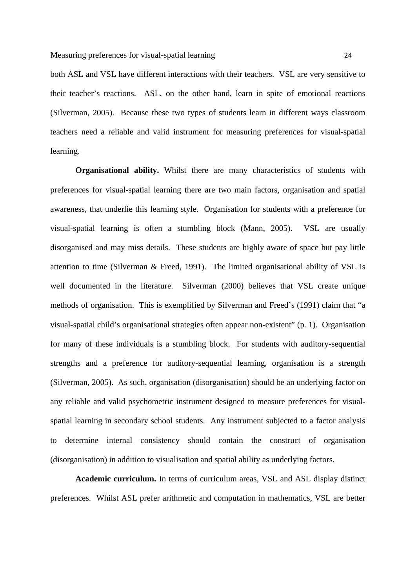both ASL and VSL have different interactions with their teachers. VSL are very sensitive to their teacher's reactions. ASL, on the other hand, learn in spite of emotional reactions (Silverman, 2005). Because these two types of students learn in different ways classroom teachers need a reliable and valid instrument for measuring preferences for visual-spatial learning.

**Organisational ability.** Whilst there are many characteristics of students with preferences for visual-spatial learning there are two main factors, organisation and spatial awareness, that underlie this learning style. Organisation for students with a preference for visual-spatial learning is often a stumbling block (Mann, 2005). VSL are usually disorganised and may miss details. These students are highly aware of space but pay little attention to time (Silverman & Freed, 1991). The limited organisational ability of VSL is well documented in the literature. Silverman (2000) believes that VSL create unique methods of organisation. This is exemplified by Silverman and Freed's (1991) claim that "a visual-spatial child's organisational strategies often appear non-existent" (p. 1). Organisation for many of these individuals is a stumbling block. For students with auditory-sequential strengths and a preference for auditory-sequential learning, organisation is a strength (Silverman, 2005). As such, organisation (disorganisation) should be an underlying factor on any reliable and valid psychometric instrument designed to measure preferences for visualspatial learning in secondary school students. Any instrument subjected to a factor analysis to determine internal consistency should contain the construct of organisation (disorganisation) in addition to visualisation and spatial ability as underlying factors.

**Academic curriculum.** In terms of curriculum areas, VSL and ASL display distinct preferences. Whilst ASL prefer arithmetic and computation in mathematics, VSL are better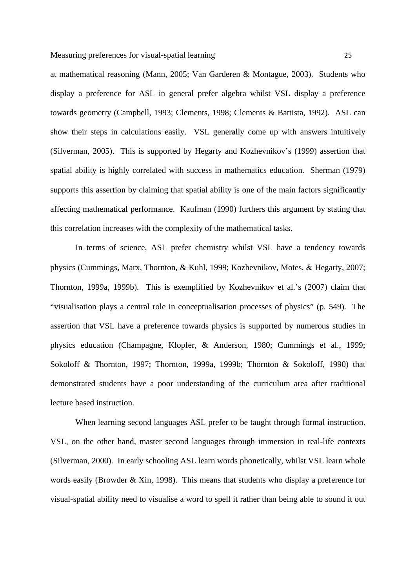at mathematical reasoning (Mann, 2005; Van Garderen & Montague, 2003). Students who display a preference for ASL in general prefer algebra whilst VSL display a preference towards geometry (Campbell, 1993; Clements, 1998; Clements & Battista, 1992). ASL can show their steps in calculations easily. VSL generally come up with answers intuitively (Silverman, 2005). This is supported by Hegarty and Kozhevnikov's (1999) assertion that spatial ability is highly correlated with success in mathematics education. Sherman (1979) supports this assertion by claiming that spatial ability is one of the main factors significantly affecting mathematical performance. Kaufman (1990) furthers this argument by stating that this correlation increases with the complexity of the mathematical tasks.

In terms of science, ASL prefer chemistry whilst VSL have a tendency towards physics (Cummings, Marx, Thornton, & Kuhl, 1999; Kozhevnikov, Motes, & Hegarty, 2007; Thornton, 1999a, 1999b). This is exemplified by Kozhevnikov et al.'s (2007) claim that "visualisation plays a central role in conceptualisation processes of physics" (p. 549). The assertion that VSL have a preference towards physics is supported by numerous studies in physics education (Champagne, Klopfer, & Anderson, 1980; Cummings et al., 1999; Sokoloff & Thornton, 1997; Thornton, 1999a, 1999b; Thornton & Sokoloff, 1990) that demonstrated students have a poor understanding of the curriculum area after traditional lecture based instruction.

When learning second languages ASL prefer to be taught through formal instruction. VSL, on the other hand, master second languages through immersion in real-life contexts (Silverman, 2000). In early schooling ASL learn words phonetically, whilst VSL learn whole words easily (Browder & Xin, 1998). This means that students who display a preference for visual-spatial ability need to visualise a word to spell it rather than being able to sound it out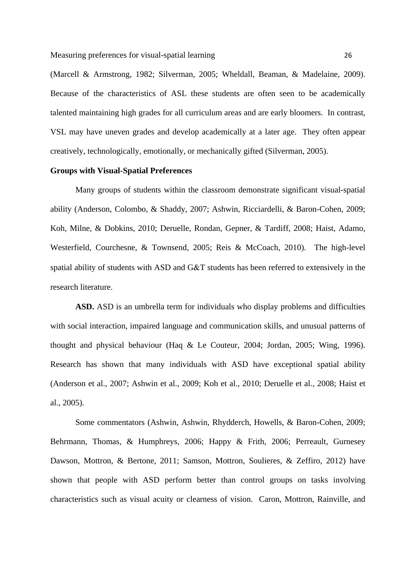Measuring preferences for visual-spatial learning 26

(Marcell & Armstrong, 1982; Silverman, 2005; Wheldall, Beaman, & Madelaine, 2009). Because of the characteristics of ASL these students are often seen to be academically talented maintaining high grades for all curriculum areas and are early bloomers. In contrast, VSL may have uneven grades and develop academically at a later age. They often appear creatively, technologically, emotionally, or mechanically gifted (Silverman, 2005).

## **Groups with Visual-Spatial Preferences**

Many groups of students within the classroom demonstrate significant visual-spatial ability (Anderson, Colombo, & Shaddy, 2007; Ashwin, Ricciardelli, & Baron-Cohen, 2009; Koh, Milne, & Dobkins, 2010; Deruelle, Rondan, Gepner, & Tardiff, 2008; Haist, Adamo, Westerfield, Courchesne, & Townsend, 2005; Reis & McCoach, 2010). The high-level spatial ability of students with ASD and G&T students has been referred to extensively in the research literature.

**ASD.** ASD is an umbrella term for individuals who display problems and difficulties with social interaction, impaired language and communication skills, and unusual patterns of thought and physical behaviour (Haq & Le Couteur, 2004; Jordan, 2005; Wing, 1996). Research has shown that many individuals with ASD have exceptional spatial ability (Anderson et al., 2007; Ashwin et al., 2009; Koh et al., 2010; Deruelle et al., 2008; Haist et al., 2005).

Some commentators (Ashwin, Ashwin, Rhydderch, Howells, & Baron-Cohen, 2009; Behrmann, Thomas, & Humphreys, 2006; Happy & Frith, 2006; Perreault, Gurnesey Dawson, Mottron, & Bertone, 2011; Samson, Mottron, Soulieres, & Zeffiro, 2012) have shown that people with ASD perform better than control groups on tasks involving characteristics such as visual acuity or clearness of vision. Caron, Mottron, Rainville, and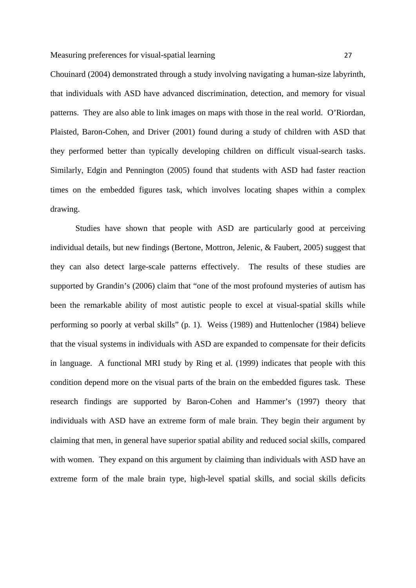Chouinard (2004) demonstrated through a study involving navigating a human-size labyrinth, that individuals with ASD have advanced discrimination, detection, and memory for visual patterns. They are also able to link images on maps with those in the real world. O'Riordan, Plaisted, Baron-Cohen, and Driver (2001) found during a study of children with ASD that they performed better than typically developing children on difficult visual-search tasks. Similarly, Edgin and Pennington (2005) found that students with ASD had faster reaction times on the embedded figures task, which involves locating shapes within a complex drawing.

Studies have shown that people with ASD are particularly good at perceiving individual details, but new findings (Bertone, Mottron, Jelenic, & Faubert, 2005) suggest that they can also detect large-scale patterns effectively. The results of these studies are supported by Grandin's (2006) claim that "one of the most profound mysteries of autism has been the remarkable ability of most autistic people to excel at visual-spatial skills while performing so poorly at verbal skills" (p. 1). Weiss (1989) and Huttenlocher (1984) believe that the visual systems in individuals with ASD are expanded to compensate for their deficits in language. A functional MRI study by Ring et al. (1999) indicates that people with this condition depend more on the visual parts of the brain on the embedded figures task. These research findings are supported by Baron-Cohen and Hammer's (1997) theory that individuals with ASD have an extreme form of male brain. They begin their argument by claiming that men, in general have superior spatial ability and reduced social skills, compared with women. They expand on this argument by claiming than individuals with ASD have an extreme form of the male brain type, high-level spatial skills, and social skills deficits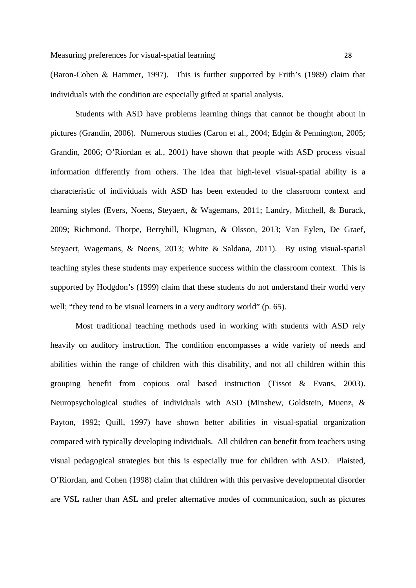(Baron-Cohen & Hammer, 1997). This is further supported by Frith's (1989) claim that individuals with the condition are especially gifted at spatial analysis.

Students with ASD have problems learning things that cannot be thought about in pictures (Grandin, 2006). Numerous studies (Caron et al., 2004; Edgin & Pennington, 2005; Grandin, 2006; O'Riordan et al., 2001) have shown that people with ASD process visual information differently from others. The idea that high-level visual-spatial ability is a characteristic of individuals with ASD has been extended to the classroom context and learning styles (Evers, Noens, Steyaert, & Wagemans, 2011; Landry, Mitchell, & Burack, 2009; Richmond, Thorpe, Berryhill, Klugman, & Olsson, 2013; Van Eylen, De Graef, Steyaert, Wagemans, & Noens, 2013; White & Saldana, 2011). By using visual-spatial teaching styles these students may experience success within the classroom context. This is supported by Hodgdon's (1999) claim that these students do not understand their world very well; "they tend to be visual learners in a very auditory world" (p. 65).

Most traditional teaching methods used in working with students with ASD rely heavily on auditory instruction. The condition encompasses a wide variety of needs and abilities within the range of children with this disability, and not all children within this grouping benefit from copious oral based instruction (Tissot & Evans, 2003). Neuropsychological studies of individuals with ASD (Minshew, Goldstein, Muenz, & Payton, 1992; Quill, 1997) have shown better abilities in visual-spatial organization compared with typically developing individuals. All children can benefit from teachers using visual pedagogical strategies but this is especially true for children with ASD. Plaisted, O'Riordan, and Cohen (1998) claim that children with this pervasive developmental disorder are VSL rather than ASL and prefer alternative modes of communication, such as pictures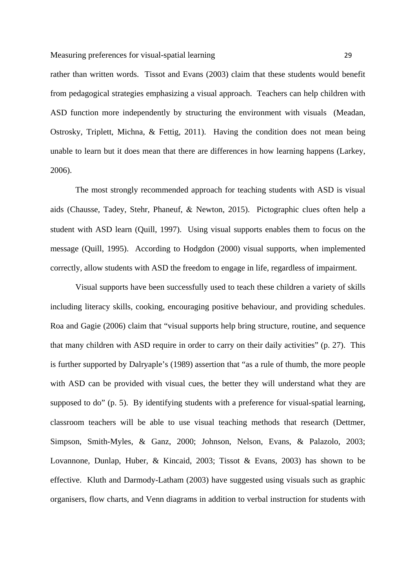rather than written words. Tissot and Evans (2003) claim that these students would benefit from pedagogical strategies emphasizing a visual approach. Teachers can help children with ASD function more independently by structuring the environment with visuals (Meadan, Ostrosky, Triplett, Michna, & Fettig, 2011). Having the condition does not mean being unable to learn but it does mean that there are differences in how learning happens (Larkey, 2006).

The most strongly recommended approach for teaching students with ASD is visual aids (Chausse, Tadey, Stehr, Phaneuf, Newton, 2015). Pictographic clues often help a student with ASD learn (Quill, 1997). Using visual supports enables them to focus on the message (Quill, 1995). According to Hodgdon (2000) visual supports, when implemented correctly, allow students with ASD the freedom to engage in life, regardless of impairment.

Visual supports have been successfully used to teach these children a variety of skills including literacy skills, cooking, encouraging positive behaviour, and providing schedules. Roa and Gagie (2006) claim that "visual supports help bring structure, routine, and sequence that many children with ASD require in order to carry on their daily activities" (p. 27). This is further supported by Dalryaple's (1989) assertion that "as a rule of thumb, the more people with ASD can be provided with visual cues, the better they will understand what they are supposed to do" (p. 5). By identifying students with a preference for visual-spatial learning, classroom teachers will be able to use visual teaching methods that research (Dettmer, Simpson, Smith-Myles, & Ganz, 2000; Johnson, Nelson, Evans, & Palazolo, 2003; Lovannone, Dunlap, Huber, & Kincaid, 2003; Tissot & Evans, 2003) has shown to be effective. Kluth and Darmody-Latham (2003) have suggested using visuals such as graphic organisers, flow charts, and Venn diagrams in addition to verbal instruction for students with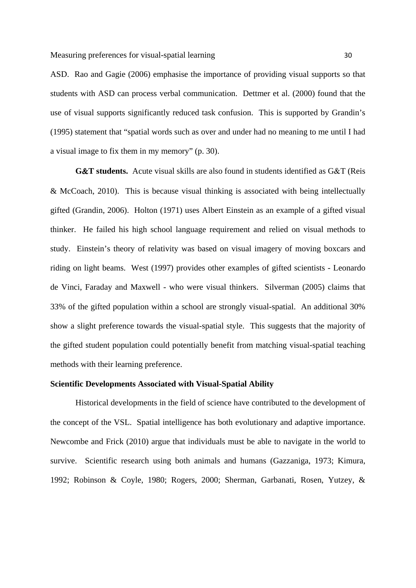ASD. Rao and Gagie (2006) emphasise the importance of providing visual supports so that students with ASD can process verbal communication. Dettmer et al. (2000) found that the use of visual supports significantly reduced task confusion. This is supported by Grandin's (1995) statement that "spatial words such as over and under had no meaning to me until I had a visual image to fix them in my memory" (p. 30).

**G&T students.** Acute visual skills are also found in students identified as G&T (Reis & McCoach, 2010). This is because visual thinking is associated with being intellectually gifted (Grandin, 2006). Holton (1971) uses Albert Einstein as an example of a gifted visual thinker. He failed his high school language requirement and relied on visual methods to study. Einstein's theory of relativity was based on visual imagery of moving boxcars and riding on light beams. West (1997) provides other examples of gifted scientists - Leonardo de Vinci, Faraday and Maxwell - who were visual thinkers. Silverman (2005) claims that 33% of the gifted population within a school are strongly visual-spatial. An additional 30% show a slight preference towards the visual-spatial style. This suggests that the majority of the gifted student population could potentially benefit from matching visual-spatial teaching methods with their learning preference.

## **Scientific Developments Associated with Visual-Spatial Ability**

Historical developments in the field of science have contributed to the development of the concept of the VSL. Spatial intelligence has both evolutionary and adaptive importance. Newcombe and Frick (2010) argue that individuals must be able to navigate in the world to survive. Scientific research using both animals and humans (Gazzaniga, 1973; Kimura, 1992; Robinson & Coyle, 1980; Rogers, 2000; Sherman, Garbanati, Rosen, Yutzey, &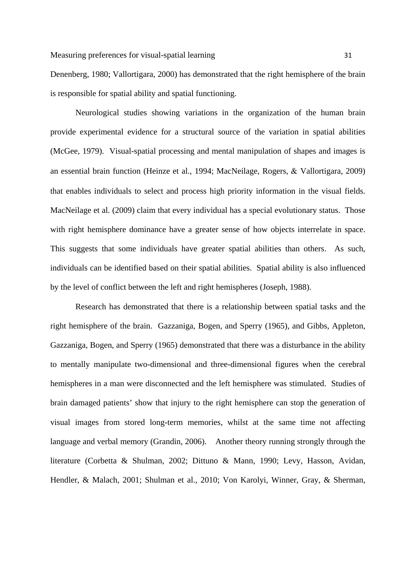Denenberg, 1980; Vallortigara, 2000) has demonstrated that the right hemisphere of the brain is responsible for spatial ability and spatial functioning.

Neurological studies showing variations in the organization of the human brain provide experimental evidence for a structural source of the variation in spatial abilities (McGee, 1979). Visual-spatial processing and mental manipulation of shapes and images is an essential brain function (Heinze et al., 1994; MacNeilage, Rogers, & Vallortigara, 2009) that enables individuals to select and process high priority information in the visual fields. MacNeilage et al. (2009) claim that every individual has a special evolutionary status. Those with right hemisphere dominance have a greater sense of how objects interrelate in space. This suggests that some individuals have greater spatial abilities than others. As such, individuals can be identified based on their spatial abilities. Spatial ability is also influenced by the level of conflict between the left and right hemispheres (Joseph, 1988).

Research has demonstrated that there is a relationship between spatial tasks and the right hemisphere of the brain. Gazzaniga, Bogen, and Sperry (1965), and Gibbs, Appleton, Gazzaniga, Bogen, and Sperry (1965) demonstrated that there was a disturbance in the ability to mentally manipulate two-dimensional and three-dimensional figures when the cerebral hemispheres in a man were disconnected and the left hemisphere was stimulated. Studies of brain damaged patients' show that injury to the right hemisphere can stop the generation of visual images from stored long-term memories, whilst at the same time not affecting language and verbal memory (Grandin, 2006). Another theory running strongly through the literature (Corbetta & Shulman, 2002; Dittuno & Mann, 1990; Levy, Hasson, Avidan, Hendler, & Malach, 2001; Shulman et al., 2010; Von Karolyi, Winner, Gray, & Sherman,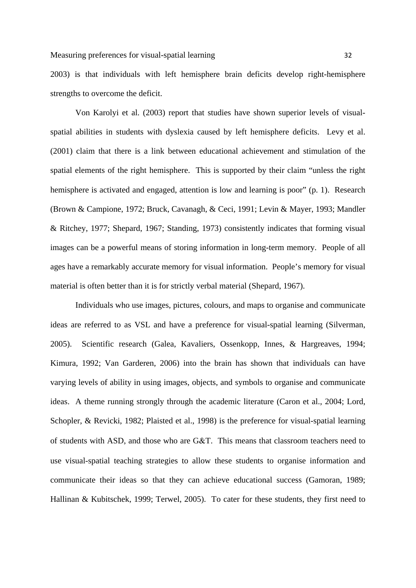2003) is that individuals with left hemisphere brain deficits develop right-hemisphere strengths to overcome the deficit.

Von Karolyi et al. (2003) report that studies have shown superior levels of visualspatial abilities in students with dyslexia caused by left hemisphere deficits. Levy et al. (2001) claim that there is a link between educational achievement and stimulation of the spatial elements of the right hemisphere. This is supported by their claim "unless the right hemisphere is activated and engaged, attention is low and learning is poor" (p. 1). Research (Brown & Campione, 1972; Bruck, Cavanagh, & Ceci, 1991; Levin & Mayer, 1993; Mandler & Ritchey, 1977; Shepard, 1967; Standing, 1973) consistently indicates that forming visual images can be a powerful means of storing information in long-term memory. People of all ages have a remarkably accurate memory for visual information. People's memory for visual material is often better than it is for strictly verbal material (Shepard, 1967).

Individuals who use images, pictures, colours, and maps to organise and communicate ideas are referred to as VSL and have a preference for visual-spatial learning (Silverman, 2005). Scientific research (Galea, Kavaliers, Ossenkopp, Innes, & Hargreaves, 1994; Kimura, 1992; Van Garderen, 2006) into the brain has shown that individuals can have varying levels of ability in using images, objects, and symbols to organise and communicate ideas. A theme running strongly through the academic literature (Caron et al., 2004; Lord, Schopler, & Revicki, 1982; Plaisted et al., 1998) is the preference for visual-spatial learning of students with ASD, and those who are G&T. This means that classroom teachers need to use visual-spatial teaching strategies to allow these students to organise information and communicate their ideas so that they can achieve educational success (Gamoran, 1989; Hallinan & Kubitschek, 1999; Terwel, 2005). To cater for these students, they first need to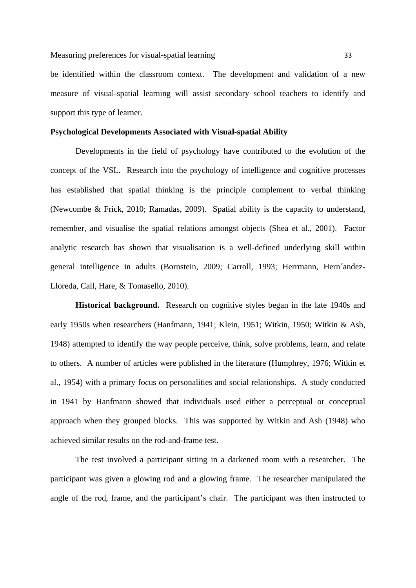#### Measuring preferences for visual-spatial learning 33

be identified within the classroom context. The development and validation of a new measure of visual-spatial learning will assist secondary school teachers to identify and support this type of learner.

## **Psychological Developments Associated with Visual-spatial Ability**

Developments in the field of psychology have contributed to the evolution of the concept of the VSL. Research into the psychology of intelligence and cognitive processes has established that spatial thinking is the principle complement to verbal thinking (Newcombe & Frick, 2010; Ramadas, 2009). Spatial ability is the capacity to understand, remember, and visualise the spatial relations amongst objects (Shea et al., 2001). Factor analytic research has shown that visualisation is a well-defined underlying skill within general intelligence in adults (Bornstein, 2009; Carroll, 1993; Herrmann, Hern´andez-Lloreda, Call, Hare, & Tomasello, 2010).

**Historical background.** Research on cognitive styles began in the late 1940s and early 1950s when researchers (Hanfmann, 1941; Klein, 1951; Witkin, 1950; Witkin & Ash, 1948) attempted to identify the way people perceive, think, solve problems, learn, and relate to others. A number of articles were published in the literature (Humphrey, 1976; Witkin et al., 1954) with a primary focus on personalities and social relationships. A study conducted in 1941 by Hanfmann showed that individuals used either a perceptual or conceptual approach when they grouped blocks. This was supported by Witkin and Ash (1948) who achieved similar results on the rod-and-frame test.

The test involved a participant sitting in a darkened room with a researcher. The participant was given a glowing rod and a glowing frame. The researcher manipulated the angle of the rod, frame, and the participant's chair. The participant was then instructed to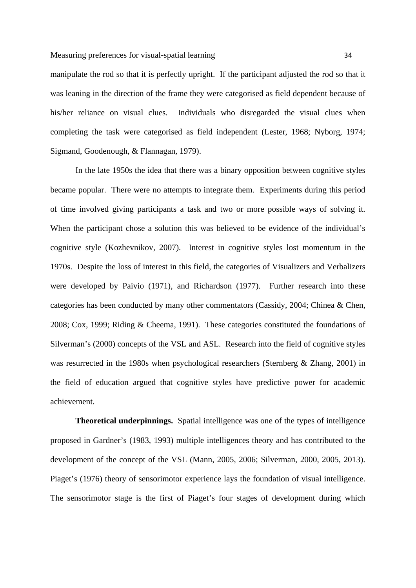#### Measuring preferences for visual-spatial learning 34

manipulate the rod so that it is perfectly upright. If the participant adjusted the rod so that it was leaning in the direction of the frame they were categorised as field dependent because of his/her reliance on visual clues. Individuals who disregarded the visual clues when completing the task were categorised as field independent (Lester, 1968; Nyborg, 1974; Sigmand, Goodenough, & Flannagan, 1979).

In the late 1950s the idea that there was a binary opposition between cognitive styles became popular. There were no attempts to integrate them. Experiments during this period of time involved giving participants a task and two or more possible ways of solving it. When the participant chose a solution this was believed to be evidence of the individual's cognitive style (Kozhevnikov, 2007). Interest in cognitive styles lost momentum in the 1970s. Despite the loss of interest in this field, the categories of Visualizers and Verbalizers were developed by Paivio (1971), and Richardson (1977). Further research into these categories has been conducted by many other commentators (Cassidy, 2004; Chinea & Chen, 2008; Cox, 1999; Riding & Cheema, 1991). These categories constituted the foundations of Silverman's (2000) concepts of the VSL and ASL. Research into the field of cognitive styles was resurrected in the 1980s when psychological researchers (Sternberg & Zhang, 2001) in the field of education argued that cognitive styles have predictive power for academic achievement.

**Theoretical underpinnings.** Spatial intelligence was one of the types of intelligence proposed in Gardner's (1983, 1993) multiple intelligences theory and has contributed to the development of the concept of the VSL (Mann, 2005, 2006; Silverman, 2000, 2005, 2013). Piaget's (1976) theory of sensorimotor experience lays the foundation of visual intelligence. The sensorimotor stage is the first of Piaget's four stages of development during which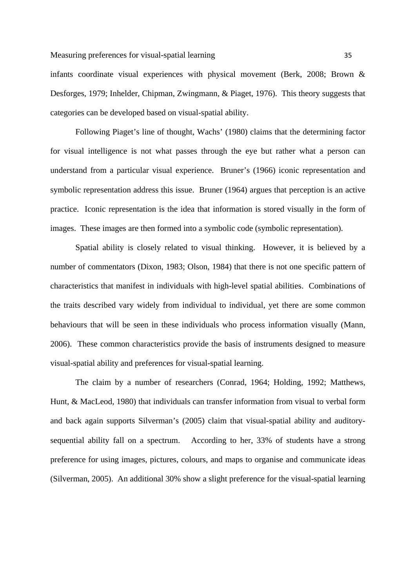infants coordinate visual experiences with physical movement (Berk, 2008; Brown & Desforges, 1979; Inhelder, Chipman, Zwingmann, & Piaget, 1976). This theory suggests that categories can be developed based on visual-spatial ability.

Following Piaget's line of thought, Wachs' (1980) claims that the determining factor for visual intelligence is not what passes through the eye but rather what a person can understand from a particular visual experience. Bruner's (1966) iconic representation and symbolic representation address this issue. Bruner (1964) argues that perception is an active practice. Iconic representation is the idea that information is stored visually in the form of images. These images are then formed into a symbolic code (symbolic representation).

Spatial ability is closely related to visual thinking. However, it is believed by a number of commentators (Dixon, 1983; Olson, 1984) that there is not one specific pattern of characteristics that manifest in individuals with high-level spatial abilities. Combinations of the traits described vary widely from individual to individual, yet there are some common behaviours that will be seen in these individuals who process information visually (Mann, 2006). These common characteristics provide the basis of instruments designed to measure visual-spatial ability and preferences for visual-spatial learning.

The claim by a number of researchers (Conrad, 1964; Holding, 1992; Matthews, Hunt, & MacLeod, 1980) that individuals can transfer information from visual to verbal form and back again supports Silverman's (2005) claim that visual-spatial ability and auditorysequential ability fall on a spectrum. According to her, 33% of students have a strong preference for using images, pictures, colours, and maps to organise and communicate ideas (Silverman, 2005). An additional 30% show a slight preference for the visual-spatial learning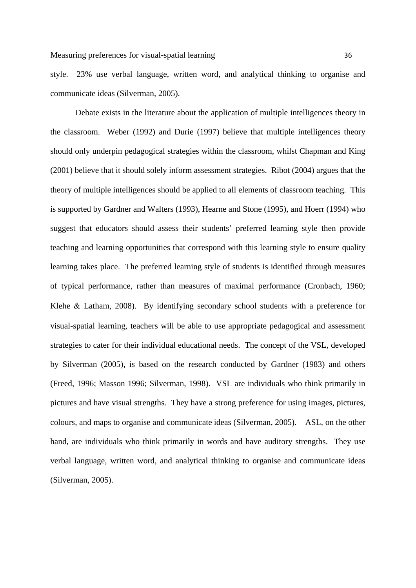style. 23% use verbal language, written word, and analytical thinking to organise and communicate ideas (Silverman, 2005).

Debate exists in the literature about the application of multiple intelligences theory in the classroom. Weber (1992) and Durie (1997) believe that multiple intelligences theory should only underpin pedagogical strategies within the classroom, whilst Chapman and King (2001) believe that it should solely inform assessment strategies. Ribot (2004) argues that the theory of multiple intelligences should be applied to all elements of classroom teaching. This is supported by Gardner and Walters (1993), Hearne and Stone (1995), and Hoerr (1994) who suggest that educators should assess their students' preferred learning style then provide teaching and learning opportunities that correspond with this learning style to ensure quality learning takes place. The preferred learning style of students is identified through measures of typical performance, rather than measures of maximal performance (Cronbach, 1960; Klehe & Latham, 2008). By identifying secondary school students with a preference for visual-spatial learning, teachers will be able to use appropriate pedagogical and assessment strategies to cater for their individual educational needs. The concept of the VSL, developed by Silverman (2005), is based on the research conducted by Gardner (1983) and others (Freed, 1996; Masson 1996; Silverman, 1998). VSL are individuals who think primarily in pictures and have visual strengths. They have a strong preference for using images, pictures, colours, and maps to organise and communicate ideas (Silverman, 2005). ASL, on the other hand, are individuals who think primarily in words and have auditory strengths. They use verbal language, written word, and analytical thinking to organise and communicate ideas (Silverman, 2005).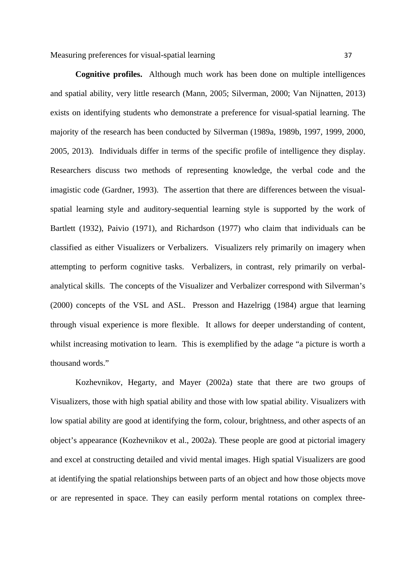Measuring preferences for visual-spatial learning 37

**Cognitive profiles.** Although much work has been done on multiple intelligences and spatial ability, very little research (Mann, 2005; Silverman, 2000; Van Nijnatten, 2013) exists on identifying students who demonstrate a preference for visual-spatial learning. The majority of the research has been conducted by Silverman (1989a, 1989b, 1997, 1999, 2000, 2005, 2013). Individuals differ in terms of the specific profile of intelligence they display. Researchers discuss two methods of representing knowledge, the verbal code and the imagistic code (Gardner, 1993). The assertion that there are differences between the visualspatial learning style and auditory-sequential learning style is supported by the work of Bartlett (1932), Paivio (1971), and Richardson (1977) who claim that individuals can be classified as either Visualizers or Verbalizers. Visualizers rely primarily on imagery when attempting to perform cognitive tasks. Verbalizers, in contrast, rely primarily on verbalanalytical skills. The concepts of the Visualizer and Verbalizer correspond with Silverman's (2000) concepts of the VSL and ASL. Presson and Hazelrigg (1984) argue that learning through visual experience is more flexible. It allows for deeper understanding of content, whilst increasing motivation to learn. This is exemplified by the adage "a picture is worth a thousand words."

Kozhevnikov, Hegarty, and Mayer (2002a) state that there are two groups of Visualizers, those with high spatial ability and those with low spatial ability. Visualizers with low spatial ability are good at identifying the form, colour, brightness, and other aspects of an object's appearance (Kozhevnikov et al., 2002a). These people are good at pictorial imagery and excel at constructing detailed and vivid mental images. High spatial Visualizers are good at identifying the spatial relationships between parts of an object and how those objects move or are represented in space. They can easily perform mental rotations on complex three-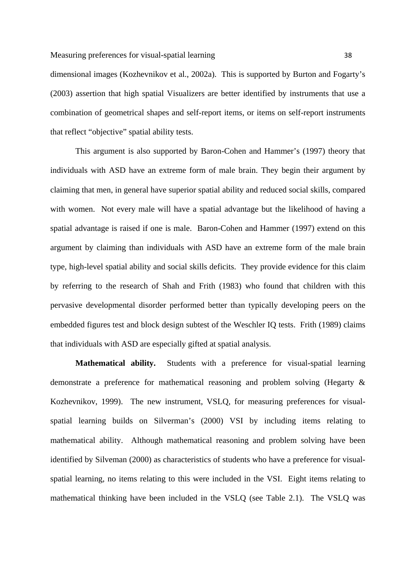## Measuring preferences for visual-spatial learning 38

dimensional images (Kozhevnikov et al., 2002a). This is supported by Burton and Fogarty's (2003) assertion that high spatial Visualizers are better identified by instruments that use a combination of geometrical shapes and self-report items, or items on self-report instruments that reflect "objective" spatial ability tests.

This argument is also supported by Baron-Cohen and Hammer's (1997) theory that individuals with ASD have an extreme form of male brain. They begin their argument by claiming that men, in general have superior spatial ability and reduced social skills, compared with women. Not every male will have a spatial advantage but the likelihood of having a spatial advantage is raised if one is male. Baron-Cohen and Hammer (1997) extend on this argument by claiming than individuals with ASD have an extreme form of the male brain type, high-level spatial ability and social skills deficits. They provide evidence for this claim by referring to the research of Shah and Frith (1983) who found that children with this pervasive developmental disorder performed better than typically developing peers on the embedded figures test and block design subtest of the Weschler IQ tests. Frith (1989) claims that individuals with ASD are especially gifted at spatial analysis.

**Mathematical ability.** Students with a preference for visual-spatial learning demonstrate a preference for mathematical reasoning and problem solving (Hegarty & Kozhevnikov, 1999). The new instrument, VSLQ, for measuring preferences for visualspatial learning builds on Silverman's (2000) VSI by including items relating to mathematical ability. Although mathematical reasoning and problem solving have been identified by Silveman (2000) as characteristics of students who have a preference for visualspatial learning, no items relating to this were included in the VSI. Eight items relating to mathematical thinking have been included in the VSLQ (see Table 2.1). The VSLQ was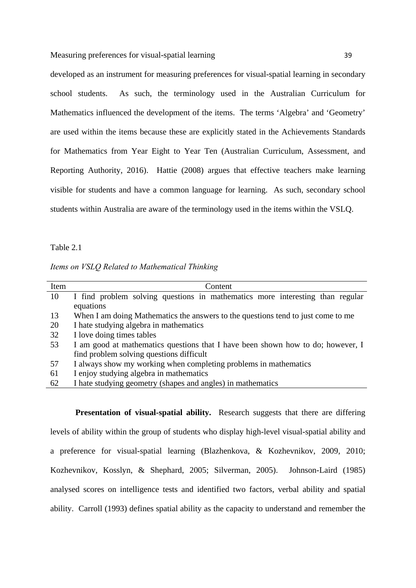developed as an instrument for measuring preferences for visual-spatial learning in secondary school students. As such, the terminology used in the Australian Curriculum for Mathematics influenced the development of the items. The terms 'Algebra' and 'Geometry' are used within the items because these are explicitly stated in the Achievements Standards for Mathematics from Year Eight to Year Ten (Australian Curriculum, Assessment, and Reporting Authority, 2016). Hattie (2008) argues that effective teachers make learning visible for students and have a common language for learning. As such, secondary school students within Australia are aware of the terminology used in the items within the VSLQ.

#### Table 2.1

|  |  | Items on VSLQ Related to Mathematical Thinking |  |
|--|--|------------------------------------------------|--|
|  |  |                                                |  |

| Item | Content                                                                          |
|------|----------------------------------------------------------------------------------|
| 10   | I find problem solving questions in mathematics more interesting than regular    |
|      | equations                                                                        |
| 13   | When I am doing Mathematics the answers to the questions tend to just come to me |
| 20   | I hate studying algebra in mathematics                                           |
| 32   | I love doing times tables                                                        |
| 53   | I am good at mathematics questions that I have been shown how to do; however, I  |
|      | find problem solving questions difficult                                         |
| 57   | I always show my working when completing problems in mathematics                 |
| 61   | I enjoy studying algebra in mathematics                                          |
| 62   | I hate studying geometry (shapes and angles) in mathematics                      |

**Presentation of visual-spatial ability.** Research suggests that there are differing levels of ability within the group of students who display high-level visual-spatial ability and a preference for visual-spatial learning (Blazhenkova, & Kozhevnikov, 2009, 2010; Kozhevnikov, Kosslyn, & Shephard, 2005; Silverman, 2005). Johnson-Laird (1985) analysed scores on intelligence tests and identified two factors, verbal ability and spatial ability. Carroll (1993) defines spatial ability as the capacity to understand and remember the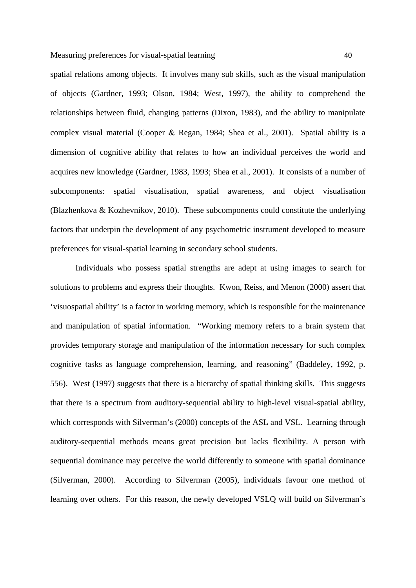spatial relations among objects. It involves many sub skills, such as the visual manipulation of objects (Gardner, 1993; Olson, 1984; West, 1997), the ability to comprehend the relationships between fluid, changing patterns (Dixon, 1983), and the ability to manipulate complex visual material (Cooper & Regan, 1984; Shea et al., 2001). Spatial ability is a dimension of cognitive ability that relates to how an individual perceives the world and acquires new knowledge (Gardner, 1983, 1993; Shea et al., 2001). It consists of a number of subcomponents: spatial visualisation, spatial awareness, and object visualisation (Blazhenkova & Kozhevnikov, 2010). These subcomponents could constitute the underlying factors that underpin the development of any psychometric instrument developed to measure preferences for visual-spatial learning in secondary school students.

Individuals who possess spatial strengths are adept at using images to search for solutions to problems and express their thoughts. Kwon, Reiss, and Menon (2000) assert that 'visuospatial ability' is a factor in working memory, which is responsible for the maintenance and manipulation of spatial information. "Working memory refers to a brain system that provides temporary storage and manipulation of the information necessary for such complex cognitive tasks as language comprehension, learning, and reasoning" (Baddeley, 1992, p. 556). West (1997) suggests that there is a hierarchy of spatial thinking skills. This suggests that there is a spectrum from auditory-sequential ability to high-level visual-spatial ability, which corresponds with Silverman's (2000) concepts of the ASL and VSL. Learning through auditory-sequential methods means great precision but lacks flexibility. A person with sequential dominance may perceive the world differently to someone with spatial dominance (Silverman, 2000). According to Silverman (2005), individuals favour one method of learning over others. For this reason, the newly developed VSLQ will build on Silverman's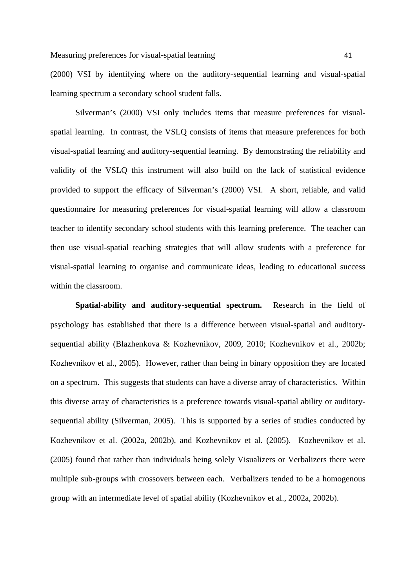(2000) VSI by identifying where on the auditory-sequential learning and visual-spatial learning spectrum a secondary school student falls.

Silverman's (2000) VSI only includes items that measure preferences for visualspatial learning. In contrast, the VSLQ consists of items that measure preferences for both visual-spatial learning and auditory-sequential learning. By demonstrating the reliability and validity of the VSLQ this instrument will also build on the lack of statistical evidence provided to support the efficacy of Silverman's (2000) VSI. A short, reliable, and valid questionnaire for measuring preferences for visual-spatial learning will allow a classroom teacher to identify secondary school students with this learning preference. The teacher can then use visual-spatial teaching strategies that will allow students with a preference for visual-spatial learning to organise and communicate ideas, leading to educational success within the classroom.

**Spatial-ability and auditory-sequential spectrum.** Research in the field of psychology has established that there is a difference between visual-spatial and auditorysequential ability (Blazhenkova & Kozhevnikov, 2009, 2010; Kozhevnikov et al., 2002b; Kozhevnikov et al., 2005). However, rather than being in binary opposition they are located on a spectrum. This suggests that students can have a diverse array of characteristics. Within this diverse array of characteristics is a preference towards visual-spatial ability or auditorysequential ability (Silverman, 2005). This is supported by a series of studies conducted by Kozhevnikov et al. (2002a, 2002b), and Kozhevnikov et al. (2005). Kozhevnikov et al. (2005) found that rather than individuals being solely Visualizers or Verbalizers there were multiple sub-groups with crossovers between each. Verbalizers tended to be a homogenous group with an intermediate level of spatial ability (Kozhevnikov et al., 2002a, 2002b).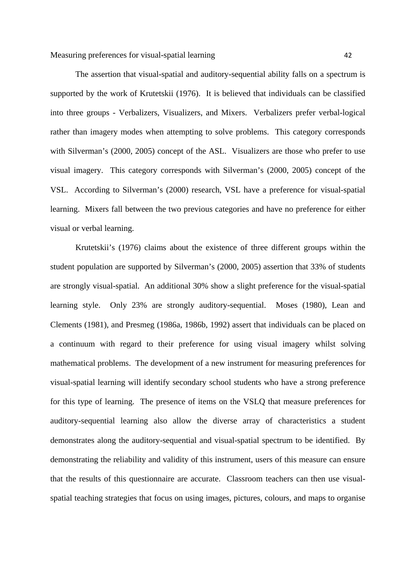The assertion that visual-spatial and auditory-sequential ability falls on a spectrum is supported by the work of Krutetskii (1976). It is believed that individuals can be classified into three groups - Verbalizers, Visualizers, and Mixers. Verbalizers prefer verbal-logical rather than imagery modes when attempting to solve problems. This category corresponds with Silverman's (2000, 2005) concept of the ASL. Visualizers are those who prefer to use visual imagery. This category corresponds with Silverman's (2000, 2005) concept of the VSL. According to Silverman's (2000) research, VSL have a preference for visual-spatial learning. Mixers fall between the two previous categories and have no preference for either visual or verbal learning.

Krutetskii's (1976) claims about the existence of three different groups within the student population are supported by Silverman's (2000, 2005) assertion that 33% of students are strongly visual-spatial. An additional 30% show a slight preference for the visual-spatial learning style. Only 23% are strongly auditory-sequential. Moses (1980), Lean and Clements (1981), and Presmeg (1986a, 1986b, 1992) assert that individuals can be placed on a continuum with regard to their preference for using visual imagery whilst solving mathematical problems. The development of a new instrument for measuring preferences for visual-spatial learning will identify secondary school students who have a strong preference for this type of learning. The presence of items on the VSLQ that measure preferences for auditory-sequential learning also allow the diverse array of characteristics a student demonstrates along the auditory-sequential and visual-spatial spectrum to be identified. By demonstrating the reliability and validity of this instrument, users of this measure can ensure that the results of this questionnaire are accurate. Classroom teachers can then use visualspatial teaching strategies that focus on using images, pictures, colours, and maps to organise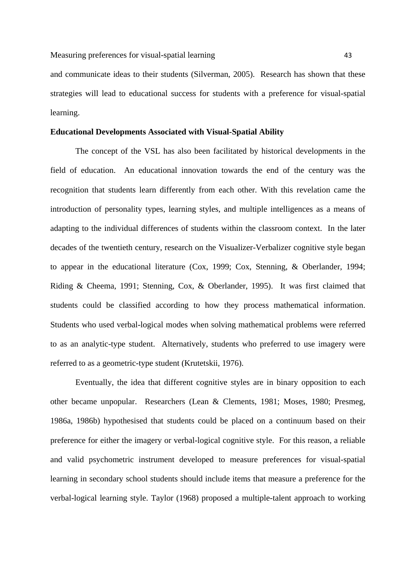and communicate ideas to their students (Silverman, 2005). Research has shown that these strategies will lead to educational success for students with a preference for visual-spatial learning.

## **Educational Developments Associated with Visual-Spatial Ability**

The concept of the VSL has also been facilitated by historical developments in the field of education. An educational innovation towards the end of the century was the recognition that students learn differently from each other. With this revelation came the introduction of personality types, learning styles, and multiple intelligences as a means of adapting to the individual differences of students within the classroom context. In the later decades of the twentieth century, research on the Visualizer-Verbalizer cognitive style began to appear in the educational literature (Cox, 1999; Cox, Stenning, & Oberlander, 1994; Riding & Cheema, 1991; Stenning, Cox, & Oberlander, 1995). It was first claimed that students could be classified according to how they process mathematical information. Students who used verbal-logical modes when solving mathematical problems were referred to as an analytic-type student. Alternatively, students who preferred to use imagery were referred to as a geometric-type student (Krutetskii, 1976).

Eventually, the idea that different cognitive styles are in binary opposition to each other became unpopular. Researchers (Lean & Clements, 1981; Moses, 1980; Presmeg, 1986a, 1986b) hypothesised that students could be placed on a continuum based on their preference for either the imagery or verbal-logical cognitive style. For this reason, a reliable and valid psychometric instrument developed to measure preferences for visual-spatial learning in secondary school students should include items that measure a preference for the verbal-logical learning style. Taylor (1968) proposed a multiple-talent approach to working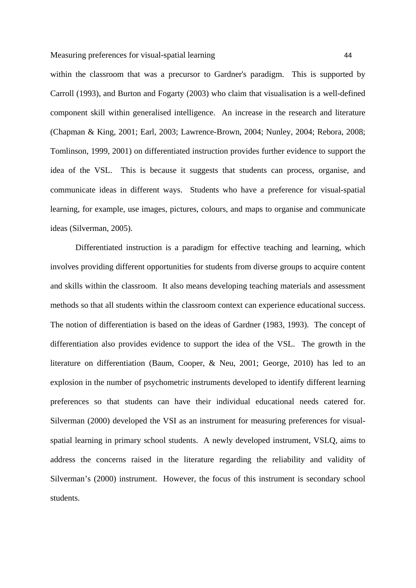within the classroom that was a precursor to Gardner's paradigm. This is supported by Carroll (1993), and Burton and Fogarty (2003) who claim that visualisation is a well-defined component skill within generalised intelligence. An increase in the research and literature (Chapman & King, 2001; Earl, 2003; Lawrence-Brown, 2004; Nunley, 2004; Rebora, 2008; Tomlinson, 1999, 2001) on differentiated instruction provides further evidence to support the idea of the VSL. This is because it suggests that students can process, organise, and communicate ideas in different ways. Students who have a preference for visual-spatial learning, for example, use images, pictures, colours, and maps to organise and communicate ideas (Silverman, 2005).

Differentiated instruction is a paradigm for effective teaching and learning, which involves providing different opportunities for students from diverse groups to acquire content and skills within the classroom. It also means developing teaching materials and assessment methods so that all students within the classroom context can experience educational success. The notion of differentiation is based on the ideas of Gardner (1983, 1993). The concept of differentiation also provides evidence to support the idea of the VSL. The growth in the literature on differentiation (Baum, Cooper, & Neu, 2001; George, 2010) has led to an explosion in the number of psychometric instruments developed to identify different learning preferences so that students can have their individual educational needs catered for. Silverman (2000) developed the VSI as an instrument for measuring preferences for visualspatial learning in primary school students. A newly developed instrument, VSLQ, aims to address the concerns raised in the literature regarding the reliability and validity of Silverman's (2000) instrument. However, the focus of this instrument is secondary school students.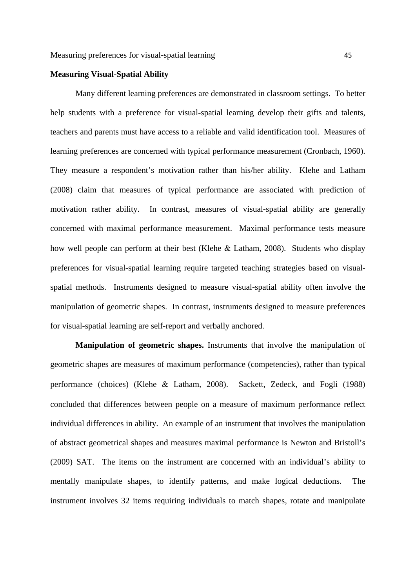## **Measuring Visual-Spatial Ability**

Many different learning preferences are demonstrated in classroom settings. To better help students with a preference for visual-spatial learning develop their gifts and talents, teachers and parents must have access to a reliable and valid identification tool. Measures of learning preferences are concerned with typical performance measurement (Cronbach, 1960). They measure a respondent's motivation rather than his/her ability. Klehe and Latham (2008) claim that measures of typical performance are associated with prediction of motivation rather ability. In contrast, measures of visual-spatial ability are generally concerned with maximal performance measurement. Maximal performance tests measure how well people can perform at their best (Klehe & Latham, 2008). Students who display preferences for visual-spatial learning require targeted teaching strategies based on visualspatial methods. Instruments designed to measure visual-spatial ability often involve the manipulation of geometric shapes. In contrast, instruments designed to measure preferences for visual-spatial learning are self-report and verbally anchored.

**Manipulation of geometric shapes.** Instruments that involve the manipulation of geometric shapes are measures of maximum performance (competencies), rather than typical performance (choices) (Klehe & Latham, 2008). Sackett, Zedeck, and Fogli (1988) concluded that differences between people on a measure of maximum performance reflect individual differences in ability. An example of an instrument that involves the manipulation of abstract geometrical shapes and measures maximal performance is Newton and Bristoll's (2009) SAT. The items on the instrument are concerned with an individual's ability to mentally manipulate shapes, to identify patterns, and make logical deductions. The instrument involves 32 items requiring individuals to match shapes, rotate and manipulate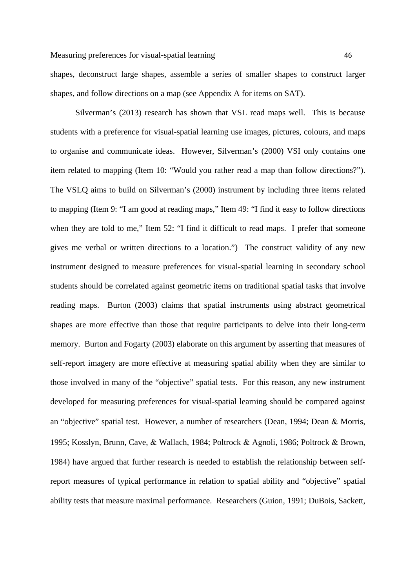shapes, deconstruct large shapes, assemble a series of smaller shapes to construct larger shapes, and follow directions on a map (see Appendix A for items on SAT).

Silverman's (2013) research has shown that VSL read maps well. This is because students with a preference for visual-spatial learning use images, pictures, colours, and maps to organise and communicate ideas. However, Silverman's (2000) VSI only contains one item related to mapping (Item 10: "Would you rather read a map than follow directions?"). The VSLQ aims to build on Silverman's (2000) instrument by including three items related to mapping (Item 9: "I am good at reading maps," Item 49: "I find it easy to follow directions when they are told to me," Item 52: "I find it difficult to read maps. I prefer that someone gives me verbal or written directions to a location.") The construct validity of any new instrument designed to measure preferences for visual-spatial learning in secondary school students should be correlated against geometric items on traditional spatial tasks that involve reading maps. Burton (2003) claims that spatial instruments using abstract geometrical shapes are more effective than those that require participants to delve into their long-term memory. Burton and Fogarty (2003) elaborate on this argument by asserting that measures of self-report imagery are more effective at measuring spatial ability when they are similar to those involved in many of the "objective" spatial tests. For this reason, any new instrument developed for measuring preferences for visual-spatial learning should be compared against an "objective" spatial test. However, a number of researchers (Dean, 1994; Dean & Morris, 1995; Kosslyn, Brunn, Cave, & Wallach, 1984; Poltrock & Agnoli, 1986; Poltrock & Brown, 1984) have argued that further research is needed to establish the relationship between selfreport measures of typical performance in relation to spatial ability and "objective" spatial ability tests that measure maximal performance. Researchers (Guion, 1991; DuBois, Sackett,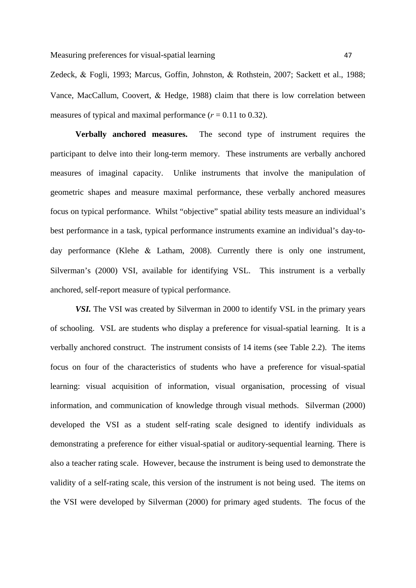Zedeck, & Fogli, 1993; Marcus, Goffin, Johnston, & Rothstein, 2007; Sackett et al., 1988; Vance, MacCallum, Coovert,  $\&$  Hedge, 1988) claim that there is low correlation between measures of typical and maximal performance  $(r = 0.11 \text{ to } 0.32)$ .

**Verbally anchored measures.** The second type of instrument requires the participant to delve into their long-term memory. These instruments are verbally anchored measures of imaginal capacity. Unlike instruments that involve the manipulation of geometric shapes and measure maximal performance, these verbally anchored measures focus on typical performance. Whilst "objective" spatial ability tests measure an individual's best performance in a task, typical performance instruments examine an individual's day-today performance (Klehe  $\&$  Latham, 2008). Currently there is only one instrument, Silverman's (2000) VSI, available for identifying VSL. This instrument is a verbally anchored, self-report measure of typical performance.

*VSI.* The VSI was created by Silverman in 2000 to identify VSL in the primary years of schooling. VSL are students who display a preference for visual-spatial learning. It is a verbally anchored construct. The instrument consists of 14 items (see Table 2.2). The items focus on four of the characteristics of students who have a preference for visual-spatial learning: visual acquisition of information, visual organisation, processing of visual information, and communication of knowledge through visual methods. Silverman (2000) developed the VSI as a student self-rating scale designed to identify individuals as demonstrating a preference for either visual-spatial or auditory-sequential learning. There is also a teacher rating scale. However, because the instrument is being used to demonstrate the validity of a self-rating scale, this version of the instrument is not being used. The items on the VSI were developed by Silverman (2000) for primary aged students. The focus of the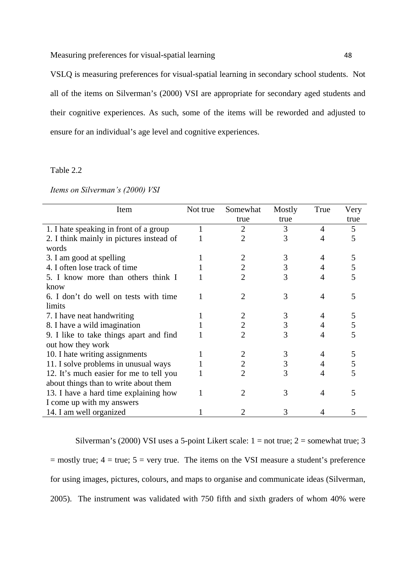Measuring preferences for visual-spatial learning 48

VSLQ is measuring preferences for visual-spatial learning in secondary school students. Not all of the items on Silverman's (2000) VSI are appropriate for secondary aged students and their cognitive experiences. As such, some of the items will be reworded and adjusted to ensure for an individual's age level and cognitive experiences.

#### Table 2.2

| Items on Silverman's (2000) VSI |
|---------------------------------|
|---------------------------------|

| Item                                     | Not true | Somewhat | Mostly | True | Very |
|------------------------------------------|----------|----------|--------|------|------|
|                                          |          | true     | true   |      | true |
| 1. I hate speaking in front of a group   |          | 2        | 3      | 4    | 5    |
| 2. I think mainly in pictures instead of |          | 2        | 3      | 4    | 5    |
| words                                    |          |          |        |      |      |
| 3. I am good at spelling                 |          | 2        | 3      | 4    | 5    |
| 4. I often lose track of time            |          | 2        | 3      | 4    | 5    |
| 5. I know more than others think I       |          | 2        | 3      | 4    | 5    |
| know                                     |          |          |        |      |      |
| 6. I don't do well on tests with time    |          |          | 3      | 4    | 5    |
| limits                                   |          |          |        |      |      |
| 7. I have neat handwriting               |          |          | 3      | 4    | 5    |
| 8. I have a wild imagination             |          | 2        | 3      |      |      |
| 9. I like to take things apart and find  |          | 2        | 3      | 4    |      |
| out how they work                        |          |          |        |      |      |
| 10. I hate writing assignments           |          |          | 3      |      |      |
| 11. I solve problems in unusual ways     |          | 2        | 3      |      | 5    |
| 12. It's much easier for me to tell you  |          | 2        | 3      | 4    |      |
| about things than to write about them    |          |          |        |      |      |
| 13. I have a hard time explaining how    |          | 2        | 3      | 4    | 5    |
| I come up with my answers                |          |          |        |      |      |
| 14. I am well organized                  |          |          | 3      |      | 5    |

Silverman's (2000) VSI uses a 5-point Likert scale:  $1 = not true$ ;  $2 = somewhat true$ ; 3  $=$  mostly true;  $4 =$  true;  $5 =$  very true. The items on the VSI measure a student's preference for using images, pictures, colours, and maps to organise and communicate ideas (Silverman, 2005). The instrument was validated with 750 fifth and sixth graders of whom 40% were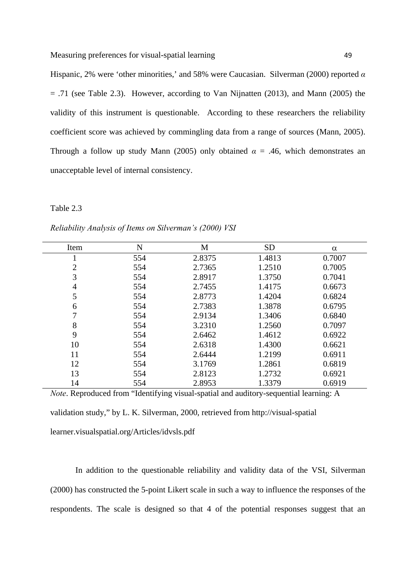Hispanic, 2% were 'other minorities,' and 58% were Caucasian. Silverman (2000) reported *α*  $=$  .71 (see Table 2.3). However, according to Van Nijnatten (2013), and Mann (2005) the validity of this instrument is questionable. According to these researchers the reliability coefficient score was achieved by commingling data from a range of sources (Mann, 2005). Through a follow up study Mann (2005) only obtained  $\alpha = .46$ , which demonstrates an

unacceptable level of internal consistency.

## Table 2.3

| Item | N   | M      | <b>SD</b> | $\alpha$ |
|------|-----|--------|-----------|----------|
|      | 554 | 2.8375 | 1.4813    | 0.7007   |
| 2    | 554 | 2.7365 | 1.2510    | 0.7005   |
| 3    | 554 | 2.8917 | 1.3750    | 0.7041   |
| 4    | 554 | 2.7455 | 1.4175    | 0.6673   |
| 5    | 554 | 2.8773 | 1.4204    | 0.6824   |
| 6    | 554 | 2.7383 | 1.3878    | 0.6795   |
|      | 554 | 2.9134 | 1.3406    | 0.6840   |
| 8    | 554 | 3.2310 | 1.2560    | 0.7097   |
| 9    | 554 | 2.6462 | 1.4612    | 0.6922   |
| 10   | 554 | 2.6318 | 1.4300    | 0.6621   |
| 11   | 554 | 2.6444 | 1.2199    | 0.6911   |
| 12   | 554 | 3.1769 | 1.2861    | 0.6819   |
| 13   | 554 | 2.8123 | 1.2732    | 0.6921   |
| 14   | 554 | 2.8953 | 1.3379    | 0.6919   |

*Reliability Analysis of Items on Silverman's (2000) VSI* 

*Note*. Reproduced from "Identifying visual-spatial and auditory-sequential learning: A validation study," by L. K. Silverman, 2000, retrieved from http://visual-spatial learner.visualspatial.org/Articles/idvsls.pdf

In addition to the questionable reliability and validity data of the VSI, Silverman (2000) has constructed the 5-point Likert scale in such a way to influence the responses of the respondents. The scale is designed so that 4 of the potential responses suggest that an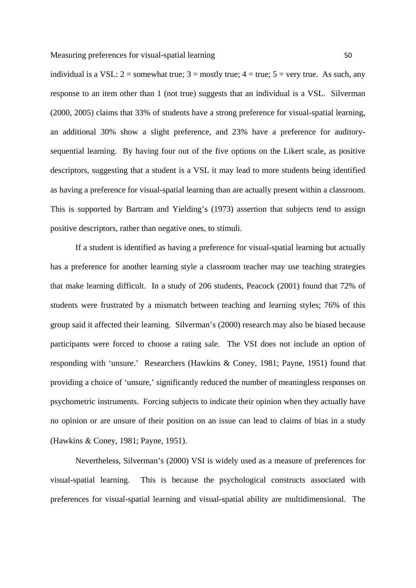individual is a VSL:  $2 =$  somewhat true;  $3 =$  mostly true;  $4 =$  true;  $5 =$  very true. As such, any response to an item other than 1 (not true) suggests that an individual is a VSL. Silverman (2000, 2005) claims that 33% of students have a strong preference for visual-spatial learning, an additional 30% show a slight preference, and 23% have a preference for auditorysequential learning. By having four out of the five options on the Likert scale, as positive descriptors, suggesting that a student is a VSL it may lead to more students being identified as having a preference for visual-spatial learning than are actually present within a classroom. This is supported by Bartram and Yielding's (1973) assertion that subjects tend to assign positive descriptors, rather than negative ones, to stimuli.

If a student is identified as having a preference for visual-spatial learning but actually has a preference for another learning style a classroom teacher may use teaching strategies that make learning difficult. In a study of 206 students, Peacock (2001) found that 72% of students were frustrated by a mismatch between teaching and learning styles; 76% of this group said it affected their learning. Silverman's (2000) research may also be biased because participants were forced to choose a rating sale. The VSI does not include an option of responding with 'unsure.' Researchers (Hawkins & Coney, 1981; Payne, 1951) found that providing a choice of 'unsure,' significantly reduced the number of meaningless responses on psychometric instruments. Forcing subjects to indicate their opinion when they actually have no opinion or are unsure of their position on an issue can lead to claims of bias in a study (Hawkins & Coney, 1981; Payne, 1951).

Nevertheless, Silverman's (2000) VSI is widely used as a measure of preferences for visual-spatial learning. This is because the psychological constructs associated with preferences for visual-spatial learning and visual-spatial ability are multidimensional. The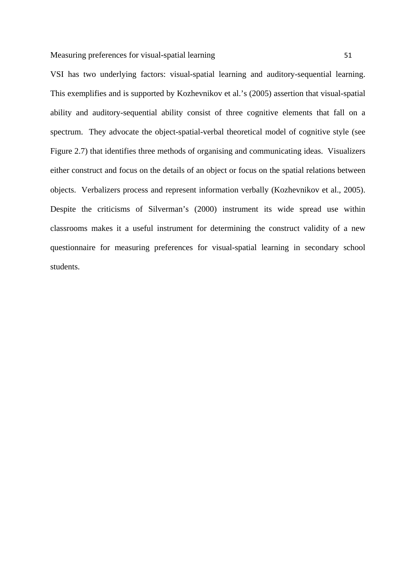VSI has two underlying factors: visual-spatial learning and auditory-sequential learning. This exemplifies and is supported by Kozhevnikov et al.'s (2005) assertion that visual-spatial ability and auditory-sequential ability consist of three cognitive elements that fall on a spectrum. They advocate the object-spatial-verbal theoretical model of cognitive style (see Figure 2.7) that identifies three methods of organising and communicating ideas. Visualizers either construct and focus on the details of an object or focus on the spatial relations between objects. Verbalizers process and represent information verbally (Kozhevnikov et al., 2005). Despite the criticisms of Silverman's (2000) instrument its wide spread use within classrooms makes it a useful instrument for determining the construct validity of a new questionnaire for measuring preferences for visual-spatial learning in secondary school students.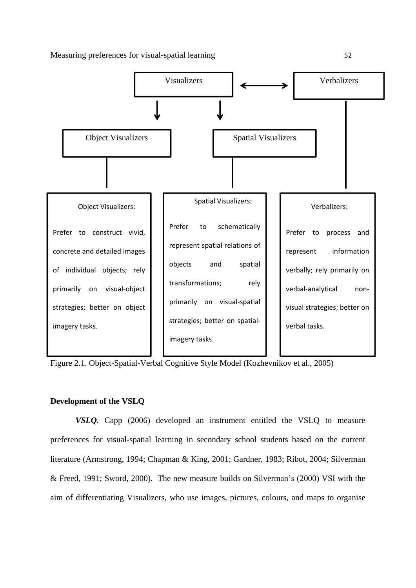

Figure 2.1. Object-Spatial-Verbal Cognitive Style Model (Kozhevnikov et al., 2005)

## **Development of the VSLQ**

*VSLQ.* Capp (2006) developed an instrument entitled the VSLQ to measure preferences for visual-spatial learning in secondary school students based on the current literature (Armstrong, 1994; Chapman & King, 2001; Gardner, 1983; Ribot, 2004; Silverman & Freed, 1991; Sword, 2000). The new measure builds on Silverman's (2000) VSI with the aim of differentiating Visualizers, who use images, pictures, colours, and maps to organise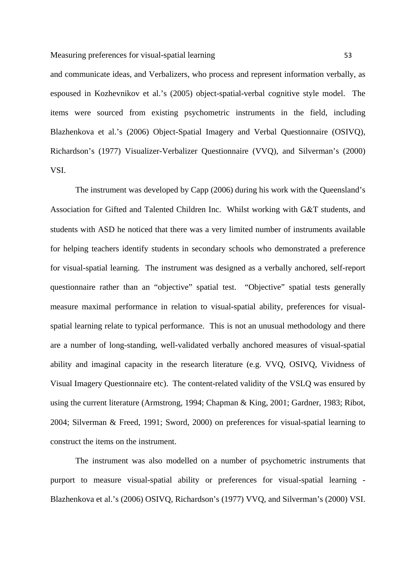and communicate ideas, and Verbalizers, who process and represent information verbally, as espoused in Kozhevnikov et al.'s (2005) object-spatial-verbal cognitive style model. The items were sourced from existing psychometric instruments in the field, including Blazhenkova et al.'s (2006) Object-Spatial Imagery and Verbal Questionnaire (OSIVQ), Richardson's (1977) Visualizer-Verbalizer Questionnaire (VVQ), and Silverman's (2000) VSI.

The instrument was developed by Capp (2006) during his work with the Queensland's Association for Gifted and Talented Children Inc. Whilst working with G&T students, and students with ASD he noticed that there was a very limited number of instruments available for helping teachers identify students in secondary schools who demonstrated a preference for visual-spatial learning. The instrument was designed as a verbally anchored, self-report questionnaire rather than an "objective" spatial test. "Objective" spatial tests generally measure maximal performance in relation to visual-spatial ability, preferences for visualspatial learning relate to typical performance. This is not an unusual methodology and there are a number of long-standing, well-validated verbally anchored measures of visual-spatial ability and imaginal capacity in the research literature (e.g. VVQ, OSIVQ, Vividness of Visual Imagery Questionnaire etc). The content-related validity of the VSLQ was ensured by using the current literature (Armstrong, 1994; Chapman & King, 2001; Gardner, 1983; Ribot, 2004; Silverman & Freed, 1991; Sword, 2000) on preferences for visual-spatial learning to construct the items on the instrument.

The instrument was also modelled on a number of psychometric instruments that purport to measure visual-spatial ability or preferences for visual-spatial learning - Blazhenkova et al.'s (2006) OSIVQ, Richardson's (1977) VVQ, and Silverman's (2000) VSI.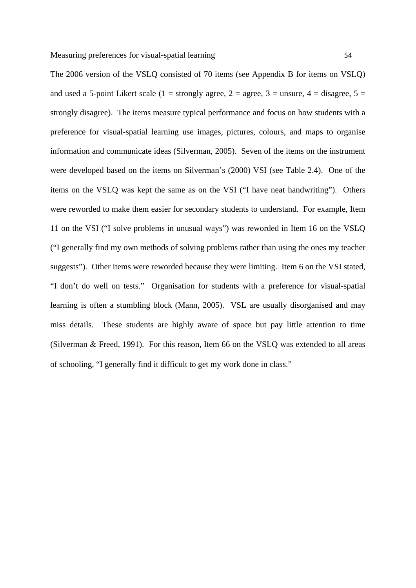The 2006 version of the VSLQ consisted of 70 items (see Appendix B for items on VSLQ) and used a 5-point Likert scale (1 = strongly agree, 2 = agree, 3 = unsure, 4 = disagree, 5 = strongly disagree). The items measure typical performance and focus on how students with a preference for visual-spatial learning use images, pictures, colours, and maps to organise information and communicate ideas (Silverman, 2005). Seven of the items on the instrument were developed based on the items on Silverman's (2000) VSI (see Table 2.4). One of the items on the VSLQ was kept the same as on the VSI ("I have neat handwriting"). Others were reworded to make them easier for secondary students to understand. For example, Item 11 on the VSI ("I solve problems in unusual ways") was reworded in Item 16 on the VSLQ ("I generally find my own methods of solving problems rather than using the ones my teacher suggests"). Other items were reworded because they were limiting. Item 6 on the VSI stated, "I don't do well on tests." Organisation for students with a preference for visual-spatial learning is often a stumbling block (Mann, 2005). VSL are usually disorganised and may miss details. These students are highly aware of space but pay little attention to time (Silverman  $&$  Freed, 1991). For this reason, Item 66 on the VSLQ was extended to all areas of schooling, "I generally find it difficult to get my work done in class."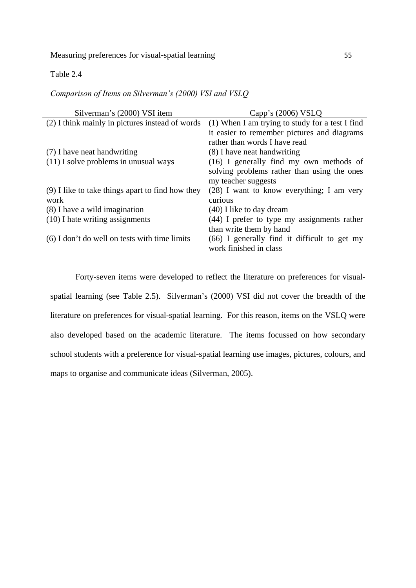## Table 2.4

*Comparison of Items on Silverman's (2000) VSI and VSLQ*

| Silverman's (2000) VSI item                        | Capp's $(2006)$ VSLQ                            |
|----------------------------------------------------|-------------------------------------------------|
| (2) I think mainly in pictures instead of words    | (1) When I am trying to study for a test I find |
|                                                    | it easier to remember pictures and diagrams     |
|                                                    | rather than words I have read                   |
| (7) I have neat handwriting                        | (8) I have neat handwriting                     |
| $(11)$ I solve problems in unusual ways            | $(16)$ I generally find my own methods of       |
|                                                    | solving problems rather than using the ones     |
|                                                    | my teacher suggests                             |
| $(9)$ I like to take things apart to find how they | $(28)$ I want to know everything; I am very     |
| work                                               | curious                                         |
| (8) I have a wild imagination                      | (40) I like to day dream                        |
| (10) I hate writing assignments                    | $(44)$ I prefer to type my assignments rather   |
|                                                    | than write them by hand                         |
| $(6)$ I don't do well on tests with time limits    | (66) I generally find it difficult to get my    |
|                                                    | work finished in class                          |

Forty-seven items were developed to reflect the literature on preferences for visualspatial learning (see Table 2.5). Silverman's (2000) VSI did not cover the breadth of the literature on preferences for visual-spatial learning. For this reason, items on the VSLQ were also developed based on the academic literature. The items focussed on how secondary school students with a preference for visual-spatial learning use images, pictures, colours, and maps to organise and communicate ideas (Silverman, 2005).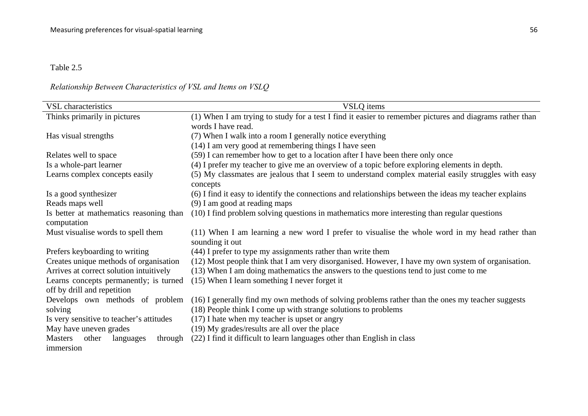#### Table 2.5

# *Relationship Between Characteristics of VSL and Items on VSLQ*

| VSL characteristics                      | VSLQ items                                                                                                      |
|------------------------------------------|-----------------------------------------------------------------------------------------------------------------|
| Thinks primarily in pictures             | (1) When I am trying to study for a test I find it easier to remember pictures and diagrams rather than         |
|                                          | words I have read.                                                                                              |
| Has visual strengths                     | (7) When I walk into a room I generally notice everything                                                       |
|                                          | (14) I am very good at remembering things I have seen                                                           |
|                                          |                                                                                                                 |
| Relates well to space                    | (59) I can remember how to get to a location after I have been there only once                                  |
| Is a whole-part learner                  | (4) I prefer my teacher to give me an overview of a topic before exploring elements in depth.                   |
| Learns complex concepts easily           | (5) My classmates are jealous that I seem to understand complex material easily struggles with easy<br>concepts |
| Is a good synthesizer                    | (6) I find it easy to identify the connections and relationships between the ideas my teacher explains          |
| Reads maps well                          | (9) I am good at reading maps                                                                                   |
| Is better at mathematics reasoning than  | (10) I find problem solving questions in mathematics more interesting than regular questions                    |
| computation                              |                                                                                                                 |
| Must visualise words to spell them       | (11) When I am learning a new word I prefer to visualise the whole word in my head rather than                  |
|                                          | sounding it out                                                                                                 |
| Prefers keyboarding to writing           | (44) I prefer to type my assignments rather than write them                                                     |
| Creates unique methods of organisation   | (12) Most people think that I am very disorganised. However, I have my own system of organisation.              |
| Arrives at correct solution intuitively  | (13) When I am doing mathematics the answers to the questions tend to just come to me                           |
| Learns concepts permanently; is turned   | (15) When I learn something I never forget it                                                                   |
| off by drill and repetition              |                                                                                                                 |
| Develops own methods of problem          | (16) I generally find my own methods of solving problems rather than the ones my teacher suggests               |
| solving                                  | (18) People think I come up with strange solutions to problems                                                  |
| Is very sensitive to teacher's attitudes | $(17)$ I hate when my teacher is upset or angry                                                                 |
| May have uneven grades                   | (19) My grades/results are all over the place                                                                   |
| Masters other<br>through<br>languages    | (22) I find it difficult to learn languages other than English in class                                         |
| immersion                                |                                                                                                                 |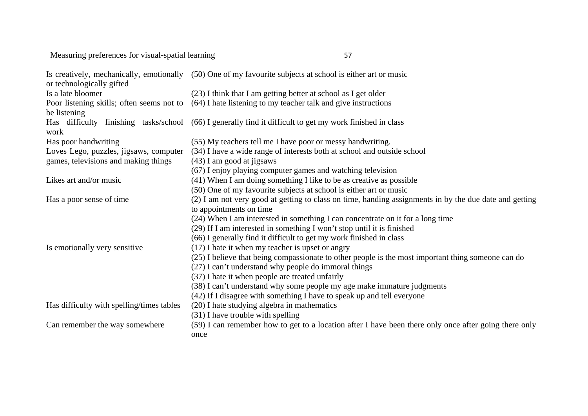Measuring preferences for visual-spatial learning <sup>57</sup>

| or technologically gifted                 | Is creatively, mechanically, emotionally (50) One of my favourite subjects at school is either art or music   |
|-------------------------------------------|---------------------------------------------------------------------------------------------------------------|
| Is a late bloomer                         | (23) I think that I am getting better at school as I get older                                                |
| be listening                              | Poor listening skills; often seems not to (64) I hate listening to my teacher talk and give instructions      |
| work                                      | Has difficulty finishing tasks/school (66) I generally find it difficult to get my work finished in class     |
| Has poor handwriting                      | (55) My teachers tell me I have poor or messy handwriting.                                                    |
| Loves Lego, puzzles, jigsaws, computer    | (34) I have a wide range of interests both at school and outside school                                       |
| games, televisions and making things      | $(43)$ I am good at jigsaws                                                                                   |
|                                           | (67) I enjoy playing computer games and watching television                                                   |
| Likes art and/or music                    | (41) When I am doing something I like to be as creative as possible                                           |
|                                           | (50) One of my favourite subjects at school is either art or music                                            |
| Has a poor sense of time                  | (2) I am not very good at getting to class on time, handing assignments in by the due date and getting        |
|                                           | to appointments on time                                                                                       |
|                                           | (24) When I am interested in something I can concentrate on it for a long time                                |
|                                           | (29) If I am interested in something I won't stop until it is finished                                        |
|                                           | (66) I generally find it difficult to get my work finished in class                                           |
| Is emotionally very sensitive             | $(17)$ I hate it when my teacher is upset or angry                                                            |
|                                           | (25) I believe that being compassionate to other people is the most important thing someone can do            |
|                                           | (27) I can't understand why people do immoral things                                                          |
|                                           | (37) I hate it when people are treated unfairly                                                               |
|                                           | (38) I can't understand why some people my age make immature judgments                                        |
|                                           | (42) If I disagree with something I have to speak up and tell everyone                                        |
| Has difficulty with spelling/times tables | (20) I hate studying algebra in mathematics                                                                   |
|                                           | (31) I have trouble with spelling                                                                             |
| Can remember the way somewhere            | (59) I can remember how to get to a location after I have been there only once after going there only<br>once |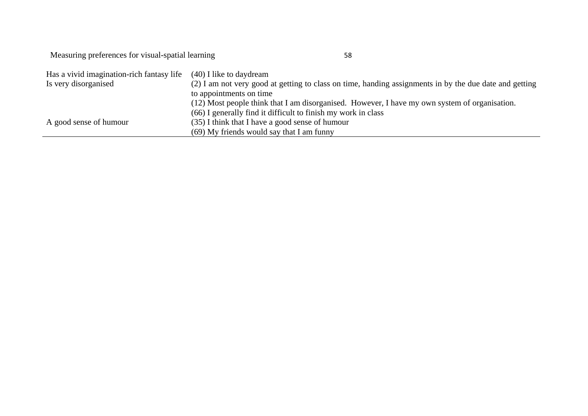Measuring preferences for visual-spatial learning <sup>58</sup>

| Has a vivid imagination-rich fantasy life | (40) I like to daydream                                                                                |
|-------------------------------------------|--------------------------------------------------------------------------------------------------------|
| Is very disorganised                      | (2) I am not very good at getting to class on time, handing assignments in by the due date and getting |
|                                           | to appointments on time                                                                                |
|                                           | (12) Most people think that I am disorganised. However, I have my own system of organisation.          |
|                                           | (66) I generally find it difficult to finish my work in class                                          |
| A good sense of humour                    | (35) I think that I have a good sense of humour                                                        |
|                                           | (69) My friends would say that I am funny                                                              |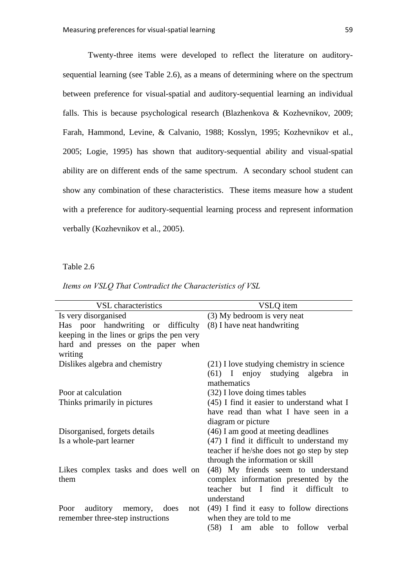Twenty-three items were developed to reflect the literature on auditorysequential learning (see Table 2.6), as a means of determining where on the spectrum between preference for visual-spatial and auditory-sequential learning an individual falls. This is because psychological research (Blazhenkova & Kozhevnikov, 2009; Farah, Hammond, Levine, & Calvanio, 1988; Kosslyn, 1995; Kozhevnikov et al., 2005; Logie, 1995) has shown that auditory-sequential ability and visual-spatial ability are on different ends of the same spectrum. A secondary school student can show any combination of these characteristics. These items measure how a student with a preference for auditory-sequential learning process and represent information verbally (Kozhevnikov et al., 2005).

## Table 2.6

|  |  |  |  |  | Items on VSLQ That Contradict the Characteristics of VSL |  |  |  |
|--|--|--|--|--|----------------------------------------------------------|--|--|--|
|--|--|--|--|--|----------------------------------------------------------|--|--|--|

| <b>VSL</b> characteristics                               | VSLQ item                                                 |  |  |  |  |
|----------------------------------------------------------|-----------------------------------------------------------|--|--|--|--|
| Is very disorganised                                     | (3) My bedroom is very neat                               |  |  |  |  |
| Has poor handwriting or difficulty                       | (8) I have neat handwriting                               |  |  |  |  |
| keeping in the lines or grips the pen very               |                                                           |  |  |  |  |
| hard and presses on the paper when                       |                                                           |  |  |  |  |
| writing                                                  |                                                           |  |  |  |  |
| Dislikes algebra and chemistry                           | (21) I love studying chemistry in science                 |  |  |  |  |
|                                                          | (61) I enjoy studying algebra in                          |  |  |  |  |
|                                                          | mathematics                                               |  |  |  |  |
| Poor at calculation                                      | (32) I love doing times tables                            |  |  |  |  |
| Thinks primarily in pictures                             | $(45)$ I find it easier to understand what I              |  |  |  |  |
|                                                          | have read than what I have seen in a                      |  |  |  |  |
|                                                          | diagram or picture<br>(46) I am good at meeting deadlines |  |  |  |  |
| Disorganised, forgets details<br>Is a whole-part learner | (47) I find it difficult to understand my                 |  |  |  |  |
|                                                          | teacher if he/she does not go step by step                |  |  |  |  |
|                                                          | through the information or skill                          |  |  |  |  |
| Likes complex tasks and does well on                     | (48) My friends seem to understand                        |  |  |  |  |
| them                                                     | complex information presented by the                      |  |  |  |  |
|                                                          | teacher but I find it difficult<br>to                     |  |  |  |  |
|                                                          | understand                                                |  |  |  |  |
| auditory memory, does<br>Poor<br>not                     | $(49)$ I find it easy to follow directions                |  |  |  |  |
| remember three-step instructions                         | when they are told to me                                  |  |  |  |  |
|                                                          | (58) I am able to follow verbal                           |  |  |  |  |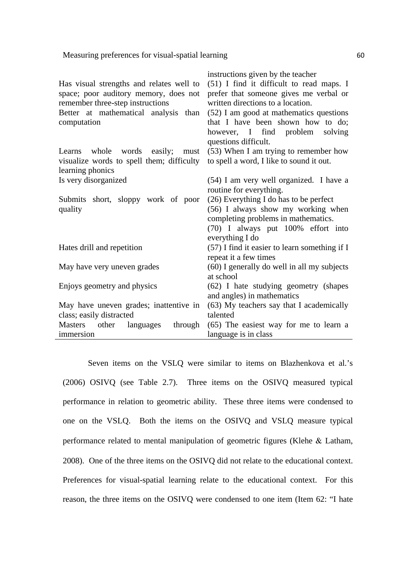| Has visual strengths and relates well to<br>space; poor auditory memory, does not<br>remember three-step instructions<br>Better at mathematical analysis than<br>computation | instructions given by the teacher<br>(51) I find it difficult to read maps. I<br>prefer that someone gives me verbal or<br>written directions to a location.<br>(52) I am good at mathematics questions<br>that I have been shown how to do;<br>however, I find problem<br>solving<br>questions difficult. |  |  |
|------------------------------------------------------------------------------------------------------------------------------------------------------------------------------|------------------------------------------------------------------------------------------------------------------------------------------------------------------------------------------------------------------------------------------------------------------------------------------------------------|--|--|
| whole<br>words easily; must<br>Learns                                                                                                                                        | (53) When I am trying to remember how                                                                                                                                                                                                                                                                      |  |  |
| visualize words to spell them; difficulty                                                                                                                                    | to spell a word, I like to sound it out.                                                                                                                                                                                                                                                                   |  |  |
| learning phonics                                                                                                                                                             |                                                                                                                                                                                                                                                                                                            |  |  |
| Is very disorganized                                                                                                                                                         | (54) I am very well organized. I have a                                                                                                                                                                                                                                                                    |  |  |
|                                                                                                                                                                              | routine for everything.                                                                                                                                                                                                                                                                                    |  |  |
| Submits short, sloppy work of poor<br>quality                                                                                                                                | (26) Everything I do has to be perfect<br>(56) I always show my working when<br>completing problems in mathematics.<br>(70) I always put 100% effort into                                                                                                                                                  |  |  |
|                                                                                                                                                                              | everything I do                                                                                                                                                                                                                                                                                            |  |  |
| Hates drill and repetition                                                                                                                                                   | $(57)$ I find it easier to learn something if I<br>repeat it a few times                                                                                                                                                                                                                                   |  |  |
| May have very uneven grades                                                                                                                                                  | (60) I generally do well in all my subjects<br>at school                                                                                                                                                                                                                                                   |  |  |
| Enjoys geometry and physics                                                                                                                                                  | (62) I hate studying geometry (shapes<br>and angles) in mathematics                                                                                                                                                                                                                                        |  |  |
| May have uneven grades; inattentive in                                                                                                                                       | (63) My teachers say that I academically                                                                                                                                                                                                                                                                   |  |  |
| class; easily distracted                                                                                                                                                     | talented                                                                                                                                                                                                                                                                                                   |  |  |
| other<br>through<br><b>Masters</b><br>languages                                                                                                                              | (65) The easiest way for me to learn a                                                                                                                                                                                                                                                                     |  |  |
| immersion                                                                                                                                                                    | language is in class                                                                                                                                                                                                                                                                                       |  |  |

Seven items on the VSLQ were similar to items on Blazhenkova et al.'s (2006) OSIVQ (see Table 2.7). Three items on the OSIVQ measured typical performance in relation to geometric ability. These three items were condensed to one on the VSLQ. Both the items on the OSIVQ and VSLQ measure typical performance related to mental manipulation of geometric figures (Klehe  $\&$  Latham, 2008). One of the three items on the OSIVQ did not relate to the educational context. Preferences for visual-spatial learning relate to the educational context. For this reason, the three items on the OSIVQ were condensed to one item (Item 62: "I hate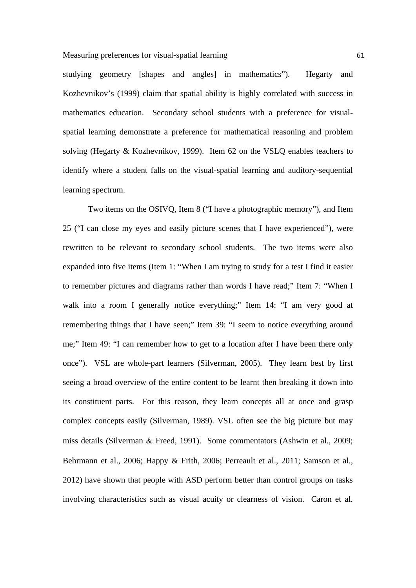studying geometry [shapes and angles] in mathematics"). Hegarty and Kozhevnikov's (1999) claim that spatial ability is highly correlated with success in mathematics education. Secondary school students with a preference for visualspatial learning demonstrate a preference for mathematical reasoning and problem solving (Hegarty & Kozhevnikov, 1999). Item 62 on the VSLQ enables teachers to identify where a student falls on the visual-spatial learning and auditory-sequential learning spectrum.

Two items on the OSIVQ, Item 8 ("I have a photographic memory"), and Item 25 ("I can close my eyes and easily picture scenes that I have experienced"), were rewritten to be relevant to secondary school students. The two items were also expanded into five items (Item 1: "When I am trying to study for a test I find it easier to remember pictures and diagrams rather than words I have read;" Item 7: "When I walk into a room I generally notice everything;" Item 14: "I am very good at remembering things that I have seen;" Item 39: "I seem to notice everything around me;" Item 49: "I can remember how to get to a location after I have been there only once"). VSL are whole-part learners (Silverman, 2005). They learn best by first seeing a broad overview of the entire content to be learnt then breaking it down into its constituent parts. For this reason, they learn concepts all at once and grasp complex concepts easily (Silverman, 1989). VSL often see the big picture but may miss details (Silverman & Freed, 1991). Some commentators (Ashwin et al., 2009; Behrmann et al., 2006; Happy & Frith, 2006; Perreault et al., 2011; Samson et al., 2012) have shown that people with ASD perform better than control groups on tasks involving characteristics such as visual acuity or clearness of vision. Caron et al.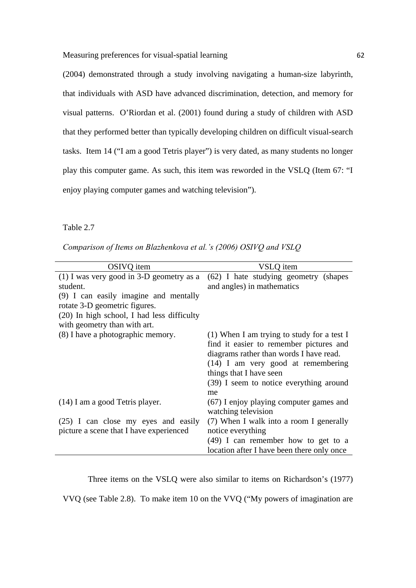Measuring preferences for visual-spatial learning 62

(2004) demonstrated through a study involving navigating a human-size labyrinth, that individuals with ASD have advanced discrimination, detection, and memory for visual patterns. O'Riordan et al. (2001) found during a study of children with ASD that they performed better than typically developing children on difficult visual-search tasks. Item 14 ("I am a good Tetris player") is very dated, as many students no longer play this computer game. As such, this item was reworded in the VSLQ (Item 67: "I enjoy playing computer games and watching television").

Table 2.7

*Comparison of Items on Blazhenkova et al.'s (2006) OSIVQ and VSLQ* 

| OSIVQ item                                 | VSLO item                                    |
|--------------------------------------------|----------------------------------------------|
| $(1)$ I was very good in 3-D geometry as a | (62) I hate studying geometry (shapes        |
| student.                                   | and angles) in mathematics                   |
| (9) I can easily imagine and mentally      |                                              |
| rotate 3-D geometric figures.              |                                              |
| (20) In high school, I had less difficulty |                                              |
| with geometry than with art.               |                                              |
| (8) I have a photographic memory.          | $(1)$ When I am trying to study for a test I |
|                                            | find it easier to remember pictures and      |
|                                            | diagrams rather than words I have read.      |
|                                            | $(14)$ I am very good at remembering         |
|                                            | things that I have seen                      |
|                                            | (39) I seem to notice everything around      |
|                                            | me                                           |
| (14) I am a good Tetris player.            | (67) I enjoy playing computer games and      |
|                                            | watching television                          |
| (25) I can close my eyes and easily        | (7) When I walk into a room I generally      |
| picture a scene that I have experienced    | notice everything                            |
|                                            | $(49)$ I can remember how to get to a        |
|                                            | location after I have been there only once   |

Three items on the VSLQ were also similar to items on Richardson's (1977) VVQ (see Table 2.8). To make item 10 on the VVQ ("My powers of imagination are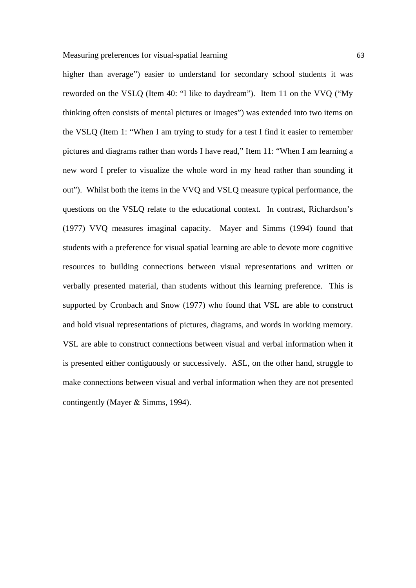higher than average") easier to understand for secondary school students it was reworded on the VSLQ (Item 40: "I like to daydream"). Item 11 on the VVQ ("My thinking often consists of mental pictures or images") was extended into two items on the VSLQ (Item 1: "When I am trying to study for a test I find it easier to remember pictures and diagrams rather than words I have read," Item 11: "When I am learning a new word I prefer to visualize the whole word in my head rather than sounding it out"). Whilst both the items in the VVQ and VSLQ measure typical performance, the questions on the VSLQ relate to the educational context. In contrast, Richardson's (1977) VVQ measures imaginal capacity. Mayer and Simms (1994) found that students with a preference for visual spatial learning are able to devote more cognitive resources to building connections between visual representations and written or verbally presented material, than students without this learning preference. This is supported by Cronbach and Snow (1977) who found that VSL are able to construct and hold visual representations of pictures, diagrams, and words in working memory. VSL are able to construct connections between visual and verbal information when it is presented either contiguously or successively. ASL, on the other hand, struggle to make connections between visual and verbal information when they are not presented contingently (Mayer  $&$  Simms, 1994).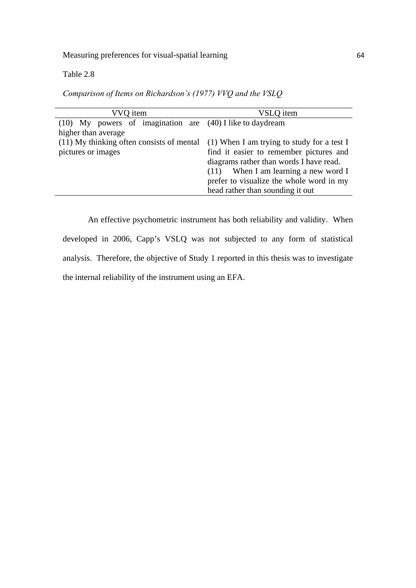## Table 2.8

*Comparison of Items on Richardson's (1977) VVQ and the VSLQ* 

| VVQ item                                                      | VSLQ item                                    |
|---------------------------------------------------------------|----------------------------------------------|
| $(10)$ My powers of imagination are $(40)$ I like to daydream |                                              |
| higher than average                                           |                                              |
| (11) My thinking often consists of mental                     | $(1)$ When I am trying to study for a test I |
| pictures or images                                            | find it easier to remember pictures and      |
|                                                               | diagrams rather than words I have read.      |
|                                                               | $(11)$ When I am learning a new word I       |
|                                                               | prefer to visualize the whole word in my     |
|                                                               | head rather than sounding it out             |

An effective psychometric instrument has both reliability and validity. When developed in 2006, Capp's VSLQ was not subjected to any form of statistical analysis. Therefore, the objective of Study 1 reported in this thesis was to investigate the internal reliability of the instrument using an EFA.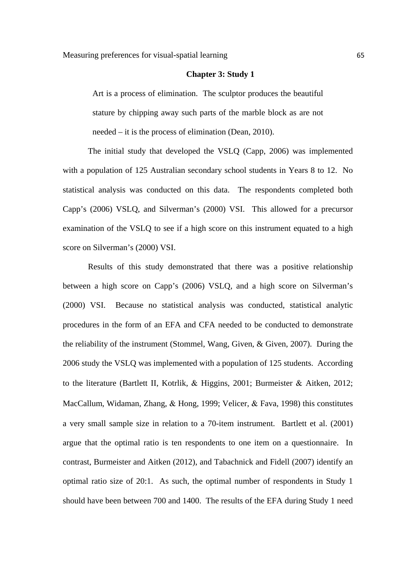#### **Chapter 3: Study 1**

Art is a process of elimination. The sculptor produces the beautiful stature by chipping away such parts of the marble block as are not needed – it is the process of elimination (Dean, 2010).

The initial study that developed the VSLQ (Capp, 2006) was implemented with a population of 125 Australian secondary school students in Years 8 to 12. No statistical analysis was conducted on this data. The respondents completed both Capp's (2006) VSLQ, and Silverman's (2000) VSI. This allowed for a precursor examination of the VSLQ to see if a high score on this instrument equated to a high score on Silverman's (2000) VSI.

Results of this study demonstrated that there was a positive relationship between a high score on Capp's (2006) VSLQ, and a high score on Silverman's (2000) VSI. Because no statistical analysis was conducted, statistical analytic procedures in the form of an EFA and CFA needed to be conducted to demonstrate the reliability of the instrument (Stommel, Wang, Given, & Given, 2007). During the 2006 study the VSLQ was implemented with a population of 125 students. According to the literature (Bartlett II, Kotrlik,  $\&$  Higgins, 2001; Burmeister  $\&$  Aitken, 2012; MacCallum, Widaman, Zhang, & Hong, 1999; Velicer, & Fava, 1998) this constitutes a very small sample size in relation to a 70-item instrument. Bartlett et al. (2001) argue that the optimal ratio is ten respondents to one item on a questionnaire. In contrast, Burmeister and Aitken (2012), and Tabachnick and Fidell (2007) identify an optimal ratio size of 20:1. As such, the optimal number of respondents in Study 1 should have been between 700 and 1400. The results of the EFA during Study 1 need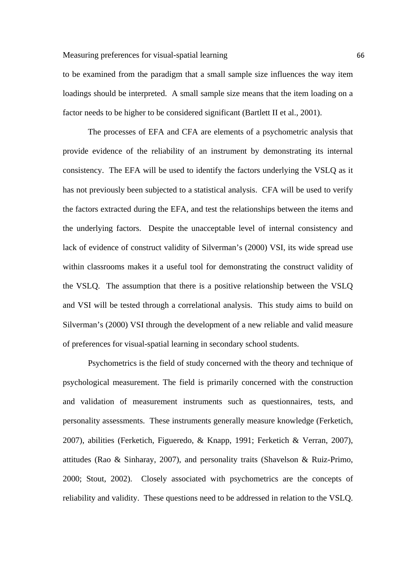to be examined from the paradigm that a small sample size influences the way item loadings should be interpreted. A small sample size means that the item loading on a factor needs to be higher to be considered significant (Bartlett II et al., 2001).

The processes of EFA and CFA are elements of a psychometric analysis that provide evidence of the reliability of an instrument by demonstrating its internal consistency. The EFA will be used to identify the factors underlying the VSLQ as it has not previously been subjected to a statistical analysis. CFA will be used to verify the factors extracted during the EFA, and test the relationships between the items and the underlying factors. Despite the unacceptable level of internal consistency and lack of evidence of construct validity of Silverman's (2000) VSI, its wide spread use within classrooms makes it a useful tool for demonstrating the construct validity of the VSLQ. The assumption that there is a positive relationship between the VSLQ and VSI will be tested through a correlational analysis. This study aims to build on Silverman's (2000) VSI through the development of a new reliable and valid measure of preferences for visual-spatial learning in secondary school students.

Psychometrics is the field of study concerned with the theory and technique of psychological measurement. The field is primarily concerned with the construction and validation of measurement instruments such as questionnaires, tests, and personality assessments. These instruments generally measure knowledge (Ferketich, 2007), abilities (Ferketich, Figueredo, & Knapp, 1991; Ferketich & Verran, 2007), attitudes (Rao & Sinharay, 2007), and personality traits (Shavelson & Ruiz-Primo, 2000; Stout, 2002). Closely associated with psychometrics are the concepts of reliability and validity. These questions need to be addressed in relation to the VSLQ.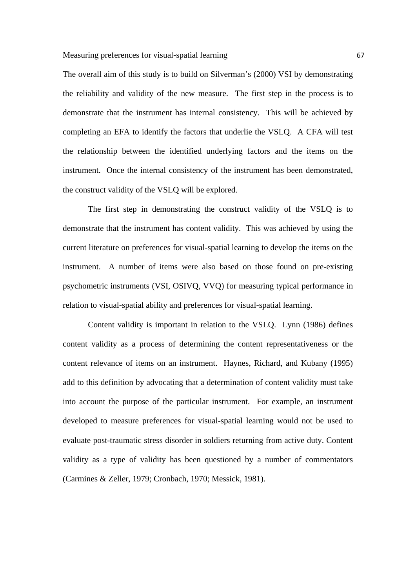The overall aim of this study is to build on Silverman's (2000) VSI by demonstrating the reliability and validity of the new measure. The first step in the process is to demonstrate that the instrument has internal consistency. This will be achieved by completing an EFA to identify the factors that underlie the VSLQ. A CFA will test the relationship between the identified underlying factors and the items on the instrument. Once the internal consistency of the instrument has been demonstrated, the construct validity of the VSLQ will be explored.

The first step in demonstrating the construct validity of the VSLQ is to demonstrate that the instrument has content validity. This was achieved by using the current literature on preferences for visual-spatial learning to develop the items on the instrument. A number of items were also based on those found on pre-existing psychometric instruments (VSI, OSIVQ, VVQ) for measuring typical performance in relation to visual-spatial ability and preferences for visual-spatial learning.

Content validity is important in relation to the VSLQ. Lynn (1986) defines content validity as a process of determining the content representativeness or the content relevance of items on an instrument. Haynes, Richard, and Kubany (1995) add to this definition by advocating that a determination of content validity must take into account the purpose of the particular instrument. For example, an instrument developed to measure preferences for visual-spatial learning would not be used to evaluate post-traumatic stress disorder in soldiers returning from active duty. Content validity as a type of validity has been questioned by a number of commentators (Carmines & Zeller, 1979; Cronbach, 1970; Messick, 1981).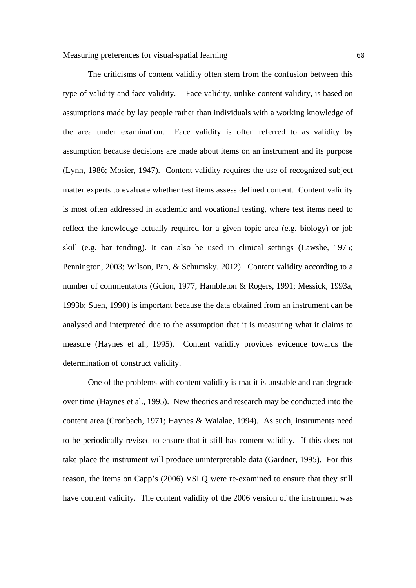The criticisms of content validity often stem from the confusion between this type of validity and face validity. Face validity, unlike content validity, is based on assumptions made by lay people rather than individuals with a working knowledge of the area under examination. Face validity is often referred to as validity by assumption because decisions are made about items on an instrument and its purpose (Lynn, 1986; Mosier, 1947). Content validity requires the use of recognized subject matter experts to evaluate whether test items assess defined content. Content validity is most often addressed in academic and vocational testing, where test items need to reflect the knowledge actually required for a given topic area (e.g. biology) or job skill (e.g. bar tending). It can also be used in clinical settings (Lawshe, 1975; Pennington, 2003; Wilson, Pan, & Schumsky, 2012). Content validity according to a number of commentators (Guion, 1977; Hambleton & Rogers, 1991; Messick, 1993a, 1993b; Suen, 1990) is important because the data obtained from an instrument can be analysed and interpreted due to the assumption that it is measuring what it claims to measure (Haynes et al., 1995). Content validity provides evidence towards the determination of construct validity.

One of the problems with content validity is that it is unstable and can degrade over time (Haynes et al., 1995). New theories and research may be conducted into the content area (Cronbach, 1971; Haynes & Waialae, 1994). As such, instruments need to be periodically revised to ensure that it still has content validity. If this does not take place the instrument will produce uninterpretable data (Gardner, 1995). For this reason, the items on Capp's (2006) VSLQ were re-examined to ensure that they still have content validity. The content validity of the 2006 version of the instrument was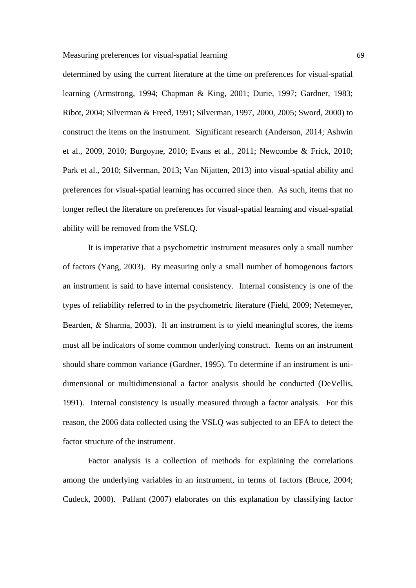determined by using the current literature at the time on preferences for visual-spatial learning (Armstrong, 1994; Chapman & King, 2001; Durie, 1997; Gardner, 1983; Ribot, 2004; Silverman & Freed, 1991; Silverman, 1997, 2000, 2005; Sword, 2000) to construct the items on the instrument. Significant research (Anderson, 2014; Ashwin et al., 2009, 2010; Burgoyne, 2010; Evans et al., 2011; Newcombe & Frick, 2010; Park et al., 2010; Silverman, 2013; Van Nijatten, 2013) into visual-spatial ability and preferences for visual-spatial learning has occurred since then. As such, items that no longer reflect the literature on preferences for visual-spatial learning and visual-spatial ability will be removed from the VSLQ.

It is imperative that a psychometric instrument measures only a small number of factors (Yang, 2003). By measuring only a small number of homogenous factors an instrument is said to have internal consistency. Internal consistency is one of the types of reliability referred to in the psychometric literature (Field, 2009; Netemeyer, Bearden,  $\&$  Sharma, 2003). If an instrument is to yield meaningful scores, the items must all be indicators of some common underlying construct. Items on an instrument should share common variance (Gardner, 1995). To determine if an instrument is unidimensional or multidimensional a factor analysis should be conducted (DeVellis, 1991). Internal consistency is usually measured through a factor analysis. For this reason, the 2006 data collected using the VSLQ was subjected to an EFA to detect the factor structure of the instrument.

Factor analysis is a collection of methods for explaining the correlations among the underlying variables in an instrument, in terms of factors (Bruce, 2004; Cudeck, 2000). Pallant (2007) elaborates on this explanation by classifying factor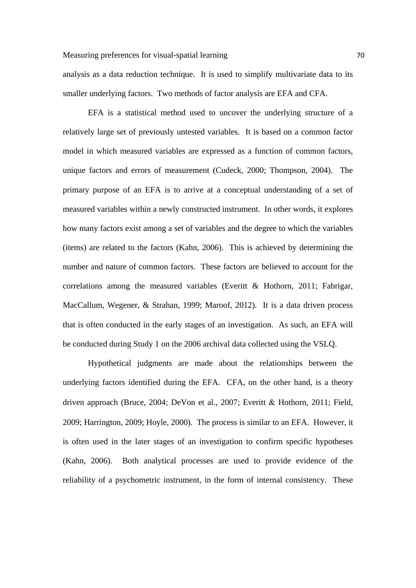analysis as a data reduction technique. It is used to simplify multivariate data to its smaller underlying factors. Two methods of factor analysis are EFA and CFA.

EFA is a statistical method used to uncover the underlying structure of a relatively large set of previously untested variables. It is based on a common factor model in which measured variables are expressed as a function of common factors, unique factors and errors of measurement (Cudeck, 2000; Thompson, 2004). The primary purpose of an EFA is to arrive at a conceptual understanding of a set of measured variables within a newly constructed instrument. In other words, it explores how many factors exist among a set of variables and the degree to which the variables (items) are related to the factors (Kahn, 2006). This is achieved by determining the number and nature of common factors. These factors are believed to account for the correlations among the measured variables (Everitt & Hothorn, 2011; Fabrigar, MacCallum, Wegener, & Strahan, 1999; Maroof, 2012). It is a data driven process that is often conducted in the early stages of an investigation. As such, an EFA will be conducted during Study 1 on the 2006 archival data collected using the VSLQ.

Hypothetical judgments are made about the relationships between the underlying factors identified during the EFA. CFA, on the other hand, is a theory driven approach (Bruce, 2004; DeVon et al., 2007; Everitt & Hothorn, 2011; Field, 2009; Harrington, 2009; Hoyle, 2000). The process is similar to an EFA. However, it is often used in the later stages of an investigation to confirm specific hypotheses (Kahn, 2006). Both analytical processes are used to provide evidence of the reliability of a psychometric instrument, in the form of internal consistency. These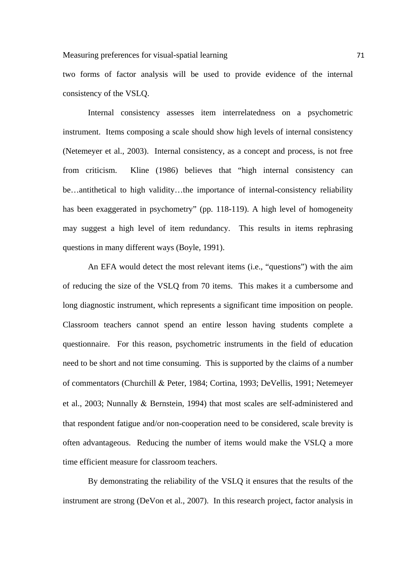two forms of factor analysis will be used to provide evidence of the internal consistency of the VSLQ.

Internal consistency assesses item interrelatedness on a psychometric instrument. Items composing a scale should show high levels of internal consistency (Netemeyer et al., 2003). Internal consistency, as a concept and process, is not free from criticism. Kline (1986) believes that "high internal consistency can be…antithetical to high validity…the importance of internal-consistency reliability has been exaggerated in psychometry" (pp. 118-119). A high level of homogeneity may suggest a high level of item redundancy. This results in items rephrasing questions in many different ways (Boyle, 1991).

An EFA would detect the most relevant items (i.e., "questions") with the aim of reducing the size of the VSLQ from 70 items. This makes it a cumbersome and long diagnostic instrument, which represents a significant time imposition on people. Classroom teachers cannot spend an entire lesson having students complete a questionnaire. For this reason, psychometric instruments in the field of education need to be short and not time consuming. This is supported by the claims of a number of commentators (Churchill & Peter, 1984; Cortina, 1993; DeVellis, 1991; Netemeyer et al., 2003; Nunnally & Bernstein, 1994) that most scales are self-administered and that respondent fatigue and/or non-cooperation need to be considered, scale brevity is often advantageous. Reducing the number of items would make the VSLQ a more time efficient measure for classroom teachers.

By demonstrating the reliability of the VSLQ it ensures that the results of the instrument are strong (DeVon et al., 2007). In this research project, factor analysis in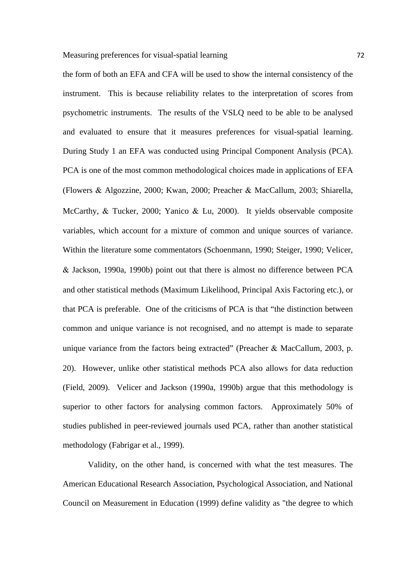the form of both an EFA and CFA will be used to show the internal consistency of the instrument. This is because reliability relates to the interpretation of scores from psychometric instruments. The results of the VSLQ need to be able to be analysed and evaluated to ensure that it measures preferences for visual-spatial learning. During Study 1 an EFA was conducted using Principal Component Analysis (PCA). PCA is one of the most common methodological choices made in applications of EFA (Flowers Algozzine, 2000; Kwan, 2000; Preacher MacCallum, 2003; Shiarella, McCarthy, & Tucker, 2000; Yanico & Lu, 2000). It yields observable composite variables, which account for a mixture of common and unique sources of variance. Within the literature some commentators (Schoenmann, 1990; Steiger, 1990; Velicer, Jackson, 1990a, 1990b) point out that there is almost no difference between PCA and other statistical methods (Maximum Likelihood, Principal Axis Factoring etc.), or that PCA is preferable. One of the criticisms of PCA is that "the distinction between common and unique variance is not recognised, and no attempt is made to separate unique variance from the factors being extracted" (Preacher & MacCallum, 2003, p. 20). However, unlike other statistical methods PCA also allows for data reduction (Field, 2009). Velicer and Jackson (1990a, 1990b) argue that this methodology is superior to other factors for analysing common factors. Approximately 50% of studies published in peer-reviewed journals used PCA, rather than another statistical methodology (Fabrigar et al., 1999).

Validity, on the other hand, is concerned with what the test measures. The American Educational Research Association, Psychological Association, and National Council on Measurement in Education (1999) define validity as "the degree to which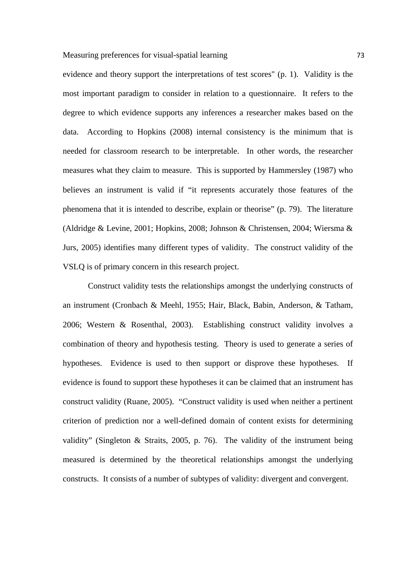evidence and theory support the interpretations of test scores" (p. 1). Validity is the most important paradigm to consider in relation to a questionnaire. It refers to the degree to which evidence supports any inferences a researcher makes based on the data. According to Hopkins (2008) internal consistency is the minimum that is needed for classroom research to be interpretable. In other words, the researcher measures what they claim to measure. This is supported by Hammersley (1987) who believes an instrument is valid if "it represents accurately those features of the phenomena that it is intended to describe, explain or theorise" (p. 79). The literature (Aldridge & Levine, 2001; Hopkins, 2008; Johnson & Christensen, 2004; Wiersma & Jurs, 2005) identifies many different types of validity. The construct validity of the VSLQ is of primary concern in this research project.

Construct validity tests the relationships amongst the underlying constructs of an instrument (Cronbach & Meehl, 1955; Hair, Black, Babin, Anderson, & Tatham, 2006; Western & Rosenthal, 2003). Establishing construct validity involves a combination of theory and hypothesis testing. Theory is used to generate a series of hypotheses. Evidence is used to then support or disprove these hypotheses. If evidence is found to support these hypotheses it can be claimed that an instrument has construct validity (Ruane, 2005). "Construct validity is used when neither a pertinent criterion of prediction nor a well-defined domain of content exists for determining validity" (Singleton & Straits, 2005, p. 76). The validity of the instrument being measured is determined by the theoretical relationships amongst the underlying constructs. It consists of a number of subtypes of validity: divergent and convergent.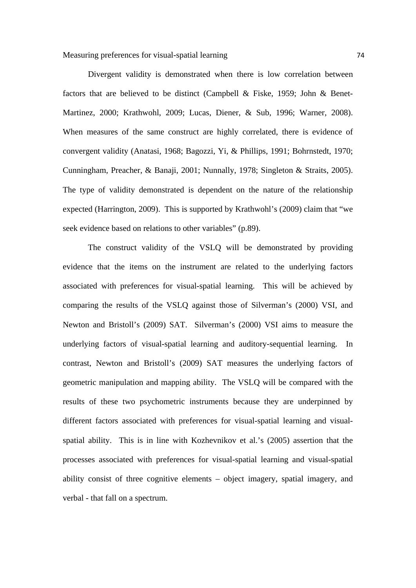Measuring preferences for visual-spatial learning 74

Divergent validity is demonstrated when there is low correlation between factors that are believed to be distinct (Campbell & Fiske, 1959; John & Benet-Martinez, 2000; Krathwohl, 2009; Lucas, Diener, & Sub, 1996; Warner, 2008). When measures of the same construct are highly correlated, there is evidence of convergent validity (Anatasi, 1968; Bagozzi, Yi, & Phillips, 1991; Bohrnstedt, 1970; Cunningham, Preacher, & Banaji, 2001; Nunnally, 1978; Singleton & Straits, 2005). The type of validity demonstrated is dependent on the nature of the relationship expected (Harrington, 2009). This is supported by Krathwohl's (2009) claim that "we seek evidence based on relations to other variables" (p.89).

The construct validity of the VSLQ will be demonstrated by providing evidence that the items on the instrument are related to the underlying factors associated with preferences for visual-spatial learning. This will be achieved by comparing the results of the VSLQ against those of Silverman's (2000) VSI, and Newton and Bristoll's (2009) SAT. Silverman's (2000) VSI aims to measure the underlying factors of visual-spatial learning and auditory-sequential learning. In contrast, Newton and Bristoll's (2009) SAT measures the underlying factors of geometric manipulation and mapping ability. The VSLQ will be compared with the results of these two psychometric instruments because they are underpinned by different factors associated with preferences for visual-spatial learning and visualspatial ability. This is in line with Kozhevnikov et al.'s (2005) assertion that the processes associated with preferences for visual-spatial learning and visual-spatial ability consist of three cognitive elements – object imagery, spatial imagery, and verbal - that fall on a spectrum.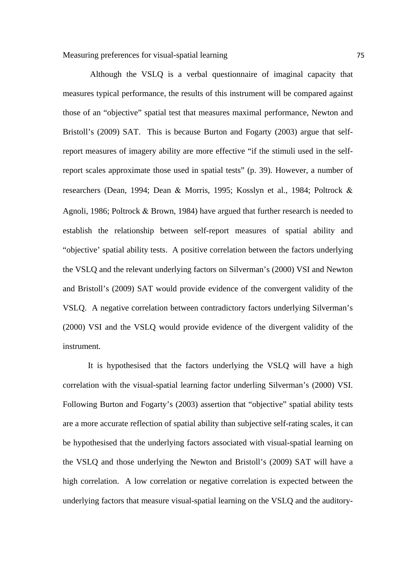Although the VSLQ is a verbal questionnaire of imaginal capacity that measures typical performance, the results of this instrument will be compared against those of an "objective" spatial test that measures maximal performance, Newton and Bristoll's (2009) SAT. This is because Burton and Fogarty (2003) argue that selfreport measures of imagery ability are more effective "if the stimuli used in the selfreport scales approximate those used in spatial tests" (p. 39). However, a number of researchers (Dean, 1994; Dean & Morris, 1995; Kosslyn et al., 1984; Poltrock & Agnoli, 1986; Poltrock  $& Brown, 1984$  have argued that further research is needed to establish the relationship between self-report measures of spatial ability and "objective' spatial ability tests. A positive correlation between the factors underlying the VSLQ and the relevant underlying factors on Silverman's (2000) VSI and Newton and Bristoll's (2009) SAT would provide evidence of the convergent validity of the VSLQ. A negative correlation between contradictory factors underlying Silverman's (2000) VSI and the VSLQ would provide evidence of the divergent validity of the instrument.

It is hypothesised that the factors underlying the VSLQ will have a high correlation with the visual-spatial learning factor underling Silverman's (2000) VSI. Following Burton and Fogarty's (2003) assertion that "objective" spatial ability tests are a more accurate reflection of spatial ability than subjective self-rating scales, it can be hypothesised that the underlying factors associated with visual-spatial learning on the VSLQ and those underlying the Newton and Bristoll's (2009) SAT will have a high correlation. A low correlation or negative correlation is expected between the underlying factors that measure visual-spatial learning on the VSLQ and the auditory-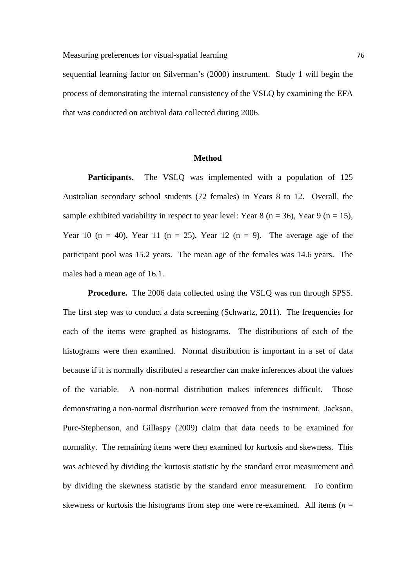### Measuring preferences for visual-spatial learning 76

sequential learning factor on Silverman's (2000) instrument. Study 1 will begin the process of demonstrating the internal consistency of the VSLQ by examining the EFA that was conducted on archival data collected during 2006.

### **Method**

**Participants.** The VSLQ was implemented with a population of 125 Australian secondary school students (72 females) in Years 8 to 12. Overall, the sample exhibited variability in respect to year level: Year 8 ( $n = 36$ ), Year 9 ( $n = 15$ ), Year 10 (n = 40), Year 11 (n = 25), Year 12 (n = 9). The average age of the participant pool was 15.2 years. The mean age of the females was 14.6 years. The males had a mean age of 16.1.

**Procedure.** The 2006 data collected using the VSLQ was run through SPSS. The first step was to conduct a data screening (Schwartz, 2011). The frequencies for each of the items were graphed as histograms. The distributions of each of the histograms were then examined. Normal distribution is important in a set of data because if it is normally distributed a researcher can make inferences about the values of the variable. A non-normal distribution makes inferences difficult. Those demonstrating a non-normal distribution were removed from the instrument. Jackson, Purc-Stephenson, and Gillaspy (2009) claim that data needs to be examined for normality. The remaining items were then examined for kurtosis and skewness. This was achieved by dividing the kurtosis statistic by the standard error measurement and by dividing the skewness statistic by the standard error measurement. To confirm skewness or kurtosis the histograms from step one were re-examined. All items ( $n =$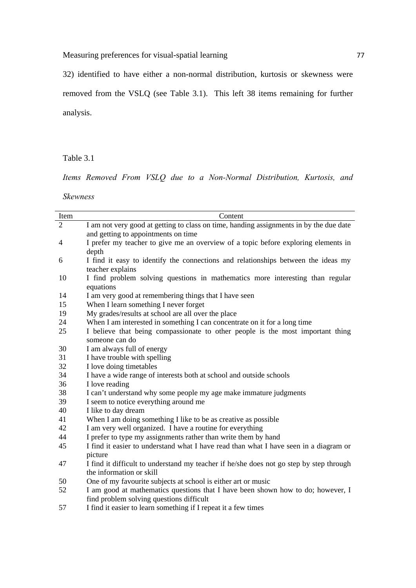Measuring preferences for visual-spatial learning 77 77

32) identified to have either a non-normal distribution, kurtosis or skewness were removed from the VSLQ (see Table 3.1). This left 38 items remaining for further analysis.

Table 3.1

*Items Removed From VSLQ due to a Non-Normal Distribution, Kurtosis, and* 

*Skewness*

| Item           | Content                                                                                 |
|----------------|-----------------------------------------------------------------------------------------|
| $\overline{2}$ | I am not very good at getting to class on time, handing assignments in by the due date  |
|                | and getting to appointments on time                                                     |
| $\overline{4}$ | I prefer my teacher to give me an overview of a topic before exploring elements in      |
|                | depth                                                                                   |
| 6              | I find it easy to identify the connections and relationships between the ideas my       |
|                | teacher explains                                                                        |
| 10             | I find problem solving questions in mathematics more interesting than regular           |
|                | equations                                                                               |
| 14             | I am very good at remembering things that I have seen                                   |
| 15             | When I learn something I never forget                                                   |
| 19             | My grades/results at school are all over the place                                      |
| 24             | When I am interested in something I can concentrate on it for a long time               |
| 25             | I believe that being compassionate to other people is the most important thing          |
|                | someone can do                                                                          |
| 30             | I am always full of energy                                                              |
| 31             | I have trouble with spelling                                                            |
| 32             | I love doing timetables                                                                 |
| 34             | I have a wide range of interests both at school and outside schools                     |
| 36             | I love reading                                                                          |
| 38             | I can't understand why some people my age make immature judgments                       |
| 39             | I seem to notice everything around me                                                   |
| 40             | I like to day dream                                                                     |
| 41             | When I am doing something I like to be as creative as possible                          |
| 42             | I am very well organized. I have a routine for everything                               |
| 44             | I prefer to type my assignments rather than write them by hand                          |
| 45             | I find it easier to understand what I have read than what I have seen in a diagram or   |
|                | picture                                                                                 |
| 47             | I find it difficult to understand my teacher if he/she does not go step by step through |
|                | the information or skill                                                                |
| 50             | One of my favourite subjects at school is either art or music                           |
| 52             | I am good at mathematics questions that I have been shown how to do; however, I         |
|                | find problem solving questions difficult                                                |
| 57             | I find it easier to learn something if I repeat it a few times                          |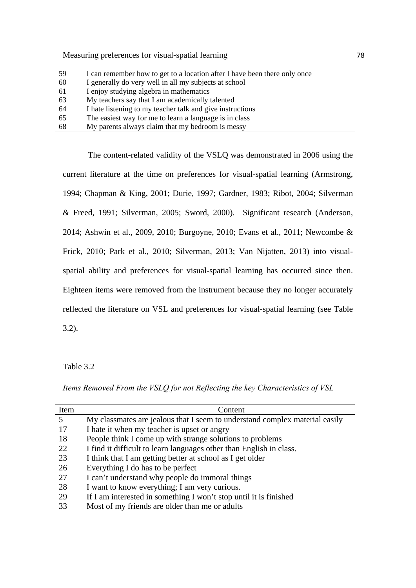Measuring preferences for visual-spatial learning 78

| 59 | I can remember how to get to a location after I have been there only once |
|----|---------------------------------------------------------------------------|
| 60 | I generally do very well in all my subjects at school                     |
| 61 | I enjoy studying algebra in mathematics                                   |
| 63 | My teachers say that I am academically talented                           |
| 64 | I hate listening to my teacher talk and give instructions                 |
| 65 | The easiest way for me to learn a language is in class                    |
| 68 | My parents always claim that my bedroom is messy                          |

The content-related validity of the VSLQ was demonstrated in 2006 using the current literature at the time on preferences for visual-spatial learning (Armstrong, 1994; Chapman & King, 2001; Durie, 1997; Gardner, 1983; Ribot, 2004; Silverman & Freed, 1991; Silverman, 2005; Sword, 2000). Significant research (Anderson, 2014; Ashwin et al., 2009, 2010; Burgoyne, 2010; Evans et al., 2011; Newcombe & Frick, 2010; Park et al., 2010; Silverman, 2013; Van Nijatten, 2013) into visualspatial ability and preferences for visual-spatial learning has occurred since then. Eighteen items were removed from the instrument because they no longer accurately reflected the literature on VSL and preferences for visual-spatial learning (see Table 3.2).

Table 3.2

*Items Removed From the VSLQ for not Reflecting the key Characteristics of VSL* 

| Item | Content                                                                     |
|------|-----------------------------------------------------------------------------|
| 5    | My classmates are jealous that I seem to understand complex material easily |
| 17   | I hate it when my teacher is upset or angry                                 |
| 18   | People think I come up with strange solutions to problems                   |
| 22   | I find it difficult to learn languages other than English in class.         |
| 23   | I think that I am getting better at school as I get older                   |
| 26   | Everything I do has to be perfect                                           |
| 27   | I can't understand why people do immoral things                             |
| 28   | I want to know everything; I am very curious.                               |
| 29   | If I am interested in something I won't stop until it is finished           |
| 33   | Most of my friends are older than me or adults                              |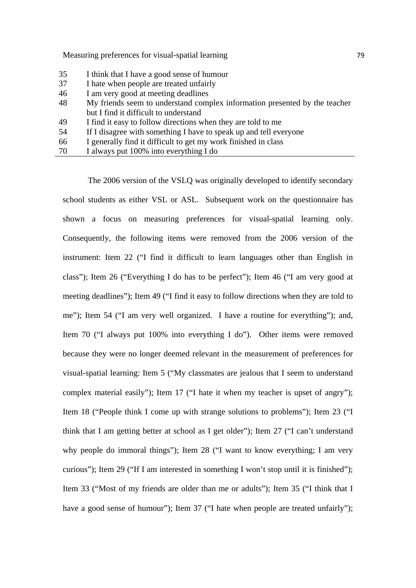Measuring preferences for visual-spatial learning 79

- 35 I think that I have a good sense of humour
- 37 I hate when people are treated unfairly
- 46 I am very good at meeting deadlines
- 48 My friends seem to understand complex information presented by the teacher but I find it difficult to understand
- 49 I find it easy to follow directions when they are told to me
- 54 If I disagree with something I have to speak up and tell everyone
- 66 I generally find it difficult to get my work finished in class
- 70 I always put 100% into everything I do

The 2006 version of the VSLQ was originally developed to identify secondary school students as either VSL or ASL. Subsequent work on the questionnaire has shown a focus on measuring preferences for visual-spatial learning only. Consequently, the following items were removed from the 2006 version of the instrument: Item 22 ("I find it difficult to learn languages other than English in class"); Item 26 ("Everything I do has to be perfect"); Item 46 ("I am very good at meeting deadlines"); Item 49 ("I find it easy to follow directions when they are told to me"); Item 54 ("I am very well organized. I have a routine for everything"); and, Item 70 ("I always put 100% into everything I do"). Other items were removed because they were no longer deemed relevant in the measurement of preferences for visual-spatial learning: Item 5 ("My classmates are jealous that I seem to understand complex material easily"); Item 17 ("I hate it when my teacher is upset of angry"); Item 18 ("People think I come up with strange solutions to problems"); Item 23 ("I think that I am getting better at school as I get older"); Item 27 ("I can't understand why people do immoral things"); Item 28 ("I want to know everything; I am very curious"); Item 29 ("If I am interested in something I won't stop until it is finished"); Item 33 ("Most of my friends are older than me or adults"); Item 35 ("I think that I have a good sense of humour"); Item 37 ("I hate when people are treated unfairly");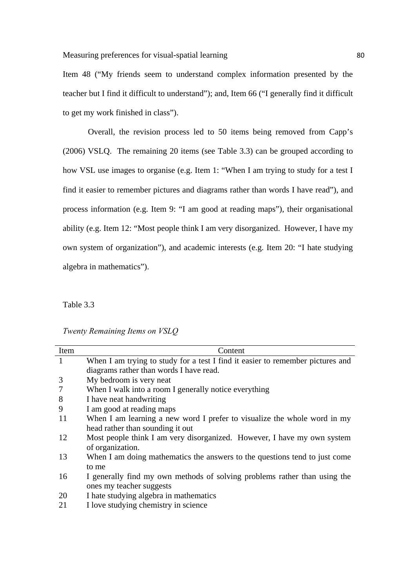Item 48 ("My friends seem to understand complex information presented by the teacher but I find it difficult to understand"); and, Item 66 ("I generally find it difficult to get my work finished in class").

Overall, the revision process led to 50 items being removed from Capp's (2006) VSLQ. The remaining 20 items (see Table 3.3) can be grouped according to how VSL use images to organise (e.g. Item 1: "When I am trying to study for a test I find it easier to remember pictures and diagrams rather than words I have read"), and process information (e.g. Item 9: "I am good at reading maps"), their organisational ability (e.g. Item 12: "Most people think I am very disorganized. However, I have my own system of organization"), and academic interests (e.g. Item 20: "I hate studying algebra in mathematics").

Table 3.3

|  | Twenty Remaining Items on VSLQ |  |  |  |
|--|--------------------------------|--|--|--|
|--|--------------------------------|--|--|--|

| Item | Content                                                                        |
|------|--------------------------------------------------------------------------------|
|      | When I am trying to study for a test I find it easier to remember pictures and |
|      | diagrams rather than words I have read.                                        |
| 3    | My bedroom is very neat                                                        |
| 7    | When I walk into a room I generally notice everything                          |
| 8    | I have neat handwriting                                                        |
| 9    | I am good at reading maps                                                      |
| 11   | When I am learning a new word I prefer to visualize the whole word in my       |
|      | head rather than sounding it out                                               |
| 12   | Most people think I am very disorganized. However, I have my own system        |
|      | of organization.                                                               |
| 13   | When I am doing mathematics the answers to the questions tend to just come     |
|      | to me                                                                          |
| 16   | I generally find my own methods of solving problems rather than using the      |
|      | ones my teacher suggests                                                       |
| 20   | I hate studying algebra in mathematics                                         |
| 21   | I love studying chemistry in science                                           |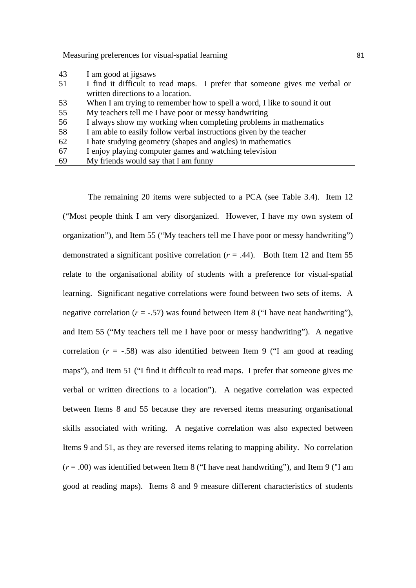Measuring preferences for visual-spatial learning 81

- 43 I am good at jigsaws
- 51 I find it difficult to read maps. I prefer that someone gives me verbal or written directions to a location.
- 53 When I am trying to remember how to spell a word, I like to sound it out
- 55 My teachers tell me I have poor or messy handwriting

56 I always show my working when completing problems in mathematics

58 I am able to easily follow verbal instructions given by the teacher

- 62 I hate studying geometry (shapes and angles) in mathematics
- 67 I enjoy playing computer games and watching television
- 69 My friends would say that I am funny

The remaining 20 items were subjected to a PCA (see Table 3.4). Item 12 ("Most people think I am very disorganized. However, I have my own system of organization"), and Item 55 ("My teachers tell me I have poor or messy handwriting") demonstrated a significant positive correlation  $(r = .44)$ . Both Item 12 and Item 55 relate to the organisational ability of students with a preference for visual-spatial learning. Significant negative correlations were found between two sets of items. A negative correlation  $(r = -.57)$  was found between Item 8 ("I have neat handwriting"), and Item 55 ("My teachers tell me I have poor or messy handwriting"). A negative correlation  $(r = -.58)$  was also identified between Item 9 ("I am good at reading maps"), and Item 51 ("I find it difficult to read maps. I prefer that someone gives me verbal or written directions to a location"). A negative correlation was expected between Items 8 and 55 because they are reversed items measuring organisational skills associated with writing. A negative correlation was also expected between Items 9 and 51, as they are reversed items relating to mapping ability. No correlation (*r* = .00) was identified between Item 8 ("I have neat handwriting"), and Item 9 ("I am good at reading maps). Items 8 and 9 measure different characteristics of students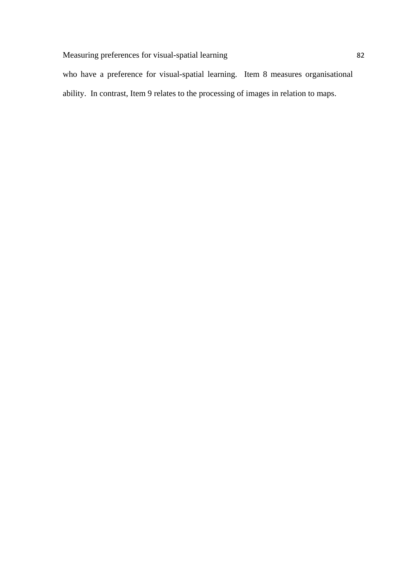who have a preference for visual-spatial learning. Item 8 measures organisational ability. In contrast, Item 9 relates to the processing of images in relation to maps.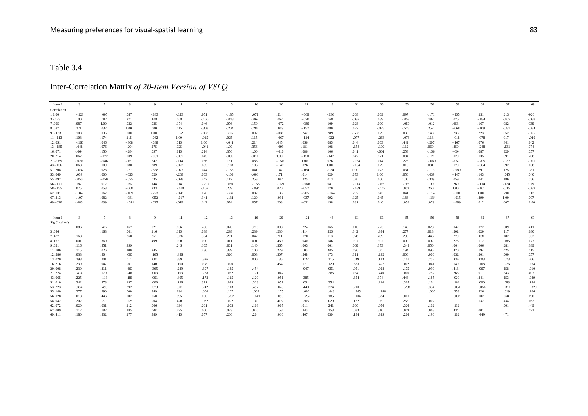# Inter-Correlation Matrix *of 20-Item Version of VSLQ*

| Item 1               | $\overline{\mathbf{3}}$ | $7\phantom{.0}$ | 8                  | 9                  | 11                 | 12              | 13              | 16              | 20              | 21                 | 43              | 51                 | 53                | 55                 | 56               | 58                 | 62                 | 67              | 69             |
|----------------------|-------------------------|-----------------|--------------------|--------------------|--------------------|-----------------|-----------------|-----------------|-----------------|--------------------|-----------------|--------------------|-------------------|--------------------|------------------|--------------------|--------------------|-----------------|----------------|
| Correlation          |                         |                 |                    |                    |                    |                 |                 |                 |                 |                    |                 |                    |                   |                    |                  |                    |                    |                 |                |
| 1 1.00               | $-.123$                 | .005            | .087               | $-.183$            | $-.113$            | .051            | $-.185$         | .071            | .214            | $-.069$            | $-.136$         | .208               | .069              | .097               | $-.171$          | $-.155$            | .131               | .213            | $-020$         |
| $3 - 123$            | 1.00                    | .087            | .271               | .108               | .108               | $-.160$         | $-.048$         | $-.064$         | .067            | $-.020$            | .068            | $-.037$            | .039              | $-.053$            | .187             | .075               | $-.184$            | $-.107$         | $-.083$        |
| 7.005<br>8.087       | .087                    | 1.00            | .032               | .035<br>.000       | .174               | .046<br>$-.308$ | .076            | .150<br>$-.284$ | $-.072$<br>.009 | $-.086$            | .109<br>.080    | .028<br>.077       | .000              | $-.050$<br>$-.575$ | $-0.012$<br>.252 | .053<br>$-.068$    | .167               | .082            | .039<br>$-084$ |
| $9 - 183$            | .271<br>.108            | .032<br>.035    | 1.00<br>.000       | 1.00               | .115<br>.062       | $-.088$         | $-.204$<br>.275 | .097            | $-.031$         | $-.157$<br>.242    |                 | $-.588$            | $-.025$<br>.029   | .035               | .148             | .233               | $-.109$<br>.223    | $-.081$<br>.052 | $-0.025$       |
|                      |                         |                 |                    |                    |                    |                 |                 |                 |                 |                    | .289            |                    |                   |                    |                  |                    |                    |                 | $-.019$        |
| $11 - 113$<br>12.051 | .108<br>$-.160$         | .174<br>.046    | .115<br>$-.308$    | $-.062$<br>$-.088$ | 1.00<br>.015       | .015<br>1.00    | .025<br>$-.041$ | .115<br>.214    | $-.067$<br>.045 | $-.114$<br>.056    | $-.022$<br>.085 | $-.077$<br>.044    | $-.268$<br>.063   | $-.078$<br>.442    | .118<br>$-.297$  | $-.018$<br>$-.167$ | $-.078$<br>.076    | .017<br>.341    | .142           |
|                      |                         | .076            | $-.204$            | .275               | .025               | $-.041$         | 1.00            |                 | $-.099$         |                    |                 |                    |                   | .112               | .060             | .259               |                    |                 | .074           |
| $13 - 185$<br>16.071 | $-.048$<br>$-.064$      | .150            | $-.284$            | .097               | .115               | .214            | .356            | .356<br>1.00    | $-.010$         | .181<br>.086       | .108<br>.106    | $-.158$<br>.041    | $-109$<br>$-.001$ | .253               | $-.156$          | $-.094$            | $-.248$<br>.087    | $-.131$<br>.129 | .057           |
| 20.214               | .067                    | $-.072$         | .009               | $-.031$            | $-.067$            | .045            | $-.099$         | $-.010$         | 1.00            | $-.150$            | $-.147$         | .147               | .171              | .084               | $-.121$          | .020               | .135               | .091            | .208           |
| $21 - 069$           | $-.020$                 | $-.086$         | $-.157$            | .242               |                    | .056            |                 | .086            |                 | 1.00               | .026            |                    |                   | .225               | $-.060$          | $-.057$            |                    | $-.037$         | $-.021$        |
| $43 - 136$           | .068                    | .109            | .080               | .289               | $-.114$<br>$-.022$ | .085            | .181<br>.108    |                 | $-.150$         | .026               | 1.00            | $-.164$<br>$-.034$ | .014<br>.029      | .013               | .081             | .170               | $-.205$<br>$-.064$ | .092            | .158           |
|                      |                         | .028            | .077               | $-.588$            | $-.077$            | .044            | $-.158$         | .106<br>.041    | $-.147$         |                    | $-.034$         | 1.00               | .073              | .031               | $-.113$          | $-.089$            | .297               | .125            | .081           |
| 51.208               | $-.037$<br>.039         |                 | $-.025$            | .029               | $-.268$            | .063            | $-.109$         | $-.001$         | .147<br>.171    | $-.164$            | .029            | .073               |                   | .050               | $-.039$          | $-.147$            | .143               | .045            | .040           |
| 53.069<br>55.097     | $-.053$                 | .000<br>$-.050$ | $-.575$            | .035               | $-.078$            | .442            | .112            | .253            | .084            | .014<br>.225       | .013            | .031               | 1.00<br>.050      | 1.00               | $-.339$          | .059               | .041               | .186            | .056           |
|                      |                         |                 | .252               |                    | .118               |                 |                 |                 |                 |                    |                 |                    |                   |                    |                  | .260               |                    |                 | .079           |
| $56 - 171$           | .187                    | .012            | $-068$             | .148               |                    | $-.297$         | .060            | $-.156$         | $-.121$         | $-.060$            | .081            | $-.113$            | $-.039$           | $-.339$            | 1.00             | 1.00               | $-.114$            | $-.134$         |                |
| $58 - 155$<br>62.131 | .075<br>$-.184$         | .053<br>.167    | $-.109$            | .233<br>$-.223$    | $-018$<br>$-.078$  | $-.167$<br>.076 | .259<br>$-.248$ | $-.094$<br>.087 | .020<br>.135    | $-.057$<br>$-.205$ | .170            | $-.089$<br>.297    | $-.147$<br>.143   | .059<br>.041       | .260<br>$-.114$  | $-.101$            | $-.101$<br>1.00    | $-015$<br>.290  | $-089$<br>.012 |
|                      | $-.107$                 |                 |                    | .052               |                    |                 | $-.131$         |                 | .091            | $-.037$            | $-.064$         | .125               |                   | .186               | $-.134$          | $-.015$            | .290               | 1.00            | .007           |
| 67.213<br>$69 - 020$ | $-.083$                 | .082<br>.039    | $-.081$<br>$-.084$ | $-.025$            | $-.017$<br>$-.019$ | .341<br>.142    | .074            | .129<br>.057    | .208            | $-.021$            | .092<br>.158    | .081               | .045<br>.040      | .056               | .079             | $-.089$            | .012               | .007            | 1.00           |
|                      |                         |                 |                    |                    |                    |                 |                 |                 |                 |                    |                 |                    |                   |                    |                  |                    |                    |                 |                |
|                      |                         |                 |                    |                    |                    |                 |                 |                 |                 |                    |                 |                    |                   |                    |                  |                    |                    |                 |                |
| Item 1               | $\overline{\mathbf{3}}$ | $7\phantom{.0}$ | 8                  | 9                  | 11                 | 12              | 13              | 16              | 20              | 21                 | 43              | 51                 | 53                | 55                 | 56               | 58                 | 62                 | 67              | 69             |
| Sig (1-tailed)       |                         |                 |                    |                    |                    |                 |                 |                 |                 |                    |                 |                    |                   |                    |                  |                    |                    |                 |                |
|                      | .086                    | .477            | .167               | .021               | .106               | .286            | .020            | .216            | .008            | .224               | .065            | .010               | .223              | .140               | .028             | .042               | .072               | .009            | .411           |
| 3.086                |                         | .168            | .001               | .116               | .115               | .038            | .298            | .239            | .230            | .414               | .225            | .342               | .334              | .277               | .018             | .202               | .020               | .117            | .180           |
| 7.477                | .168                    |                 | .360               | .351               | .026               | .304            | .201            | .047            | .211            | .170               | .113            | .378               | .499              | .290               | .446             | .279               | .031               | .182            | .332           |
| 8.167                | .001                    | .360            |                    | .499               | .100               | .000            | .011            | .001            | .460            | .040               | .186            | .197               | .392              | .000               | .002             | .225               | .112               | .185            | .177           |
| 9.021                | .116                    | .351            | .499               |                    | .245               | .165            | .001            | .140            | .365            | .003               | .001            | .000               | .373              | .349               | .050             | .004               | .006               | .281            | .389           |
| 11.106               | .115                    | .026            | .100               | .245               |                    | .436            | .389            | .100            | .229            | .103               | .405            | .196               | .001              | .194               | .095             | .420               | .194               | .425            | .415           |
| 12.286               | .038                    | .304            | .000               | .165               | .436               |                 | .326            | .008            | .307            | .268               | .173            | .311               | .242              | .000               | .000             | .032               | .201               | .000            | .057           |
| 13.020               | .298                    | .201            | .011               | .001               | .389               | .326            |                 | .000            | .135            | .022               | .115            | .039               | .113              | .107               | .252             | .002               | .003               | .073            | .206           |
| 16.216               | .239                    | .047            | .001               | .140               | .100               | .008            | .000            |                 | .454            | .171               | .120            | .323               | .497              | .002               | .041             | .149               | .168               | .076            | .264           |
| 20.008               | .230                    | .211            | .460               | .365               | .229               | .307            | .135            | .454            |                 | .047               | .051            | .051               | .028              | .175               | .090             | .413               | .067               | .158            | .010           |
| 21.224               | .414                    | .170            | .040               | .003               | .103               | .268            | .022            | .171            | .047            |                    | .385            | .034               | .440              | .006               | .252             | .263               | .011               | .343            | .407           |
| 43.065               | .225                    | .113            | .186               | .001               | .405               | .173            | .115            | .120            | .051            | .385               |                 | .354               | .374              | .443               | .185             | .029               | .241               | .153            | .039           |
| 51.010               | .342                    | .378            | .197               | .000               | .196               | .311            | .039            | .323            | .051            | .034               | .354            |                    | .210              | .365               | .104             | .162               | .000               | .083            | .184           |
| 53.223               | .334                    | .499            | .392               | .373               | .001               | .242            | .113            | .497            | .028            | .440               | .374            | .210               |                   | .288               | .334             | .051               | .056               | .310            | .329           |
| 55.140               | .277                    | .290            | .000               | .349               | .194               | .000            | .107            | .002            | .175            | .006               | .443            | .365               | .288              |                    | .000             | .258               | .326               | .019            | .266           |
| 56.028               | .018                    | .446            | .002               | .050               | .095               | .000            | .252            | .041            | .090            | .252               | .185            | .104               | .334              | .000               |                  | .002               | .102               | .068            | .190           |
| 58.042               | .202                    | .279            | .225               | .004               | .420               | .032            | .002            | .149            | .413            | .263               | .029            | .162               | .051              | .258               | .002             |                    | .132               | .434            | .162           |
| 62.072               | .020                    | .031            | .112               | .006               | .194               | .201            | .003            | .168            | .067            | .011               | .241            | .000               | .056              | .326               | .102             | .132               |                    | .001            | .449           |
| 67.009               | .117                    | .182            | .185               | .281               | .425               | .000            | .073            | .076            | .158            | .343               | .153            | .083               | .310              | .019               | .068             | .434               | .001               |                 | .471           |
| 69.411               | .180                    | .332            | .177               | .389               | .415               | .057            | .206            | .264            | .010            | .407               | .039            | .184               | .329              | .266               | .190             | .162               | .449               | .471            |                |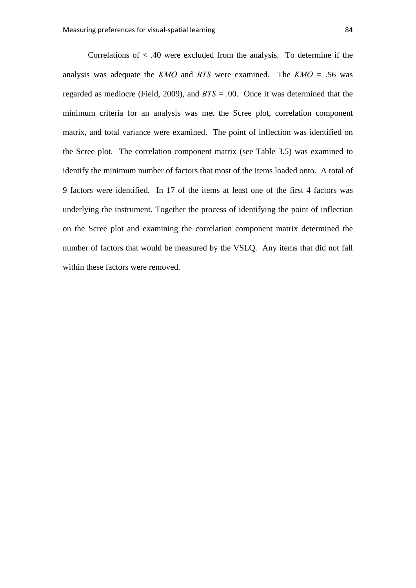Correlations of  $\lt$  .40 were excluded from the analysis. To determine if the analysis was adequate the *KMO* and *BTS* were examined. The *KMO* = .56 was regarded as mediocre (Field, 2009), and *BTS* = .00. Once it was determined that the minimum criteria for an analysis was met the Scree plot, correlation component matrix, and total variance were examined. The point of inflection was identified on the Scree plot. The correlation component matrix (see Table 3.5) was examined to identify the minimum number of factors that most of the items loaded onto. A total of 9 factors were identified. In 17 of the items at least one of the first 4 factors was underlying the instrument. Together the process of identifying the point of inflection on the Scree plot and examining the correlation component matrix determined the number of factors that would be measured by the VSLQ. Any items that did not fall within these factors were removed.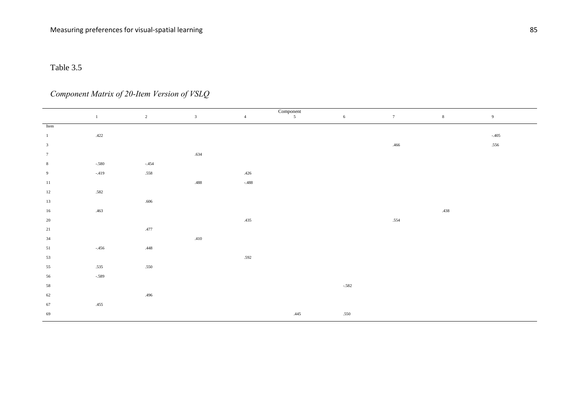# *Component Matrix of 20-Item Version of VSLQ*

|                         | $\begin{array}{c}\n\text{Component} \\ 5\n\end{array}$ |                |                |                |      |            |      |             |         |  |  |  |  |  |
|-------------------------|--------------------------------------------------------|----------------|----------------|----------------|------|------------|------|-------------|---------|--|--|--|--|--|
|                         | $\mathbf{1}$                                           | $\overline{2}$ | $\overline{3}$ | $\overline{4}$ |      | $\sqrt{6}$ | 7    | $\,$ 8 $\,$ | 9       |  |  |  |  |  |
| Item                    |                                                        |                |                |                |      |            |      |             |         |  |  |  |  |  |
| $\overline{1}$          | $.422\,$                                               |                |                |                |      |            |      |             | $-.405$ |  |  |  |  |  |
| $\overline{\mathbf{3}}$ |                                                        |                |                |                |      |            | .466 |             | .556    |  |  |  |  |  |
| $7\phantom{.0}$         |                                                        |                | .634           |                |      |            |      |             |         |  |  |  |  |  |
| 8                       | $-.580$                                                | $-.454$        |                |                |      |            |      |             |         |  |  |  |  |  |
| 9                       | $-.419$                                                | .558           |                | .426           |      |            |      |             |         |  |  |  |  |  |
| 11                      |                                                        |                | .488           | $-.488$        |      |            |      |             |         |  |  |  |  |  |
| 12                      | .582                                                   |                |                |                |      |            |      |             |         |  |  |  |  |  |
| 13                      |                                                        | .606           |                |                |      |            |      |             |         |  |  |  |  |  |
| 16                      | .463                                                   |                |                |                |      |            |      | .438        |         |  |  |  |  |  |
| 20                      |                                                        |                |                | .435           |      |            | .554 |             |         |  |  |  |  |  |
| 21                      |                                                        | .477           |                |                |      |            |      |             |         |  |  |  |  |  |
| 34                      |                                                        |                | .410           |                |      |            |      |             |         |  |  |  |  |  |
| 51                      | $-.456$                                                | $.448\,$       |                |                |      |            |      |             |         |  |  |  |  |  |
| 53                      |                                                        |                |                | .592           |      |            |      |             |         |  |  |  |  |  |
| 55                      | .535                                                   | .550           |                |                |      |            |      |             |         |  |  |  |  |  |
| 56                      | $-.589$                                                |                |                |                |      |            |      |             |         |  |  |  |  |  |
| 58                      |                                                        |                |                |                |      | $-.582$    |      |             |         |  |  |  |  |  |
| 62                      |                                                        | .496           |                |                |      |            |      |             |         |  |  |  |  |  |
| 67                      | .455                                                   |                |                |                |      |            |      |             |         |  |  |  |  |  |
| 69                      |                                                        |                |                |                | .445 | .550       |      |             |         |  |  |  |  |  |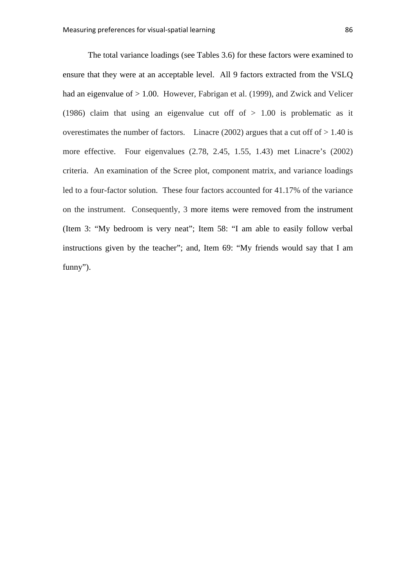The total variance loadings (see Tables 3.6) for these factors were examined to ensure that they were at an acceptable level. All 9 factors extracted from the VSLQ had an eigenvalue of  $> 1.00$ . However, Fabrigan et al. (1999), and Zwick and Velicer (1986) claim that using an eigenvalue cut off of  $> 1.00$  is problematic as it overestimates the number of factors. Linacre (2002) argues that a cut off of  $> 1.40$  is more effective. Four eigenvalues (2.78, 2.45, 1.55, 1.43) met Linacre's (2002) criteria. An examination of the Scree plot, component matrix, and variance loadings led to a four-factor solution. These four factors accounted for 41.17% of the variance on the instrument. Consequently, 3 more items were removed from the instrument (Item 3: "My bedroom is very neat"; Item 58: "I am able to easily follow verbal instructions given by the teacher"; and, Item 69: "My friends would say that I am funny").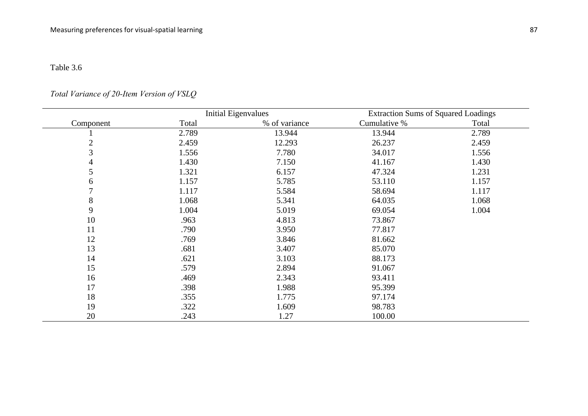## *Total Variance of 20-Item Version of VSLQ*

|           |       | <b>Initial Eigenvalues</b> | <b>Extraction Sums of Squared Loadings</b> |       |
|-----------|-------|----------------------------|--------------------------------------------|-------|
| Component | Total | % of variance              | Cumulative %                               | Total |
|           | 2.789 | 13.944                     | 13.944                                     | 2.789 |
| 2         | 2.459 | 12.293                     | 26.237                                     | 2.459 |
| 3         | 1.556 | 7.780                      | 34.017                                     | 1.556 |
|           | 1.430 | 7.150                      | 41.167                                     | 1.430 |
| 5         | 1.321 | 6.157                      | 47.324                                     | 1.231 |
| 6         | 1.157 | 5.785                      | 53.110                                     | 1.157 |
|           | 1.117 | 5.584                      | 58.694                                     | 1.117 |
| 8         | 1.068 | 5.341                      | 64.035                                     | 1.068 |
| 9         | 1.004 | 5.019                      | 69.054                                     | 1.004 |
| 10        | .963  | 4.813                      | 73.867                                     |       |
| 11        | .790  | 3.950                      | 77.817                                     |       |
| 12        | .769  | 3.846                      | 81.662                                     |       |
| 13        | .681  | 3.407                      | 85.070                                     |       |
| 14        | .621  | 3.103                      | 88.173                                     |       |
| 15        | .579  | 2.894                      | 91.067                                     |       |
| 16        | .469  | 2.343                      | 93.411                                     |       |
| 17        | .398  | 1.988                      | 95.399                                     |       |
| 18        | .355  | 1.775                      | 97.174                                     |       |
| 19        | .322  | 1.609                      | 98.783                                     |       |
| 20        | .243  | 1.27                       | 100.00                                     |       |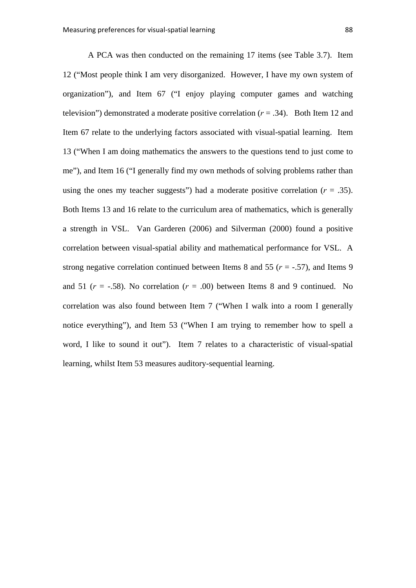A PCA was then conducted on the remaining 17 items (see Table 3.7). Item 12 ("Most people think I am very disorganized. However, I have my own system of organization"), and Item 67 ("I enjoy playing computer games and watching television") demonstrated a moderate positive correlation  $(r = .34)$ . Both Item 12 and Item 67 relate to the underlying factors associated with visual-spatial learning. Item 13 ("When I am doing mathematics the answers to the questions tend to just come to me"), and Item 16 ("I generally find my own methods of solving problems rather than using the ones my teacher suggests") had a moderate positive correlation  $(r = .35)$ . Both Items 13 and 16 relate to the curriculum area of mathematics, which is generally a strength in VSL. Van Garderen (2006) and Silverman (2000) found a positive correlation between visual-spatial ability and mathematical performance for VSL. A strong negative correlation continued between Items 8 and 55 ( $r = -0.57$ ), and Items 9 and 51 ( $r = -.58$ ). No correlation ( $r = .00$ ) between Items 8 and 9 continued. No correlation was also found between Item 7 ("When I walk into a room I generally notice everything"), and Item 53 ("When I am trying to remember how to spell a word, I like to sound it out"). Item 7 relates to a characteristic of visual-spatial learning, whilst Item 53 measures auditory-sequential learning.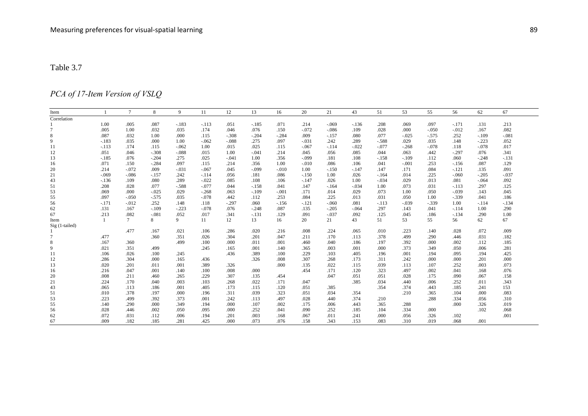## *PCA of 17-Item Version of VSLQ*

| Item           |              | $\tau$  | 8       | 9       | 11      | 12      | 13      | 16      | 20      | 21      | 43      | 51      | 53      | 55      | 56       | 62      | 67      |
|----------------|--------------|---------|---------|---------|---------|---------|---------|---------|---------|---------|---------|---------|---------|---------|----------|---------|---------|
| Correlation    |              |         |         |         |         |         |         |         |         |         |         |         |         |         |          |         |         |
|                | 1.00         | .005    | .087    | $-.183$ | $-.113$ | .051    | $-.185$ | .071    | .214    | $-.069$ | $-.136$ | .208    | .069    | .097    | $-.171$  | .131    | .213    |
|                | .005         | 1.00    | .032    | .035    | .174    | .046    | .076    | .150    | $-.072$ | $-.086$ | .109    | .028    | .000    | $-.050$ | $-012$   | .167    | .082    |
| 8              | .087         | .032    | 1.00    | .000    | .115    | $-.308$ | $-.204$ | $-.284$ | .009    | $-157$  | .080    | .077    | $-.025$ | $-.575$ | .252     | $-.109$ | $-.081$ |
| 9              | $-183$       | .035    | .000    | 1.00    | $-.062$ | $-.088$ | .275    | .097    | $-.031$ | .242    | .289    | $-.588$ | .029    | .035    | .148     | $-.223$ | .052    |
| 11             | $-.113$      | .174    | .115    | $-.062$ | 1.00    | .015    | .025    | .115    | $-.067$ | $-114$  | $-.022$ | $-.077$ | $-.268$ | $-.078$ | .118     | $-.078$ | .017    |
| 12             | .051         | .046    | $-.308$ | $-.088$ | .015    | 1.00    | $-.041$ | .214    | .045    | .056    | .085    | .044    | .063    | .442    | $-0.297$ | .076    | .341    |
| 13             | $-.185$      | .076    | $-.204$ | .275    | .025    | $-.041$ | 1.00    | .356    | $-.099$ | .181    | .108    | $-.158$ | $-.109$ | .112    | .060     | $-.248$ | $-.131$ |
| 16             | .071         | .150    | $-.284$ | .097    | .115    | .214    | .356    | 1.00    | $-.010$ | .086    | .106    | .041    | $-.001$ | .253    | $-156$   | .087    | .129    |
| 20             | .214         | $-.072$ | .009    | $-.031$ | $-.067$ | .045    | $-.099$ | $-.010$ | 1.00    | $-.150$ | $-.147$ | .147    | .171    | .084    | $-.121$  | .135    | .091    |
| 21             | $-.069$      | $-.086$ | $-.157$ | .242    | $-.114$ | .056    | .181    | .086    | $-.150$ | 1.00    | .026    | $-164$  | .014    | .225    | $-.060$  | $-.205$ | $-.037$ |
| 43             | $-136$       | .109    | .080    | .289    | $-.022$ | .085    | .108    | .106    | $-.147$ | .026    | 1.00    | $-.034$ | .029    | .013    | .081     | $-.064$ | .092    |
| 51             | .208         | .028    | .077    | $-.588$ | $-.077$ | .044    | $-.158$ | .041    | .147    | $-164$  | $-.034$ | 1.00    | .073    | .031    | $-.113$  | .297    | .125    |
| 53             | .069         | .000    | $-.025$ | .029    | $-.268$ | .063    | $-.109$ | $-.001$ | .171    | .014    | .029    | .073    | 1.00    | .050    | $-.039$  | .143    | .045    |
| 55             | .097         | $-.050$ | $-575$  | .035    | $-.078$ | .442    | .112    | .253    | .084    | .225    | .013    | .031    | .050    | 1.00    | $-339$   | .041    | .186    |
| 56             | $-.171$      | $-.012$ | .252    | .148    | .118    | $-.297$ | .060    | $-.156$ | $-.121$ | $-.060$ | .081    | $-.113$ | $-.039$ | $-.339$ | 1.00     | $-.114$ | $-.134$ |
| 62             | .131         | .167    | $-.109$ | $-.223$ | $-.078$ | .076    | $-.248$ | .087    | .135    | $-.205$ | $-.064$ | .297    | .143    | .041    | $-114$   | 1.00    | .290    |
| 67             | .213         | .082    | $-.081$ | .052    | .017    | .341    | $-.131$ | .129    | .091    | $-.037$ | .092    | .125    | .045    | .186    | $-134$   | .290    | 1.00    |
| Item           | $\mathbf{1}$ | $\tau$  | 8       | 9       | 11      | 12      | 13      | 16      | 20      | 21      | 43      | 51      | 53      | 55      | 56       | 62      | 67      |
| Sig (1-tailed) |              |         |         |         |         |         |         |         |         |         |         |         |         |         |          |         |         |
|                |              | .477    | .167    | .021    | .106    | .286    | .020    | .216    | .008    | .224    | .065    | .010    | .223    | .140    | .028     | .072    | .009    |
|                | .477         |         | .360    | .351    | .026    | .304    | .201    | .047    | .211    | .170    | .113    | .378    | .499    | .290    | .446     | .031    | .182    |
| 8              | .167         | .360    |         | .499    | .100    | .000    | .011    | .001    | .460    | .040    | .186    | .197    | .392    | .000    | .002     | .112    | .185    |
| 9              | .021         | .351    | .499    |         | .245    | .165    | .001    | .140    | .365    | .003    | .001    | .000    | .373    | .349    | .050     | .006    | .281    |
| 11             | .106         | .026    | .100    | .245    |         | .436    | .389    | .100    | .229    | .103    | .405    | .196    | .001    | .194    | .095     | .194    | .425    |
| 12             | .286         | .304    | .000    | .165    | .436    |         | .326    | .008    | .307    | .268    | .173    | .311    | .242    | .000    | .000     | .201    | .000    |
| 13             | .020         | .201    | .011    | .001    | .389    | .326    |         | .000    | .135    | .022    | .115    | .039    | .113    | .107    | .252     | .003    | .073    |
| 16             | .216         | .047    | .001    | .140    | .100    | .008    | .000    |         | .454    | .171    | .120    | .323    | .497    | .002    | .041     | .168    | .076    |
| 20             | .008         | .211    | .460    | .265    | .229    | .307    | .135    | .454    |         | .047    | .051    | .051    | .028    | .175    | .090     | .067    | .158    |
| 21             | .224         | .170    | .040    | .003    | .103    | .268    | .022    | .171    | .047    |         | .385    | .034    | .440    | .006    | .252     | .011    | .343    |
| 43             | .065         | .113    | .186    | .001    | .405    | .173    | .115    | .120    | .051    | .385    |         | .354    | .374    | .443    | .185     | .241    | 153     |
| 51             | .010         | .378    | .197    | .000    | .196    | .311    | .039    | .323    | .051    | .034    | .354    |         | .210    | .365    | .104     | .000    | .083    |
| 53             | .223         | .499    | .392    | .373    | .001    | .242    | .113    | .497    | .028    | .440    | .374    | .210    |         | .288    | .334     | .056    | .310    |
| 55             | .140         | .290    | .000    | .349    | .194    | .000    | .107    | .002    | .175    | .006    | .443    | .365    | .288    |         | .000     | .326    | .019    |
| 56             | .028         | .446    | .002    | .050    | .095    | .000    | .252    | .041    | .090    | .252    | .185    | .104    | .334    | .000    |          | .102    | .068    |
| 62             | .072         | .031    | .112    | .006    | .194    | .201    | .003    | .168    | .067    | .011    | .241    | .000    | .056    | .326    | .102     |         | .001    |
| 67             | .009         | .182    | .185    | .281    | .425    | .000    | .073    | .076    | .158    | .343    | .153    | .083    | .310    | .019    | .068     | .001    |         |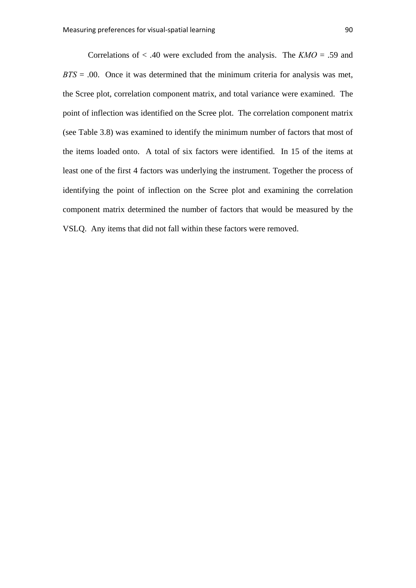Correlations of < .40 were excluded from the analysis. The *KMO* = .59 and *BTS* = .00. Once it was determined that the minimum criteria for analysis was met, the Scree plot, correlation component matrix, and total variance were examined. The point of inflection was identified on the Scree plot. The correlation component matrix (see Table 3.8) was examined to identify the minimum number of factors that most of the items loaded onto. A total of six factors were identified. In 15 of the items at least one of the first 4 factors was underlying the instrument. Together the process of identifying the point of inflection on the Scree plot and examining the correlation component matrix determined the number of factors that would be measured by the VSLQ. Any items that did not fall within these factors were removed.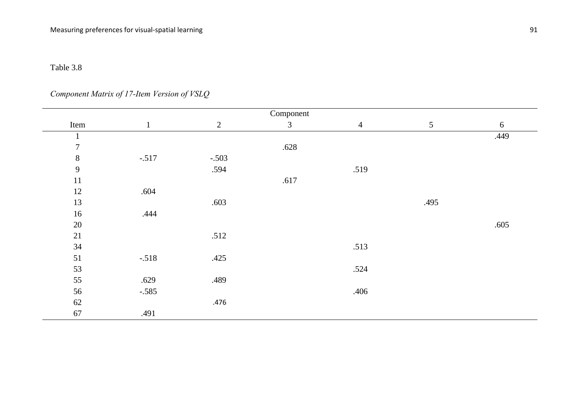*Component Matrix of 17-Item Version of VSLQ*

|                | Component    |                |                |                |      |      |  |  |  |  |  |  |  |  |
|----------------|--------------|----------------|----------------|----------------|------|------|--|--|--|--|--|--|--|--|
| Item           | $\mathbf{1}$ | $\overline{2}$ | $\mathfrak{Z}$ | $\overline{4}$ | 5    | 6    |  |  |  |  |  |  |  |  |
| $\mathbf{1}$   |              |                |                |                |      | .449 |  |  |  |  |  |  |  |  |
| $\overline{7}$ |              |                | .628           |                |      |      |  |  |  |  |  |  |  |  |
| $8\,$          | $-.517$      | $-.503$        |                |                |      |      |  |  |  |  |  |  |  |  |
| $\mathbf{9}$   |              | .594           |                | .519           |      |      |  |  |  |  |  |  |  |  |
| 11             |              |                | .617           |                |      |      |  |  |  |  |  |  |  |  |
| 12             | .604         |                |                |                |      |      |  |  |  |  |  |  |  |  |
| 13             |              | .603           |                |                | .495 |      |  |  |  |  |  |  |  |  |
| 16             | .444         |                |                |                |      |      |  |  |  |  |  |  |  |  |
| $20\,$         |              |                |                |                |      | .605 |  |  |  |  |  |  |  |  |
| 21             |              | .512           |                |                |      |      |  |  |  |  |  |  |  |  |
| 34             |              |                |                | .513           |      |      |  |  |  |  |  |  |  |  |
| 51             | $-.518$      | .425           |                |                |      |      |  |  |  |  |  |  |  |  |
| 53             |              |                |                | .524           |      |      |  |  |  |  |  |  |  |  |
| 55             | .629         | .489           |                |                |      |      |  |  |  |  |  |  |  |  |
| 56             | $-.585$      |                |                | .406           |      |      |  |  |  |  |  |  |  |  |
| $62\,$         |              | .476           |                |                |      |      |  |  |  |  |  |  |  |  |
| 67             | .491         |                |                |                |      |      |  |  |  |  |  |  |  |  |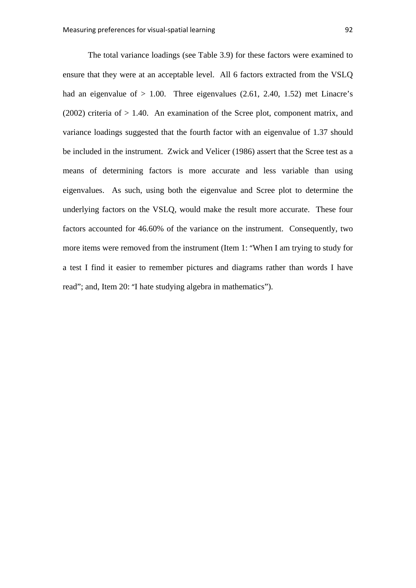The total variance loadings (see Table 3.9) for these factors were examined to ensure that they were at an acceptable level. All 6 factors extracted from the VSLQ had an eigenvalue of  $> 1.00$ . Three eigenvalues (2.61, 2.40, 1.52) met Linacre's (2002) criteria of  $> 1.40$ . An examination of the Scree plot, component matrix, and variance loadings suggested that the fourth factor with an eigenvalue of 1.37 should be included in the instrument. Zwick and Velicer (1986) assert that the Scree test as a means of determining factors is more accurate and less variable than using eigenvalues. As such, using both the eigenvalue and Scree plot to determine the underlying factors on the VSLQ, would make the result more accurate. These four factors accounted for 46.60% of the variance on the instrument. Consequently, two more items were removed from the instrument (Item 1: "When I am trying to study for a test I find it easier to remember pictures and diagrams rather than words I have read"; and, Item 20: "I hate studying algebra in mathematics").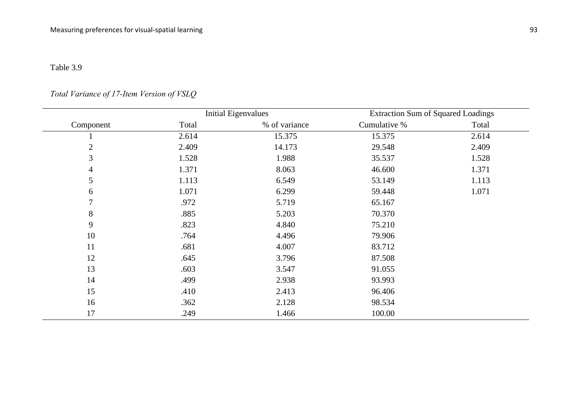## *Total Variance of 17-Item Version of VSLQ*

|                |       | <b>Initial Eigenvalues</b> | <b>Extraction Sum of Squared Loadings</b> |       |
|----------------|-------|----------------------------|-------------------------------------------|-------|
| Component      | Total | % of variance              | Cumulative %                              | Total |
|                | 2.614 | 15.375                     | 15.375                                    | 2.614 |
| $\overline{2}$ | 2.409 | 14.173                     | 29.548                                    | 2.409 |
| 3              | 1.528 | 1.988                      | 35.537                                    | 1.528 |
| 4              | 1.371 | 8.063                      | 46.600                                    | 1.371 |
| 5              | 1.113 | 6.549                      | 53.149                                    | 1.113 |
| 6              | 1.071 | 6.299                      | 59.448                                    | 1.071 |
| $\tau$         | .972  | 5.719                      | 65.167                                    |       |
| 8              | .885  | 5.203                      | 70.370                                    |       |
| 9              | .823  | 4.840                      | 75.210                                    |       |
| 10             | .764  | 4.496                      | 79.906                                    |       |
| 11             | .681  | 4.007                      | 83.712                                    |       |
| 12             | .645  | 3.796                      | 87.508                                    |       |
| 13             | .603  | 3.547                      | 91.055                                    |       |
| 14             | .499  | 2.938                      | 93.993                                    |       |
| 15             | .410  | 2.413                      | 96.406                                    |       |
| 16             | .362  | 2.128                      | 98.534                                    |       |
| 17             | .249  | 1.466                      | 100.00                                    |       |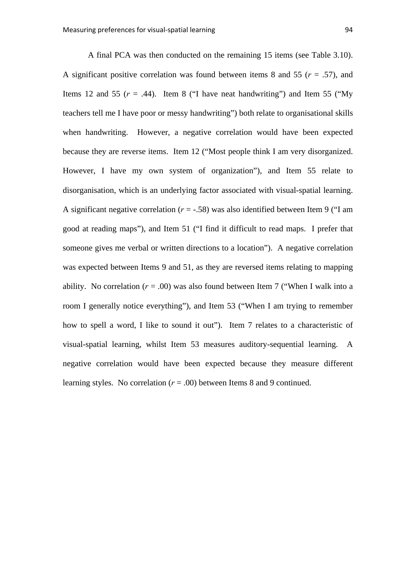A final PCA was then conducted on the remaining 15 items (see Table 3.10). A significant positive correlation was found between items 8 and 55 (*r* = .57), and Items 12 and 55  $(r = .44)$ . Item 8  $("I have neat handwritten")$  and Item 55  $("My$ teachers tell me I have poor or messy handwriting") both relate to organisational skills when handwriting. However, a negative correlation would have been expected because they are reverse items. Item 12 ("Most people think I am very disorganized. However, I have my own system of organization"), and Item 55 relate to disorganisation, which is an underlying factor associated with visual-spatial learning. A significant negative correlation  $(r = -.58)$  was also identified between Item 9 ("I am good at reading maps"), and Item 51 ("I find it difficult to read maps. I prefer that someone gives me verbal or written directions to a location"). A negative correlation was expected between Items 9 and 51, as they are reversed items relating to mapping ability. No correlation  $(r = .00)$  was also found between Item 7 ("When I walk into a room I generally notice everything"), and Item 53 ("When I am trying to remember how to spell a word, I like to sound it out"). Item 7 relates to a characteristic of visual-spatial learning, whilst Item 53 measures auditory-sequential learning. A negative correlation would have been expected because they measure different learning styles. No correlation  $(r = .00)$  between Items 8 and 9 continued.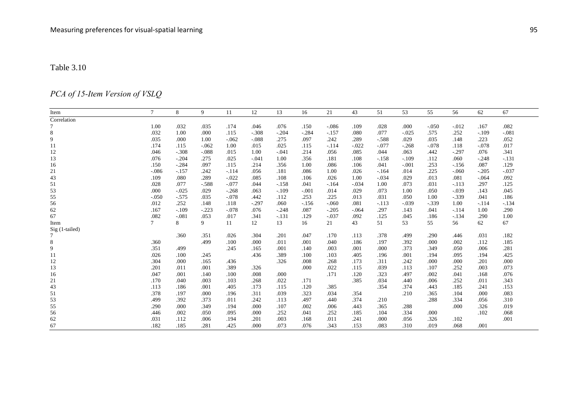# *PCA of 15-Item Version of VSLQ*

| Item           | $\tau$  | 8       | 9       | 11      | 12      | 13      | 16      | 21      | 43       | 51      | 53      | 55       | 56      | 62      | 67      |
|----------------|---------|---------|---------|---------|---------|---------|---------|---------|----------|---------|---------|----------|---------|---------|---------|
| Correlation    |         |         |         |         |         |         |         |         |          |         |         |          |         |         |         |
|                | 1.00    | .032    | .035    | .174    | .046    | .076    | .150    | $-.086$ | .109     | .028    | .000    | $-.050$  | $-.012$ | .167    | .082    |
| 8              | .032    | 1.00    | .000    | .115    | $-.308$ | $-.204$ | $-.284$ | $-.157$ | .080     | .077    | $-.025$ | .575     | .252    | $-.109$ | $-.081$ |
| 9              | .035    | .000    | 1.00    | $-.062$ | $-.088$ | .275    | .097    | .242    | .289     | $-.588$ | .029    | .035     | .148    | .223    | .052    |
| 11             | .174    | .115    | $-.062$ | 1.00    | .015    | .025    | .115    | $-.114$ | $-.022$  | $-.077$ | $-.268$ | $-.078$  | .118    | $-.078$ | .017    |
| 12             | .046    | $-.308$ | $-.088$ | .015    | 1.00    | $-.041$ | .214    | .056    | .085     | .044    | .063    | .442     | $-.297$ | .076    | .341    |
| 13             | .076    | $-.204$ | .275    | .025    | $-.041$ | 1.00    | .356    | .181    | .108     | $-158$  | $-109$  | .112     | .060    | $-.248$ | $-131$  |
| 16             | .150    | $-.284$ | .097    | .115    | .214    | .356    | 1.00    | .086    | .106     | .041    | $-.001$ | .253     | $-156$  | .087    | .129    |
| 21             | $-.086$ | $-.157$ | .242    | $-.114$ | .056    | .181    | .086    | 1.00    | .026     | $-164$  | .014    | .225     | $-.060$ | $-.205$ | $-.037$ |
| 43             | .109    | .080    | .289    | $-.022$ | .085    | .108    | .106    | .026    | 1.00     | $-.034$ | .029    | .013     | .081    | $-.064$ | .092    |
| 51             | .028    | .077    | $-.588$ | $-.077$ | .044    | $-158$  | .041    | $-164$  | $-.034$  | 1.00    | .073    | .031     | $-.113$ | .297    | .125    |
| 53             | .000    | $-.025$ | .029    | $-.268$ | .063    | $-109$  | $-.001$ | .014    | .029     | .073    | 1.00    | .050     | $-.039$ | .143    | .045    |
| 55             | $-.050$ | $-575$  | .035    | $-.078$ | .442    | .112    | .253    | .225    | .013     | .031    | .050    | 1.00     | $-.339$ | .041    | .186    |
| 56             | .012    | .252    | .148    | .118    | $-.297$ | .060    | $-.156$ | $-.060$ | .081     | $-113$  | $-.039$ | $-0.339$ | 1.00    | $-.114$ | $-134$  |
| 62             | .167    | $-.109$ | $-.223$ | $-.078$ | .076    | $-.248$ | .087    | $-.205$ | $-0.064$ | .297    | .143    | .041     | $-.114$ | 1.00    | .290    |
| 67             | .082    | $-.081$ | .053    | .017    | .341    | $-.131$ | .129    | $-.037$ | .092     | .125    | .045    | .186     | $-.134$ | .290    | 1.00    |
| Item           | $\tau$  | 8       | 9       | 11      | 12      | 13      | 16      | 21      | 43       | 51      | 53      | 55       | 56      | 62      | 67      |
| Sig (1-tailed) |         |         |         |         |         |         |         |         |          |         |         |          |         |         |         |
|                |         | .360    | .351    | .026    | .304    | .201    | .047    | .170    | .113     | .378    | .499    | .290     | .446    | .031    | .182    |
| 8              | .360    |         | .499    | .100    | .000    | .011    | .001    | .040    | .186     | .197    | .392    | .000     | .002    | .112    | .185    |
| 9              | .351    | .499    |         | .245    | .165    | .001    | .140    | .003    | .001     | .000    | .373    | .349     | .050    | .006    | .281    |
| 11             | .026    | .100    | .245    |         | .436    | .389    | .100    | .103    | .405     | .196    | .001    | .194     | .095    | .194    | .425    |
| 12             | .304    | .000    | .165    | .436    |         | .326    | .008    | .268    | .173     | .311    | .242    | .000     | .000    | .201    | .000    |
| 13             | .201    | .011    | .001    | .389    | .326    |         | .000    | .022    | .115     | .039    | .113    | .107     | .252    | .003    | .073    |
| 16             | .047    | .001    | .140    | .100    | .008    | .000    |         | .171    | .120     | .323    | .497    | .002     | .041    | .168    | .076    |
| 21             | .170    | .040    | .003    | .103    | .268    | .022    | .171    |         | .385     | .034    | .440    | .006     | .252    | .011    | .343    |
| 43             | .113    | .186    | .001    | .405    | .173    | .115    | .120    | .385    |          | .354    | .374    | .443     | .185    | .241    | .153    |
| 51             | .378    | .197    | .000    | .196    | .311    | .039    | .323    | .034    | .354     |         | .210    | .365     | .104    | .000    | .083    |
| 53             | .499    | .392    | .373    | .011    | .242    | .113    | .497    | .440    | .374     | .210    |         | .288     | .334    | .056    | .310    |
| 55             | .290    | .000    | .349    | .194    | .000    | .107    | .002    | .006    | .443     | .365    | .288    |          | .000    | .326    | .019    |
| 56             | .446    | .002    | .050    | .095    | .000    | .252    | .041    | .252    | .185     | .104    | .334    | .000     |         | .102    | .068    |
| 62             | .031    | .112    | .006    | .194    | .201    | .003    | .168    | .011    | .241     | .000    | .056    | .326     | .102    |         | .001    |
| 67             | .182    | .185    | .281    | .425    | .000    | .073    | .076    | .343    | .153     | .083    | .310    | .019     | .068    | .001    |         |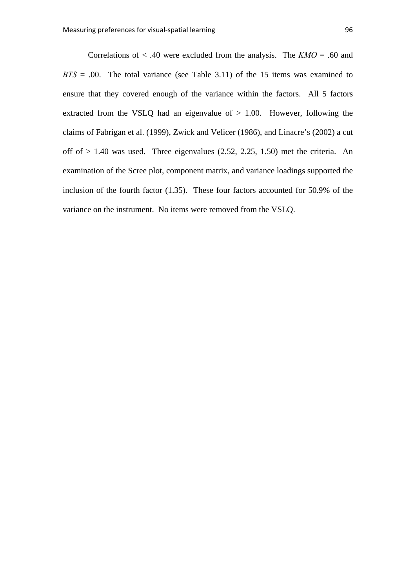Correlations of  $\lt$  .40 were excluded from the analysis. The  $KMO = .60$  and  $BTS = .00$ . The total variance (see Table 3.11) of the 15 items was examined to ensure that they covered enough of the variance within the factors. All 5 factors extracted from the VSLQ had an eigenvalue of  $> 1.00$ . However, following the claims of Fabrigan et al. (1999), Zwick and Velicer (1986), and Linacre's (2002) a cut off of  $> 1.40$  was used. Three eigenvalues (2.52, 2.25, 1.50) met the criteria. An examination of the Scree plot, component matrix, and variance loadings supported the inclusion of the fourth factor (1.35). These four factors accounted for 50.9% of the variance on the instrument. No items were removed from the VSLQ.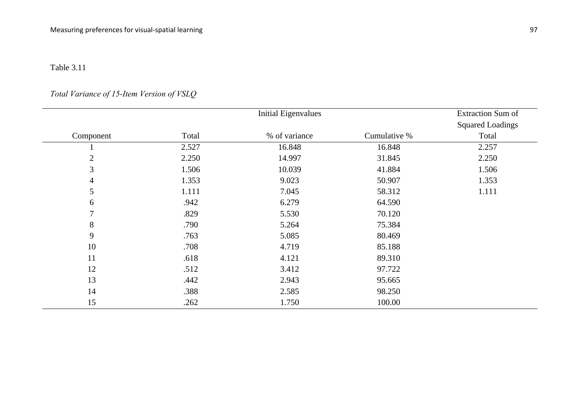*Total Variance of 15-Item Version of VSLQ* 

|                | <b>Initial Eigenvalues</b> |               |              | <b>Extraction Sum of</b> |  |
|----------------|----------------------------|---------------|--------------|--------------------------|--|
|                |                            |               |              | <b>Squared Loadings</b>  |  |
| Component      | Total                      | % of variance | Cumulative % | Total                    |  |
|                | 2.527                      | 16.848        | 16.848       | 2.257                    |  |
| $\overline{2}$ | 2.250                      | 14.997        | 31.845       | 2.250                    |  |
| $\overline{3}$ | 1.506                      | 10.039        | 41.884       | 1.506                    |  |
| 4              | 1.353                      | 9.023         | 50.907       | 1.353                    |  |
| 5              | 1.111                      | 7.045         | 58.312       | 1.111                    |  |
| 6              | .942                       | 6.279         | 64.590       |                          |  |
| 7              | .829                       | 5.530         | 70.120       |                          |  |
| 8              | .790                       | 5.264         | 75.384       |                          |  |
| 9              | .763                       | 5.085         | 80.469       |                          |  |
| 10             | .708                       | 4.719         | 85.188       |                          |  |
| 11             | .618                       | 4.121         | 89.310       |                          |  |
| 12             | .512                       | 3.412         | 97.722       |                          |  |
| 13             | .442                       | 2.943         | 95.665       |                          |  |
| 14             | .388                       | 2.585         | 98.250       |                          |  |
| 15             | .262                       | 1.750         | 100.00       |                          |  |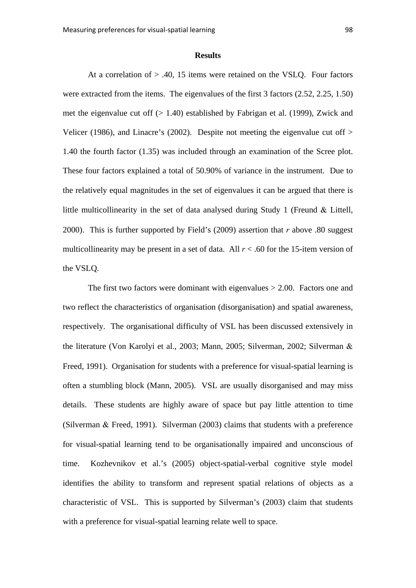### **Results**

At a correlation of  $> 0.40$ , 15 items were retained on the VSLO. Four factors were extracted from the items. The eigenvalues of the first 3 factors (2.52, 2.25, 1.50) met the eigenvalue cut off (> 1.40) established by Fabrigan et al. (1999), Zwick and Velicer (1986), and Linacre's (2002). Despite not meeting the eigenvalue cut off > 1.40 the fourth factor (1.35) was included through an examination of the Scree plot. These four factors explained a total of 50.90% of variance in the instrument. Due to the relatively equal magnitudes in the set of eigenvalues it can be argued that there is little multicollinearity in the set of data analysed during Study 1 (Freund  $\&$  Littell, 2000). This is further supported by Field's (2009) assertion that *r* above .80 suggest multicollinearity may be present in a set of data. All  $r < .60$  for the 15-item version of the VSLQ.

The first two factors were dominant with eigenvalues  $> 2.00$ . Factors one and two reflect the characteristics of organisation (disorganisation) and spatial awareness, respectively. The organisational difficulty of VSL has been discussed extensively in the literature (Von Karolyi et al., 2003; Mann, 2005; Silverman, 2002; Silverman Freed, 1991). Organisation for students with a preference for visual-spatial learning is often a stumbling block (Mann, 2005). VSL are usually disorganised and may miss details. These students are highly aware of space but pay little attention to time (Silverman  $&$  Freed, 1991). Silverman (2003) claims that students with a preference for visual-spatial learning tend to be organisationally impaired and unconscious of time. Kozhevnikov et al.'s (2005) object-spatial-verbal cognitive style model identifies the ability to transform and represent spatial relations of objects as a characteristic of VSL. This is supported by Silverman's (2003) claim that students with a preference for visual-spatial learning relate well to space.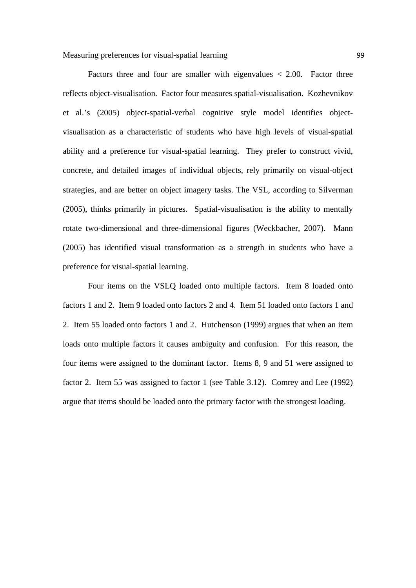Factors three and four are smaller with eigenvalues  $\langle 2.00$ . Factor three reflects object-visualisation. Factor four measures spatial-visualisation. Kozhevnikov et al.'s (2005) object-spatial-verbal cognitive style model identifies objectvisualisation as a characteristic of students who have high levels of visual-spatial ability and a preference for visual-spatial learning. They prefer to construct vivid, concrete, and detailed images of individual objects, rely primarily on visual-object strategies, and are better on object imagery tasks. The VSL, according to Silverman (2005), thinks primarily in pictures. Spatial-visualisation is the ability to mentally rotate two-dimensional and three-dimensional figures (Weckbacher, 2007). Mann (2005) has identified visual transformation as a strength in students who have a preference for visual-spatial learning.

Four items on the VSLQ loaded onto multiple factors. Item 8 loaded onto factors 1 and 2. Item 9 loaded onto factors 2 and 4. Item 51 loaded onto factors 1 and 2. Item 55 loaded onto factors 1 and 2. Hutchenson (1999) argues that when an item loads onto multiple factors it causes ambiguity and confusion. For this reason, the four items were assigned to the dominant factor. Items 8, 9 and 51 were assigned to factor 2. Item 55 was assigned to factor 1 (see Table 3.12). Comrey and Lee (1992) argue that items should be loaded onto the primary factor with the strongest loading.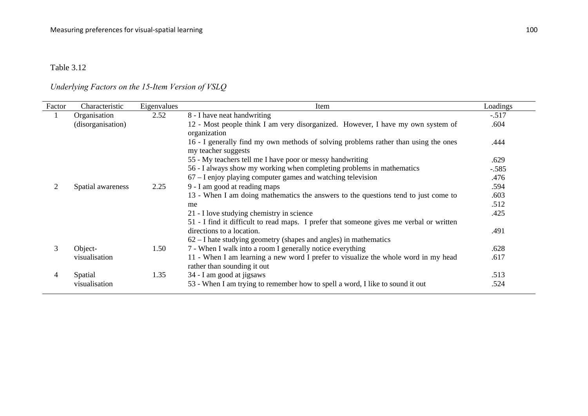# *Underlying Factors on the 15-Item Version of VSLQ*

| Factor         | Characteristic    | Eigenvalues | Item                                                                                                                                                                                       | Loadings |
|----------------|-------------------|-------------|--------------------------------------------------------------------------------------------------------------------------------------------------------------------------------------------|----------|
|                | Organisation      | 2.52        | 8 - I have neat handwriting                                                                                                                                                                | $-.517$  |
|                | (disorganisation) |             | 12 - Most people think I am very disorganized. However, I have my own system of<br>organization                                                                                            | .604     |
|                |                   |             | 16 - I generally find my own methods of solving problems rather than using the ones<br>my teacher suggests                                                                                 | .444     |
|                |                   |             | 55 - My teachers tell me I have poor or messy handwriting                                                                                                                                  | .629     |
|                |                   |             | 56 - I always show my working when completing problems in mathematics                                                                                                                      | $-.585$  |
|                |                   |             | 67 – I enjoy playing computer games and watching television                                                                                                                                | .476     |
| $\overline{2}$ | Spatial awareness | 2.25        | 9 - I am good at reading maps                                                                                                                                                              | .594     |
|                |                   |             | 13 - When I am doing mathematics the answers to the questions tend to just come to                                                                                                         | .603     |
|                |                   |             | me                                                                                                                                                                                         | .512     |
|                |                   |             | 21 - I love studying chemistry in science                                                                                                                                                  | .425     |
|                |                   |             | 51 - I find it difficult to read maps. I prefer that someone gives me verbal or written<br>directions to a location.<br>$62 - I$ hate studying geometry (shapes and angles) in mathematics | .491     |
| 3              | Object-           | 1.50        | 7 - When I walk into a room I generally notice everything                                                                                                                                  | .628     |
|                | visualisation     |             | 11 - When I am learning a new word I prefer to visualize the whole word in my head<br>rather than sounding it out                                                                          | .617     |
| 4              | Spatial           | 1.35        | 34 - I am good at jigsaws                                                                                                                                                                  | .513     |
|                | visualisation     |             | 53 - When I am trying to remember how to spell a word, I like to sound it out                                                                                                              | .524     |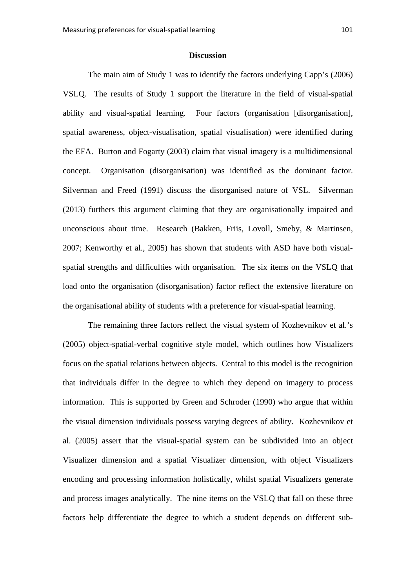### **Discussion**

The main aim of Study 1 was to identify the factors underlying Capp's (2006) VSLQ. The results of Study 1 support the literature in the field of visual-spatial ability and visual-spatial learning. Four factors (organisation [disorganisation], spatial awareness, object-visualisation, spatial visualisation) were identified during the EFA. Burton and Fogarty (2003) claim that visual imagery is a multidimensional concept. Organisation (disorganisation) was identified as the dominant factor. Silverman and Freed (1991) discuss the disorganised nature of VSL. Silverman (2013) furthers this argument claiming that they are organisationally impaired and unconscious about time. Research (Bakken, Friis, Lovoll, Smeby, & Martinsen, 2007; Kenworthy et al., 2005) has shown that students with ASD have both visualspatial strengths and difficulties with organisation. The six items on the VSLQ that load onto the organisation (disorganisation) factor reflect the extensive literature on the organisational ability of students with a preference for visual-spatial learning.

The remaining three factors reflect the visual system of Kozhevnikov et al.'s (2005) object-spatial-verbal cognitive style model, which outlines how Visualizers focus on the spatial relations between objects. Central to this model is the recognition that individuals differ in the degree to which they depend on imagery to process information. This is supported by Green and Schroder (1990) who argue that within the visual dimension individuals possess varying degrees of ability. Kozhevnikov et al. (2005) assert that the visual-spatial system can be subdivided into an object Visualizer dimension and a spatial Visualizer dimension, with object Visualizers encoding and processing information holistically, whilst spatial Visualizers generate and process images analytically. The nine items on the VSLQ that fall on these three factors help differentiate the degree to which a student depends on different sub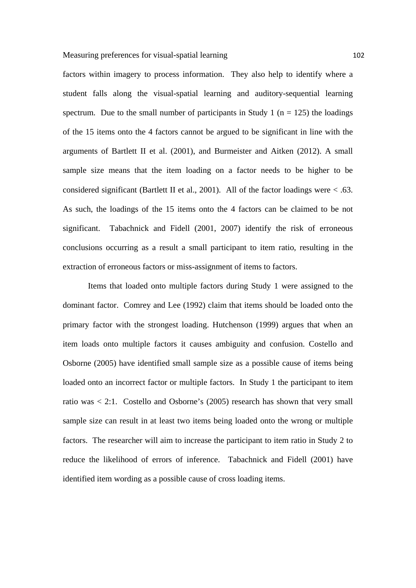factors within imagery to process information. They also help to identify where a student falls along the visual-spatial learning and auditory-sequential learning spectrum. Due to the small number of participants in Study 1 ( $n = 125$ ) the loadings of the 15 items onto the 4 factors cannot be argued to be significant in line with the arguments of Bartlett II et al. (2001), and Burmeister and Aitken (2012). A small sample size means that the item loading on a factor needs to be higher to be considered significant (Bartlett II et al., 2001). All of the factor loadings were  $<$  .63. As such, the loadings of the 15 items onto the 4 factors can be claimed to be not significant. Tabachnick and Fidell (2001, 2007) identify the risk of erroneous conclusions occurring as a result a small participant to item ratio, resulting in the extraction of erroneous factors or miss-assignment of items to factors.

Items that loaded onto multiple factors during Study 1 were assigned to the dominant factor. Comrey and Lee (1992) claim that items should be loaded onto the primary factor with the strongest loading. Hutchenson (1999) argues that when an item loads onto multiple factors it causes ambiguity and confusion. Costello and Osborne (2005) have identified small sample size as a possible cause of items being loaded onto an incorrect factor or multiple factors. In Study 1 the participant to item ratio was < 2:1. Costello and Osborne's (2005) research has shown that very small sample size can result in at least two items being loaded onto the wrong or multiple factors. The researcher will aim to increase the participant to item ratio in Study 2 to reduce the likelihood of errors of inference. Tabachnick and Fidell (2001) have identified item wording as a possible cause of cross loading items.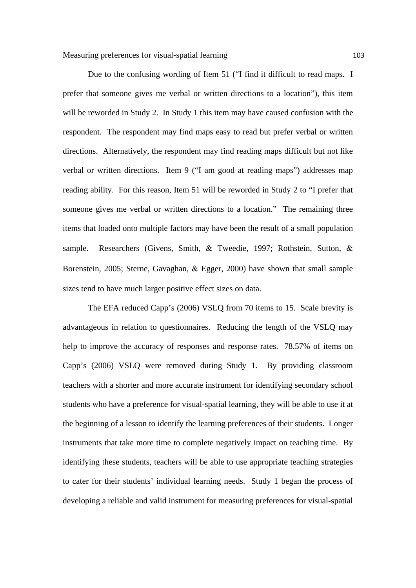Due to the confusing wording of Item 51 ("I find it difficult to read maps. I prefer that someone gives me verbal or written directions to a location"), this item will be reworded in Study 2. In Study 1 this item may have caused confusion with the respondent. The respondent may find maps easy to read but prefer verbal or written directions. Alternatively, the respondent may find reading maps difficult but not like verbal or written directions. Item 9 ("I am good at reading maps") addresses map reading ability. For this reason, Item 51 will be reworded in Study 2 to "I prefer that someone gives me verbal or written directions to a location." The remaining three items that loaded onto multiple factors may have been the result of a small population sample. Researchers (Givens, Smith,  $\&$  Tweedie, 1997; Rothstein, Sutton,  $\&$ Borenstein, 2005; Sterne, Gavaghan, & Egger, 2000) have shown that small sample sizes tend to have much larger positive effect sizes on data.

The EFA reduced Capp's (2006) VSLQ from 70 items to 15. Scale brevity is advantageous in relation to questionnaires. Reducing the length of the VSLQ may help to improve the accuracy of responses and response rates. 78.57% of items on Capp's (2006) VSLQ were removed during Study 1. By providing classroom teachers with a shorter and more accurate instrument for identifying secondary school students who have a preference for visual-spatial learning, they will be able to use it at the beginning of a lesson to identify the learning preferences of their students. Longer instruments that take more time to complete negatively impact on teaching time. By identifying these students, teachers will be able to use appropriate teaching strategies to cater for their students' individual learning needs. Study 1 began the process of developing a reliable and valid instrument for measuring preferences for visual-spatial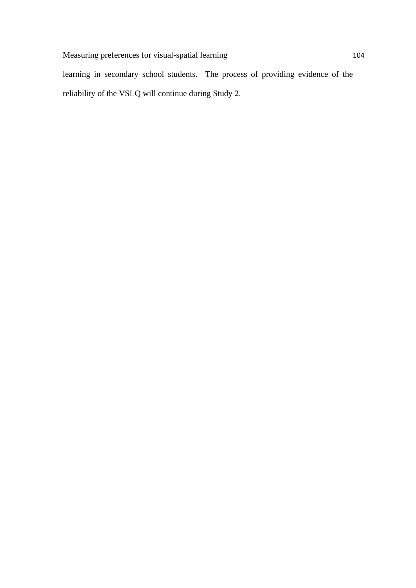learning in secondary school students. The process of providing evidence of the reliability of the VSLQ will continue during Study 2.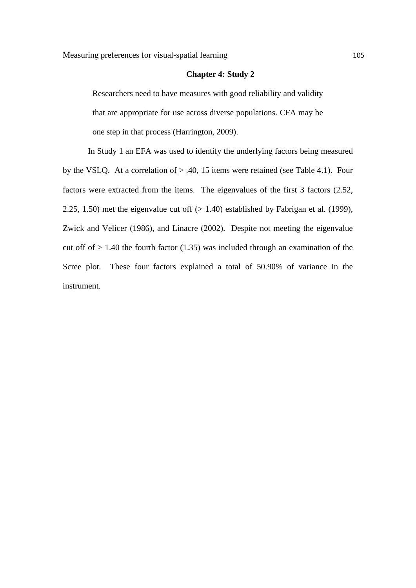### **Chapter 4: Study 2**

Researchers need to have measures with good reliability and validity that are appropriate for use across diverse populations. CFA may be one step in that process (Harrington, 2009).

In Study 1 an EFA was used to identify the underlying factors being measured by the VSLQ. At a correlation of > .40, 15 items were retained (see Table 4.1). Four factors were extracted from the items. The eigenvalues of the first 3 factors (2.52, 2.25, 1.50) met the eigenvalue cut off  $(> 1.40)$  established by Fabrigan et al. (1999), Zwick and Velicer (1986), and Linacre (2002). Despite not meeting the eigenvalue cut off of  $> 1.40$  the fourth factor (1.35) was included through an examination of the Scree plot. These four factors explained a total of 50.90% of variance in the instrument.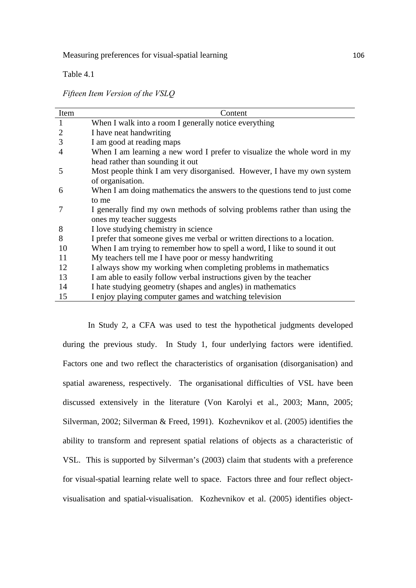Table 4.1

*Fifteen Item Version of the VSLQ*

| Item | Content                                                                    |
|------|----------------------------------------------------------------------------|
| 1    | When I walk into a room I generally notice everything                      |
| 2    | I have neat handwriting                                                    |
| 3    | I am good at reading maps                                                  |
| 4    | When I am learning a new word I prefer to visualize the whole word in my   |
|      | head rather than sounding it out                                           |
| 5    | Most people think I am very disorganised. However, I have my own system    |
|      | of organisation.                                                           |
| 6    | When I am doing mathematics the answers to the questions tend to just come |
|      | to me                                                                      |
|      | I generally find my own methods of solving problems rather than using the  |
|      | ones my teacher suggests                                                   |
| 8    | I love studying chemistry in science                                       |
| 8    | I prefer that someone gives me verbal or written directions to a location. |
| 10   | When I am trying to remember how to spell a word, I like to sound it out   |
| 11   | My teachers tell me I have poor or messy handwriting                       |
| 12   | I always show my working when completing problems in mathematics           |
| 13   | I am able to easily follow verbal instructions given by the teacher        |
| 14   | I hate studying geometry (shapes and angles) in mathematics                |
| 15   | I enjoy playing computer games and watching television                     |

In Study 2, a CFA was used to test the hypothetical judgments developed during the previous study. In Study 1, four underlying factors were identified. Factors one and two reflect the characteristics of organisation (disorganisation) and spatial awareness, respectively. The organisational difficulties of VSL have been discussed extensively in the literature (Von Karolyi et al., 2003; Mann, 2005; Silverman, 2002; Silverman & Freed, 1991). Kozhevnikov et al. (2005) identifies the ability to transform and represent spatial relations of objects as a characteristic of VSL. This is supported by Silverman's (2003) claim that students with a preference for visual-spatial learning relate well to space. Factors three and four reflect objectvisualisation and spatial-visualisation. Kozhevnikov et al. (2005) identifies object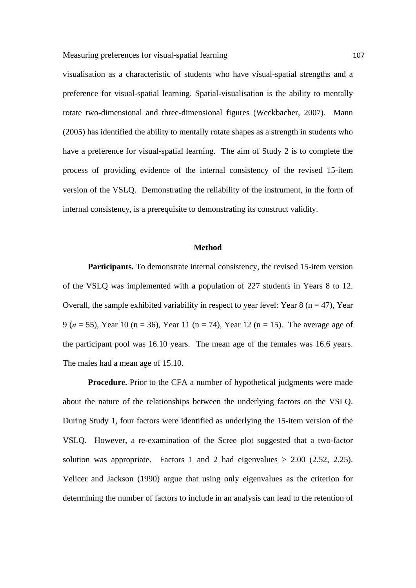visualisation as a characteristic of students who have visual-spatial strengths and a preference for visual-spatial learning. Spatial-visualisation is the ability to mentally rotate two-dimensional and three-dimensional figures (Weckbacher, 2007). Mann (2005) has identified the ability to mentally rotate shapes as a strength in students who have a preference for visual-spatial learning. The aim of Study 2 is to complete the process of providing evidence of the internal consistency of the revised 15-item version of the VSLQ. Demonstrating the reliability of the instrument, in the form of internal consistency, is a prerequisite to demonstrating its construct validity.

### **Method**

Participants. To demonstrate internal consistency, the revised 15-item version of the VSLQ was implemented with a population of 227 students in Years 8 to 12. Overall, the sample exhibited variability in respect to year level: Year  $8$  (n = 47), Year 9 (*n* = 55), Year 10 (n = 36), Year 11 (n = 74), Year 12 (n = 15). The average age of the participant pool was 16.10 years. The mean age of the females was 16.6 years. The males had a mean age of 15.10.

**Procedure.** Prior to the CFA a number of hypothetical judgments were made about the nature of the relationships between the underlying factors on the VSLQ. During Study 1, four factors were identified as underlying the 15-item version of the VSLQ. However, a re-examination of the Scree plot suggested that a two-factor solution was appropriate. Factors 1 and 2 had eigenvalues  $> 2.00$  (2.52, 2.25). Velicer and Jackson (1990) argue that using only eigenvalues as the criterion for determining the number of factors to include in an analysis can lead to the retention of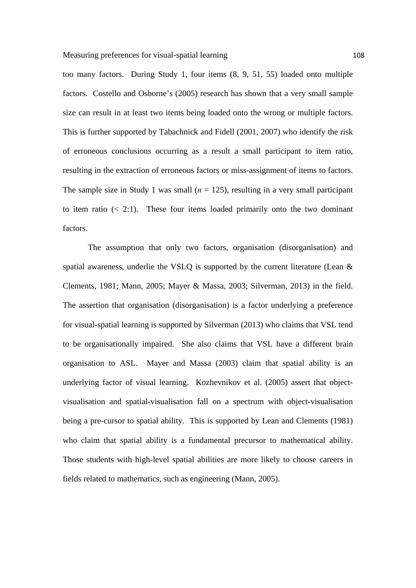Measuring preferences for visual-spatial learning 108

too many factors. During Study 1, four items (8, 9, 51, 55) loaded onto multiple factors. Costello and Osborne's (2005) research has shown that a very small sample size can result in at least two items being loaded onto the wrong or multiple factors. This is further supported by Tabachnick and Fidell (2001, 2007) who identify the risk of erroneous conclusions occurring as a result a small participant to item ratio, resulting in the extraction of erroneous factors or miss-assignment of items to factors. The sample size in Study 1 was small  $(n = 125)$ , resulting in a very small participant to item ratio  $\left($  < 2:1). These four items loaded primarily onto the two dominant factors.

The assumption that only two factors, organisation (disorganisation) and spatial awareness, underlie the VSLQ is supported by the current literature (Lean & Clements, 1981; Mann, 2005; Mayer & Massa, 2003; Silverman, 2013) in the field. The assertion that organisation (disorganisation) is a factor underlying a preference for visual-spatial learning is supported by Silverman (2013) who claims that VSL tend to be organisationally impaired. She also claims that VSL have a different brain organisation to ASL. Mayer and Massa (2003) claim that spatial ability is an underlying factor of visual learning. Kozhevnikov et al. (2005) assert that objectvisualisation and spatial-visualisation fall on a spectrum with object-visualisation being a pre-cursor to spatial ability. This is supported by Lean and Clements (1981) who claim that spatial ability is a fundamental precursor to mathematical ability. Those students with high-level spatial abilities are more likely to choose careers in fields related to mathematics, such as engineering (Mann, 2005).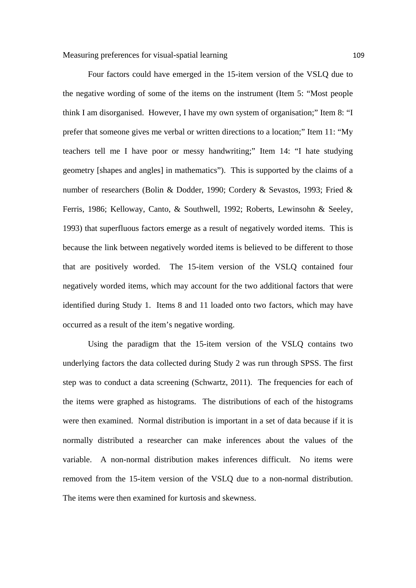Four factors could have emerged in the 15-item version of the VSLQ due to the negative wording of some of the items on the instrument (Item 5: "Most people think I am disorganised. However, I have my own system of organisation;" Item 8: "I prefer that someone gives me verbal or written directions to a location;" Item 11: "My teachers tell me I have poor or messy handwriting;" Item 14: "I hate studying geometry [shapes and angles] in mathematics"). This is supported by the claims of a number of researchers (Bolin & Dodder, 1990; Cordery & Sevastos, 1993; Fried & Ferris, 1986; Kelloway, Canto, & Southwell, 1992; Roberts, Lewinsohn & Seeley, 1993) that superfluous factors emerge as a result of negatively worded items. This is because the link between negatively worded items is believed to be different to those that are positively worded. The 15-item version of the VSLQ contained four negatively worded items, which may account for the two additional factors that were identified during Study 1. Items 8 and 11 loaded onto two factors, which may have occurred as a result of the item's negative wording.

Using the paradigm that the 15-item version of the VSLQ contains two underlying factors the data collected during Study 2 was run through SPSS. The first step was to conduct a data screening (Schwartz, 2011). The frequencies for each of the items were graphed as histograms. The distributions of each of the histograms were then examined. Normal distribution is important in a set of data because if it is normally distributed a researcher can make inferences about the values of the variable. A non-normal distribution makes inferences difficult. No items were removed from the 15-item version of the VSLQ due to a non-normal distribution. The items were then examined for kurtosis and skewness.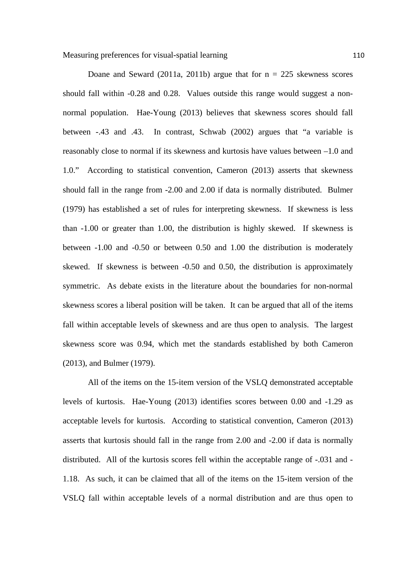Doane and Seward (2011a, 2011b) argue that for  $n = 225$  skewness scores should fall within -0.28 and 0.28. Values outside this range would suggest a nonnormal population. Hae-Young (2013) believes that skewness scores should fall between -.43 and .43. In contrast, Schwab (2002) argues that "a variable is reasonably close to normal if its skewness and kurtosis have values between –1.0 and 1.0." According to statistical convention, Cameron (2013) asserts that skewness should fall in the range from -2.00 and 2.00 if data is normally distributed. Bulmer (1979) has established a set of rules for interpreting skewness. If skewness is less than -1.00 or greater than 1.00, the distribution is highly skewed. If skewness is between -1.00 and -0.50 or between 0.50 and 1.00 the distribution is moderately skewed. If skewness is between -0.50 and 0.50, the distribution is approximately symmetric. As debate exists in the literature about the boundaries for non-normal skewness scores a liberal position will be taken. It can be argued that all of the items fall within acceptable levels of skewness and are thus open to analysis. The largest skewness score was 0.94, which met the standards established by both Cameron (2013), and Bulmer (1979).

All of the items on the 15-item version of the VSLQ demonstrated acceptable levels of kurtosis. Hae-Young (2013) identifies scores between 0.00 and -1.29 as acceptable levels for kurtosis. According to statistical convention, Cameron (2013) asserts that kurtosis should fall in the range from 2.00 and -2.00 if data is normally distributed. All of the kurtosis scores fell within the acceptable range of -.031 and - 1.18. As such, it can be claimed that all of the items on the 15-item version of the VSLQ fall within acceptable levels of a normal distribution and are thus open to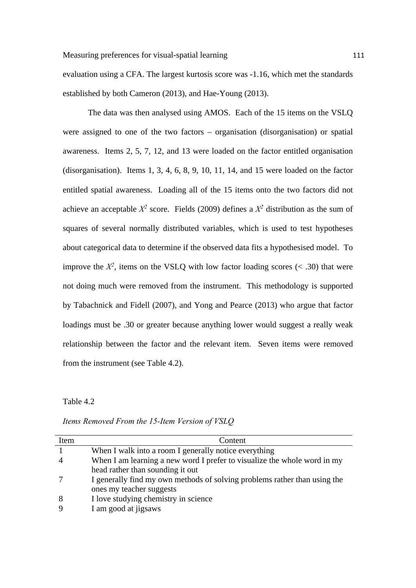evaluation using a CFA. The largest kurtosis score was -1.16, which met the standards established by both Cameron (2013), and Hae-Young (2013).

The data was then analysed using AMOS. Each of the 15 items on the VSLQ were assigned to one of the two factors – organisation (disorganisation) or spatial awareness. Items 2, 5, 7, 12, and 13 were loaded on the factor entitled organisation (disorganisation). Items 1, 3, 4, 6, 8, 9, 10, 11, 14, and 15 were loaded on the factor entitled spatial awareness. Loading all of the 15 items onto the two factors did not achieve an acceptable  $X^2$  score. Fields (2009) defines a  $X^2$  distribution as the sum of squares of several normally distributed variables, which is used to test hypotheses about categorical data to determine if the observed data fits a hypothesised model. To improve the  $X^2$ , items on the VSLO with low factor loading scores ( $\lt$  .30) that were not doing much were removed from the instrument. This methodology is supported by Tabachnick and Fidell (2007), and Yong and Pearce (2013) who argue that factor loadings must be .30 or greater because anything lower would suggest a really weak relationship between the factor and the relevant item. Seven items were removed from the instrument (see Table 4.2).

Table 4.2

| Item | Content                                                                   |
|------|---------------------------------------------------------------------------|
|      | When I walk into a room I generally notice everything                     |
|      | When I am learning a new word I prefer to visualize the whole word in my  |
|      | head rather than sounding it out                                          |
|      | I generally find my own methods of solving problems rather than using the |
|      | ones my teacher suggests                                                  |
|      | I love studying chemistry in science                                      |
|      | I am good at jigsaws                                                      |

*Items Removed From the 15-Item Version of VSLQ*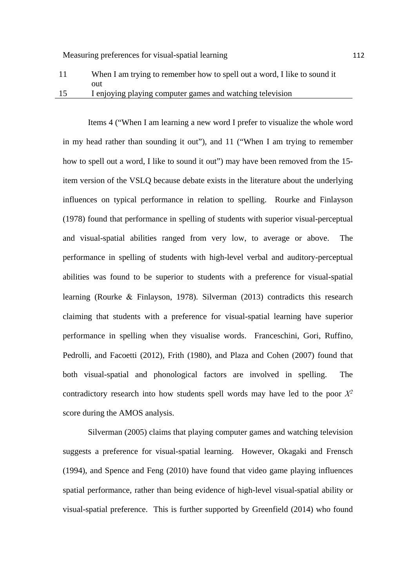## 11 When I am trying to remember how to spell out a word, I like to sound it out 15 I enjoying playing computer games and watching television

Items 4 ("When I am learning a new word I prefer to visualize the whole word in my head rather than sounding it out"), and 11 ("When I am trying to remember how to spell out a word, I like to sound it out") may have been removed from the 15 item version of the VSLQ because debate exists in the literature about the underlying influences on typical performance in relation to spelling. Rourke and Finlayson (1978) found that performance in spelling of students with superior visual-perceptual and visual-spatial abilities ranged from very low, to average or above. The performance in spelling of students with high-level verbal and auditory-perceptual abilities was found to be superior to students with a preference for visual-spatial learning (Rourke & Finlayson, 1978). Silverman (2013) contradicts this research claiming that students with a preference for visual-spatial learning have superior performance in spelling when they visualise words. Franceschini, Gori, Ruffino, Pedrolli, and Facoetti (2012), Frith (1980), and Plaza and Cohen (2007) found that both visual-spatial and phonological factors are involved in spelling. The contradictory research into how students spell words may have led to the poor  $X^2$ score during the AMOS analysis.

Silverman (2005) claims that playing computer games and watching television suggests a preference for visual-spatial learning. However, Okagaki and Frensch (1994), and Spence and Feng (2010) have found that video game playing influences spatial performance, rather than being evidence of high-level visual-spatial ability or visual-spatial preference. This is further supported by Greenfield (2014) who found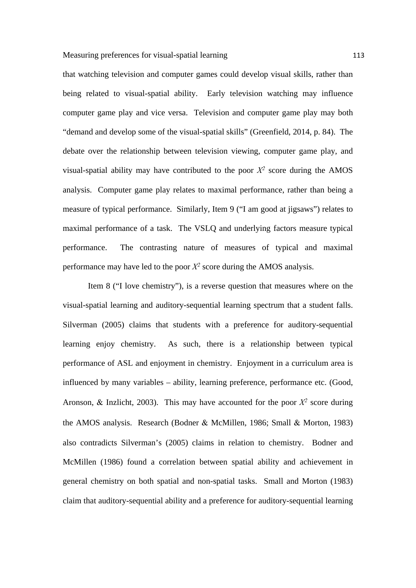that watching television and computer games could develop visual skills, rather than being related to visual-spatial ability. Early television watching may influence computer game play and vice versa. Television and computer game play may both "demand and develop some of the visual-spatial skills" (Greenfield, 2014, p. 84). The debate over the relationship between television viewing, computer game play, and visual-spatial ability may have contributed to the poor  $X^2$  score during the AMOS analysis. Computer game play relates to maximal performance, rather than being a measure of typical performance. Similarly, Item 9 ("I am good at jigsaws") relates to maximal performance of a task. The VSLQ and underlying factors measure typical performance. The contrasting nature of measures of typical and maximal performance may have led to the poor  $X^2$  score during the AMOS analysis.

Item 8 ("I love chemistry"), is a reverse question that measures where on the visual-spatial learning and auditory-sequential learning spectrum that a student falls. Silverman (2005) claims that students with a preference for auditory-sequential learning enjoy chemistry. As such, there is a relationship between typical performance of ASL and enjoyment in chemistry. Enjoyment in a curriculum area is influenced by many variables – ability, learning preference, performance etc. (Good, Aronson,  $\&$  Inzlicht, 2003). This may have accounted for the poor  $X^2$  score during the AMOS analysis. Research (Bodner & McMillen, 1986; Small & Morton, 1983) also contradicts Silverman's (2005) claims in relation to chemistry. Bodner and McMillen (1986) found a correlation between spatial ability and achievement in general chemistry on both spatial and non-spatial tasks. Small and Morton (1983) claim that auditory-sequential ability and a preference for auditory-sequential learning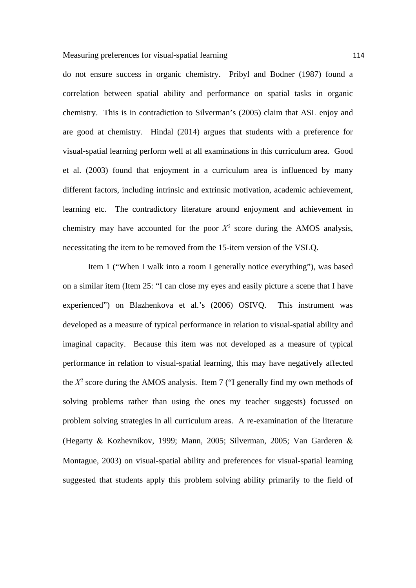do not ensure success in organic chemistry. Pribyl and Bodner (1987) found a correlation between spatial ability and performance on spatial tasks in organic chemistry. This is in contradiction to Silverman's (2005) claim that ASL enjoy and are good at chemistry. Hindal (2014) argues that students with a preference for visual-spatial learning perform well at all examinations in this curriculum area. Good et al. (2003) found that enjoyment in a curriculum area is influenced by many different factors, including intrinsic and extrinsic motivation, academic achievement, learning etc. The contradictory literature around enjoyment and achievement in chemistry may have accounted for the poor  $X^2$  score during the AMOS analysis, necessitating the item to be removed from the 15-item version of the VSLQ.

Item 1 ("When I walk into a room I generally notice everything"), was based on a similar item (Item 25: "I can close my eyes and easily picture a scene that I have experienced") on Blazhenkova et al.'s (2006) OSIVQ. This instrument was developed as a measure of typical performance in relation to visual-spatial ability and imaginal capacity. Because this item was not developed as a measure of typical performance in relation to visual-spatial learning, this may have negatively affected the  $X^2$  score during the AMOS analysis. Item 7 ("I generally find my own methods of solving problems rather than using the ones my teacher suggests) focussed on problem solving strategies in all curriculum areas. A re-examination of the literature (Hegarty & Kozhevnikov, 1999; Mann, 2005; Silverman, 2005; Van Garderen & Montague, 2003) on visual-spatial ability and preferences for visual-spatial learning suggested that students apply this problem solving ability primarily to the field of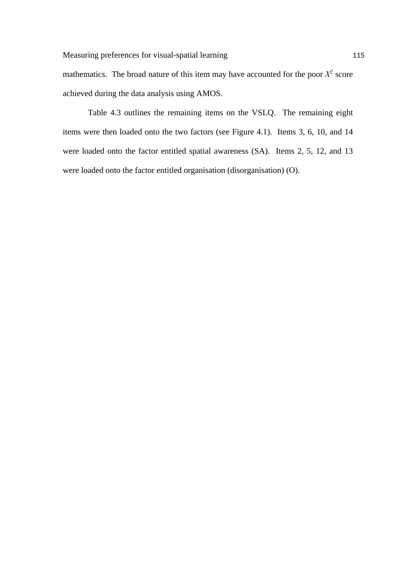mathematics. The broad nature of this item may have accounted for the poor  $X^2$  score achieved during the data analysis using AMOS.

Table 4.3 outlines the remaining items on the VSLQ. The remaining eight items were then loaded onto the two factors (see Figure 4.1). Items 3, 6, 10, and 14 were loaded onto the factor entitled spatial awareness (SA). Items 2, 5, 12, and 13 were loaded onto the factor entitled organisation (disorganisation) (O).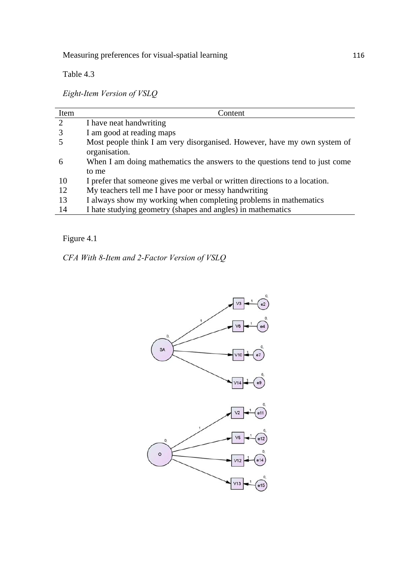Measuring preferences for visual-spatial learning 116

Table 4.3

*Eight-Item Version of VSLQ*

| Item          | Content                                                                                   |
|---------------|-------------------------------------------------------------------------------------------|
| $\mathcal{D}$ | I have neat handwriting                                                                   |
|               | I am good at reading maps                                                                 |
|               | Most people think I am very disorganised. However, have my own system of<br>organisation. |
| h             | When I am doing mathematics the answers to the questions tend to just come                |
|               | to me                                                                                     |
| 10            | I prefer that someone gives me verbal or written directions to a location.                |
| 12            | My teachers tell me I have poor or messy handwriting                                      |
| 13            | I always show my working when completing problems in mathematics                          |
| 14            | I hate studying geometry (shapes and angles) in mathematics                               |

Figure 4.1

*CFA With 8-Item and 2-Factor Version of VSLQ* 

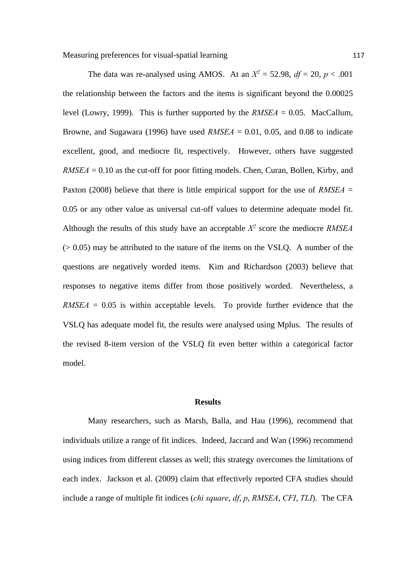The data was re-analysed using AMOS. At an  $X^2 = 52.98$ ,  $df = 20$ ,  $p < .001$ the relationship between the factors and the items is significant beyond the 0.00025 level (Lowry, 1999). This is further supported by the  $RMSEA = 0.05$ . MacCallum, Browne, and Sugawara (1996) have used *RMSEA* = 0.01, 0.05, and 0.08 to indicate excellent, good, and mediocre fit, respectively. However, others have suggested  $RMSEA = 0.10$  as the cut-off for poor fitting models. Chen, Curan, Bollen, Kirby, and Paxton (2008) believe that there is little empirical support for the use of *RMSEA* = 0.05 or any other value as universal cut-off values to determine adequate model fit. Although the results of this study have an acceptable  $X^2$  score the mediocre *RMSEA*  $(0.05)$  may be attributed to the nature of the items on the VSLQ. A number of the questions are negatively worded items. Kim and Richardson (2003) believe that

responses to negative items differ from those positively worded. Nevertheless, a  $RMSEA = 0.05$  is within acceptable levels. To provide further evidence that the VSLQ has adequate model fit, the results were analysed using Mplus. The results of the revised 8-item version of the VSLQ fit even better within a categorical factor model.

## **Results**

Many researchers, such as Marsh, Balla, and Hau (1996), recommend that individuals utilize a range of fit indices. Indeed, Jaccard and Wan (1996) recommend using indices from different classes as well; this strategy overcomes the limitations of each index. Jackson et al. (2009) claim that effectively reported CFA studies should include a range of multiple fit indices (*chi square*, *df*, *p*, *RMSEA*, *CFI*, *TLI*). The CFA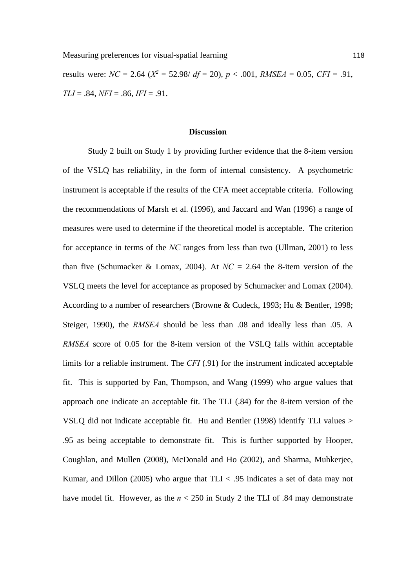results were:  $NC = 2.64$  ( $X^2 = 52.98$ /  $df = 20$ ),  $p < .001$ ,  $RMSEA = 0.05$ ,  $CFI = .91$ , *TLI* = .84, *NFI* = .86, *IFI* = .91.

#### **Discussion**

Study 2 built on Study 1 by providing further evidence that the 8-item version of the VSLQ has reliability, in the form of internal consistency. A psychometric instrument is acceptable if the results of the CFA meet acceptable criteria. Following the recommendations of Marsh et al. (1996), and Jaccard and Wan (1996) a range of measures were used to determine if the theoretical model is acceptable. The criterion for acceptance in terms of the *NC* ranges from less than two (Ullman, 2001) to less than five (Schumacker & Lomax, 2004). At  $NC = 2.64$  the 8-item version of the VSLQ meets the level for acceptance as proposed by Schumacker and Lomax (2004). According to a number of researchers (Browne & Cudeck, 1993; Hu & Bentler, 1998; Steiger, 1990), the *RMSEA* should be less than .08 and ideally less than .05. A *RMSEA* score of 0.05 for the 8-item version of the VSLQ falls within acceptable limits for a reliable instrument. The *CFI* (.91) for the instrument indicated acceptable fit. This is supported by Fan, Thompson, and Wang (1999) who argue values that approach one indicate an acceptable fit. The TLI (.84) for the 8-item version of the VSLQ did not indicate acceptable fit. Hu and Bentler (1998) identify TLI values > .95 as being acceptable to demonstrate fit. This is further supported by Hooper, Coughlan, and Mullen (2008), McDonald and Ho (2002), and Sharma, Muhkerjee, Kumar, and Dillon (2005) who argue that  $TLI < .95$  indicates a set of data may not have model fit. However, as the *n* < 250 in Study 2 the TLI of .84 may demonstrate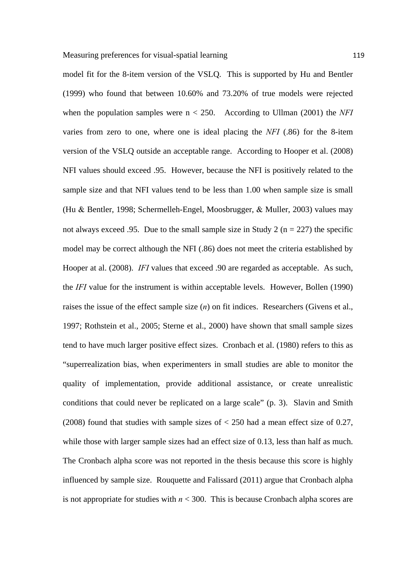model fit for the 8-item version of the VSLQ. This is supported by Hu and Bentler (1999) who found that between 10.60% and 73.20% of true models were rejected when the population samples were  $n < 250$ . According to Ullman (2001) the *NFI* varies from zero to one, where one is ideal placing the *NFI* (.86) for the 8-item version of the VSLQ outside an acceptable range. According to Hooper et al. (2008) NFI values should exceed .95. However, because the NFI is positively related to the sample size and that NFI values tend to be less than 1.00 when sample size is small (Hu & Bentler, 1998; Schermelleh-Engel, Moosbrugger, & Muller, 2003) values may not always exceed .95. Due to the small sample size in Study 2 ( $n = 227$ ) the specific model may be correct although the NFI (.86) does not meet the criteria established by Hooper at al. (2008). *IFI* values that exceed .90 are regarded as acceptable. As such, the *IFI* value for the instrument is within acceptable levels. However, Bollen (1990) raises the issue of the effect sample size (*n*) on fit indices. Researchers (Givens et al., 1997; Rothstein et al., 2005; Sterne et al., 2000) have shown that small sample sizes tend to have much larger positive effect sizes. Cronbach et al. (1980) refers to this as "superrealization bias, when experimenters in small studies are able to monitor the quality of implementation, provide additional assistance, or create unrealistic conditions that could never be replicated on a large scale" (p. 3). Slavin and Smith (2008) found that studies with sample sizes of < 250 had a mean effect size of 0.27, while those with larger sample sizes had an effect size of 0.13, less than half as much. The Cronbach alpha score was not reported in the thesis because this score is highly influenced by sample size. Rouquette and Falissard (2011) argue that Cronbach alpha is not appropriate for studies with  $n < 300$ . This is because Cronbach alpha scores are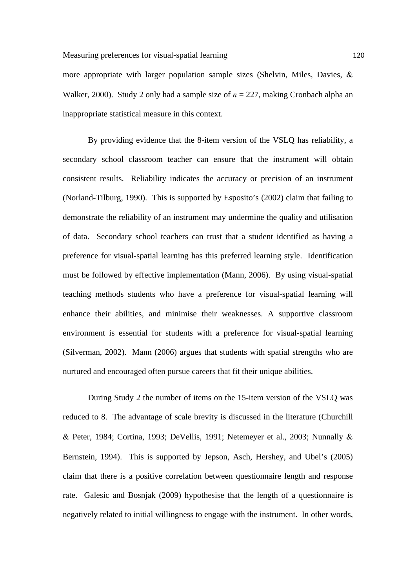more appropriate with larger population sample sizes (Shelvin, Miles, Davies,  $\&$ Walker, 2000). Study 2 only had a sample size of *n* = 227, making Cronbach alpha an inappropriate statistical measure in this context.

By providing evidence that the 8-item version of the VSLQ has reliability, a secondary school classroom teacher can ensure that the instrument will obtain consistent results. Reliability indicates the accuracy or precision of an instrument (Norland-Tilburg, 1990). This is supported by Esposito's (2002) claim that failing to demonstrate the reliability of an instrument may undermine the quality and utilisation of data. Secondary school teachers can trust that a student identified as having a preference for visual-spatial learning has this preferred learning style. Identification must be followed by effective implementation (Mann, 2006). By using visual-spatial teaching methods students who have a preference for visual-spatial learning will enhance their abilities, and minimise their weaknesses. A supportive classroom environment is essential for students with a preference for visual-spatial learning (Silverman, 2002). Mann (2006) argues that students with spatial strengths who are nurtured and encouraged often pursue careers that fit their unique abilities.

During Study 2 the number of items on the 15-item version of the VSLQ was reduced to 8. The advantage of scale brevity is discussed in the literature (Churchill  $\&$  Peter, 1984; Cortina, 1993; DeVellis, 1991; Netemeyer et al., 2003; Nunnally  $\&$ Bernstein, 1994). This is supported by Jepson, Asch, Hershey, and Ubel's (2005) claim that there is a positive correlation between questionnaire length and response rate. Galesic and Bosnjak (2009) hypothesise that the length of a questionnaire is negatively related to initial willingness to engage with the instrument. In other words,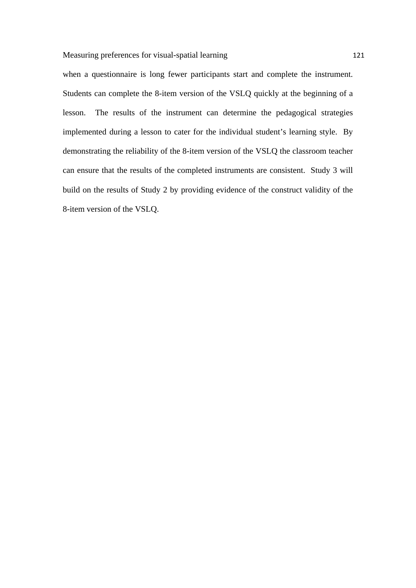when a questionnaire is long fewer participants start and complete the instrument. Students can complete the 8-item version of the VSLQ quickly at the beginning of a lesson. The results of the instrument can determine the pedagogical strategies implemented during a lesson to cater for the individual student's learning style. By demonstrating the reliability of the 8-item version of the VSLQ the classroom teacher can ensure that the results of the completed instruments are consistent. Study 3 will build on the results of Study 2 by providing evidence of the construct validity of the 8-item version of the VSLQ.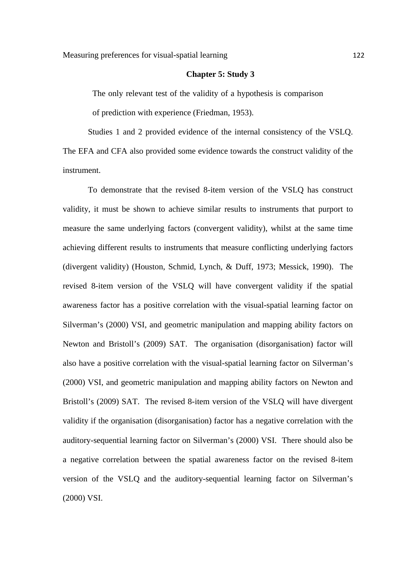#### **Chapter 5: Study 3**

The only relevant test of the validity of a hypothesis is comparison of prediction with experience (Friedman, 1953).

Studies 1 and 2 provided evidence of the internal consistency of the VSLQ. The EFA and CFA also provided some evidence towards the construct validity of the instrument.

To demonstrate that the revised 8-item version of the VSLQ has construct validity, it must be shown to achieve similar results to instruments that purport to measure the same underlying factors (convergent validity), whilst at the same time achieving different results to instruments that measure conflicting underlying factors (divergent validity) (Houston, Schmid, Lynch, & Duff, 1973; Messick, 1990). The revised 8-item version of the VSLQ will have convergent validity if the spatial awareness factor has a positive correlation with the visual-spatial learning factor on Silverman's (2000) VSI, and geometric manipulation and mapping ability factors on Newton and Bristoll's (2009) SAT. The organisation (disorganisation) factor will also have a positive correlation with the visual-spatial learning factor on Silverman's (2000) VSI, and geometric manipulation and mapping ability factors on Newton and Bristoll's (2009) SAT. The revised 8-item version of the VSLQ will have divergent validity if the organisation (disorganisation) factor has a negative correlation with the auditory-sequential learning factor on Silverman's (2000) VSI. There should also be a negative correlation between the spatial awareness factor on the revised 8-item version of the VSLQ and the auditory-sequential learning factor on Silverman's (2000) VSI.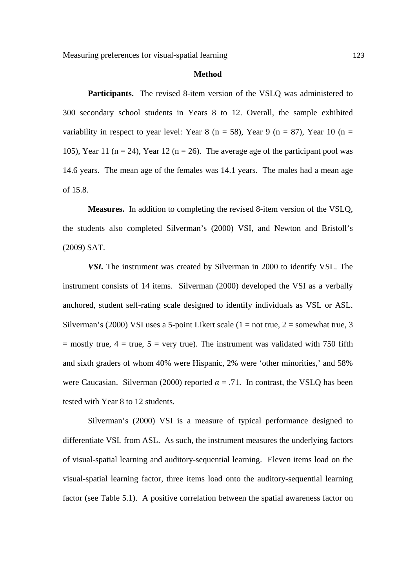Measuring preferences for visual-spatial learning 123

#### **Method**

**Participants.** The revised 8-item version of the VSLQ was administered to 300 secondary school students in Years 8 to 12. Overall, the sample exhibited variability in respect to year level: Year 8 (n = 58), Year 9 (n = 87), Year 10 (n = 105), Year 11 ( $n = 24$ ), Year 12 ( $n = 26$ ). The average age of the participant pool was 14.6 years. The mean age of the females was 14.1 years. The males had a mean age of 15.8.

**Measures.** In addition to completing the revised 8-item version of the VSLQ, the students also completed Silverman's (2000) VSI, and Newton and Bristoll's (2009) SAT.

*VSI.* The instrument was created by Silverman in 2000 to identify VSL. The instrument consists of 14 items. Silverman (2000) developed the VSI as a verbally anchored, student self-rating scale designed to identify individuals as VSL or ASL. Silverman's (2000) VSI uses a 5-point Likert scale ( $1 = not true$ ,  $2 = somewhat true$ ,  $3$ )  $=$  mostly true,  $4 =$  true,  $5 =$  very true). The instrument was validated with 750 fifth and sixth graders of whom 40% were Hispanic, 2% were 'other minorities,' and 58% were Caucasian. Silverman (2000) reported  $\alpha = .71$ . In contrast, the VSLO has been tested with Year 8 to 12 students.

Silverman's (2000) VSI is a measure of typical performance designed to differentiate VSL from ASL. As such, the instrument measures the underlying factors of visual-spatial learning and auditory-sequential learning. Eleven items load on the visual-spatial learning factor, three items load onto the auditory-sequential learning factor (see Table 5.1). A positive correlation between the spatial awareness factor on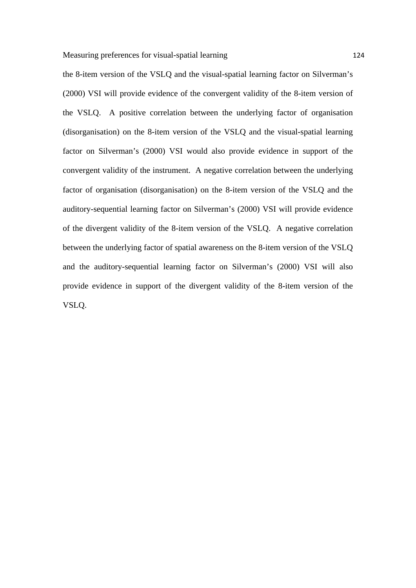the 8-item version of the VSLQ and the visual-spatial learning factor on Silverman's (2000) VSI will provide evidence of the convergent validity of the 8-item version of the VSLQ. A positive correlation between the underlying factor of organisation (disorganisation) on the 8-item version of the VSLQ and the visual-spatial learning factor on Silverman's (2000) VSI would also provide evidence in support of the convergent validity of the instrument. A negative correlation between the underlying factor of organisation (disorganisation) on the 8-item version of the VSLQ and the auditory-sequential learning factor on Silverman's (2000) VSI will provide evidence of the divergent validity of the 8-item version of the VSLQ. A negative correlation between the underlying factor of spatial awareness on the 8-item version of the VSLQ and the auditory-sequential learning factor on Silverman's (2000) VSI will also provide evidence in support of the divergent validity of the 8-item version of the VSLQ.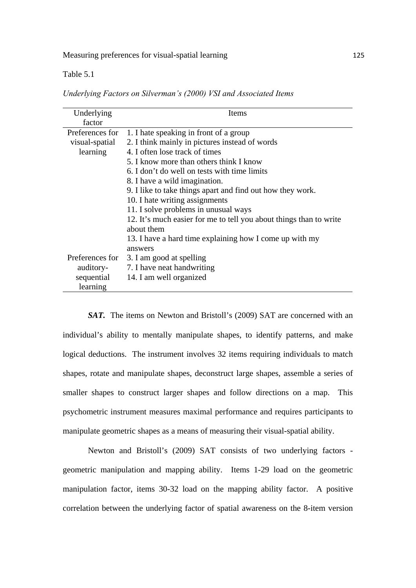Table 5.1

*Underlying Factors on Silverman's (2000) VSI and Associated Items*

| Underlying      | Items                                                              |
|-----------------|--------------------------------------------------------------------|
| factor          |                                                                    |
| Preferences for | 1. I hate speaking in front of a group                             |
| visual-spatial  | 2. I think mainly in pictures instead of words                     |
| learning        | 4. I often lose track of times                                     |
|                 | 5. I know more than others think I know                            |
|                 | 6. I don't do well on tests with time limits                       |
|                 | 8. I have a wild imagination.                                      |
|                 | 9. I like to take things apart and find out how they work.         |
|                 | 10. I hate writing assignments                                     |
|                 | 11. I solve problems in unusual ways                               |
|                 | 12. It's much easier for me to tell you about things than to write |
|                 | about them                                                         |
|                 | 13. I have a hard time explaining how I come up with my            |
|                 | answers                                                            |
| Preferences for | 3. I am good at spelling                                           |
| auditory-       | 7. I have neat handwriting                                         |
| sequential      | 14. I am well organized                                            |
| learning        |                                                                    |

*SAT.* The items on Newton and Bristoll's (2009) SAT are concerned with an individual's ability to mentally manipulate shapes, to identify patterns, and make logical deductions. The instrument involves 32 items requiring individuals to match shapes, rotate and manipulate shapes, deconstruct large shapes, assemble a series of smaller shapes to construct larger shapes and follow directions on a map. This psychometric instrument measures maximal performance and requires participants to manipulate geometric shapes as a means of measuring their visual-spatial ability.

Newton and Bristoll's (2009) SAT consists of two underlying factors geometric manipulation and mapping ability. Items 1-29 load on the geometric manipulation factor, items 30-32 load on the mapping ability factor. A positive correlation between the underlying factor of spatial awareness on the 8-item version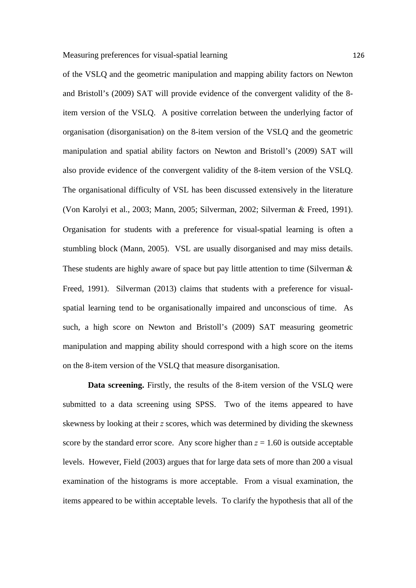of the VSLQ and the geometric manipulation and mapping ability factors on Newton and Bristoll's (2009) SAT will provide evidence of the convergent validity of the 8 item version of the VSLQ. A positive correlation between the underlying factor of organisation (disorganisation) on the 8-item version of the VSLQ and the geometric manipulation and spatial ability factors on Newton and Bristoll's (2009) SAT will also provide evidence of the convergent validity of the 8-item version of the VSLQ. The organisational difficulty of VSL has been discussed extensively in the literature (Von Karolyi et al., 2003; Mann, 2005; Silverman, 2002; Silverman & Freed, 1991). Organisation for students with a preference for visual-spatial learning is often a stumbling block (Mann, 2005). VSL are usually disorganised and may miss details. These students are highly aware of space but pay little attention to time (Silverman  $\&$ Freed, 1991). Silverman (2013) claims that students with a preference for visualspatial learning tend to be organisationally impaired and unconscious of time. As such, a high score on Newton and Bristoll's (2009) SAT measuring geometric manipulation and mapping ability should correspond with a high score on the items on the 8-item version of the VSLQ that measure disorganisation.

**Data screening.** Firstly, the results of the 8-item version of the VSLQ were submitted to a data screening using SPSS. Two of the items appeared to have skewness by looking at their *z* scores, which was determined by dividing the skewness score by the standard error score. Any score higher than  $z = 1.60$  is outside acceptable levels. However, Field (2003) argues that for large data sets of more than 200 a visual examination of the histograms is more acceptable. From a visual examination, the items appeared to be within acceptable levels. To clarify the hypothesis that all of the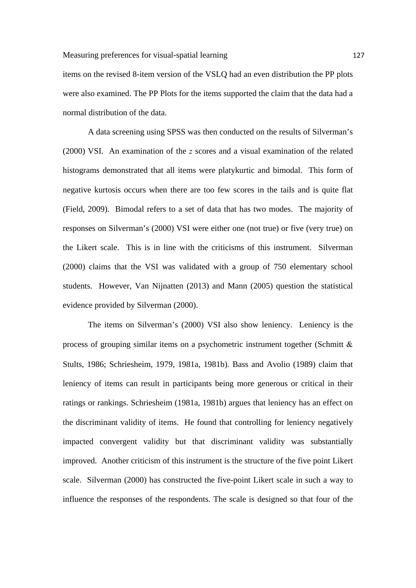items on the revised 8-item version of the VSLQ had an even distribution the PP plots were also examined. The PP Plots for the items supported the claim that the data had a normal distribution of the data.

A data screening using SPSS was then conducted on the results of Silverman's (2000) VSI. An examination of the *z* scores and a visual examination of the related histograms demonstrated that all items were platykurtic and bimodal. This form of negative kurtosis occurs when there are too few scores in the tails and is quite flat (Field, 2009). Bimodal refers to a set of data that has two modes. The majority of responses on Silverman's (2000) VSI were either one (not true) or five (very true) on the Likert scale. This is in line with the criticisms of this instrument. Silverman (2000) claims that the VSI was validated with a group of 750 elementary school students. However, Van Nijnatten (2013) and Mann (2005) question the statistical evidence provided by Silverman (2000).

The items on Silverman's (2000) VSI also show leniency. Leniency is the process of grouping similar items on a psychometric instrument together (Schmitt  $\&$ Stults, 1986; Schriesheim, 1979, 1981a, 1981b). Bass and Avolio (1989) claim that leniency of items can result in participants being more generous or critical in their ratings or rankings. Schriesheim (1981a, 1981b) argues that leniency has an effect on the discriminant validity of items. He found that controlling for leniency negatively impacted convergent validity but that discriminant validity was substantially improved. Another criticism of this instrument is the structure of the five point Likert scale. Silverman (2000) has constructed the five-point Likert scale in such a way to influence the responses of the respondents. The scale is designed so that four of the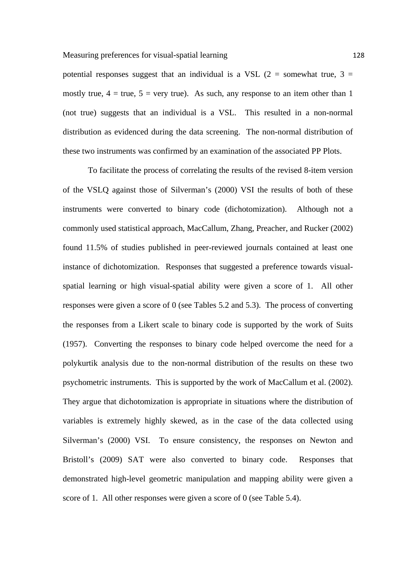potential responses suggest that an individual is a VSL (2 = somewhat true, 3 = mostly true,  $4 = \text{true}, 5 = \text{very true}$ . As such, any response to an item other than 1 (not true) suggests that an individual is a VSL. This resulted in a non-normal distribution as evidenced during the data screening. The non-normal distribution of these two instruments was confirmed by an examination of the associated PP Plots.

To facilitate the process of correlating the results of the revised 8-item version of the VSLQ against those of Silverman's (2000) VSI the results of both of these instruments were converted to binary code (dichotomization). Although not a commonly used statistical approach, MacCallum, Zhang, Preacher, and Rucker (2002) found 11.5% of studies published in peer-reviewed journals contained at least one instance of dichotomization. Responses that suggested a preference towards visualspatial learning or high visual-spatial ability were given a score of 1. All other responses were given a score of 0 (see Tables 5.2 and 5.3). The process of converting the responses from a Likert scale to binary code is supported by the work of Suits (1957). Converting the responses to binary code helped overcome the need for a polykurtik analysis due to the non-normal distribution of the results on these two psychometric instruments. This is supported by the work of MacCallum et al. (2002). They argue that dichotomization is appropriate in situations where the distribution of variables is extremely highly skewed, as in the case of the data collected using Silverman's (2000) VSI. To ensure consistency, the responses on Newton and Bristoll's (2009) SAT were also converted to binary code. Responses that demonstrated high-level geometric manipulation and mapping ability were given a score of 1. All other responses were given a score of 0 (see Table 5.4).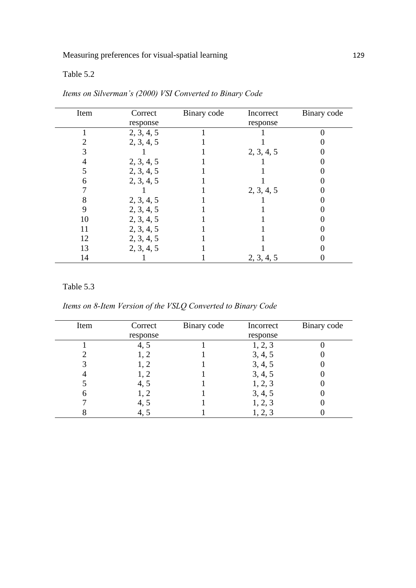Table 5.2

| Item | Correct    | Binary code | Incorrect  | Binary code |
|------|------------|-------------|------------|-------------|
|      | response   |             | response   |             |
|      | 2, 3, 4, 5 |             |            |             |
|      | 2, 3, 4, 5 |             |            |             |
|      |            |             | 2, 3, 4, 5 |             |
|      | 2, 3, 4, 5 |             |            |             |
|      | 2, 3, 4, 5 |             |            |             |
| 6    | 2, 3, 4, 5 |             |            |             |
|      |            |             | 2, 3, 4, 5 |             |
| 8    | 2, 3, 4, 5 |             |            |             |
| 9    | 2, 3, 4, 5 |             |            |             |
| 10   | 2, 3, 4, 5 |             |            |             |
| 11   | 2, 3, 4, 5 |             |            |             |
| 12   | 2, 3, 4, 5 |             |            |             |
| 13   | 2, 3, 4, 5 |             |            |             |
| 14   |            |             | 2, 3, 4, 5 |             |

*Items on Silverman's (2000) VSI Converted to Binary Code*

## Table 5.3

*Items on 8-Item Version of the VSLQ Converted to Binary Code*

| Item | Correct  | Binary code | Incorrect | Binary code |
|------|----------|-------------|-----------|-------------|
|      | response |             | response  |             |
|      | 4, 5     |             | 1, 2, 3   |             |
|      |          |             | 3, 4, 5   |             |
|      | 1, 2     |             | 3, 4, 5   |             |
|      |          |             | 3, 4, 5   |             |
|      | 4, 5     |             | 1, 2, 3   |             |
|      | 1, 2     |             | 3, 4, 5   |             |
|      | 4.5      |             | 1, 2, 3   |             |
|      |          |             | 1, 2, 3   |             |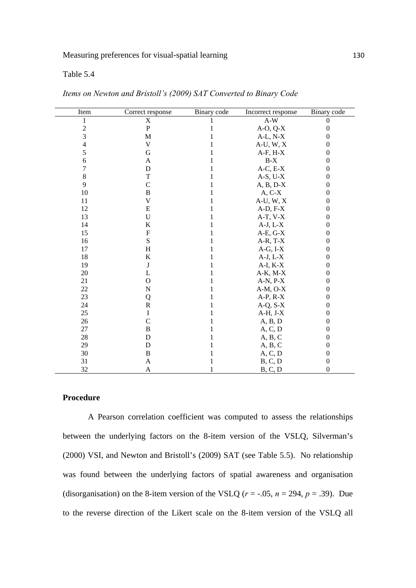## Table 5.4

| Item           | Correct response | Binary code | Incorrect response | Binary code      |
|----------------|------------------|-------------|--------------------|------------------|
| 1              | X                |             | $A-W$              | $\theta$         |
| $\overline{c}$ | ${\bf P}$        |             | $A-O, Q-X$         | $\boldsymbol{0}$ |
| 3              | M                |             | $A-L, N-X$         | 0                |
| $\overline{4}$ | V                |             | $A-U, W, X$        | $\theta$         |
| 5              | G                |             | $A-F, H-X$         | $\theta$         |
| 6              | A                |             | $B-X$              | $\overline{0}$   |
| 7              | D                |             | $A-C, E-X$         | $\overline{0}$   |
| $\,8\,$        | T                |             | $A-S, U-X$         | 0                |
| 9              | $\mathcal{C}$    |             | $A, B, D-X$        | 0                |
| 10             | B                |             | $A, C-X$           | 0                |
| 11             | V                |             | $A-U, W, X$        | $\theta$         |
| 12             | E                |             | $A-D, F-X$         | $\theta$         |
| 13             | $\mathbf U$      |             | $A-T, V-X$         | 0                |
| 14             | K                |             | $A-J, L-X$         | $\overline{0}$   |
| 15             | $\mathbf F$      |             | $A-E, G-X$         | $\theta$         |
| 16             | S                |             | $A-R, T-X$         | $\theta$         |
| 17             | $H_{\rm}$        |             | $A-G, I-X$         | 0                |
| 18             | K                |             | $A-J, L-X$         | $\boldsymbol{0}$ |
| 19             | J                |             | $A-I, K-X$         | 0                |
| 20             | L                |             | $A-K$ , $M-X$      | 0                |
| 21             | O                |             | $A-N, P-X$         | 0                |
| 22             | $\mathbf N$      |             | $A-M$ , $O-X$      | $\theta$         |
| 23             | Q                |             | $A-P, R-X$         | $\theta$         |
| 24             | $\mathbf R$      |             | $A-Q, S-X$         | $\boldsymbol{0}$ |
| 25             | I                |             | $A-H, J-X$         | $\boldsymbol{0}$ |
| 26             | $\overline{C}$   |             | A, B, D            | $\theta$         |
| 27             | $\, {\bf B}$     |             | A, C, D            | 0                |
| 28             | $\mathbf D$      |             | A, B, C            | $\theta$         |
| 29             | $\mathbf D$      |             | A, B, C            | 0                |
| 30             | $\, {\bf B}$     |             | A, C, D            | 0                |
| 31             | A                |             | B, C, D            | $\boldsymbol{0}$ |
| 32             | A                |             | B, C, D            | $\overline{0}$   |

*Items on Newton and Bristoll's (2009) SAT Converted to Binary Code*

## **Procedure**

A Pearson correlation coefficient was computed to assess the relationships between the underlying factors on the 8-item version of the VSLQ, Silverman's (2000) VSI, and Newton and Bristoll's (2009) SAT (see Table 5.5). No relationship was found between the underlying factors of spatial awareness and organisation (disorganisation) on the 8-item version of the VSLQ ( $r = -0.05$ ,  $n = 294$ ,  $p = 0.39$ ). Due to the reverse direction of the Likert scale on the 8-item version of the VSLQ all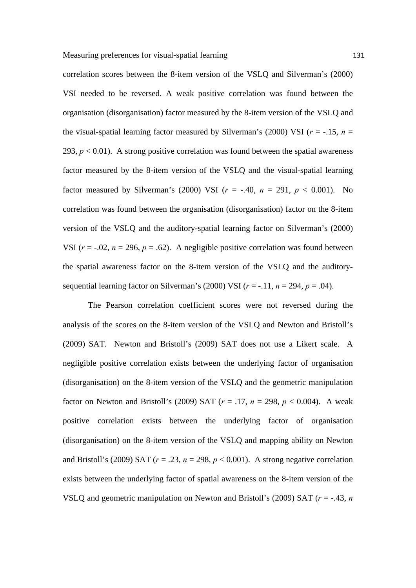correlation scores between the 8-item version of the VSLQ and Silverman's (2000) VSI needed to be reversed. A weak positive correlation was found between the organisation (disorganisation) factor measured by the 8-item version of the VSLQ and the visual-spatial learning factor measured by Silverman's (2000) VSI ( $r = -.15$ ,  $n =$ 293,  $p < 0.01$ ). A strong positive correlation was found between the spatial awareness factor measured by the 8-item version of the VSLQ and the visual-spatial learning factor measured by Silverman's (2000) VSI  $(r = -.40, n = 291, p < 0.001)$ . No correlation was found between the organisation (disorganisation) factor on the 8-item version of the VSLQ and the auditory-spatial learning factor on Silverman's (2000) VSI ( $r = -0.02$ ,  $n = 296$ ,  $p = 0.62$ ). A negligible positive correlation was found between the spatial awareness factor on the 8-item version of the VSLQ and the auditorysequential learning factor on Silverman's (2000) VSI  $(r = -11, n = 294, p = .04)$ .

The Pearson correlation coefficient scores were not reversed during the analysis of the scores on the 8-item version of the VSLQ and Newton and Bristoll's (2009) SAT. Newton and Bristoll's (2009) SAT does not use a Likert scale. A negligible positive correlation exists between the underlying factor of organisation (disorganisation) on the 8-item version of the VSLQ and the geometric manipulation factor on Newton and Bristoll's (2009) SAT ( $r = .17$ ,  $n = 298$ ,  $p < 0.004$ ). A weak positive correlation exists between the underlying factor of organisation (disorganisation) on the 8-item version of the VSLQ and mapping ability on Newton and Bristoll's (2009) SAT ( $r = .23$ ,  $n = 298$ ,  $p < 0.001$ ). A strong negative correlation exists between the underlying factor of spatial awareness on the 8-item version of the VSLQ and geometric manipulation on Newton and Bristoll's (2009) SAT (*r* = -.43, *n*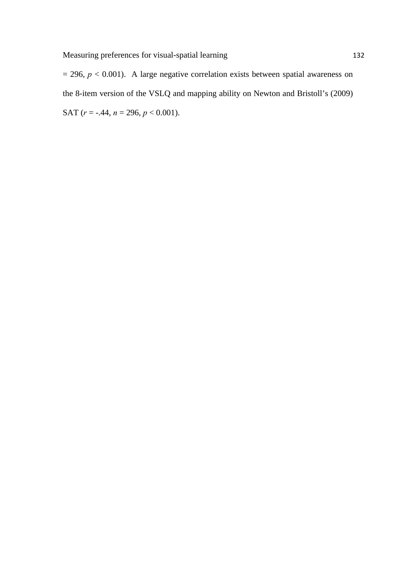$= 296, p < 0.001$ ). A large negative correlation exists between spatial awareness on the 8-item version of the VSLQ and mapping ability on Newton and Bristoll's (2009) SAT ( $r = -.44$ ,  $n = 296$ ,  $p < 0.001$ ).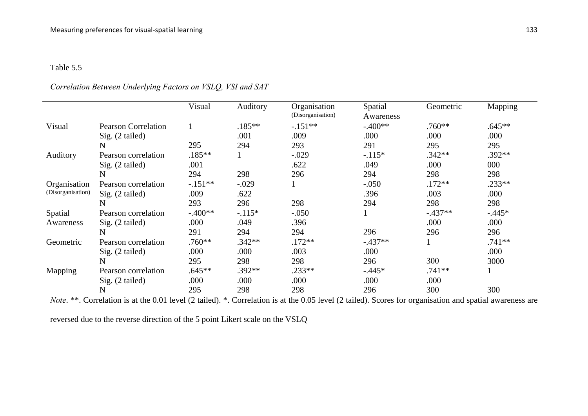#### Table 5.5

## *Correlation Between Underlying Factors on VSLQ, VSI and SAT*

|                   |                            | Visual    | Auditory  | Organisation<br>(Disorganisation) | Spatial<br>Awareness | Geometric | Mapping   |
|-------------------|----------------------------|-----------|-----------|-----------------------------------|----------------------|-----------|-----------|
| Visual            | <b>Pearson Correlation</b> |           | $.185***$ | $-.151**$                         | $-.400**$            | $.760**$  | $.645**$  |
|                   | Sig. (2 tailed)            |           | .001      | .009                              | .000                 | .000      | .000      |
|                   | N                          | 295       | 294       | 293                               | 291                  | 295       | 295       |
| Auditory          | Pearson correlation        | $.185**$  |           | $-.029$                           | $-.115*$             | $.342**$  | $.392**$  |
|                   | $Sig. (2-tailed)$          | .001      |           | .622                              | .049                 | .000      | 000       |
|                   | N                          | 294       | 298       | 296                               | 294                  | 298       | 298       |
| Organisation      | Pearson correlation        | $-.151**$ | $-.029$   |                                   | $-.050$              | $.172**$  | $.233**$  |
| (Disorganisation) | Sig. (2 tailed)            | .009      | .622      |                                   | .396                 | .003      | .000      |
|                   | N                          | 293       | 296       | 298                               | 294                  | 298       | 298       |
| Spatial           | Pearson correlation        | $-.400**$ | $-.115*$  | $-.050$                           |                      | $-.437**$ | $-0.445*$ |
| Awareness         | $Sig. (2-tailed)$          | .000      | .049      | .396                              |                      | .000      | .000      |
|                   | N                          | 291       | 294       | 294                               | 296                  | 296       | 296       |
| Geometric         | Pearson correlation        | $.760**$  | $.342**$  | $.172**$                          | $-.437**$            |           | $.741**$  |
|                   | Sig. (2 tailed)            | .000      | .000      | .003                              | .000                 |           | .000      |
|                   | N                          | 295       | 298       | 298                               | 296                  | 300       | 3000      |
| Mapping           | Pearson correlation        | $.645**$  | $.392**$  | $.233**$                          | $-.445*$             | $.741**$  | $\bf{l}$  |
|                   | Sig. (2 tailed)            | .000      | .000      | .000                              | .000                 | .000      |           |
|                   | N                          | 295       | 298       | 298                               | 296                  | 300       | 300       |

*Note.* \*\*. Correlation is at the 0.01 level (2 tailed). \*. Correlation is at the 0.05 level (2 tailed). Scores for organisation and spatial awareness are

reversed due to the reverse direction of the 5 point Likert scale on the VSLQ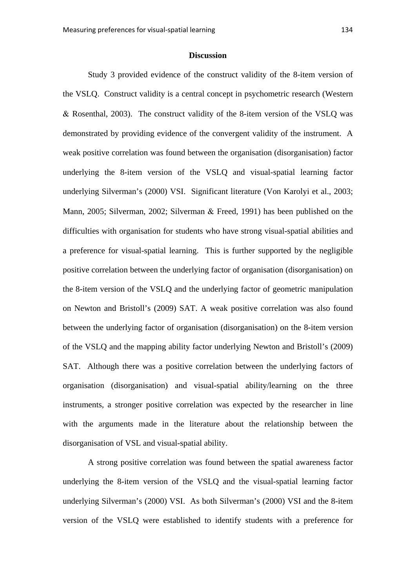#### **Discussion**

Study 3 provided evidence of the construct validity of the 8-item version of the VSLQ. Construct validity is a central concept in psychometric research (Western Rosenthal, 2003). The construct validity of the 8-item version of the VSLQ was demonstrated by providing evidence of the convergent validity of the instrument. A weak positive correlation was found between the organisation (disorganisation) factor underlying the 8-item version of the VSLQ and visual-spatial learning factor underlying Silverman's (2000) VSI. Significant literature (Von Karolyi et al., 2003; Mann, 2005; Silverman, 2002; Silverman  $\&$  Freed, 1991) has been published on the difficulties with organisation for students who have strong visual-spatial abilities and a preference for visual-spatial learning. This is further supported by the negligible positive correlation between the underlying factor of organisation (disorganisation) on the 8-item version of the VSLQ and the underlying factor of geometric manipulation on Newton and Bristoll's (2009) SAT. A weak positive correlation was also found between the underlying factor of organisation (disorganisation) on the 8-item version of the VSLQ and the mapping ability factor underlying Newton and Bristoll's (2009) SAT. Although there was a positive correlation between the underlying factors of organisation (disorganisation) and visual-spatial ability/learning on the three instruments, a stronger positive correlation was expected by the researcher in line with the arguments made in the literature about the relationship between the disorganisation of VSL and visual-spatial ability.

A strong positive correlation was found between the spatial awareness factor underlying the 8-item version of the VSLQ and the visual-spatial learning factor underlying Silverman's (2000) VSI. As both Silverman's (2000) VSI and the 8-item version of the VSLQ were established to identify students with a preference for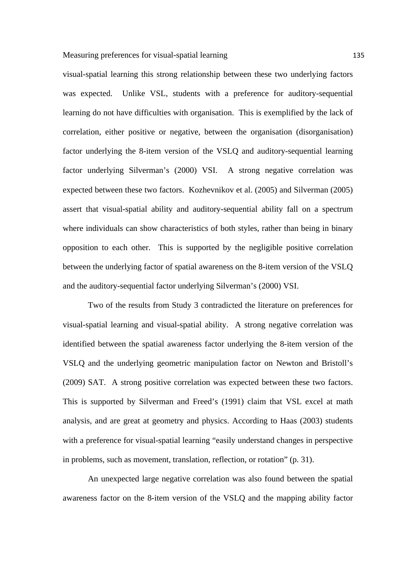visual-spatial learning this strong relationship between these two underlying factors was expected. Unlike VSL, students with a preference for auditory-sequential learning do not have difficulties with organisation. This is exemplified by the lack of correlation, either positive or negative, between the organisation (disorganisation) factor underlying the 8-item version of the VSLQ and auditory-sequential learning factor underlying Silverman's (2000) VSI. A strong negative correlation was expected between these two factors. Kozhevnikov et al. (2005) and Silverman (2005) assert that visual-spatial ability and auditory-sequential ability fall on a spectrum where individuals can show characteristics of both styles, rather than being in binary opposition to each other. This is supported by the negligible positive correlation between the underlying factor of spatial awareness on the 8-item version of the VSLQ and the auditory-sequential factor underlying Silverman's (2000) VSI.

Two of the results from Study 3 contradicted the literature on preferences for visual-spatial learning and visual-spatial ability. A strong negative correlation was identified between the spatial awareness factor underlying the 8-item version of the VSLQ and the underlying geometric manipulation factor on Newton and Bristoll's (2009) SAT. A strong positive correlation was expected between these two factors. This is supported by Silverman and Freed's (1991) claim that VSL excel at math analysis, and are great at geometry and physics. According to Haas (2003) students with a preference for visual-spatial learning "easily understand changes in perspective in problems, such as movement, translation, reflection, or rotation" (p. 31).

An unexpected large negative correlation was also found between the spatial awareness factor on the 8-item version of the VSLQ and the mapping ability factor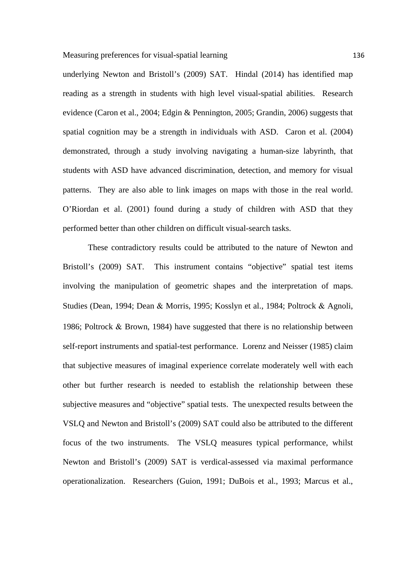Measuring preferences for visual-spatial learning 136

underlying Newton and Bristoll's (2009) SAT. Hindal (2014) has identified map reading as a strength in students with high level visual-spatial abilities. Research evidence (Caron et al., 2004; Edgin & Pennington, 2005; Grandin, 2006) suggests that spatial cognition may be a strength in individuals with ASD. Caron et al. (2004) demonstrated, through a study involving navigating a human-size labyrinth, that students with ASD have advanced discrimination, detection, and memory for visual patterns. They are also able to link images on maps with those in the real world. O'Riordan et al. (2001) found during a study of children with ASD that they performed better than other children on difficult visual-search tasks.

These contradictory results could be attributed to the nature of Newton and Bristoll's (2009) SAT. This instrument contains "objective" spatial test items involving the manipulation of geometric shapes and the interpretation of maps. Studies (Dean, 1994; Dean & Morris, 1995; Kosslyn et al., 1984; Poltrock & Agnoli, 1986; Poltrock  $\&$  Brown, 1984) have suggested that there is no relationship between self-report instruments and spatial-test performance. Lorenz and Neisser (1985) claim that subjective measures of imaginal experience correlate moderately well with each other but further research is needed to establish the relationship between these subjective measures and "objective" spatial tests. The unexpected results between the VSLQ and Newton and Bristoll's (2009) SAT could also be attributed to the different focus of the two instruments. The VSLQ measures typical performance, whilst Newton and Bristoll's (2009) SAT is verdical-assessed via maximal performance operationalization. Researchers (Guion, 1991; DuBois et al., 1993; Marcus et al.,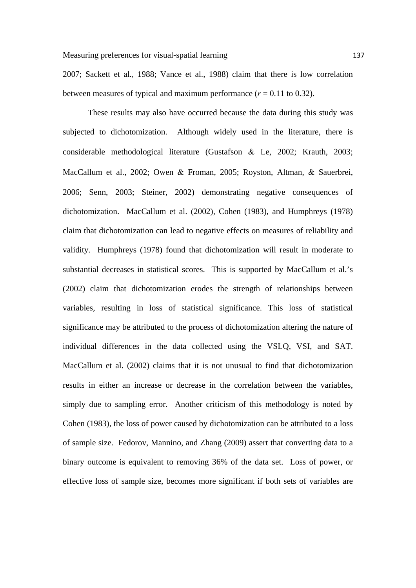2007; Sackett et al., 1988; Vance et al., 1988) claim that there is low correlation between measures of typical and maximum performance  $(r = 0.11$  to 0.32).

These results may also have occurred because the data during this study was subjected to dichotomization. Although widely used in the literature, there is considerable methodological literature (Gustafson & Le, 2002; Krauth, 2003; MacCallum et al., 2002; Owen & Froman, 2005; Royston, Altman, & Sauerbrei, 2006; Senn, 2003; Steiner, 2002) demonstrating negative consequences of dichotomization. MacCallum et al. (2002), Cohen (1983), and Humphreys (1978) claim that dichotomization can lead to negative effects on measures of reliability and validity. Humphreys (1978) found that dichotomization will result in moderate to substantial decreases in statistical scores. This is supported by MacCallum et al.'s (2002) claim that dichotomization erodes the strength of relationships between variables, resulting in loss of statistical significance. This loss of statistical significance may be attributed to the process of dichotomization altering the nature of individual differences in the data collected using the VSLQ, VSI, and SAT. MacCallum et al. (2002) claims that it is not unusual to find that dichotomization results in either an increase or decrease in the correlation between the variables, simply due to sampling error. Another criticism of this methodology is noted by Cohen (1983), the loss of power caused by dichotomization can be attributed to a loss of sample size. Fedorov, Mannino, and Zhang (2009) assert that converting data to a binary outcome is equivalent to removing 36% of the data set. Loss of power, or effective loss of sample size, becomes more significant if both sets of variables are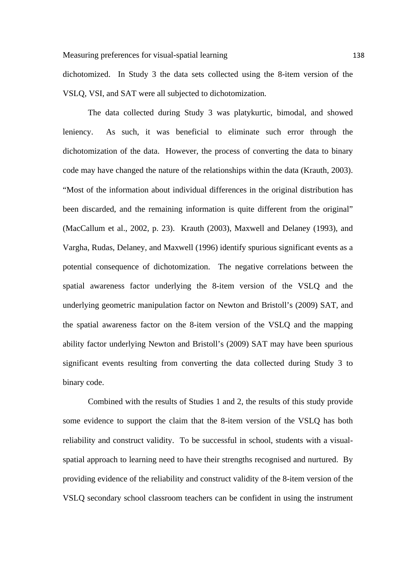dichotomized. In Study 3 the data sets collected using the 8-item version of the VSLQ, VSI, and SAT were all subjected to dichotomization.

The data collected during Study 3 was platykurtic, bimodal, and showed leniency. As such, it was beneficial to eliminate such error through the dichotomization of the data. However, the process of converting the data to binary code may have changed the nature of the relationships within the data (Krauth, 2003). "Most of the information about individual differences in the original distribution has been discarded, and the remaining information is quite different from the original" (MacCallum et al., 2002, p. 23). Krauth (2003), Maxwell and Delaney (1993), and Vargha, Rudas, Delaney, and Maxwell (1996) identify spurious significant events as a potential consequence of dichotomization. The negative correlations between the spatial awareness factor underlying the 8-item version of the VSLQ and the underlying geometric manipulation factor on Newton and Bristoll's (2009) SAT, and the spatial awareness factor on the 8-item version of the VSLQ and the mapping ability factor underlying Newton and Bristoll's (2009) SAT may have been spurious significant events resulting from converting the data collected during Study 3 to binary code.

Combined with the results of Studies 1 and 2, the results of this study provide some evidence to support the claim that the 8-item version of the VSLQ has both reliability and construct validity. To be successful in school, students with a visualspatial approach to learning need to have their strengths recognised and nurtured. By providing evidence of the reliability and construct validity of the 8-item version of the VSLQ secondary school classroom teachers can be confident in using the instrument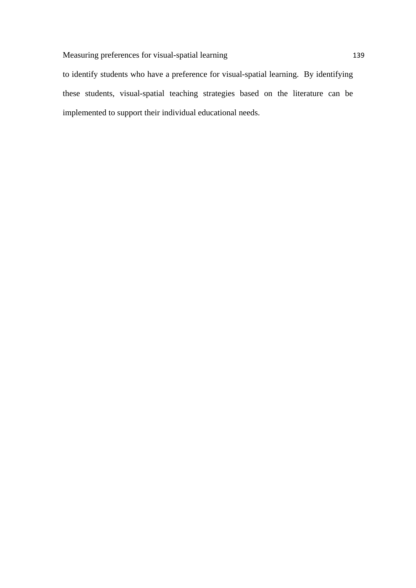to identify students who have a preference for visual-spatial learning. By identifying these students, visual-spatial teaching strategies based on the literature can be implemented to support their individual educational needs.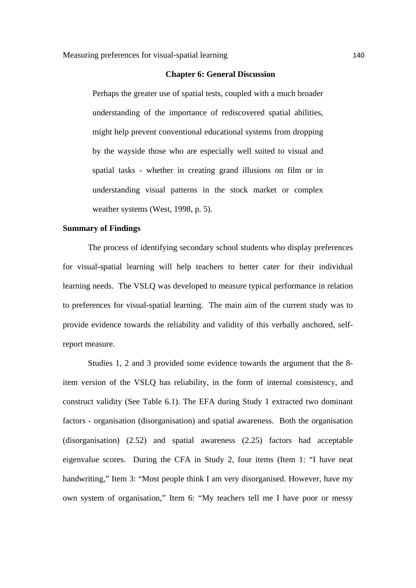#### **Chapter 6: General Discussion**

Perhaps the greater use of spatial tests, coupled with a much broader understanding of the importance of rediscovered spatial abilities, might help prevent conventional educational systems from dropping by the wayside those who are especially well suited to visual and spatial tasks - whether in creating grand illusions on film or in understanding visual patterns in the stock market or complex weather systems (West, 1998, p. 5).

### **Summary of Findings**

The process of identifying secondary school students who display preferences for visual-spatial learning will help teachers to better cater for their individual learning needs. The VSLQ was developed to measure typical performance in relation to preferences for visual-spatial learning. The main aim of the current study was to provide evidence towards the reliability and validity of this verbally anchored, selfreport measure.

Studies 1, 2 and 3 provided some evidence towards the argument that the 8 item version of the VSLQ has reliability, in the form of internal consistency, and construct validity (See Table 6.1). The EFA during Study 1 extracted two dominant factors - organisation (disorganisation) and spatial awareness. Both the organisation (disorganisation) (2.52) and spatial awareness (2.25) factors had acceptable eigenvalue scores. During the CFA in Study 2, four items (Item 1: "I have neat handwriting," Item 3: "Most people think I am very disorganised. However, have my own system of organisation," Item 6: "My teachers tell me I have poor or messy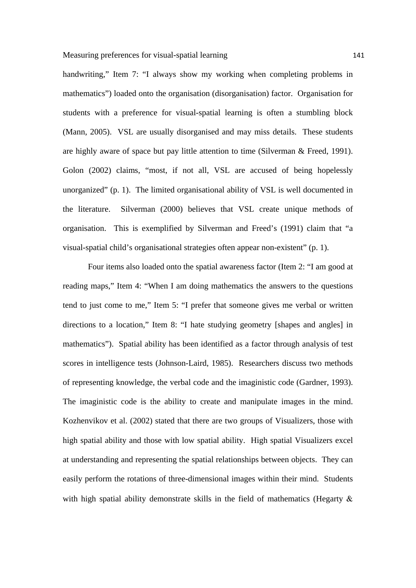handwriting," Item 7: "I always show my working when completing problems in mathematics") loaded onto the organisation (disorganisation) factor. Organisation for students with a preference for visual-spatial learning is often a stumbling block (Mann, 2005). VSL are usually disorganised and may miss details. These students are highly aware of space but pay little attention to time (Silverman & Freed, 1991). Golon (2002) claims, "most, if not all, VSL are accused of being hopelessly unorganized" (p. 1).The limited organisational ability of VSL is well documented in the literature. Silverman (2000) believes that VSL create unique methods of organisation. This is exemplified by Silverman and Freed's (1991) claim that "a visual-spatial child's organisational strategies often appear non-existent" (p. 1).

Four items also loaded onto the spatial awareness factor (Item 2: "I am good at reading maps," Item 4: "When I am doing mathematics the answers to the questions tend to just come to me," Item 5: "I prefer that someone gives me verbal or written directions to a location," Item 8: "I hate studying geometry [shapes and angles] in mathematics"). Spatial ability has been identified as a factor through analysis of test scores in intelligence tests (Johnson-Laird, 1985). Researchers discuss two methods of representing knowledge, the verbal code and the imaginistic code (Gardner, 1993). The imaginistic code is the ability to create and manipulate images in the mind. Kozhenvikov et al. (2002) stated that there are two groups of Visualizers, those with high spatial ability and those with low spatial ability. High spatial Visualizers excel at understanding and representing the spatial relationships between objects. They can easily perform the rotations of three-dimensional images within their mind. Students with high spatial ability demonstrate skills in the field of mathematics (Hegarty  $\&$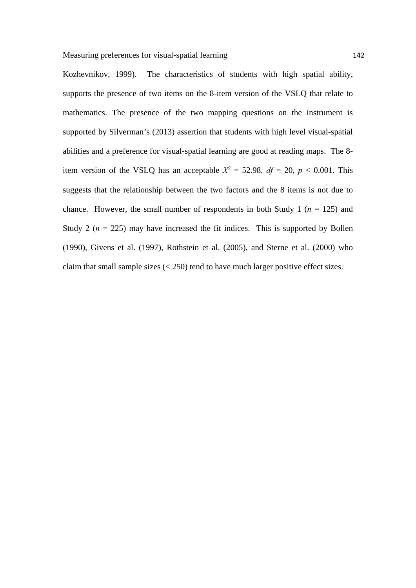Kozhevnikov, 1999). The characteristics of students with high spatial ability, supports the presence of two items on the 8-item version of the VSLQ that relate to mathematics. The presence of the two mapping questions on the instrument is supported by Silverman's (2013) assertion that students with high level visual-spatial abilities and a preference for visual-spatial learning are good at reading maps. The 8 item version of the VSLQ has an acceptable  $X^2 = 52.98$ ,  $df = 20$ ,  $p < 0.001$ . This suggests that the relationship between the two factors and the 8 items is not due to chance. However, the small number of respondents in both Study 1 ( $n = 125$ ) and Study 2 ( $n = 225$ ) may have increased the fit indices. This is supported by Bollen (1990), Givens et al. (1997), Rothstein et al. (2005), and Sterne et al. (2000) who claim that small sample sizes  $( $250$ ) tend to have much larger positive effect sizes.$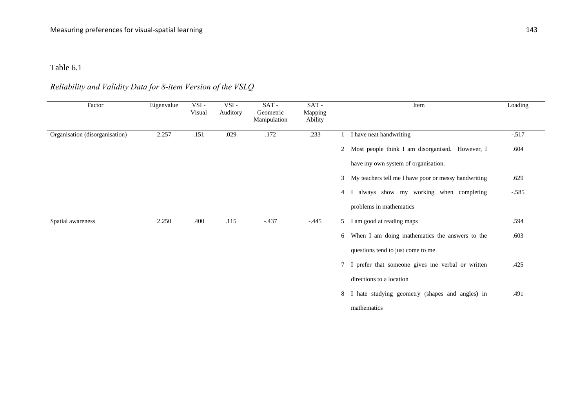#### Table 6.1

# *Reliability and Validity Data for 8-item Version of the VSLQ*

| Factor                         | Eigenvalue | VSI-<br>Visual | VSI-<br>Auditory | SAT-<br>Geometric<br>Manipulation | $SAT -$<br>Mapping<br>Ability | Loading<br>Item                                                   |
|--------------------------------|------------|----------------|------------------|-----------------------------------|-------------------------------|-------------------------------------------------------------------|
| Organisation (disorganisation) | 2.257      | .151           | .029             | .172                              | .233                          | I have neat handwriting<br>$-.517$                                |
|                                |            |                |                  |                                   |                               | Most people think I am disorganised. However, I<br>.604<br>2      |
|                                |            |                |                  |                                   |                               | have my own system of organisation.                               |
|                                |            |                |                  |                                   |                               | My teachers tell me I have poor or messy handwriting<br>.629<br>3 |
|                                |            |                |                  |                                   |                               | I always show my working when completing<br>$-.585$<br>4          |
|                                |            |                |                  |                                   |                               | problems in mathematics                                           |
| Spatial awareness              | 2.250      | .400           | .115             | $-.437$                           | $-0.445$                      | 5 I am good at reading maps<br>.594                               |
|                                |            |                |                  |                                   |                               | When I am doing mathematics the answers to the<br>.603<br>6       |
|                                |            |                |                  |                                   |                               | questions tend to just come to me                                 |
|                                |            |                |                  |                                   |                               | 7 I prefer that someone gives me verbal or written<br>.425        |
|                                |            |                |                  |                                   |                               | directions to a location                                          |
|                                |            |                |                  |                                   |                               | I hate studying geometry (shapes and angles) in<br>.491<br>8      |
|                                |            |                |                  |                                   |                               | mathematics                                                       |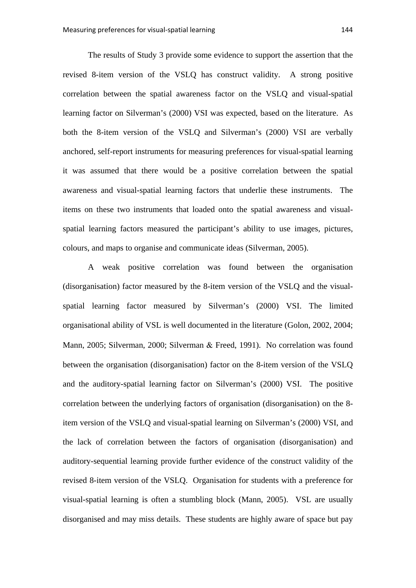The results of Study 3 provide some evidence to support the assertion that the revised 8-item version of the VSLQ has construct validity. A strong positive correlation between the spatial awareness factor on the VSLQ and visual-spatial learning factor on Silverman's (2000) VSI was expected, based on the literature. As both the 8-item version of the VSLQ and Silverman's (2000) VSI are verbally anchored, self-report instruments for measuring preferences for visual-spatial learning it was assumed that there would be a positive correlation between the spatial awareness and visual-spatial learning factors that underlie these instruments. The items on these two instruments that loaded onto the spatial awareness and visualspatial learning factors measured the participant's ability to use images, pictures, colours, and maps to organise and communicate ideas (Silverman, 2005).

A weak positive correlation was found between the organisation (disorganisation) factor measured by the 8-item version of the VSLQ and the visualspatial learning factor measured by Silverman's (2000) VSI. The limited organisational ability of VSL is well documented in the literature (Golon, 2002, 2004; Mann, 2005; Silverman, 2000; Silverman & Freed, 1991). No correlation was found between the organisation (disorganisation) factor on the 8-item version of the VSLQ and the auditory-spatial learning factor on Silverman's (2000) VSI. The positive correlation between the underlying factors of organisation (disorganisation) on the 8 item version of the VSLQ and visual-spatial learning on Silverman's (2000) VSI, and the lack of correlation between the factors of organisation (disorganisation) and auditory-sequential learning provide further evidence of the construct validity of the revised 8-item version of the VSLQ. Organisation for students with a preference for visual-spatial learning is often a stumbling block (Mann, 2005). VSL are usually disorganised and may miss details. These students are highly aware of space but pay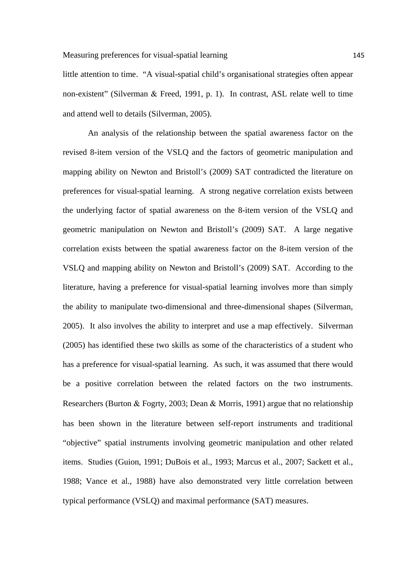little attention to time. "A visual-spatial child's organisational strategies often appear non-existent" (Silverman & Freed, 1991, p. 1). In contrast, ASL relate well to time and attend well to details (Silverman, 2005).

An analysis of the relationship between the spatial awareness factor on the revised 8-item version of the VSLQ and the factors of geometric manipulation and mapping ability on Newton and Bristoll's (2009) SAT contradicted the literature on preferences for visual-spatial learning. A strong negative correlation exists between the underlying factor of spatial awareness on the 8-item version of the VSLQ and geometric manipulation on Newton and Bristoll's (2009) SAT. A large negative correlation exists between the spatial awareness factor on the 8-item version of the VSLQ and mapping ability on Newton and Bristoll's (2009) SAT. According to the literature, having a preference for visual-spatial learning involves more than simply the ability to manipulate two-dimensional and three-dimensional shapes (Silverman, 2005). It also involves the ability to interpret and use a map effectively. Silverman (2005) has identified these two skills as some of the characteristics of a student who has a preference for visual-spatial learning. As such, it was assumed that there would be a positive correlation between the related factors on the two instruments. Researchers (Burton & Fogrty, 2003; Dean & Morris, 1991) argue that no relationship has been shown in the literature between self-report instruments and traditional "objective" spatial instruments involving geometric manipulation and other related items. Studies (Guion, 1991; DuBois et al., 1993; Marcus et al., 2007; Sackett et al., 1988; Vance et al., 1988) have also demonstrated very little correlation between typical performance (VSLQ) and maximal performance (SAT) measures.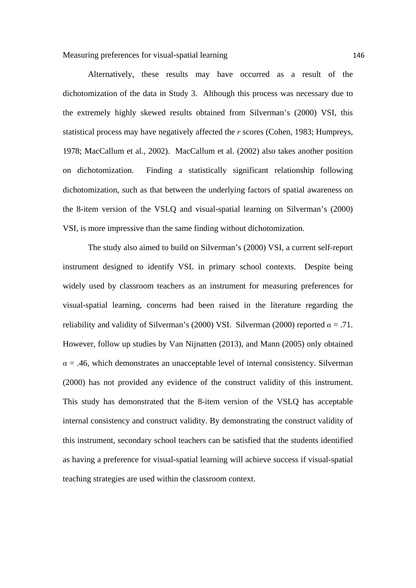Alternatively, these results may have occurred as a result of the dichotomization of the data in Study 3. Although this process was necessary due to the extremely highly skewed results obtained from Silverman's (2000) VSI, this statistical process may have negatively affected the *r* scores (Cohen, 1983; Humpreys, 1978; MacCallum et al., 2002). MacCallum et al. (2002) also takes another position on dichotomization. Finding a statistically significant relationship following dichotomization, such as that between the underlying factors of spatial awareness on the 8-item version of the VSLQ and visual-spatial learning on Silverman's (2000) VSI, is more impressive than the same finding without dichotomization.

The study also aimed to build on Silverman's (2000) VSI, a current self-report instrument designed to identify VSL in primary school contexts. Despite being widely used by classroom teachers as an instrument for measuring preferences for visual-spatial learning, concerns had been raised in the literature regarding the reliability and validity of Silverman's (2000) VSI. Silverman (2000) reported  $\alpha = .71$ . However, follow up studies by Van Nijnatten (2013), and Mann (2005) only obtained  $\alpha$  = .46, which demonstrates an unacceptable level of internal consistency. Silverman (2000) has not provided any evidence of the construct validity of this instrument. This study has demonstrated that the 8-item version of the VSLQ has acceptable internal consistency and construct validity. By demonstrating the construct validity of this instrument, secondary school teachers can be satisfied that the students identified as having a preference for visual-spatial learning will achieve success if visual-spatial teaching strategies are used within the classroom context.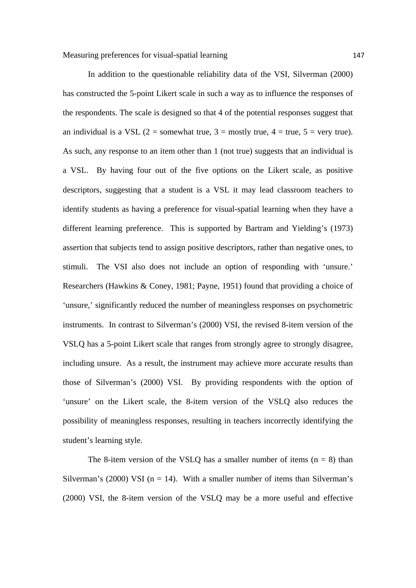In addition to the questionable reliability data of the VSI, Silverman (2000) has constructed the 5-point Likert scale in such a way as to influence the responses of the respondents. The scale is designed so that 4 of the potential responses suggest that an individual is a VSL (2 = somewhat true, 3 = mostly true, 4 = true, 5 = very true). As such, any response to an item other than 1 (not true) suggests that an individual is a VSL. By having four out of the five options on the Likert scale, as positive descriptors, suggesting that a student is a VSL it may lead classroom teachers to identify students as having a preference for visual-spatial learning when they have a different learning preference. This is supported by Bartram and Yielding's (1973) assertion that subjects tend to assign positive descriptors, rather than negative ones, to stimuli. The VSI also does not include an option of responding with 'unsure.' Researchers (Hawkins & Coney, 1981; Payne, 1951) found that providing a choice of 'unsure,' significantly reduced the number of meaningless responses on psychometric instruments. In contrast to Silverman's (2000) VSI, the revised 8-item version of the VSLQ has a 5-point Likert scale that ranges from strongly agree to strongly disagree, including unsure. As a result, the instrument may achieve more accurate results than those of Silverman's (2000) VSI. By providing respondents with the option of 'unsure' on the Likert scale, the 8-item version of the VSLQ also reduces the possibility of meaningless responses, resulting in teachers incorrectly identifying the student's learning style.

The 8-item version of the VSLQ has a smaller number of items  $(n = 8)$  than Silverman's (2000) VSI ( $n = 14$ ). With a smaller number of items than Silverman's (2000) VSI, the 8-item version of the VSLQ may be a more useful and effective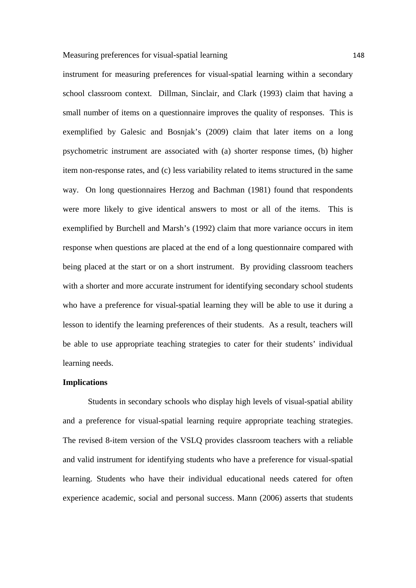instrument for measuring preferences for visual-spatial learning within a secondary school classroom context. Dillman, Sinclair, and Clark (1993) claim that having a small number of items on a questionnaire improves the quality of responses. This is exemplified by Galesic and Bosnjak's (2009) claim that later items on a long psychometric instrument are associated with (a) shorter response times, (b) higher item non-response rates, and (c) less variability related to items structured in the same way. On long questionnaires Herzog and Bachman (1981) found that respondents were more likely to give identical answers to most or all of the items. This is exemplified by Burchell and Marsh's (1992) claim that more variance occurs in item response when questions are placed at the end of a long questionnaire compared with being placed at the start or on a short instrument. By providing classroom teachers with a shorter and more accurate instrument for identifying secondary school students who have a preference for visual-spatial learning they will be able to use it during a lesson to identify the learning preferences of their students. As a result, teachers will be able to use appropriate teaching strategies to cater for their students' individual learning needs.

## **Implications**

Students in secondary schools who display high levels of visual-spatial ability and a preference for visual-spatial learning require appropriate teaching strategies. The revised 8-item version of the VSLQ provides classroom teachers with a reliable and valid instrument for identifying students who have a preference for visual-spatial learning. Students who have their individual educational needs catered for often experience academic, social and personal success. Mann (2006) asserts that students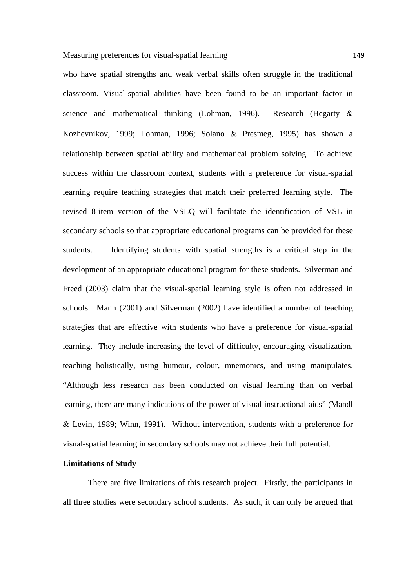who have spatial strengths and weak verbal skills often struggle in the traditional classroom. Visual-spatial abilities have been found to be an important factor in science and mathematical thinking (Lohman, 1996). Research (Hegarty  $\&$ Kozhevnikov, 1999; Lohman, 1996; Solano  $\&$  Presmeg, 1995) has shown a relationship between spatial ability and mathematical problem solving. To achieve success within the classroom context, students with a preference for visual-spatial learning require teaching strategies that match their preferred learning style. The revised 8-item version of the VSLQ will facilitate the identification of VSL in secondary schools so that appropriate educational programs can be provided for these students. Identifying students with spatial strengths is a critical step in the development of an appropriate educational program for these students. Silverman and Freed (2003) claim that the visual-spatial learning style is often not addressed in schools. Mann (2001) and Silverman (2002) have identified a number of teaching strategies that are effective with students who have a preference for visual-spatial learning. They include increasing the level of difficulty, encouraging visualization, teaching holistically, using humour, colour, mnemonics, and using manipulates. "Although less research has been conducted on visual learning than on verbal learning, there are many indications of the power of visual instructional aids" (Mandl Levin, 1989; Winn, 1991). Without intervention, students with a preference for visual-spatial learning in secondary schools may not achieve their full potential.

## **Limitations of Study**

There are five limitations of this research project. Firstly, the participants in all three studies were secondary school students. As such, it can only be argued that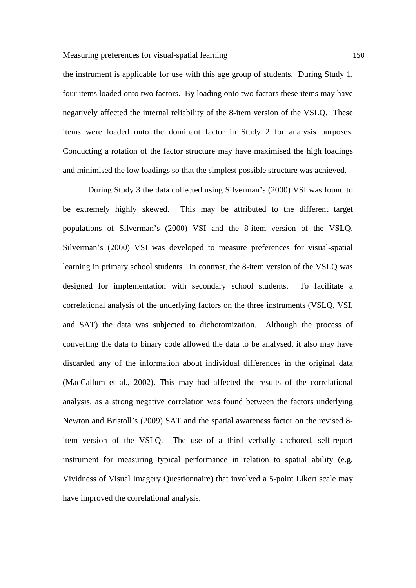the instrument is applicable for use with this age group of students. During Study 1, four items loaded onto two factors. By loading onto two factors these items may have negatively affected the internal reliability of the 8-item version of the VSLQ. These items were loaded onto the dominant factor in Study 2 for analysis purposes. Conducting a rotation of the factor structure may have maximised the high loadings and minimised the low loadings so that the simplest possible structure was achieved.

During Study 3 the data collected using Silverman's (2000) VSI was found to be extremely highly skewed. This may be attributed to the different target populations of Silverman's (2000) VSI and the 8-item version of the VSLQ. Silverman's (2000) VSI was developed to measure preferences for visual-spatial learning in primary school students. In contrast, the 8-item version of the VSLQ was designed for implementation with secondary school students. To facilitate a correlational analysis of the underlying factors on the three instruments (VSLQ, VSI, and SAT) the data was subjected to dichotomization. Although the process of converting the data to binary code allowed the data to be analysed, it also may have discarded any of the information about individual differences in the original data (MacCallum et al., 2002). This may had affected the results of the correlational analysis, as a strong negative correlation was found between the factors underlying Newton and Bristoll's (2009) SAT and the spatial awareness factor on the revised 8 item version of the VSLQ. The use of a third verbally anchored, self-report instrument for measuring typical performance in relation to spatial ability (e.g. Vividness of Visual Imagery Questionnaire) that involved a 5-point Likert scale may have improved the correlational analysis.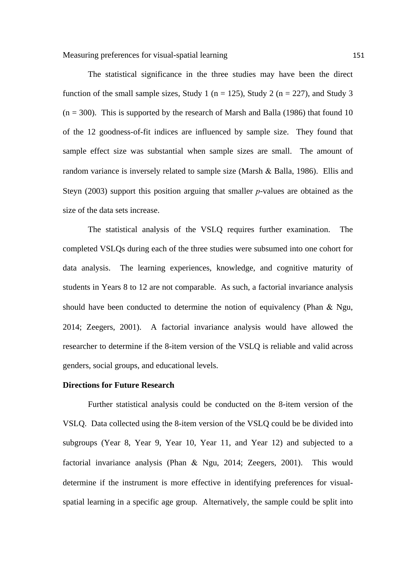The statistical significance in the three studies may have been the direct function of the small sample sizes, Study 1 ( $n = 125$ ), Study 2 ( $n = 227$ ), and Study 3  $(n = 300)$ . This is supported by the research of Marsh and Balla (1986) that found 10 of the 12 goodness-of-fit indices are influenced by sample size. They found that sample effect size was substantial when sample sizes are small. The amount of random variance is inversely related to sample size (Marsh  $\&$  Balla, 1986). Ellis and Steyn (2003) support this position arguing that smaller *p*-values are obtained as the size of the data sets increase.

The statistical analysis of the VSLQ requires further examination. The completed VSLQs during each of the three studies were subsumed into one cohort for data analysis. The learning experiences, knowledge, and cognitive maturity of students in Years 8 to 12 are not comparable. As such, a factorial invariance analysis should have been conducted to determine the notion of equivalency (Phan  $\&$  Ngu, 2014; Zeegers, 2001). A factorial invariance analysis would have allowed the researcher to determine if the 8-item version of the VSLQ is reliable and valid across genders, social groups, and educational levels.

## **Directions for Future Research**

Further statistical analysis could be conducted on the 8-item version of the VSLQ. Data collected using the 8-item version of the VSLQ could be be divided into subgroups (Year 8, Year 9, Year 10, Year 11, and Year 12) and subjected to a factorial invariance analysis (Phan & Ngu, 2014; Zeegers, 2001). This would determine if the instrument is more effective in identifying preferences for visualspatial learning in a specific age group. Alternatively, the sample could be split into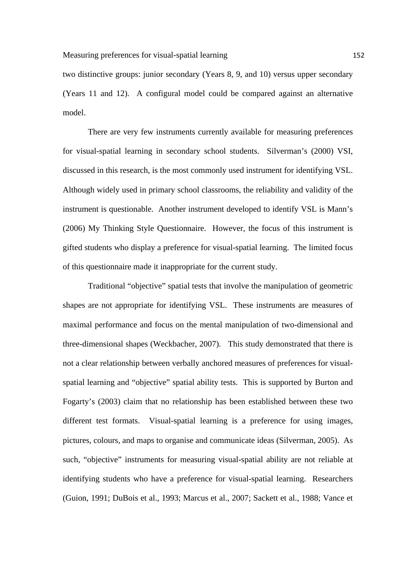two distinctive groups: junior secondary (Years 8, 9, and 10) versus upper secondary (Years 11 and 12). A configural model could be compared against an alternative model.

There are very few instruments currently available for measuring preferences for visual-spatial learning in secondary school students. Silverman's (2000) VSI, discussed in this research, is the most commonly used instrument for identifying VSL. Although widely used in primary school classrooms, the reliability and validity of the instrument is questionable. Another instrument developed to identify VSL is Mann's (2006) My Thinking Style Questionnaire. However, the focus of this instrument is gifted students who display a preference for visual-spatial learning. The limited focus of this questionnaire made it inappropriate for the current study.

Traditional "objective" spatial tests that involve the manipulation of geometric shapes are not appropriate for identifying VSL. These instruments are measures of maximal performance and focus on the mental manipulation of two-dimensional and three-dimensional shapes (Weckbacher, 2007). This study demonstrated that there is not a clear relationship between verbally anchored measures of preferences for visualspatial learning and "objective" spatial ability tests. This is supported by Burton and Fogarty's (2003) claim that no relationship has been established between these two different test formats. Visual-spatial learning is a preference for using images, pictures, colours, and maps to organise and communicate ideas (Silverman, 2005). As such, "objective" instruments for measuring visual-spatial ability are not reliable at identifying students who have a preference for visual-spatial learning. Researchers (Guion, 1991; DuBois et al., 1993; Marcus et al., 2007; Sackett et al., 1988; Vance et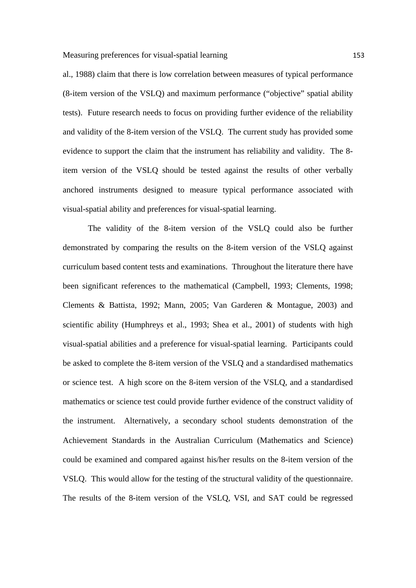al., 1988) claim that there is low correlation between measures of typical performance (8-item version of the VSLQ) and maximum performance ("objective" spatial ability tests). Future research needs to focus on providing further evidence of the reliability and validity of the 8-item version of the VSLQ. The current study has provided some evidence to support the claim that the instrument has reliability and validity. The 8 item version of the VSLQ should be tested against the results of other verbally anchored instruments designed to measure typical performance associated with visual-spatial ability and preferences for visual-spatial learning.

The validity of the 8-item version of the VSLQ could also be further demonstrated by comparing the results on the 8-item version of the VSLQ against curriculum based content tests and examinations. Throughout the literature there have been significant references to the mathematical (Campbell, 1993; Clements, 1998; Clements & Battista, 1992; Mann, 2005; Van Garderen & Montague, 2003) and scientific ability (Humphreys et al., 1993; Shea et al., 2001) of students with high visual-spatial abilities and a preference for visual-spatial learning. Participants could be asked to complete the 8-item version of the VSLQ and a standardised mathematics or science test. A high score on the 8-item version of the VSLQ, and a standardised mathematics or science test could provide further evidence of the construct validity of the instrument. Alternatively, a secondary school students demonstration of the Achievement Standards in the Australian Curriculum (Mathematics and Science) could be examined and compared against his/her results on the 8-item version of the VSLQ. This would allow for the testing of the structural validity of the questionnaire. The results of the 8-item version of the VSLQ, VSI, and SAT could be regressed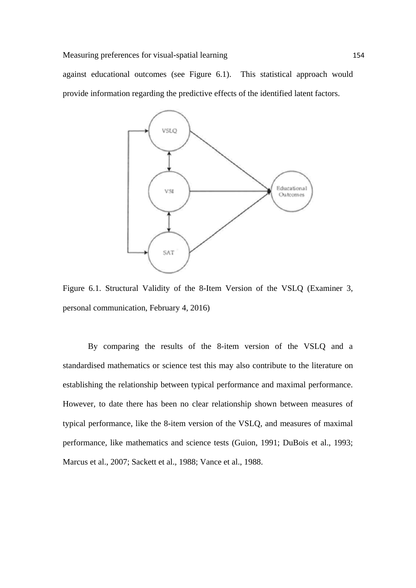against educational outcomes (see Figure 6.1). This statistical approach would provide information regarding the predictive effects of the identified latent factors.



Figure 6.1. Structural Validity of the 8-Item Version of the VSLQ (Examiner 3, personal communication, February 4, 2016)

By comparing the results of the 8-item version of the VSLQ and a standardised mathematics or science test this may also contribute to the literature on establishing the relationship between typical performance and maximal performance. However, to date there has been no clear relationship shown between measures of typical performance, like the 8-item version of the VSLQ, and measures of maximal performance, like mathematics and science tests (Guion, 1991; DuBois et al., 1993; Marcus et al., 2007; Sackett et al., 1988; Vance et al., 1988.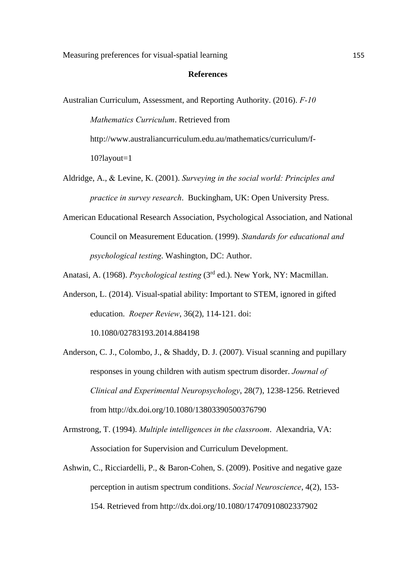## **References**

- Australian Curriculum, Assessment, and Reporting Authority. (2016). *F-10 Mathematics Curriculum*. Retrieved from http://www.australiancurriculum.edu.au/mathematics/curriculum/f-10?layout=1
- Aldridge, A., Levine, K. (2001). *Surveying in the social world: Principles and practice in survey research*. Buckingham, UK: Open University Press.
- American Educational Research Association, Psychological Association, and National Council on Measurement Education. (1999). *Standards for educational and psychological testing*. Washington, DC: Author.
- Anatasi, A. (1968). *Psychological testing* (3rd ed.). New York, NY: Macmillan.
- Anderson, L. (2014). Visual-spatial ability: Important to STEM, ignored in gifted education. *Roeper Review*, 36(2), 114-121. doi: 10.1080/02783193.2014.884198
- Anderson, C. J., Colombo, J., & Shaddy, D. J. (2007). Visual scanning and pupillary responses in young children with autism spectrum disorder. *Journal of Clinical and Experimental Neuropsychology*, 28(7), 1238-1256. Retrieved from http://dx.doi.org/10.1080/13803390500376790
- Armstrong, T. (1994). *Multiple intelligences in the classroom*. Alexandria, VA: Association for Supervision and Curriculum Development.
- Ashwin, C., Ricciardelli, P., & Baron-Cohen, S. (2009). Positive and negative gaze perception in autism spectrum conditions. *Social Neuroscience*, 4(2), 153- 154. Retrieved from http://dx.doi.org/10.1080/17470910802337902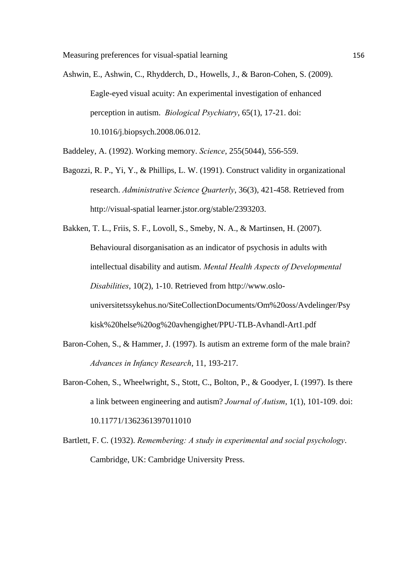- Ashwin, E., Ashwin, C., Rhydderch, D., Howells, J., & Baron-Cohen, S. (2009). Eagle-eyed visual acuity: An experimental investigation of enhanced perception in autism. *Biological Psychiatry*, 65(1), 17-21. doi: 10.1016/j.biopsych.2008.06.012.
- Baddeley, A. (1992). Working memory. *Science*, 255(5044), 556-559.
- Bagozzi, R. P., Yi, Y., & Phillips, L. W. (1991). Construct validity in organizational research. *Administrative Science Quarterly*, 36(3), 421-458. Retrieved from http://visual-spatial learner.jstor.org/stable/2393203.
- Bakken, T. L., Friis, S. F., Lovoll, S., Smeby, N. A., & Martinsen, H. (2007). Behavioural disorganisation as an indicator of psychosis in adults with intellectual disability and autism. *Mental Health Aspects of Developmental Disabilities*, 10(2), 1-10. Retrieved from http://www.oslouniversitetssykehus.no/SiteCollectionDocuments/Om%20oss/Avdelinger/Psy kisk%20helse%20og%20avhengighet/PPU-TLB-Avhandl-Art1.pdf
- Baron-Cohen, S., & Hammer, J. (1997). Is autism an extreme form of the male brain? *Advances in Infancy Research*, 11, 193-217.
- Baron-Cohen, S., Wheelwright, S., Stott, C., Bolton, P., & Goodyer, I. (1997). Is there a link between engineering and autism? *Journal of Autism*, 1(1), 101-109. doi: 10.11771/1362361397011010
- Bartlett, F. C. (1932). *Remembering: A study in experimental and social psychology*. Cambridge, UK: Cambridge University Press.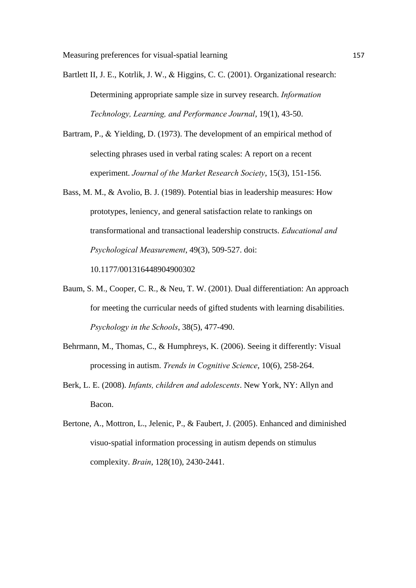Bartlett II, J. E., Kotrlik, J. W., & Higgins, C. C. (2001). Organizational research: Determining appropriate sample size in survey research. *Information Technology, Learning, and Performance Journal*, 19(1), 43-50.

Bartram, P., & Yielding, D. (1973). The development of an empirical method of selecting phrases used in verbal rating scales: A report on a recent experiment. *Journal of the Market Research Society*, 15(3), 151-156.

Bass, M. M., & Avolio, B. J. (1989). Potential bias in leadership measures: How prototypes, leniency, and general satisfaction relate to rankings on transformational and transactional leadership constructs. *Educational and Psychological Measurement*, 49(3), 509-527. doi: 10.1177/001316448904900302

Baum, S. M., Cooper, C. R., & Neu, T. W. (2001). Dual differentiation: An approach for meeting the curricular needs of gifted students with learning disabilities. *Psychology in the Schools*, 38(5), 477-490.

Behrmann, M., Thomas, C., & Humphreys, K. (2006). Seeing it differently: Visual processing in autism. *Trends in Cognitive Science*, 10(6), 258-264.

- Berk, L. E. (2008). *Infants, children and adolescents*. New York, NY: Allyn and Bacon.
- Bertone, A., Mottron, L., Jelenic, P., & Faubert, J. (2005). Enhanced and diminished visuo-spatial information processing in autism depends on stimulus complexity. *Brain*, 128(10), 2430-2441.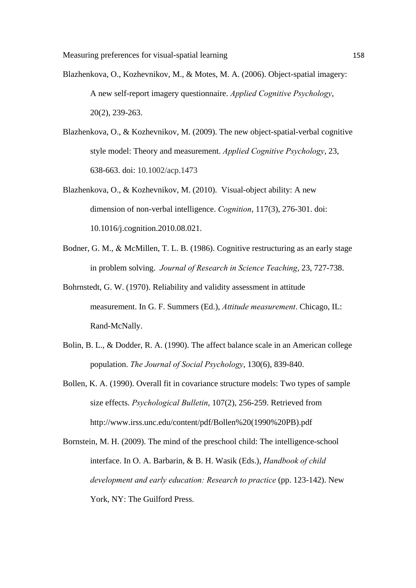- Blazhenkova, O., Kozhevnikov, M., & Motes, M. A. (2006). Object-spatial imagery: A new self-report imagery questionnaire. *Applied Cognitive Psychology*, 20(2), 239-263.
- Blazhenkova, O., & Kozhevnikov, M. (2009). The new object-spatial-verbal cognitive style model: Theory and measurement. *Applied Cognitive Psychology*, 23, 638-663. doi: 10.1002/acp.1473
- Blazhenkova, O., & Kozhevnikov, M. (2010). Visual-object ability: A new dimension of non-verbal intelligence. *Cognition*, 117(3), 276-301. doi: 10.1016/j.cognition.2010.08.021.
- Bodner, G. M., & McMillen, T. L. B. (1986). Cognitive restructuring as an early stage in problem solving. *Journal of Research in Science Teaching*, 23, 727-738.
- Bohrnstedt, G. W. (1970). Reliability and validity assessment in attitude measurement. In G. F. Summers (Ed.), *Attitude measurement*. Chicago, IL: Rand-McNally.
- Bolin, B. L., & Dodder, R. A. (1990). The affect balance scale in an American college population. *The Journal of Social Psychology*, 130(6), 839-840.
- Bollen, K. A. (1990). Overall fit in covariance structure models: Two types of sample size effects. *Psychological Bulletin*, 107(2), 256-259. Retrieved from http://www.irss.unc.edu/content/pdf/Bollen%20(1990%20PB).pdf
- Bornstein, M. H. (2009). The mind of the preschool child: The intelligence-school interface. In O. A. Barbarin, & B. H. Wasik (Eds.), *Handbook of child development and early education: Research to practice* (pp. 123-142). New York, NY: The Guilford Press.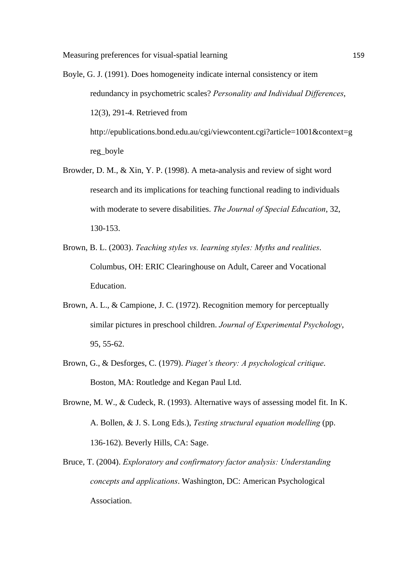- Boyle, G. J. (1991). Does homogeneity indicate internal consistency or item redundancy in psychometric scales? *Personality and Individual Differences*, 12(3), 291-4. Retrieved from http://epublications.bond.edu.au/cgi/viewcontent.cgi?article=1001&context=g reg\_boyle
- Browder, D. M., & Xin, Y. P. (1998). A meta-analysis and review of sight word research and its implications for teaching functional reading to individuals with moderate to severe disabilities. *The Journal of Special Education*, 32, 130-153.
- Brown, B. L. (2003). *Teaching styles vs. learning styles: Myths and realities*. Columbus, OH: ERIC Clearinghouse on Adult, Career and Vocational Education.
- Brown, A. L., & Campione, J. C. (1972). Recognition memory for perceptually similar pictures in preschool children. *Journal of Experimental Psychology*, 95, 55-62.
- Brown, G., & Desforges, C. (1979). *Piaget's theory: A psychological critique*. Boston, MA: Routledge and Kegan Paul Ltd.
- Browne, M. W., & Cudeck, R. (1993). Alternative ways of assessing model fit. In K. A. Bollen, & J. S. Long Eds.), *Testing structural equation modelling* (pp. 136-162). Beverly Hills, CA: Sage.
- Bruce, T. (2004). *Exploratory and confirmatory factor analysis: Understanding concepts and applications*. Washington, DC: American Psychological Association.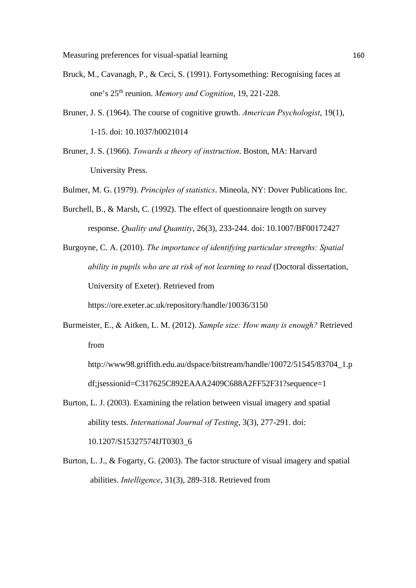- Bruck, M., Cavanagh, P., & Ceci, S. (1991). Fortysomething: Recognising faces at one's 25th reunion. *Memory and Cognition*, 19, 221-228.
- Bruner, J. S. (1964). The course of cognitive growth. *American Psychologist*, 19(1), 1-15. doi: 10.1037/h0021014
- Bruner, J. S. (1966). *Towards a theory of instruction*. Boston, MA: Harvard University Press.
- Bulmer, M. G. (1979). *Principles of statistics*. Mineola, NY: Dover Publications Inc.
- Burchell, B., & Marsh, C. (1992). The effect of questionnaire length on survey response. *Quality and Quantity*, 26(3), 233-244. doi: 10.1007/BF00172427
- Burgoyne, C. A. (2010). *The importance of identifying particular strengths: Spatial ability in pupils who are at risk of not learning to read* (Doctoral dissertation, University of Exeter). Retrieved from https://ore.exeter.ac.uk/repository/handle/10036/3150
- Burmeister, E., & Aitken, L. M. (2012). *Sample size: How many is enough?* Retrieved from
	- http://www98.griffith.edu.au/dspace/bitstream/handle/10072/51545/83704\_1.p df;jsessionid=C317625C892EAAA2409C688A2FF52F31?sequence=1
- Burton, L. J. (2003). Examining the relation between visual imagery and spatial ability tests. *International Journal of Testing*, 3(3), 277-291. doi: 10.1207/S15327574IJT0303\_6
- Burton, L. J., & Fogarty, G. (2003). The factor structure of visual imagery and spatial abilities. *Intelligence*, 31(3), 289-318. Retrieved from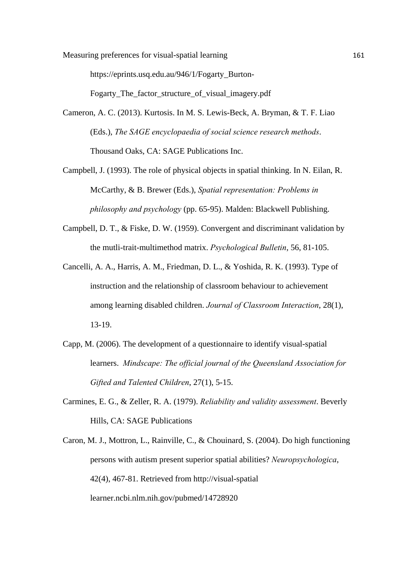Measuring preferences for visual-spatial learning 161

https://eprints.usq.edu.au/946/1/Fogarty\_Burton-

Fogarty The factor structure of visual imagery.pdf

- Cameron, A. C. (2013). Kurtosis. In M. S. Lewis-Beck, A. Bryman, & T. F. Liao (Eds.), *The SAGE encyclopaedia of social science research methods*. Thousand Oaks, CA: SAGE Publications Inc.
- Campbell, J. (1993). The role of physical objects in spatial thinking. In N. Eilan, R. McCarthy, & B. Brewer (Eds.), *Spatial representation: Problems in philosophy and psychology* (pp. 65-95). Malden: Blackwell Publishing.
- Campbell, D. T., & Fiske, D. W. (1959). Convergent and discriminant validation by the mutli-trait-multimethod matrix. *Psychological Bulletin*, 56, 81-105.
- Cancelli, A. A., Harris, A. M., Friedman, D. L., & Yoshida, R. K. (1993). Type of instruction and the relationship of classroom behaviour to achievement among learning disabled children. *Journal of Classroom Interaction*, 28(1), 13-19.
- Capp, M. (2006). The development of a questionnaire to identify visual-spatial learners. *Mindscape: The official journal of the Queensland Association for Gifted and Talented Children*, 27(1), 5-15.
- Carmines, E. G., & Zeller, R. A. (1979). *Reliability and validity assessment*. Beverly Hills, CA: SAGE Publications
- Caron, M. J., Mottron, L., Rainville, C., & Chouinard, S. (2004). Do high functioning persons with autism present superior spatial abilities? *Neuropsychologica*, 42(4), 467-81. Retrieved from http://visual-spatial learner.ncbi.nlm.nih.gov/pubmed/14728920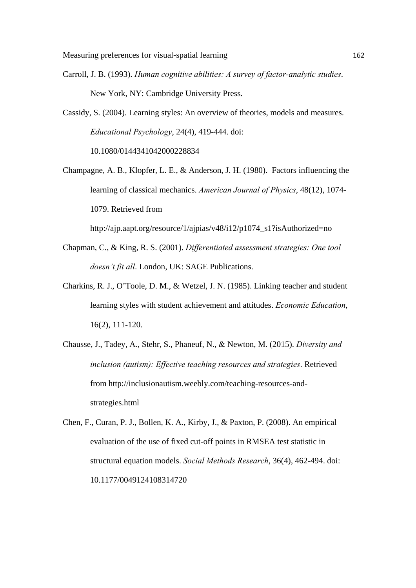Carroll, J. B. (1993). *Human cognitive abilities: A survey of factor-analytic studies*. New York, NY: Cambridge University Press.

Cassidy, S. (2004). Learning styles: An overview of theories, models and measures. *Educational Psychology*, 24(4), 419-444. doi: 10.1080/0144341042000228834

Champagne, A. B., Klopfer, L. E., & Anderson, J. H. (1980). Factors influencing the learning of classical mechanics. *American Journal of Physics*, 48(12), 1074- 1079. Retrieved from

http://ajp.aapt.org/resource/1/ajpias/v48/i12/p1074\_s1?isAuthorized=no

- Chapman, C., & King, R. S. (2001). *Differentiated assessment strategies: One tool doesn't fit all*. London, UK: SAGE Publications.
- Charkins, R. J., O'Toole, D. M., & Wetzel, J. N. (1985). Linking teacher and student learning styles with student achievement and attitudes. *Economic Education*, 16(2), 111-120.
- Chausse, J., Tadey, A., Stehr, S., Phaneuf, N., Newton, M. (2015). *Diversity and inclusion (autism): Effective teaching resources and strategies*. Retrieved from http://inclusionautism.weebly.com/teaching-resources-andstrategies.html
- Chen, F., Curan, P. J., Bollen, K. A., Kirby, J., & Paxton, P. (2008). An empirical evaluation of the use of fixed cut-off points in RMSEA test statistic in structural equation models. *Social Methods Research*, 36(4), 462-494. doi: 10.1177/0049124108314720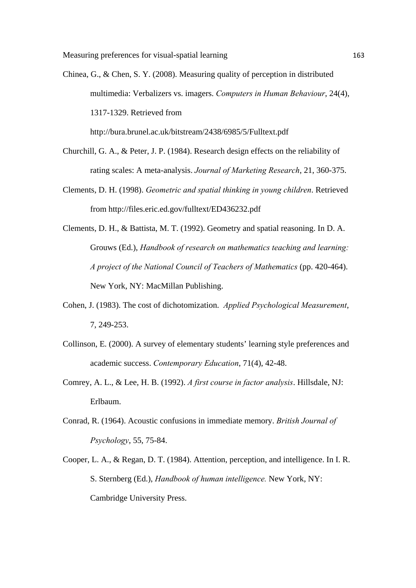- Chinea, G., & Chen, S. Y. (2008). Measuring quality of perception in distributed multimedia: Verbalizers vs. imagers. *Computers in Human Behaviour*, 24(4), 1317-1329. Retrieved from http://bura.brunel.ac.uk/bitstream/2438/6985/5/Fulltext.pdf
- Churchill, G. A., & Peter, J. P. (1984). Research design effects on the reliability of rating scales: A meta-analysis. *Journal of Marketing Research*, 21, 360-375.
- Clements, D. H. (1998). *Geometric and spatial thinking in young children*. Retrieved from http://files.eric.ed.gov/fulltext/ED436232.pdf
- Clements, D. H., & Battista, M. T. (1992). Geometry and spatial reasoning. In D. A. Grouws (Ed.), *Handbook of research on mathematics teaching and learning: A project of the National Council of Teachers of Mathematics* (pp. 420-464). New York, NY: MacMillan Publishing.
- Cohen, J. (1983). The cost of dichotomization. *Applied Psychological Measurement*, 7, 249-253.
- Collinson, E. (2000). A survey of elementary students' learning style preferences and academic success. *Contemporary Education*, 71(4), 42-48.
- Comrey, A. L., & Lee, H. B. (1992). *A first course in factor analysis*. Hillsdale, NJ: Erlbaum.
- Conrad, R. (1964). Acoustic confusions in immediate memory. *British Journal of Psychology*, 55, 75-84.
- Cooper, L. A., & Regan, D. T. (1984). Attention, perception, and intelligence. In I. R. S. Sternberg (Ed.), *Handbook of human intelligence.* New York, NY: Cambridge University Press.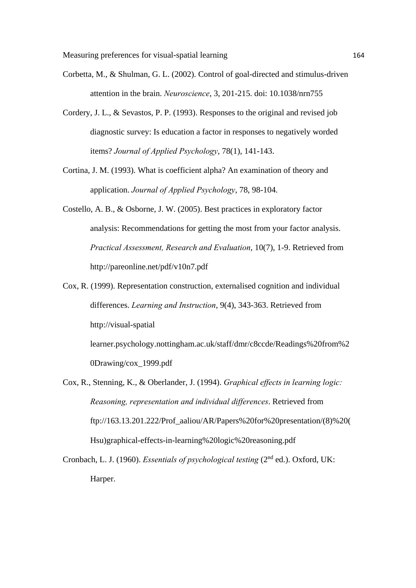Measuring preferences for visual-spatial learning 164

- Corbetta, M., & Shulman, G. L. (2002). Control of goal-directed and stimulus-driven attention in the brain. *Neuroscience*, 3, 201-215. doi: 10.1038/nrn755
- Cordery, J. L., & Sevastos, P. P. (1993). Responses to the original and revised job diagnostic survey: Is education a factor in responses to negatively worded items? *Journal of Applied Psychology*, 78(1), 141-143.
- Cortina, J. M. (1993). What is coefficient alpha? An examination of theory and application. *Journal of Applied Psychology*, 78, 98-104.
- Costello, A. B., & Osborne, J. W. (2005). Best practices in exploratory factor analysis: Recommendations for getting the most from your factor analysis. *Practical Assessment, Research and Evaluation*, 10(7), 1-9. Retrieved from http://pareonline.net/pdf/v10n7.pdf
- Cox, R. (1999). Representation construction, externalised cognition and individual differences. *Learning and Instruction*, 9(4), 343-363. Retrieved from http://visual-spatial learner.psychology.nottingham.ac.uk/staff/dmr/c8ccde/Readings%20from%2 0Drawing/cox\_1999.pdf
- Cox, R., Stenning, K., & Oberlander, J. (1994). *Graphical effects in learning logic: Reasoning, representation and individual differences*. Retrieved from ftp://163.13.201.222/Prof\_aaliou/AR/Papers%20for%20presentation/(8)%20( Hsu)graphical-effects-in-learning%20logic%20reasoning.pdf
- Cronbach, L. J. (1960). *Essentials of psychological testing* (2nd ed.). Oxford, UK: Harper.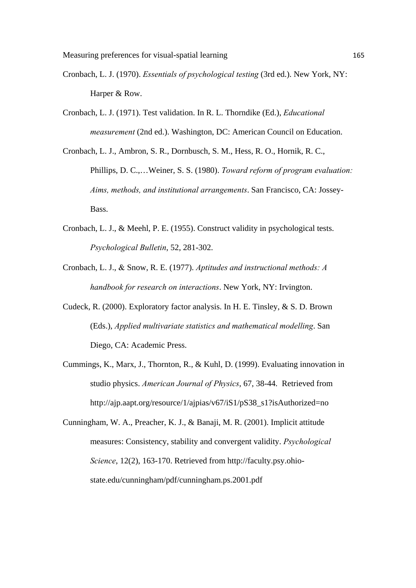- Cronbach, L. J. (1970). *Essentials of psychological testing* (3rd ed.). New York, NY: Harper & Row.
- Cronbach, L. J. (1971). Test validation. In R. L. Thorndike (Ed.), *Educational measurement* (2nd ed.). Washington, DC: American Council on Education.
- Cronbach, L. J., Ambron, S. R., Dornbusch, S. M., Hess, R. O., Hornik, R. C., Phillips, D. C.,…Weiner, S. S. (1980). *Toward reform of program evaluation: Aims, methods, and institutional arrangements*. San Francisco, CA: Jossey-Bass.
- Cronbach, L. J., & Meehl, P. E. (1955). Construct validity in psychological tests. *Psychological Bulletin*, 52, 281-302.
- Cronbach, L. J., & Snow, R. E. (1977). *Aptitudes and instructional methods: A handbook for research on interactions*. New York, NY: Irvington.
- Cudeck, R. (2000). Exploratory factor analysis. In H. E. Tinsley, & S. D. Brown (Eds.), *Applied multivariate statistics and mathematical modelling*. San Diego, CA: Academic Press.
- Cummings, K., Marx, J., Thornton, R., & Kuhl, D. (1999). Evaluating innovation in studio physics. *American Journal of Physics*, 67, 38-44. Retrieved from http://ajp.aapt.org/resource/1/ajpias/v67/iS1/pS38\_s1?isAuthorized=no
- Cunningham, W. A., Preacher, K. J., & Banaji, M. R. (2001). Implicit attitude measures: Consistency, stability and convergent validity. *Psychological Science*, 12(2), 163-170. Retrieved from http://faculty.psy.ohiostate.edu/cunningham/pdf/cunningham.ps.2001.pdf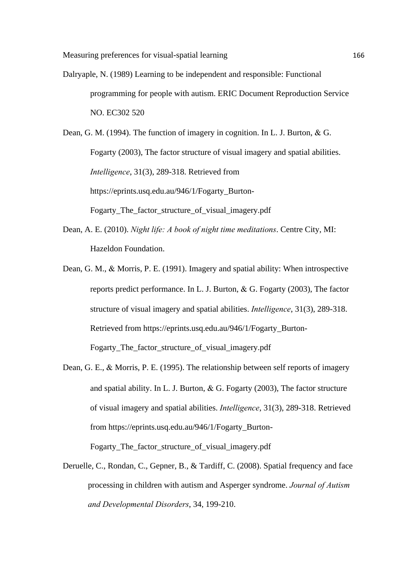Dalryaple, N. (1989) Learning to be independent and responsible: Functional programming for people with autism. ERIC Document Reproduction Service NO. EC302 520

Dean, G. M. (1994). The function of imagery in cognition. In L. J. Burton,  $\&$  G. Fogarty (2003), The factor structure of visual imagery and spatial abilities. *Intelligence*, 31(3), 289-318. Retrieved from https://eprints.usq.edu.au/946/1/Fogarty\_Burton-Fogarty The factor structure of visual imagery.pdf

- Dean, A. E. (2010). *Night life: A book of night time meditations*. Centre City, MI: Hazeldon Foundation.
- Dean, G. M., & Morris, P. E. (1991). Imagery and spatial ability: When introspective reports predict performance. In L. J. Burton,  $\&$  G. Fogarty (2003), The factor structure of visual imagery and spatial abilities. *Intelligence*, 31(3), 289-318. Retrieved from https://eprints.usq.edu.au/946/1/Fogarty\_Burton-Fogarty\_The\_factor\_structure\_of\_visual\_imagery.pdf
- Dean, G. E., & Morris, P. E. (1995). The relationship between self reports of imagery and spatial ability. In L. J. Burton,  $\&$  G. Fogarty (2003), The factor structure of visual imagery and spatial abilities. *Intelligence*, 31(3), 289-318. Retrieved from https://eprints.usq.edu.au/946/1/Fogarty\_Burton-Fogarty\_The\_factor\_structure\_of\_visual\_imagery.pdf
- Deruelle, C., Rondan, C., Gepner, B., & Tardiff, C. (2008). Spatial frequency and face processing in children with autism and Asperger syndrome. *Journal of Autism and Developmental Disorders*, 34, 199-210.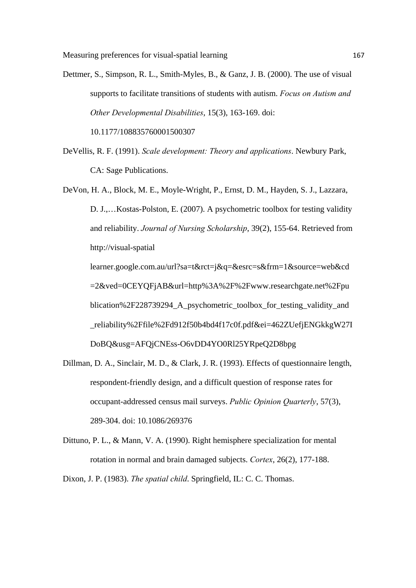Dettmer, S., Simpson, R. L., Smith-Myles, B., & Ganz, J. B. (2000). The use of visual supports to facilitate transitions of students with autism. *Focus on Autism and Other Developmental Disabilities*, 15(3), 163-169. doi: 10.1177/108835760001500307

DeVellis, R. F. (1991). *Scale development: Theory and applications*. Newbury Park, CA: Sage Publications.

DeVon, H. A., Block, M. E., Moyle-Wright, P., Ernst, D. M., Hayden, S. J., Lazzara, D. J.,…Kostas-Polston, E. (2007). A psychometric toolbox for testing validity and reliability. *Journal of Nursing Scholarship*, 39(2), 155-64. Retrieved from http://visual-spatial learner.google.com.au/url?sa=t&rct=j&q=&esrc=s&frm=1&source=web&cd =2&ved=0CEYQFjAB&url=http%3A%2F%2Fwww.researchgate.net%2Fpu blication%2F228739294 A psychometric toolbox for testing validity and

\_reliability%2Ffile%2Fd912f50b4bd4f17c0f.pdf&ei=462ZUefjENGkkgW27I

DoBQ&usg=AFQjCNEss-O6vDD4YO0Rl25YRpeQ2D8bpg

- Dillman, D. A., Sinclair, M. D., & Clark, J. R. (1993). Effects of questionnaire length, respondent-friendly design, and a difficult question of response rates for occupant-addressed census mail surveys. *Public Opinion Quarterly*, 57(3), 289-304. doi: 10.1086/269376
- Dittuno, P. L., & Mann, V. A. (1990). Right hemisphere specialization for mental rotation in normal and brain damaged subjects. *Cortex*, 26(2), 177-188.

Dixon, J. P. (1983). *The spatial child*. Springfield, IL: C. C. Thomas.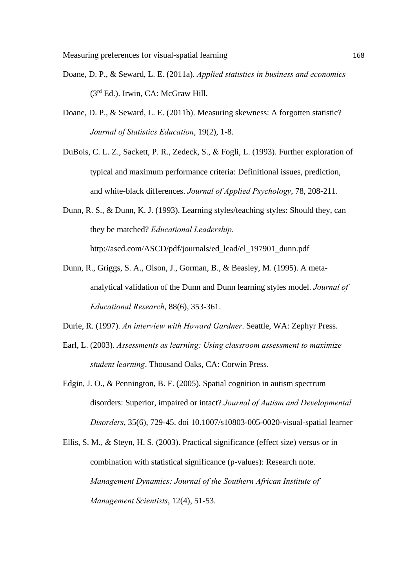- Doane, D. P., & Seward, L. E. (2011a). *Applied statistics in business and economics*  $(3<sup>rd</sup> Ed.)$ . Irwin, CA: McGraw Hill.
- Doane, D. P., & Seward, L. E. (2011b). Measuring skewness: A forgotten statistic? *Journal of Statistics Education*, 19(2), 1-8.
- DuBois, C. L. Z., Sackett, P. R., Zedeck, S., & Fogli, L. (1993). Further exploration of typical and maximum performance criteria: Definitional issues, prediction, and white-black differences. *Journal of Applied Psychology*, 78, 208-211.
- Dunn, R. S., & Dunn, K. J. (1993). Learning styles/teaching styles: Should they, can they be matched? *Educational Leadership*. http://ascd.com/ASCD/pdf/journals/ed\_lead/el\_197901\_dunn.pdf
- Dunn, R., Griggs, S. A., Olson, J., Gorman, B., & Beasley, M. (1995). A metaanalytical validation of the Dunn and Dunn learning styles model. *Journal of Educational Research*, 88(6), 353-361.
- Durie, R. (1997). *An interview with Howard Gardner*. Seattle, WA: Zephyr Press.
- Earl, L. (2003). *Assessments as learning: Using classroom assessment to maximize student learning*. Thousand Oaks, CA: Corwin Press.
- Edgin, J. O., & Pennington, B. F. (2005). Spatial cognition in autism spectrum disorders: Superior, impaired or intact? *Journal of Autism and Developmental Disorders*, 35(6), 729-45. doi 10.1007/s10803-005-0020-visual-spatial learner
- Ellis, S. M., & Steyn, H. S. (2003). Practical significance (effect size) versus or in combination with statistical significance (p-values): Research note. *Management Dynamics: Journal of the Southern African Institute of Management Scientists*, 12(4), 51-53.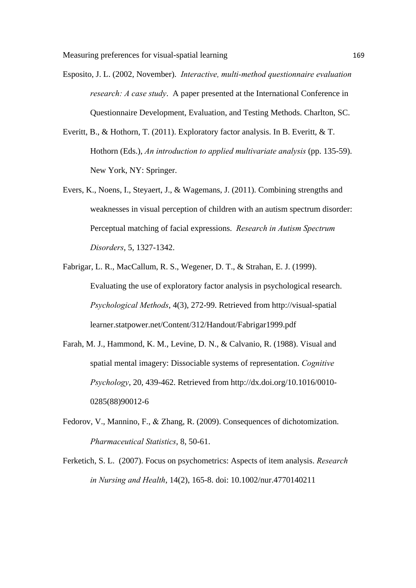- Esposito, J. L. (2002, November). *Interactive, multi-method questionnaire evaluation research: A case study*. A paper presented at the International Conference in Questionnaire Development, Evaluation, and Testing Methods. Charlton, SC.
- Everitt, B., & Hothorn, T. (2011). Exploratory factor analysis. In B. Everitt, & T. Hothorn (Eds.), *An introduction to applied multivariate analysis* (pp. 135-59). New York, NY: Springer.
- Evers, K., Noens, I., Steyaert, J., & Wagemans, J. (2011). Combining strengths and weaknesses in visual perception of children with an autism spectrum disorder: Perceptual matching of facial expressions. *Research in Autism Spectrum Disorders*, 5, 1327-1342.
- Fabrigar, L. R., MacCallum, R. S., Wegener, D. T., & Strahan, E. J. (1999). Evaluating the use of exploratory factor analysis in psychological research. *Psychological Methods*, 4(3), 272-99. Retrieved from http://visual-spatial learner.statpower.net/Content/312/Handout/Fabrigar1999.pdf
- Farah, M. J., Hammond, K. M., Levine, D. N., & Calvanio, R. (1988). Visual and spatial mental imagery: Dissociable systems of representation. *Cognitive Psychology*, 20, 439-462. Retrieved from http://dx.doi.org/10.1016/0010- 0285(88)90012-6
- Fedorov, V., Mannino, F., & Zhang, R. (2009). Consequences of dichotomization. *Pharmaceutical Statistics*, 8, 50-61.
- Ferketich, S. L. (2007). Focus on psychometrics: Aspects of item analysis. *Research in Nursing and Health*, 14(2), 165-8. doi: 10.1002/nur.4770140211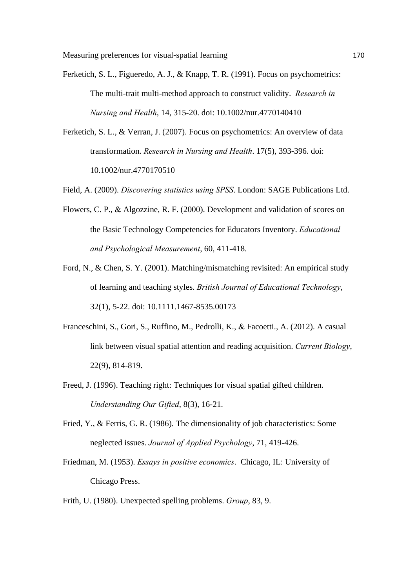- Ferketich, S. L., Figueredo, A. J., & Knapp, T. R. (1991). Focus on psychometrics: The multi-trait multi-method approach to construct validity. *Research in Nursing and Health*, 14, 315-20. doi: 10.1002/nur.4770140410
- Ferketich, S. L., & Verran, J. (2007). Focus on psychometrics: An overview of data transformation. *Research in Nursing and Health*. 17(5), 393-396. doi: 10.1002/nur.4770170510
- Field, A. (2009). *Discovering statistics using SPSS*. London: SAGE Publications Ltd.
- Flowers, C. P., & Algozzine, R. F. (2000). Development and validation of scores on the Basic Technology Competencies for Educators Inventory. *Educational and Psychological Measurement*, 60, 411-418.
- Ford, N., & Chen, S. Y. (2001). Matching/mismatching revisited: An empirical study of learning and teaching styles. *British Journal of Educational Technology*, 32(1), 5-22. doi: 10.1111.1467-8535.00173
- Franceschini, S., Gori, S., Ruffino, M., Pedrolli, K., & Facoetti., A. (2012). A casual link between visual spatial attention and reading acquisition. *Current Biology*, 22(9), 814-819.
- Freed, J. (1996). Teaching right: Techniques for visual spatial gifted children. *Understanding Our Gifted*, 8(3), 16-21.
- Fried, Y., & Ferris, G. R. (1986). The dimensionality of job characteristics: Some neglected issues. *Journal of Applied Psychology*, 71, 419-426.
- Friedman, M. (1953). *Essays in positive economics*. Chicago, IL: University of Chicago Press.
- Frith, U. (1980). Unexpected spelling problems. *Group*, 83, 9.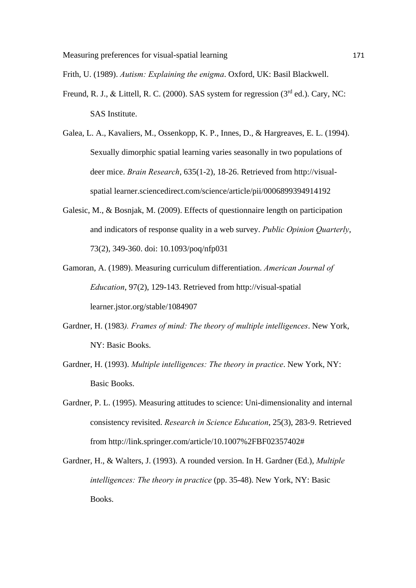Frith, U. (1989). *Autism: Explaining the enigma*. Oxford, UK: Basil Blackwell.

- Freund, R. J., & Littell, R. C. (2000). SAS system for regression ( $3<sup>rd</sup>$  ed.). Cary, NC: SAS Institute.
- Galea, L. A., Kavaliers, M., Ossenkopp, K. P., Innes, D., & Hargreaves, E. L. (1994). Sexually dimorphic spatial learning varies seasonally in two populations of deer mice. *Brain Research*, 635(1-2), 18-26. Retrieved from http://visualspatial learner.sciencedirect.com/science/article/pii/0006899394914192
- Galesic, M., & Bosnjak, M. (2009). Effects of questionnaire length on participation and indicators of response quality in a web survey. *Public Opinion Quarterly*, 73(2), 349-360. doi: 10.1093/poq/nfp031
- Gamoran, A. (1989). Measuring curriculum differentiation. *American Journal of Education*, 97(2), 129-143. Retrieved from http://visual-spatial learner.jstor.org/stable/1084907
- Gardner, H. (1983*). Frames of mind: The theory of multiple intelligences*. New York, NY: Basic Books.
- Gardner, H. (1993). *Multiple intelligences: The theory in practice*. New York, NY: Basic Books.
- Gardner, P. L. (1995). Measuring attitudes to science: Uni-dimensionality and internal consistency revisited. *Research in Science Education*, 25(3), 283-9. Retrieved from http://link.springer.com/article/10.1007%2FBF02357402#
- Gardner, H., & Walters, J. (1993). A rounded version. In H. Gardner (Ed.), *Multiple intelligences: The theory in practice* (pp. 35-48). New York, NY: Basic Books.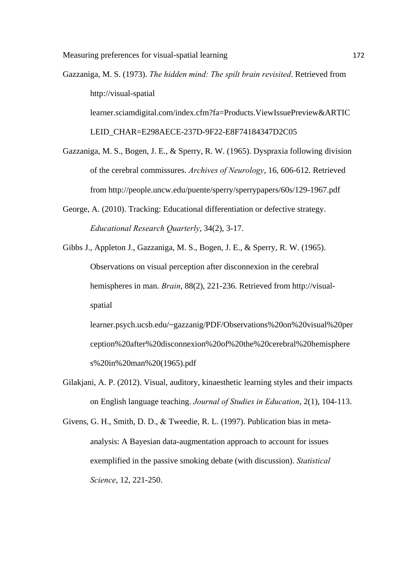Gazzaniga, M. S. (1973). *The hidden mind: The spilt brain revisited*. Retrieved from http://visual-spatial learner.sciamdigital.com/index.cfm?fa=Products.ViewIssuePreview&ARTIC LEID\_CHAR=E298AECE-237D-9F22-E8F74184347D2C05

Gazzaniga, M. S., Bogen, J. E., & Sperry, R. W. (1965). Dyspraxia following division of the cerebral commissures. *Archives of Neurology*, 16, 606-612. Retrieved from http://people.uncw.edu/puente/sperry/sperrypapers/60s/129-1967.pdf

George, A. (2010). Tracking: Educational differentiation or defective strategy. *Educational Research Quarterly*, 34(2), 3-17.

Gibbs J., Appleton J., Gazzaniga, M. S., Bogen, J. E., & Sperry, R. W. (1965). Observations on visual perception after disconnexion in the cerebral hemispheres in man. *Brain*, 88(2), 221-236. Retrieved from http://visualspatial

learner.psych.ucsb.edu/~gazzanig/PDF/Observations%20on%20visual%20per ception%20after%20disconnexion%20of%20the%20cerebral%20hemisphere s%20in%20man%20(1965).pdf

- Gilakjani, A. P. (2012). Visual, auditory, kinaesthetic learning styles and their impacts on English language teaching. *Journal of Studies in Education*, 2(1), 104-113.
- Givens, G. H., Smith, D. D., & Tweedie, R. L. (1997). Publication bias in metaanalysis: A Bayesian data-augmentation approach to account for issues exemplified in the passive smoking debate (with discussion). *Statistical Science*, 12, 221-250.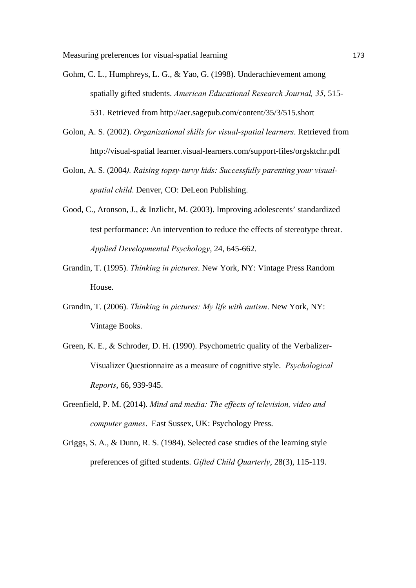Measuring preferences for visual-spatial learning 173

- Gohm, C. L., Humphreys, L. G., & Yao, G. (1998). Underachievement among spatially gifted students. *American Educational Research Journal, 35*, 515- 531. Retrieved from http://aer.sagepub.com/content/35/3/515.short
- Golon, A. S. (2002). *Organizational skills for visual-spatial learners*. Retrieved from http://visual-spatial learner.visual-learners.com/support-files/orgsktchr.pdf
- Golon, A. S. (2004*). Raising topsy-turvy kids: Successfully parenting your visualspatial child*. Denver, CO: DeLeon Publishing.
- Good, C., Aronson, J., & Inzlicht, M. (2003). Improving adolescents' standardized test performance: An intervention to reduce the effects of stereotype threat. *Applied Developmental Psychology*, 24, 645-662.
- Grandin, T. (1995). *Thinking in pictures*. New York, NY: Vintage Press Random House.
- Grandin, T. (2006). *Thinking in pictures: My life with autism*. New York, NY: Vintage Books.
- Green, K. E., & Schroder, D. H. (1990). Psychometric quality of the Verbalizer-Visualizer Questionnaire as a measure of cognitive style. *Psychological Reports*, 66, 939-945.
- Greenfield, P. M. (2014). *Mind and media: The effects of television, video and computer games*. East Sussex, UK: Psychology Press.
- Griggs, S. A., & Dunn, R. S. (1984). Selected case studies of the learning style preferences of gifted students. *Gifted Child Quarterly*, 28(3), 115-119.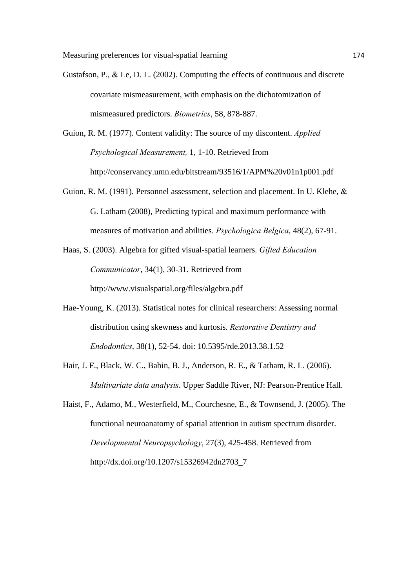- Gustafson, P., & Le, D. L. (2002). Computing the effects of continuous and discrete covariate mismeasurement, with emphasis on the dichotomization of mismeasured predictors. *Biometrics*, 58, 878-887.
- Guion, R. M. (1977). Content validity: The source of my discontent. *Applied Psychological Measurement,* 1, 1-10. Retrieved from http://conservancy.umn.edu/bitstream/93516/1/APM%20v01n1p001.pdf
- Guion, R. M. (1991). Personnel assessment, selection and placement. In U. Klehe, & G. Latham (2008), Predicting typical and maximum performance with measures of motivation and abilities. *Psychologica Belgica*, 48(2), 67-91.
- Haas, S. (2003). Algebra for gifted visual-spatial learners. *Gifted Education Communicator*, 34(1), 30-31. Retrieved from http://www.visualspatial.org/files/algebra.pdf
- Hae-Young, K. (2013). Statistical notes for clinical researchers: Assessing normal distribution using skewness and kurtosis. *Restorative Dentistry and Endodontics*, 38(1), 52-54. doi: 10.5395/rde.2013.38.1.52
- Hair, J. F., Black, W. C., Babin, B. J., Anderson, R. E., & Tatham, R. L. (2006). *Multivariate data analysis*. Upper Saddle River, NJ: Pearson-Prentice Hall.
- Haist, F., Adamo, M., Westerfield, M., Courchesne, E., & Townsend, J. (2005). The functional neuroanatomy of spatial attention in autism spectrum disorder. *Developmental Neuropsychology*, 27(3), 425-458. Retrieved from http://dx.doi.org/10.1207/s15326942dn2703\_7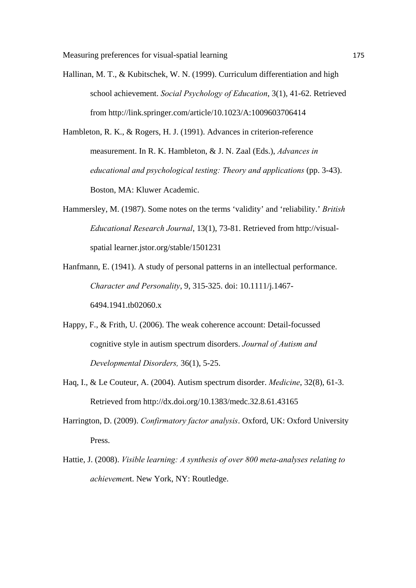Hallinan, M. T., & Kubitschek, W. N. (1999). Curriculum differentiation and high school achievement. *Social Psychology of Education*, 3(1), 41-62. Retrieved from http://link.springer.com/article/10.1023/A:1009603706414

Hambleton, R. K., & Rogers, H. J. (1991). Advances in criterion-reference measurement. In R. K. Hambleton, & J. N. Zaal (Eds.), *Advances in educational and psychological testing: Theory and applications* (pp. 3-43). Boston, MA: Kluwer Academic.

- Hammersley, M. (1987). Some notes on the terms 'validity' and 'reliability.' *British Educational Research Journal*, 13(1), 73-81. Retrieved from http://visualspatial learner.jstor.org/stable/1501231
- Hanfmann, E. (1941). A study of personal patterns in an intellectual performance. *Character and Personality*, 9, 315-325. doi: 10.1111/j.1467- 6494.1941.tb02060.x
- Happy, F., & Frith, U. (2006). The weak coherence account: Detail-focussed cognitive style in autism spectrum disorders. *Journal of Autism and Developmental Disorders,* 36(1), 5-25.
- Haq, I., & Le Couteur, A. (2004). Autism spectrum disorder. *Medicine*, 32(8), 61-3. Retrieved from http://dx.doi.org/10.1383/medc.32.8.61.43165
- Harrington, D. (2009). *Confirmatory factor analysis*. Oxford, UK: Oxford University Press.
- Hattie, J. (2008). *Visible learning: A synthesis of over 800 meta-analyses relating to achievemen*t. New York, NY: Routledge.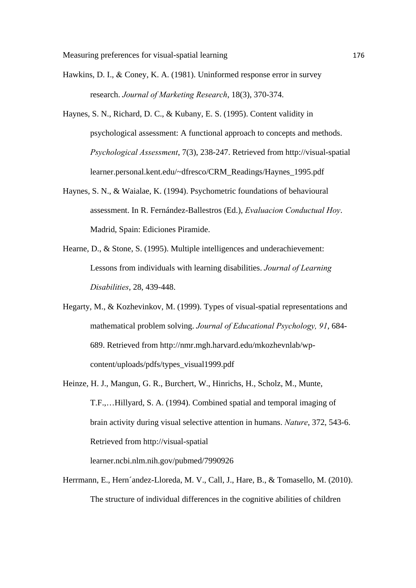- Hawkins, D. I.,  $& \text{Coney}, K. A. (1981)$ . Uninformed response error in survey research. *Journal of Marketing Research*, 18(3), 370-374.
- Haynes, S. N., Richard, D. C., & Kubany, E. S. (1995). Content validity in psychological assessment: A functional approach to concepts and methods. *Psychological Assessment*, 7(3), 238-247. Retrieved from http://visual-spatial learner.personal.kent.edu/~dfresco/CRM\_Readings/Haynes\_1995.pdf
- Haynes, S. N., & Waialae, K. (1994). Psychometric foundations of behavioural assessment. In R. Fernández-Ballestros (Ed.), *Evaluacion Conductual Hoy*. Madrid, Spain: Ediciones Piramide.
- Hearne, D., & Stone, S. (1995). Multiple intelligences and underachievement: Lessons from individuals with learning disabilities. *Journal of Learning Disabilities*, 28, 439-448.
- Hegarty, M., & Kozhevinkov, M. (1999). Types of visual-spatial representations and mathematical problem solving. *Journal of Educational Psychology, 91*, 684- 689. Retrieved from http://nmr.mgh.harvard.edu/mkozhevnlab/wpcontent/uploads/pdfs/types\_visual1999.pdf
- Heinze, H. J., Mangun, G. R., Burchert, W., Hinrichs, H., Scholz, M., Munte, T.F.,…Hillyard, S. A. (1994). Combined spatial and temporal imaging of brain activity during visual selective attention in humans. *Nature*, 372, 543-6. Retrieved from http://visual-spatial

learner.ncbi.nlm.nih.gov/pubmed/7990926

Herrmann, E., Hern´andez-Lloreda, M. V., Call, J., Hare, B., & Tomasello, M. (2010). The structure of individual differences in the cognitive abilities of children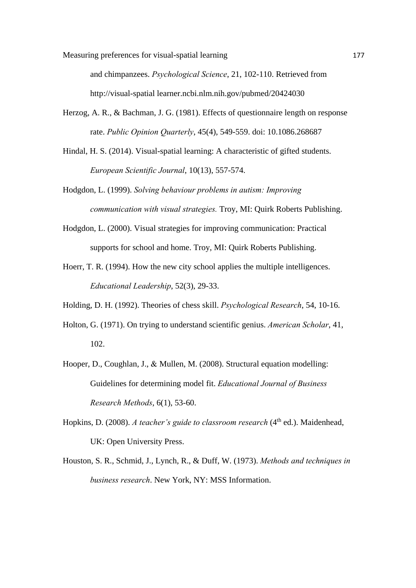Measuring preferences for visual-spatial learning 177

and chimpanzees. *Psychological Science*, 21, 102-110. Retrieved from http://visual-spatial learner.ncbi.nlm.nih.gov/pubmed/20424030

- Herzog, A. R., & Bachman, J. G. (1981). Effects of questionnaire length on response rate. *Public Opinion Quarterly*, 45(4), 549-559. doi: 10.1086.268687
- Hindal, H. S. (2014). Visual-spatial learning: A characteristic of gifted students. *European Scientific Journal*, 10(13), 557-574.
- Hodgdon, L. (1999). *Solving behaviour problems in autism: Improving communication with visual strategies.* Troy, MI: Quirk Roberts Publishing.
- Hodgdon, L. (2000). Visual strategies for improving communication: Practical supports for school and home. Troy, MI: Quirk Roberts Publishing.
- Hoerr, T. R. (1994). How the new city school applies the multiple intelligences. *Educational Leadership*, 52(3), 29-33.
- Holding, D. H. (1992). Theories of chess skill. *Psychological Research*, 54, 10-16.
- Holton, G. (1971). On trying to understand scientific genius. *American Scholar*, 41, 102.
- Hooper, D., Coughlan, J., & Mullen, M. (2008). Structural equation modelling: Guidelines for determining model fit. *Educational Journal of Business Research Methods*, 6(1), 53-60.
- Hopkins, D. (2008). *A teacher's guide to classroom research* (4<sup>th</sup> ed.). Maidenhead, UK: Open University Press.
- Houston, S. R., Schmid, J., Lynch, R., & Duff, W. (1973). *Methods and techniques in business research*. New York, NY: MSS Information.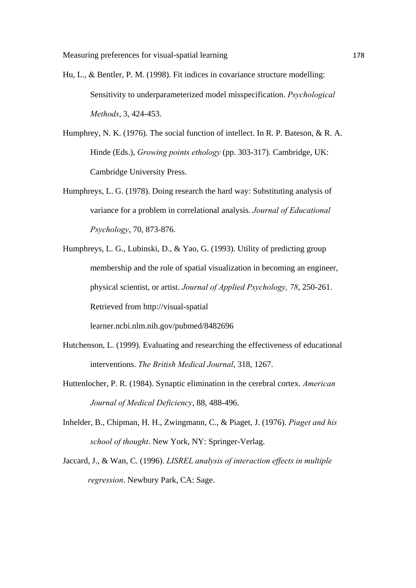- Hu, L., & Bentler, P. M. (1998). Fit indices in covariance structure modelling: Sensitivity to underparameterized model misspecification. *Psychological Methods*, 3, 424-453.
- Humphrey, N. K. (1976). The social function of intellect. In R. P. Bateson, & R. A. Hinde (Eds.), *Growing points ethology* (pp. 303-317). Cambridge, UK: Cambridge University Press.
- Humphreys, L. G. (1978). Doing research the hard way: Substituting analysis of variance for a problem in correlational analysis. *Journal of Educational Psychology*, 70, 873-876.
- Humphreys, L. G., Lubinski, D., & Yao, G. (1993). Utility of predicting group membership and the role of spatial visualization in becoming an engineer, physical scientist, or artist. *Journal of Applied Psychology, 78*, 250-261. Retrieved from http://visual-spatial learner.ncbi.nlm.nih.gov/pubmed/8482696
- Hutchenson, L. (1999). Evaluating and researching the effectiveness of educational

interventions. *The British Medical Journal*, 318, 1267.

- Huttenlocher, P. R. (1984). Synaptic elimination in the cerebral cortex. *American Journal of Medical Deficiency*, 88, 488-496.
- Inhelder, B., Chipman, H. H., Zwingmann, C., & Piaget, J. (1976). *Piaget and his school of thought*. New York, NY: Springer-Verlag.
- Jaccard, J., & Wan, C. (1996). *LISREL analysis of interaction effects in multiple regression*. Newbury Park, CA: Sage.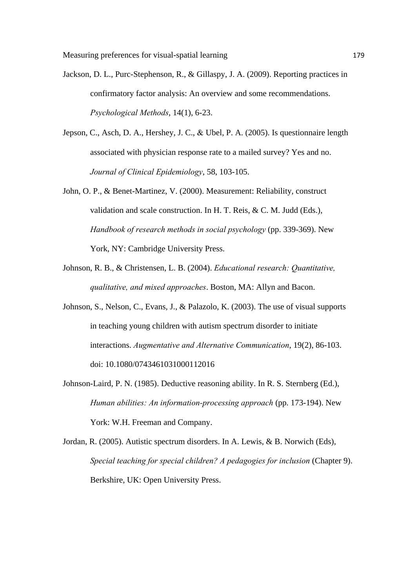- Jackson, D. L., Purc-Stephenson, R., & Gillaspy, J. A. (2009). Reporting practices in confirmatory factor analysis: An overview and some recommendations. *Psychological Methods*, 14(1), 6-23.
- Jepson, C., Asch, D. A., Hershey, J. C., & Ubel, P. A. (2005). Is questionnaire length associated with physician response rate to a mailed survey? Yes and no. *Journal of Clinical Epidemiology*, 58, 103-105.
- John, O. P., & Benet-Martinez, V. (2000). Measurement: Reliability, construct validation and scale construction. In H. T. Reis, & C. M. Judd (Eds.), *Handbook of research methods in social psychology* (pp. 339-369). New York, NY: Cambridge University Press.
- Johnson, R. B., & Christensen, L. B. (2004). *Educational research: Quantitative, qualitative, and mixed approaches*. Boston, MA: Allyn and Bacon.
- Johnson, S., Nelson, C., Evans, J., & Palazolo, K. (2003). The use of visual supports in teaching young children with autism spectrum disorder to initiate interactions. *Augmentative and Alternative Communication*, 19(2), 86-103. doi: 10.1080/0743461031000112016
- Johnson-Laird, P. N. (1985). Deductive reasoning ability. In R. S. Sternberg (Ed.), *Human abilities: An information-processing approach* (pp. 173-194). New York: W.H. Freeman and Company.
- Jordan, R. (2005). Autistic spectrum disorders. In A. Lewis, & B. Norwich (Eds), *Special teaching for special children? A pedagogies for inclusion (Chapter 9).* Berkshire, UK: Open University Press.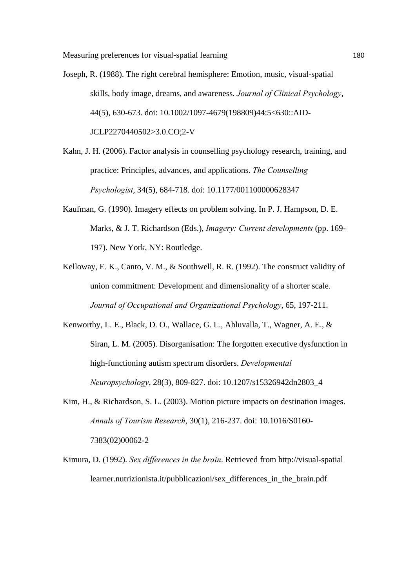- Joseph, R. (1988). The right cerebral hemisphere: Emotion, music, visual-spatial skills, body image, dreams, and awareness. *Journal of Clinical Psychology*, 44(5), 630-673. doi: 10.1002/1097-4679(198809)44:5<630::AID-JCLP2270440502>3.0.CO;2-V
- Kahn, J. H. (2006). Factor analysis in counselling psychology research, training, and practice: Principles, advances, and applications. *The Counselling Psychologist*, 34(5), 684-718. doi: 10.1177/001100000628347
- Kaufman, G. (1990). Imagery effects on problem solving. In P. J. Hampson, D. E. Marks, & J. T. Richardson (Eds.), *Imagery: Current developments* (pp. 169- 197). New York, NY: Routledge.
- Kelloway, E. K., Canto, V. M., & Southwell, R. R. (1992). The construct validity of union commitment: Development and dimensionality of a shorter scale. *Journal of Occupational and Organizational Psychology*, 65, 197-211.
- Kenworthy, L. E., Black, D. O., Wallace, G. L., Ahluvalla, T., Wagner, A. E., & Siran, L. M. (2005). Disorganisation: The forgotten executive dysfunction in high-functioning autism spectrum disorders. *Developmental Neuropsychology*, 28(3), 809-827. doi: 10.1207/s15326942dn2803\_4
- Kim, H., & Richardson, S. L. (2003). Motion picture impacts on destination images. *Annals of Tourism Research*, 30(1), 216-237. doi: 10.1016/S0160- 7383(02)00062-2
- Kimura, D. (1992). *Sex differences in the brain*. Retrieved from http://visual-spatial learner.nutrizionista.it/pubblicazioni/sex\_differences\_in\_the\_brain.pdf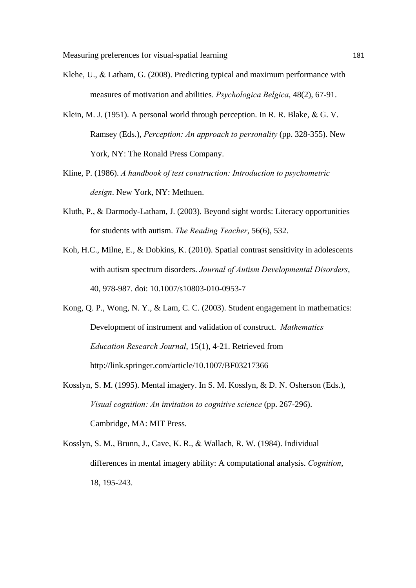- Klehe, U., & Latham, G. (2008). Predicting typical and maximum performance with measures of motivation and abilities. *Psychologica Belgica*, 48(2), 67-91.
- Klein, M. J. (1951). A personal world through perception. In R. R. Blake,  $& G. V.$ Ramsey (Eds.), *Perception: An approach to personality* (pp. 328-355). New York, NY: The Ronald Press Company.
- Kline, P. (1986). *A handbook of test construction: Introduction to psychometric design*. New York, NY: Methuen.
- Kluth, P., & Darmody-Latham, J. (2003). Beyond sight words: Literacy opportunities for students with autism. *The Reading Teacher*, 56(6), 532.
- Koh, H.C., Milne, E., & Dobkins, K. (2010). Spatial contrast sensitivity in adolescents with autism spectrum disorders. *Journal of Autism Developmental Disorders*, 40, 978-987. doi: 10.1007/s10803-010-0953-7
- Kong, Q. P., Wong, N. Y., & Lam, C. C. (2003). Student engagement in mathematics: Development of instrument and validation of construct. *Mathematics Education Research Journal*, 15(1), 4-21. Retrieved from http://link.springer.com/article/10.1007/BF03217366
- Kosslyn, S. M. (1995). Mental imagery. In S. M. Kosslyn, & D. N. Osherson (Eds.), *Visual cognition: An invitation to cognitive science* (pp. 267-296). Cambridge, MA: MIT Press.
- Kosslyn, S. M., Brunn, J., Cave, K. R., & Wallach, R. W. (1984). Individual differences in mental imagery ability: A computational analysis. *Cognition*, 18, 195-243.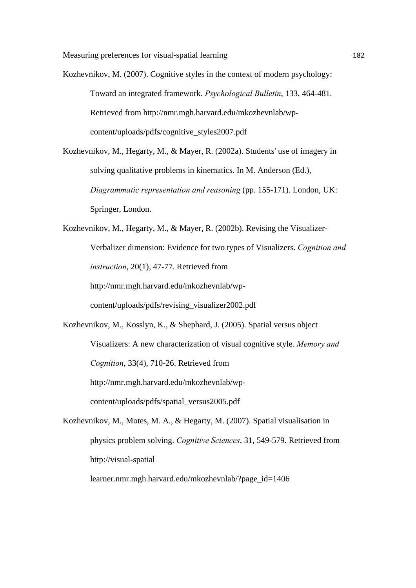Kozhevnikov, M. (2007). Cognitive styles in the context of modern psychology: Toward an integrated framework. *Psychological Bulletin*, 133, 464-481. Retrieved from http://nmr.mgh.harvard.edu/mkozhevnlab/wpcontent/uploads/pdfs/cognitive\_styles2007.pdf

Kozhevnikov, M., Hegarty, M., & Mayer, R. (2002a). Students' use of imagery in solving qualitative problems in kinematics. In M. Anderson (Ed.), *Diagrammatic representation and reasoning* (pp. 155-171). London, UK: Springer, London.

Kozhevnikov, M., Hegarty, M., & Mayer, R. (2002b). Revising the Visualizer-Verbalizer dimension: Evidence for two types of Visualizers. *Cognition and instruction*, 20(1), 47-77. Retrieved from http://nmr.mgh.harvard.edu/mkozhevnlab/wpcontent/uploads/pdfs/revising\_visualizer2002.pdf

- Kozhevnikov, M., Kosslyn, K., & Shephard, J. (2005). Spatial versus object Visualizers: A new characterization of visual cognitive style. *Memory and Cognition*, 33(4), 710-26. Retrieved from http://nmr.mgh.harvard.edu/mkozhevnlab/wpcontent/uploads/pdfs/spatial\_versus2005.pdf
- Kozhevnikov, M., Motes, M. A., & Hegarty, M. (2007). Spatial visualisation in physics problem solving. *Cognitive Sciences*, 31, 549-579. Retrieved from http://visual-spatial learner.nmr.mgh.harvard.edu/mkozhevnlab/?page\_id=1406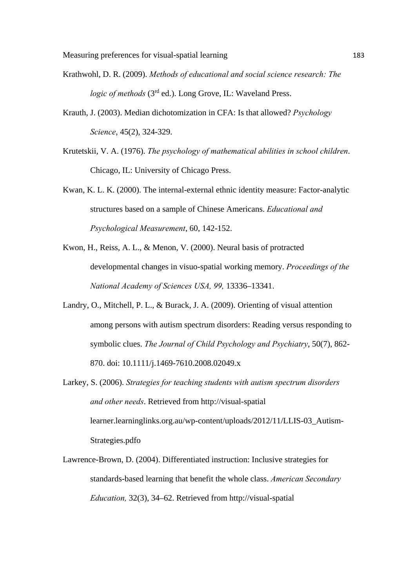- Krathwohl, D. R. (2009). *Methods of educational and social science research: The logic of methods* (3<sup>rd</sup> ed.). Long Grove, IL: Waveland Press.
- Krauth, J. (2003). Median dichotomization in CFA: Is that allowed? *Psychology Science*, 45(2), 324-329.
- Krutetskii, V. A. (1976). *The psychology of mathematical abilities in school children*. Chicago, IL: University of Chicago Press.
- Kwan, K. L. K. (2000). The internal-external ethnic identity measure: Factor-analytic structures based on a sample of Chinese Americans. *Educational and Psychological Measurement*, 60, 142-152.
- Kwon, H., Reiss, A. L., & Menon, V. (2000). Neural basis of protracted developmental changes in visuo-spatial working memory. *Proceedings of the National Academy of Sciences USA, 99,* 13336–13341.
- Landry, O., Mitchell, P. L., & Burack, J. A. (2009). Orienting of visual attention among persons with autism spectrum disorders: Reading versus responding to symbolic clues. *The Journal of Child Psychology and Psychiatry*, 50(7), 862- 870. doi: 10.1111/j.1469-7610.2008.02049.x
- Larkey, S. (2006). *Strategies for teaching students with autism spectrum disorders and other needs*. Retrieved from http://visual-spatial learner.learninglinks.org.au/wp-content/uploads/2012/11/LLIS-03\_Autism-Strategies.pdfo
- Lawrence-Brown, D. (2004). Differentiated instruction: Inclusive strategies for standards-based learning that benefit the whole class. *American Secondary Education,* 32(3), 34–62. Retrieved from http://visual-spatial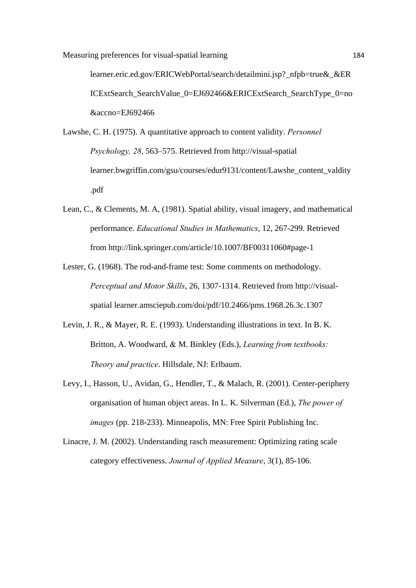learner.eric.ed.gov/ERICWebPortal/search/detailmini.jsp? nfpb=true& &ER ICExtSearch\_SearchValue\_0=EJ692466&ERICExtSearch\_SearchType\_0=no &accno=EJ692466

- Lawshe, C. H. (1975). A quantitative approach to content validity. *Personnel Psychology, 28*, 563–575. Retrieved from http://visual-spatial learner.bwgriffin.com/gsu/courses/edur9131/content/Lawshe\_content\_valdity .pdf
- Lean, C., & Clements, M. A, (1981). Spatial ability, visual imagery, and mathematical performance. *Educational Studies in Mathematics*, 12, 267-299. Retrieved from http://link.springer.com/article/10.1007/BF00311060#page-1
- Lester, G. (1968). The rod-and-frame test: Some comments on methodology. *Perceptual and Motor Skills*, 26, 1307-1314. Retrieved from http://visualspatial learner.amsciepub.com/doi/pdf/10.2466/pms.1968.26.3c.1307
- Levin, J. R., & Mayer, R. E. (1993). Understanding illustrations in text. In B. K. Britton, A. Woodward, & M. Binkley (Eds.), *Learning from textbooks: Theory and practice*. Hillsdale, NJ: Erlbaum.
- Levy, I., Hasson, U., Avidan, G., Hendler, T., & Malach, R. (2001). Center-periphery organisation of human object areas. In L. K. Silverman (Ed.), *The power of images* (pp. 218-233). Minneapolis, MN: Free Spirit Publishing Inc.
- Linacre, J. M. (2002). Understanding rasch measurement: Optimizing rating scale category effectiveness. *Journal of Applied Measure*, 3(1), 85-106.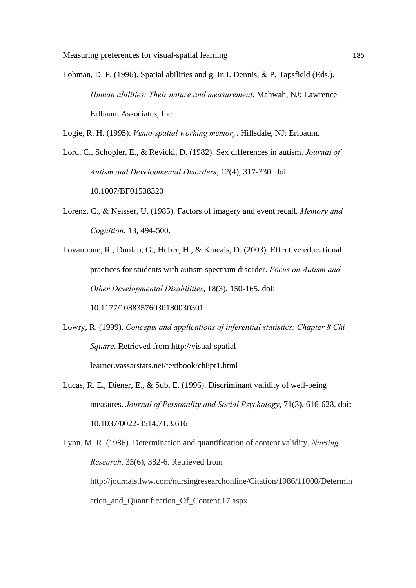Lohman, D. F. (1996). Spatial abilities and g. In I. Dennis,  $&$  P. Tapsfield (Eds.), *Human abilities: Their nature and measurement*. Mahwah, NJ: Lawrence Erlbaum Associates, Inc.

Logie, R. H. (1995). *Visuo-spatial working memory*. Hillsdale, NJ: Erlbaum.

Lord, C., Schopler, E., & Revicki, D. (1982). Sex differences in autism. *Journal of Autism and Developmental Disorders*, 12(4), 317-330. doi: 10.1007/BF01538320

- Lorenz, C., Neisser, U. (1985). Factors of imagery and event recall. *Memory and Cognition*, 13, 494-500.
- Lovannone, R., Dunlap, G., Huber, H., & Kincais, D. (2003). Effective educational practices for students with autism spectrum disorder. *Focus on Autism and Other Developmental Disabilities*, 18(3), 150-165. doi: 10.1177/10883576030180030301
- Lowry, R. (1999). *Concepts and applications of inferential statistics: Chapter 8 Chi Square*. Retrieved from http://visual-spatial learner.vassarstats.net/textbook/ch8pt1.html
- Lucas, R. E., Diener, E., & Sub, E. (1996). Discriminant validity of well-being measures. *Journal of Personality and Social Psychology*, 71(3), 616-628. doi: 10.1037/0022-3514.71.3.616
- Lynn, M. R. (1986). Determination and quantification of content validity. *Nursing Research*, 35(6), 382-6. Retrieved from http://journals.lww.com/nursingresearchonline/Citation/1986/11000/Determin ation\_and\_Quantification\_Of\_Content.17.aspx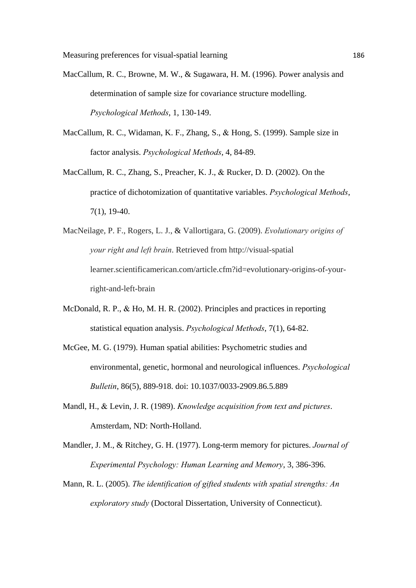- MacCallum, R. C., Browne, M. W., & Sugawara, H. M. (1996). Power analysis and determination of sample size for covariance structure modelling. *Psychological Methods*, 1, 130-149.
- MacCallum, R. C., Widaman, K. F., Zhang, S., & Hong, S. (1999). Sample size in factor analysis. *Psychological Methods*, 4, 84-89.
- MacCallum, R. C., Zhang, S., Preacher, K. J., & Rucker, D. D. (2002). On the practice of dichotomization of quantitative variables. *Psychological Methods*, 7(1), 19-40.
- MacNeilage, P. F., Rogers, L. J., & Vallortigara, G. (2009). *Evolutionary origins of your right and left brain*. Retrieved from http://visual-spatial learner.scientificamerican.com/article.cfm?id=evolutionary-origins-of-yourright-and-left-brain
- McDonald, R. P., & Ho, M. H. R. (2002). Principles and practices in reporting statistical equation analysis. *Psychological Methods*, 7(1), 64-82.
- McGee, M. G. (1979). Human spatial abilities: Psychometric studies and environmental, genetic, hormonal and neurological influences. *Psychological Bulletin*, 86(5), 889-918. doi: 10.1037/0033-2909.86.5.889
- Mandl, H., & Levin, J. R. (1989). *Knowledge acquisition from text and pictures*. Amsterdam, ND: North-Holland.
- Mandler, J. M., & Ritchey, G. H. (1977). Long-term memory for pictures. *Journal of Experimental Psychology: Human Learning and Memory*, 3, 386-396.
- Mann, R. L. (2005). *The identification of gifted students with spatial strengths: An exploratory study* (Doctoral Dissertation, University of Connecticut).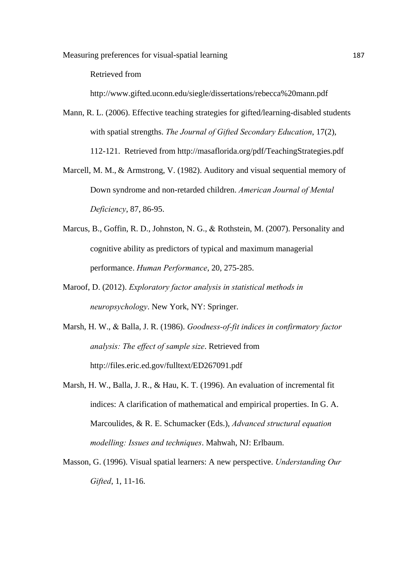Retrieved from

http://www.gifted.uconn.edu/siegle/dissertations/rebecca%20mann.pdf

Mann, R. L. (2006). Effective teaching strategies for gifted/learning-disabled students with spatial strengths. *The Journal of Gifted Secondary Education*, 17(2), 112-121. Retrieved from http://masaflorida.org/pdf/TeachingStrategies.pdf

- Marcell, M. M., & Armstrong, V. (1982). Auditory and visual sequential memory of Down syndrome and non-retarded children. *American Journal of Mental Deficiency*, 87, 86-95.
- Marcus, B., Goffin, R. D., Johnston, N. G., & Rothstein, M. (2007). Personality and cognitive ability as predictors of typical and maximum managerial performance. *Human Performance*, 20, 275-285.
- Maroof, D. (2012). *Exploratory factor analysis in statistical methods in neuropsychology*. New York, NY: Springer.
- Marsh, H. W., & Balla, J. R. (1986). *Goodness-of-fit indices in confirmatory factor analysis: The effect of sample size*. Retrieved from http://files.eric.ed.gov/fulltext/ED267091.pdf
- Marsh, H. W., Balla, J. R., & Hau, K. T. (1996). An evaluation of incremental fit indices: A clarification of mathematical and empirical properties. In G. A. Marcoulides, & R. E. Schumacker (Eds.), *Advanced structural equation modelling: Issues and techniques*. Mahwah, NJ: Erlbaum.
- Masson, G. (1996). Visual spatial learners: A new perspective. *Understanding Our Gifted*, 1, 11-16.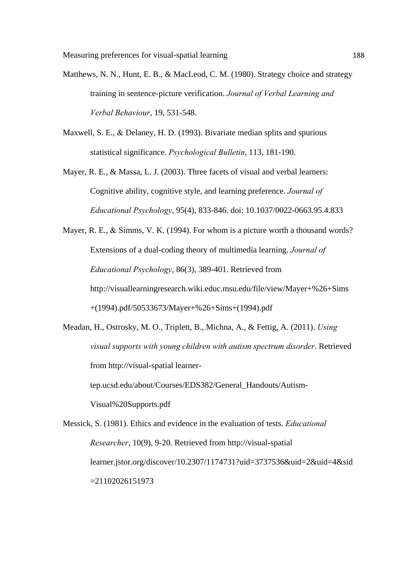- Matthews, N. N., Hunt, E. B., & MacLeod, C. M. (1980). Strategy choice and strategy training in sentence-picture verification. *Journal of Verbal Learning and Verbal Behaviour*, 19, 531-548.
- Maxwell, S. E., & Delaney, H. D. (1993). Bivariate median splits and spurious statistical significance. *Psychological Bulletin*, 113, 181-190.
- Mayer, R. E., & Massa, L. J. (2003). Three facets of visual and verbal learners: Cognitive ability, cognitive style, and learning preference. *Journal of Educational Psychology*, 95(4), 833-846. doi: 10.1037/0022-0663.95.4.833
- Mayer, R. E., & Simms, V. K. (1994). For whom is a picture worth a thousand words? Extensions of a dual-coding theory of multimedia learning. *Journal of Educational Psychology*, 86(3), 389-401. Retrieved from http://visuallearningresearch.wiki.educ.msu.edu/file/view/Mayer+%26+Sims +(1994).pdf/50533673/Mayer+%26+Sims+(1994).pdf
- Meadan, H., Ostrosky, M. O., Triplett, B., Michna, A., & Fettig, A. (2011). *Using visual supports with young children with autism spectrum disorder*. Retrieved from http://visual-spatial learnertep.ucsd.edu/about/Courses/EDS382/General\_Handouts/Autism-Visual%20Supports.pdf
- Messick, S. (1981). Ethics and evidence in the evaluation of tests. *Educational Researcher*, 10(9), 9-20. Retrieved from http://visual-spatial learner.jstor.org/discover/10.2307/1174731?uid=3737536&uid=2&uid=4&sid =21102026151973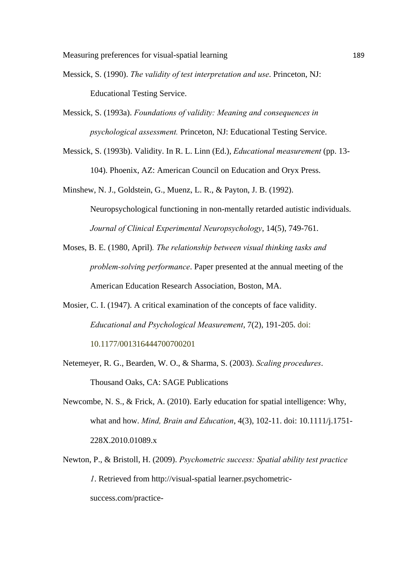- Messick, S. (1990). *The validity of test interpretation and use*. Princeton, NJ: Educational Testing Service.
- Messick, S. (1993a). *Foundations of validity: Meaning and consequences in psychological assessment.* Princeton, NJ: Educational Testing Service.
- Messick, S. (1993b). Validity. In R. L. Linn (Ed.), *Educational measurement* (pp. 13- 104). Phoenix, AZ: American Council on Education and Oryx Press.
- Minshew, N. J., Goldstein, G., Muenz, L. R., & Payton, J. B. (1992). Neuropsychological functioning in non-mentally retarded autistic individuals. *Journal of Clinical Experimental Neuropsychology*, 14(5), 749-761.
- Moses, B. E. (1980, April)*. The relationship between visual thinking tasks and problem-solving performance*. Paper presented at the annual meeting of the American Education Research Association, Boston, MA.
- Mosier, C. I. (1947). A critical examination of the concepts of face validity. *Educational and Psychological Measurement*, 7(2), 191-205. doi: 10.1177/001316444700700201
- Netemeyer, R. G., Bearden, W. O., & Sharma, S. (2003). *Scaling procedures*. Thousand Oaks, CA: SAGE Publications
- Newcombe, N. S., & Frick, A. (2010). Early education for spatial intelligence: Why, what and how. *Mind, Brain and Education*, 4(3), 102-11. doi: 10.1111/j.1751- 228X.2010.01089.x
- Newton, P., & Bristoll, H. (2009). *Psychometric success: Spatial ability test practice 1*. Retrieved from http://visual-spatial learner.psychometricsuccess.com/practice-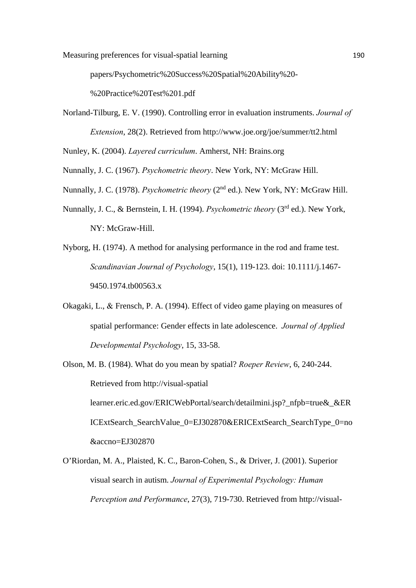papers/Psychometric%20Success%20Spatial%20Ability%20-

%20Practice%20Test%201.pdf

Norland-Tilburg, E. V. (1990). Controlling error in evaluation instruments. *Journal of Extension*, 28(2). Retrieved from http://www.joe.org/joe/summer/tt2.html

Nunley, K. (2004). *Layered curriculum*. Amherst, NH: Brains.org

Nunnally, J. C. (1967). *Psychometric theory*. New York, NY: McGraw Hill.

- Nunnally, J. C. (1978). *Psychometric theory* (2<sup>nd</sup> ed.). New York, NY: McGraw Hill.
- Nunnally, J. C., & Bernstein, I. H. (1994). *Psychometric theory* (3rd ed.). New York, NY: McGraw-Hill.
- Nyborg, H. (1974). A method for analysing performance in the rod and frame test. *Scandinavian Journal of Psychology*, 15(1), 119-123. doi: 10.1111/j.1467- 9450.1974.tb00563.x
- Okagaki, L.,  $\&$  Frensch, P. A. (1994). Effect of video game playing on measures of spatial performance: Gender effects in late adolescence. *Journal of Applied Developmental Psychology*, 15, 33-58.
- Olson, M. B. (1984). What do you mean by spatial? *Roeper Review*, 6, 240-244. Retrieved from http://visual-spatial learner.eric.ed.gov/ERICWebPortal/search/detailmini.jsp? nfpb=true& &ER ICExtSearch\_SearchValue\_0=EJ302870&ERICExtSearch\_SearchType\_0=no &accno=EJ302870
- O'Riordan, M. A., Plaisted, K. C., Baron-Cohen, S., & Driver, J. (2001). Superior visual search in autism. *Journal of Experimental Psychology: Human Perception and Performance*, 27(3), 719-730. Retrieved from http://visual-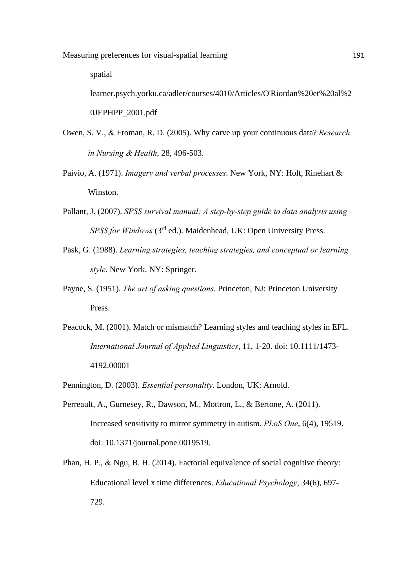spatial

learner.psych.yorku.ca/adler/courses/4010/Articles/O'Riordan%20et%20al%2 0JEPHPP\_2001.pdf

- Owen, S. V., & Froman, R. D. (2005). Why carve up your continuous data? *Research in Nursing & Health*, 28, 496-503.
- Paivio, A. (1971). *Imagery and verbal processes*. New York, NY: Holt, Rinehart & Winston.
- Pallant, J. (2007). *SPSS survival manual: A step-by-step guide to data analysis using SPSS for Windows* (3rd ed.). Maidenhead, UK: Open University Press.
- Pask, G. (1988). *Learning strategies, teaching strategies, and conceptual or learning style*. New York, NY: Springer.
- Payne, S. (1951). *The art of asking questions*. Princeton, NJ: Princeton University Press.
- Peacock, M. (2001). Match or mismatch? Learning styles and teaching styles in EFL. *International Journal of Applied Linguistics*, 11, 1-20. doi: 10.1111/1473- 4192.00001
- Pennington, D. (2003). *Essential personality*. London, UK: Arnold.
- Perreault, A., Gurnesey, R., Dawson, M., Mottron, L., & Bertone, A. (2011). Increased sensitivity to mirror symmetry in autism. *PLoS One*, 6(4), 19519. doi: 10.1371/journal.pone.0019519.
- Phan, H. P.,  $\&$  Ngu, B. H. (2014). Factorial equivalence of social cognitive theory: Educational level x time differences. *Educational Psychology*, 34(6), 697- 729.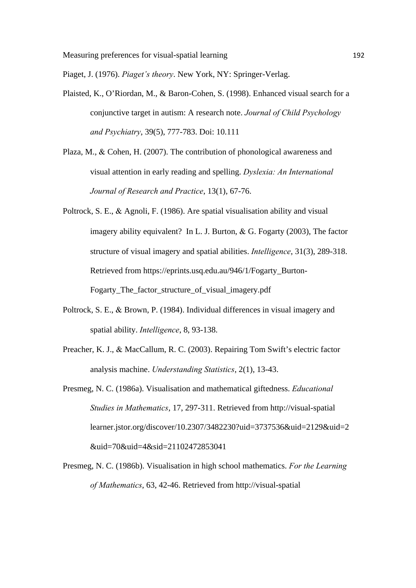Piaget, J. (1976). *Piaget's theory*. New York, NY: Springer-Verlag.

- Plaisted, K., O'Riordan, M., & Baron-Cohen, S. (1998). Enhanced visual search for a conjunctive target in autism: A research note. *Journal of Child Psychology and Psychiatry*, 39(5), 777-783. Doi: 10.111
- Plaza, M., & Cohen, H. (2007). The contribution of phonological awareness and visual attention in early reading and spelling. *Dyslexia: An International Journal of Research and Practice*, 13(1), 67-76.
- Poltrock, S. E.,  $\&$  Agnoli, F. (1986). Are spatial visualisation ability and visual imagery ability equivalent? In L. J. Burton,  $\&$  G. Fogarty (2003), The factor structure of visual imagery and spatial abilities. *Intelligence*, 31(3), 289-318. Retrieved from https://eprints.usq.edu.au/946/1/Fogarty\_Burton-Fogarty\_The\_factor\_structure\_of\_visual\_imagery.pdf
- Poltrock, S. E., & Brown, P. (1984). Individual differences in visual imagery and spatial ability. *Intelligence*, 8, 93-138.
- Preacher, K. J., & MacCallum, R. C. (2003). Repairing Tom Swift's electric factor analysis machine. *Understanding Statistics*, 2(1), 13-43.
- Presmeg, N. C. (1986a). Visualisation and mathematical giftedness. *Educational Studies in Mathematics*, 17, 297-311. Retrieved from http://visual-spatial learner.jstor.org/discover/10.2307/3482230?uid=3737536&uid=2129&uid=2 &uid=70&uid=4&sid=21102472853041
- Presmeg, N. C. (1986b). Visualisation in high school mathematics. *For the Learning of Mathematics*, 63, 42-46. Retrieved from http://visual-spatial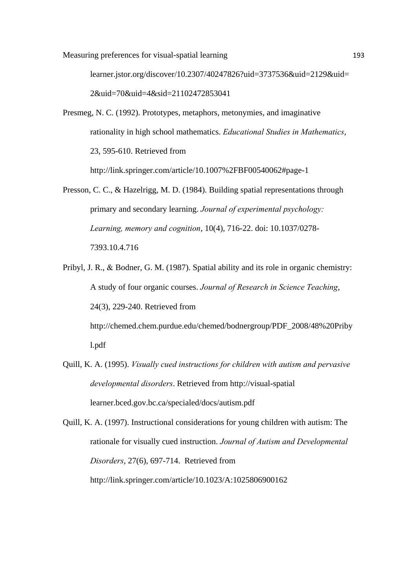learner.jstor.org/discover/10.2307/40247826?uid=3737536&uid=2129&uid= 2&uid=70&uid=4&sid=21102472853041

- Presmeg, N. C. (1992). Prototypes, metaphors, metonymies, and imaginative rationality in high school mathematics. *Educational Studies in Mathematics*, 23, 595-610. Retrieved from http://link.springer.com/article/10.1007%2FBF00540062#page-1
- Presson, C. C., & Hazelrigg, M. D. (1984). Building spatial representations through primary and secondary learning. *Journal of experimental psychology: Learning, memory and cognition*, 10(4), 716-22. doi: 10.1037/0278- 7393.10.4.716
- Pribyl, J. R., & Bodner, G. M. (1987). Spatial ability and its role in organic chemistry: A study of four organic courses. *Journal of Research in Science Teaching*, 24(3), 229-240. Retrieved from http://chemed.chem.purdue.edu/chemed/bodnergroup/PDF\_2008/48%20Priby l.pdf
- Quill, K. A. (1995). *Visually cued instructions for children with autism and pervasive developmental disorders*. Retrieved from http://visual-spatial learner.bced.gov.bc.ca/specialed/docs/autism.pdf
- Quill, K. A. (1997). Instructional considerations for young children with autism: The rationale for visually cued instruction. *Journal of Autism and Developmental Disorders*, 27(6), 697-714. Retrieved from http://link.springer.com/article/10.1023/A:1025806900162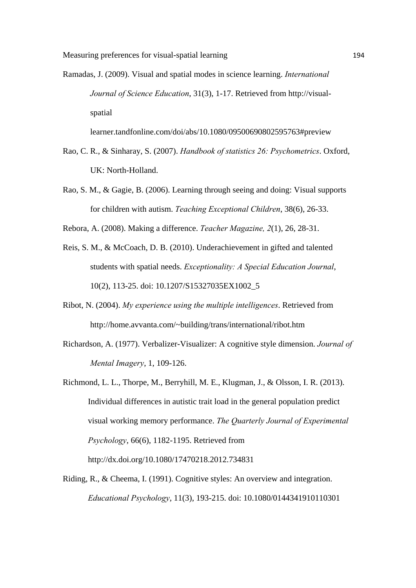Ramadas, J. (2009). Visual and spatial modes in science learning. *International Journal of Science Education*, 31(3), 1-17. Retrieved from http://visualspatial

learner.tandfonline.com/doi/abs/10.1080/09500690802595763#preview

- Rao, C. R., & Sinharay, S. (2007). *Handbook of statistics 26: Psychometrics*. Oxford, UK: North-Holland.
- Rao, S. M., & Gagie, B. (2006). Learning through seeing and doing: Visual supports for children with autism. *Teaching Exceptional Children*, 38(6), 26-33.
- Rebora, A. (2008). Making a difference. *Teacher Magazine, 2*(1), 26, 28-31.
- Reis, S. M., & McCoach, D. B. (2010). Underachievement in gifted and talented students with spatial needs. *Exceptionality: A Special Education Journal*, 10(2), 113-25. doi: 10.1207/S15327035EX1002\_5
- Ribot, N. (2004). *My experience using the multiple intelligences*. Retrieved from http://home.avvanta.com/~building/trans/international/ribot.htm
- Richardson, A. (1977). Verbalizer-Visualizer: A cognitive style dimension. *Journal of Mental Imagery*, 1, 109-126.
- Richmond, L. L., Thorpe, M., Berryhill, M. E., Klugman, J., & Olsson, I. R. (2013). Individual differences in autistic trait load in the general population predict visual working memory performance. *The Quarterly Journal of Experimental Psychology*, 66(6), 1182-1195. Retrieved from http://dx.doi.org/10.1080/17470218.2012.734831
- Riding, R., & Cheema, I. (1991). Cognitive styles: An overview and integration. *Educational Psychology*, 11(3), 193-215. doi: 10.1080/0144341910110301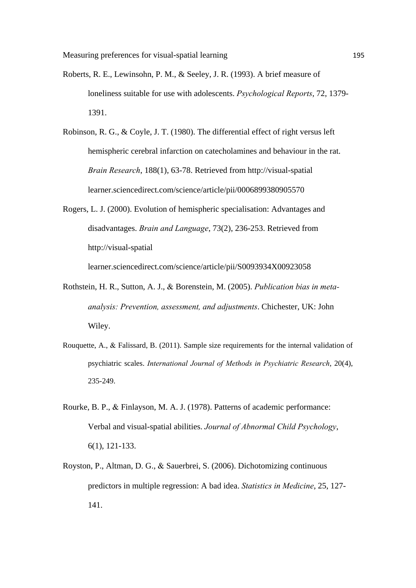- Roberts, R. E., Lewinsohn, P. M., & Seeley, J. R. (1993). A brief measure of loneliness suitable for use with adolescents. *Psychological Reports*, 72, 1379- 1391.
- Robinson, R. G., & Coyle, J. T. (1980). The differential effect of right versus left hemispheric cerebral infarction on catecholamines and behaviour in the rat. *Brain Research*, 188(1), 63-78. Retrieved from http://visual-spatial learner.sciencedirect.com/science/article/pii/0006899380905570
- Rogers, L. J. (2000). Evolution of hemispheric specialisation: Advantages and disadvantages. *Brain and Language*, 73(2), 236-253. Retrieved from http://visual-spatial

learner.sciencedirect.com/science/article/pii/S0093934X00923058

- Rothstein, H. R., Sutton, A. J., & Borenstein, M. (2005). *Publication bias in metaanalysis: Prevention, assessment, and adjustments*. Chichester, UK: John Wiley.
- Rouquette, A.,  $\&$  Falissard, B. (2011). Sample size requirements for the internal validation of psychiatric scales. *International Journal of Methods in Psychiatric Research*, 20(4), 235-249.
- Rourke, B. P., & Finlayson, M. A. J. (1978). Patterns of academic performance: Verbal and visual-spatial abilities. *Journal of Abnormal Child Psychology*, 6(1), 121-133.
- Royston, P., Altman, D. G., & Sauerbrei, S. (2006). Dichotomizing continuous predictors in multiple regression: A bad idea. *Statistics in Medicine*, 25, 127- 141.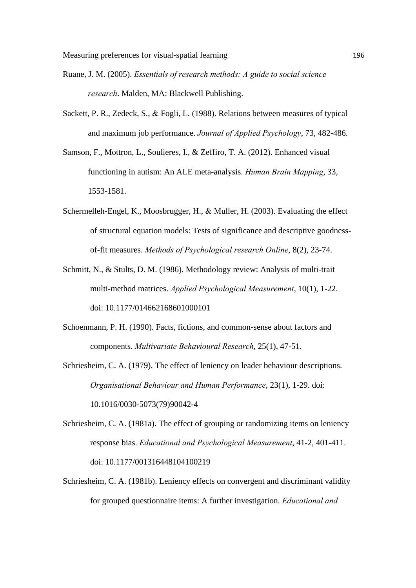- Ruane, J. M. (2005). *Essentials of research methods: A guide to social science research*. Malden, MA: Blackwell Publishing.
- Sackett, P. R., Zedeck, S., & Fogli, L. (1988). Relations between measures of typical and maximum job performance. *Journal of Applied Psychology*, 73, 482-486.
- Samson, F., Mottron, L., Soulieres, I., & Zeffiro, T. A. (2012). Enhanced visual functioning in autism: An ALE meta-analysis. *Human Brain Mapping*, 33, 1553-1581.
- Schermelleh-Engel, K., Moosbrugger, H., & Muller, H. (2003). Evaluating the effect of structural equation models: Tests of significance and descriptive goodnessof-fit measures. *Methods of Psychological research Online*, 8(2), 23-74.
- Schmitt, N., & Stults, D. M. (1986). Methodology review: Analysis of multi-trait multi-method matrices. *Applied Psychological Measurement*, 10(1), 1-22. doi: 10.1177/014662168601000101
- Schoenmann, P. H. (1990). Facts, fictions, and common-sense about factors and components. *Multivariate Behavioural Research*, 25(1), 47-51.
- Schriesheim, C. A. (1979). The effect of leniency on leader behaviour descriptions. *Organisational Behaviour and Human Performance*, 23(1), 1-29. doi: 10.1016/0030-5073(79)90042-4
- Schriesheim, C. A. (1981a). The effect of grouping or randomizing items on leniency response bias. *Educational and Psychological Measurement*, 41-2, 401-411. doi: 10.1177/001316448104100219
- Schriesheim, C. A. (1981b). Leniency effects on convergent and discriminant validity for grouped questionnaire items: A further investigation. *Educational and*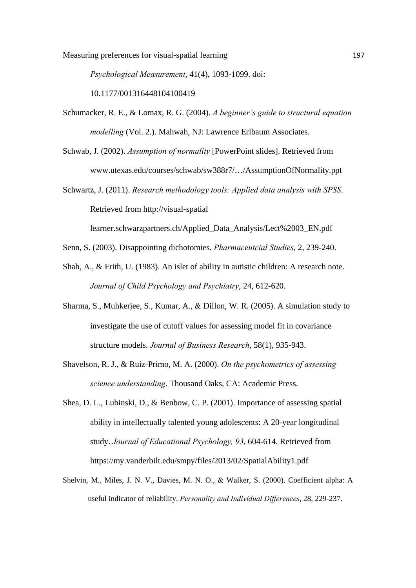*Psychological Measurement*, 41(4), 1093-1099. doi: 10.1177/001316448104100419

- Schumacker, R. E., & Lomax, R. G. (2004). *A beginner's guide to structural equation modelling* (Vol. 2.). Mahwah, NJ: Lawrence Erlbaum Associates.
- Schwab, J. (2002). *Assumption of normality* [PowerPoint slides]. Retrieved from www.utexas.edu/courses/schwab/sw388r7/…/AssumptionOfNormality.ppt
- Schwartz, J. (2011). *Research methodology tools: Applied data analysis with SPSS*. Retrieved from http://visual-spatial

learner.schwarzpartners.ch/Applied\_Data\_Analysis/Lect%2003\_EN.pdf

- Senn, S. (2003). Disappointing dichotomies. *Pharmaceutcial Studies*, 2, 239-240.
- Shah, A., & Frith, U. (1983). An islet of ability in autistic children: A research note. *Journal of Child Psychology and Psychiatry*, 24, 612-620.
- Sharma, S., Muhkerjee, S., Kumar, A., & Dillon, W. R. (2005). A simulation study to investigate the use of cutoff values for assessing model fit in covariance structure models. *Journal of Business Research*, 58(1), 935-943.
- Shavelson, R. J., & Ruiz-Primo, M. A. (2000). *On the psychometrics of assessing science understanding*. Thousand Oaks, CA: Academic Press.
- Shea, D. L., Lubinski, D., & Benbow, C. P. (2001). Importance of assessing spatial ability in intellectually talented young adolescents: A 20-year longitudinal study. *Journal of Educational Psychology, 93*, 604-614. Retrieved from https://my.vanderbilt.edu/smpy/files/2013/02/SpatialAbility1.pdf
- Shelvin, M., Miles, J. N. V., Davies, M. N. O., & Walker, S. (2000). Coefficient alpha: A useful indicator of reliability. *Personality and Individual Differences*, 28, 229-237.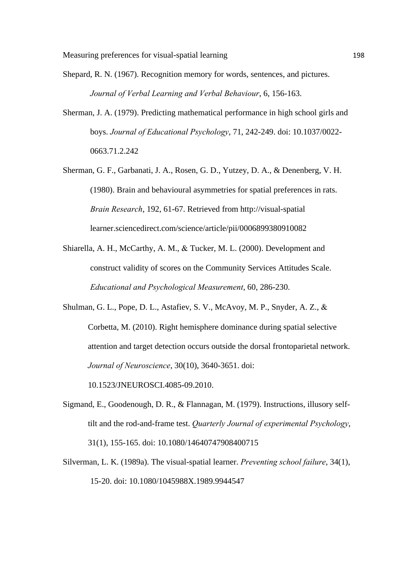- Shepard, R. N. (1967). Recognition memory for words, sentences, and pictures. *Journal of Verbal Learning and Verbal Behaviour*, 6, 156-163.
- Sherman, J. A. (1979). Predicting mathematical performance in high school girls and boys. *Journal of Educational Psychology*, 71, 242-249. doi: 10.1037/0022- 0663.71.2.242
- Sherman, G. F., Garbanati, J. A., Rosen, G. D., Yutzey, D. A., & Denenberg, V. H. (1980). Brain and behavioural asymmetries for spatial preferences in rats. *Brain Research*, 192, 61-67. Retrieved from http://visual-spatial learner.sciencedirect.com/science/article/pii/0006899380910082
- Shiarella, A. H., McCarthy, A. M., & Tucker, M. L. (2000). Development and construct validity of scores on the Community Services Attitudes Scale. *Educational and Psychological Measurement*, 60, 286-230.
- Shulman, G. L., Pope, D. L., Astafiev, S. V., McAvoy, M. P., Snyder, A. Z., & Corbetta, M. (2010). Right hemisphere dominance during spatial selective attention and target detection occurs outside the dorsal frontoparietal network. *Journal of Neuroscience*, 30(10), 3640-3651. doi:

10.1523/JNEUROSCI.4085-09.2010.

- Sigmand, E., Goodenough, D. R., & Flannagan, M. (1979). Instructions, illusory selftilt and the rod-and-frame test. *Quarterly Journal of experimental Psychology*, 31(1), 155-165. doi: 10.1080/14640747908400715
- Silverman, L. K. (1989a). The visual-spatial learner. *Preventing school failure*, 34(1), 15-20. doi: 10.1080/1045988X.1989.9944547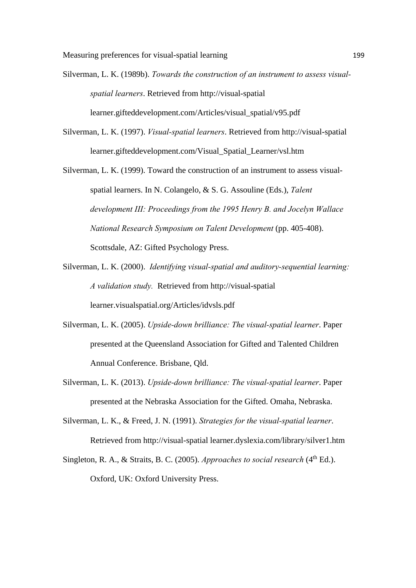- Silverman, L. K. (1989b). *Towards the construction of an instrument to assess visualspatial learners*. Retrieved from http://visual-spatial learner.gifteddevelopment.com/Articles/visual\_spatial/v95.pdf
- Silverman, L. K. (1997). *Visual-spatial learners*. Retrieved from http://visual-spatial learner.gifteddevelopment.com/Visual\_Spatial\_Learner/vsl.htm
- Silverman, L. K. (1999). Toward the construction of an instrument to assess visualspatial learners. In N. Colangelo, & S. G. Assouline (Eds.), *Talent development III: Proceedings from the 1995 Henry B. and Jocelyn Wallace National Research Symposium on Talent Development* (pp. 405-408). Scottsdale, AZ: Gifted Psychology Press.
- Silverman, L. K. (2000). *Identifying visual-spatial and auditory-sequential learning: A validation study.* Retrieved from http://visual-spatial learner.visualspatial.org/Articles/idvsls.pdf
- Silverman, L. K. (2005). *Upside-down brilliance: The visual-spatial learner*. Paper presented at the Queensland Association for Gifted and Talented Children Annual Conference. Brisbane, Qld.
- Silverman, L. K. (2013). *Upside-down brilliance: The visual-spatial learner*. Paper presented at the Nebraska Association for the Gifted. Omaha, Nebraska.
- Silverman, L. K., & Freed, J. N. (1991). *Strategies for the visual-spatial learner*. Retrieved from http://visual-spatial learner.dyslexia.com/library/silver1.htm
- Singleton, R. A., & Straits, B. C. (2005). *Approaches to social research* (4<sup>th</sup> Ed.). Oxford, UK: Oxford University Press.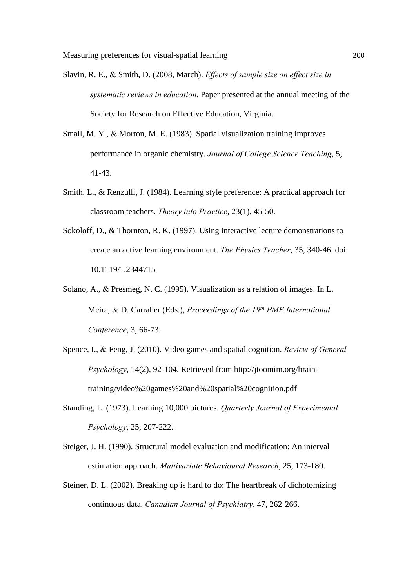- Slavin, R. E., & Smith, D. (2008, March). *Effects of sample size on effect size in systematic reviews in education*. Paper presented at the annual meeting of the Society for Research on Effective Education, Virginia.
- Small, M. Y., & Morton, M. E. (1983). Spatial visualization training improves performance in organic chemistry. *Journal of College Science Teaching*, 5, 41-43.
- Smith, L., & Renzulli, J. (1984). Learning style preference: A practical approach for classroom teachers. *Theory into Practice*, 23(1), 45-50.
- Sokoloff, D., & Thornton, R. K. (1997). Using interactive lecture demonstrations to create an active learning environment. *The Physics Teacher*, 35, 340-46. doi: 10.1119/1.2344715
- Solano, A., & Presmeg, N. C. (1995). Visualization as a relation of images. In L. Meira, & D. Carraher (Eds.), *Proceedings of the 19<sup>th</sup> PME International Conference*, 3, 66-73.
- Spence, I., & Feng, J. (2010). Video games and spatial cognition. *Review of General Psychology*, 14(2), 92-104. Retrieved from http://jtoomim.org/braintraining/video%20games%20and%20spatial%20cognition.pdf
- Standing, L. (1973). Learning 10,000 pictures. *Quarterly Journal of Experimental Psychology*, 25, 207-222.
- Steiger, J. H. (1990). Structural model evaluation and modification: An interval estimation approach. *Multivariate Behavioural Research*, 25, 173-180.
- Steiner, D. L. (2002). Breaking up is hard to do: The heartbreak of dichotomizing continuous data. *Canadian Journal of Psychiatry*, 47, 262-266.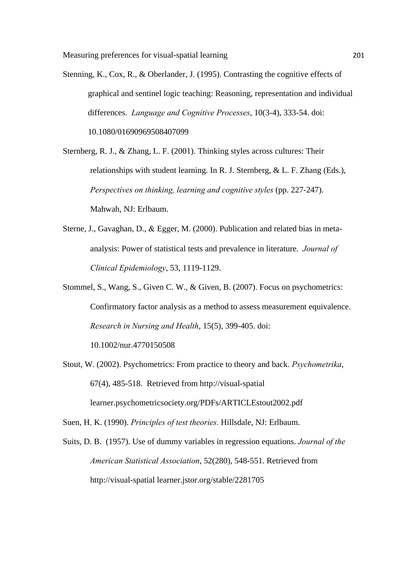Stenning, K., Cox, R., & Oberlander, J. (1995). Contrasting the cognitive effects of graphical and sentinel logic teaching: Reasoning, representation and individual differences. *Language and Cognitive Processes*, 10(3-4), 333-54. doi: 10.1080/01690969508407099

Sternberg, R. J., & Zhang, L. F. (2001). Thinking styles across cultures: Their relationships with student learning. In R. J. Sternberg, & L. F. Zhang (Eds.), *Perspectives on thinking, learning and cognitive styles* (pp. 227-247). Mahwah, NJ: Erlbaum.

- Sterne, J., Gavaghan, D., & Egger, M. (2000). Publication and related bias in metaanalysis: Power of statistical tests and prevalence in literature. *Journal of Clinical Epidemiology*, 53, 1119-1129.
- Stommel, S., Wang, S., Given C. W., & Given, B. (2007). Focus on psychometrics: Confirmatory factor analysis as a method to assess measurement equivalence. *Research in Nursing and Health*, 15(5), 399-405. doi: 10.1002/nur.4770150508
- Stout, W. (2002). Psychometrics: From practice to theory and back. *Psychometrika*, 67(4), 485-518. Retrieved from http://visual-spatial learner.psychometricsociety.org/PDFs/ARTICLEstout2002.pdf
- Suen, H. K. (1990). *Principles of test theories.* Hillsdale, NJ: Erlbaum.

Suits, D. B. (1957). Use of dummy variables in regression equations. *Journal of the American Statistical Association*, 52(280), 548-551. Retrieved from http://visual-spatial learner.jstor.org/stable/2281705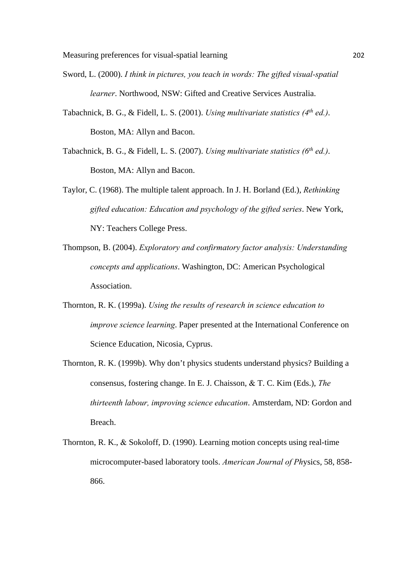- Sword, L. (2000). *I think in pictures, you teach in words: The gifted visual-spatial learner*. Northwood, NSW: Gifted and Creative Services Australia.
- Tabachnick, B. G., & Fidell, L. S. (2001). *Using multivariate statistics (4th ed.)*. Boston, MA: Allyn and Bacon.
- Tabachnick, B. G., & Fidell, L. S. (2007). *Using multivariate statistics (6th ed.)*. Boston, MA: Allyn and Bacon.
- Taylor, C. (1968). The multiple talent approach. In J. H. Borland (Ed.), *Rethinking gifted education: Education and psychology of the gifted series*. New York, NY: Teachers College Press.
- Thompson, B. (2004). *Exploratory and confirmatory factor analysis: Understanding concepts and applications*. Washington, DC: American Psychological Association.
- Thornton, R. K. (1999a). *Using the results of research in science education to improve science learning*. Paper presented at the International Conference on Science Education, Nicosia, Cyprus.
- Thornton, R. K. (1999b). Why don't physics students understand physics? Building a consensus, fostering change. In E. J. Chaisson, & T. C. Kim (Eds.), *The thirteenth labour, improving science education*. Amsterdam, ND: Gordon and Breach.
- Thornton, R. K., & Sokoloff, D. (1990). Learning motion concepts using real-time microcomputer-based laboratory tools. *American Journal of Ph*ysics, 58, 858- 866.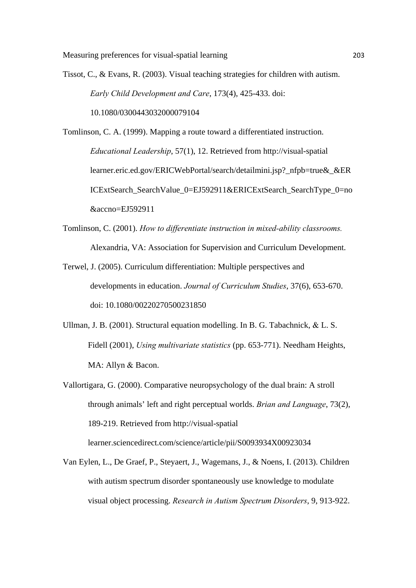Tissot, C., & Evans, R. (2003). Visual teaching strategies for children with autism. *Early Child Development and Care*, 173(4), 425-433. doi: 10.1080/0300443032000079104

Tomlinson, C. A. (1999). Mapping a route toward a differentiated instruction. *Educational Leadership*, 57(1), 12. Retrieved from http://visual-spatial learner.eric.ed.gov/ERICWebPortal/search/detailmini.jsp? nfpb=true& &ER ICExtSearch\_SearchValue\_0=EJ592911&ERICExtSearch\_SearchType\_0=no &accno=EJ592911

- Tomlinson, C. (2001). *How to differentiate instruction in mixed-ability classrooms.*  Alexandria, VA: Association for Supervision and Curriculum Development.
- Terwel, J. (2005). Curriculum differentiation: Multiple perspectives and developments in education. *Journal of Curriculum Studies*, 37(6), 653-670. doi: 10.1080/00220270500231850
- Ullman, J. B. (2001). Structural equation modelling. In B. G. Tabachnick,  $&L.S.$ Fidell (2001), *Using multivariate statistics* (pp. 653-771). Needham Heights, MA: Allyn & Bacon.
- Vallortigara, G. (2000). Comparative neuropsychology of the dual brain: A stroll through animals' left and right perceptual worlds. *Brian and Language*, 73(2), 189-219. Retrieved from http://visual-spatial learner.sciencedirect.com/science/article/pii/S0093934X00923034
- Van Eylen, L., De Graef, P., Steyaert, J., Wagemans, J., & Noens, I. (2013). Children with autism spectrum disorder spontaneously use knowledge to modulate visual object processing. *Research in Autism Spectrum Disorders*, 9, 913-922.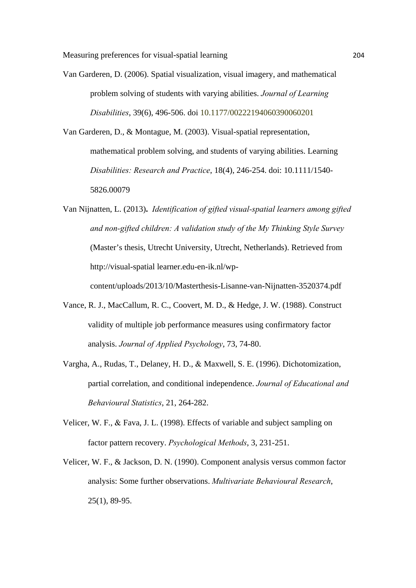- Van Garderen, D. (2006). Spatial visualization, visual imagery, and mathematical problem solving of students with varying abilities. *Journal of Learning Disabilities*, 39(6), 496-506. doi 10.1177/00222194060390060201
- Van Garderen, D., & Montague, M. (2003). Visual-spatial representation, mathematical problem solving, and students of varying abilities. Learning *Disabilities: Research and Practice*, 18(4), 246-254. doi: 10.1111/1540- 5826.00079
- Van Nijnatten, L. (2013)**.** *Identification of gifted visual-spatial learners among gifted and non-gifted children: A validation study of the My Thinking Style Survey* (Master's thesis, Utrecht University, Utrecht, Netherlands). Retrieved from http://visual-spatial learner.edu-en-ik.nl/wpcontent/uploads/2013/10/Masterthesis-Lisanne-van-Nijnatten-3520374.pdf
- Vance, R. J., MacCallum, R. C., Coovert, M. D., & Hedge, J. W. (1988). Construct validity of multiple job performance measures using confirmatory factor analysis. *Journal of Applied Psychology*, 73, 74-80.
- Vargha, A., Rudas, T., Delaney, H. D., & Maxwell, S. E. (1996). Dichotomization, partial correlation, and conditional independence. *Journal of Educational and Behavioural Statistics*, 21, 264-282.
- Velicer, W. F.,  $\&$  Fava, J. L. (1998). Effects of variable and subject sampling on factor pattern recovery. *Psychological Methods*, 3, 231-251.
- Velicer, W. F., & Jackson, D. N. (1990). Component analysis versus common factor analysis: Some further observations. *Multivariate Behavioural Research*, 25(1), 89-95.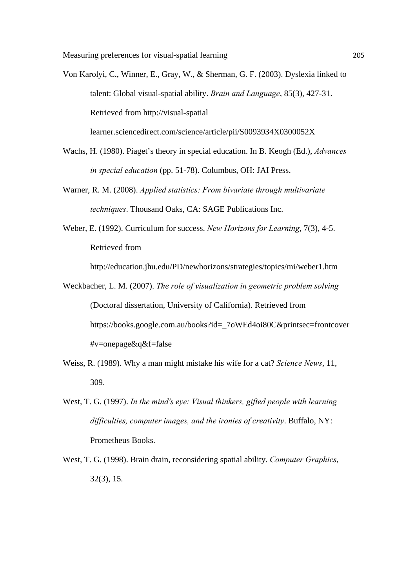Von Karolyi, C., Winner, E., Gray, W., & Sherman, G. F. (2003). Dyslexia linked to talent: Global visual-spatial ability. *Brain and Language*, 85(3), 427-31. Retrieved from http://visual-spatial

learner.sciencedirect.com/science/article/pii/S0093934X0300052X

- Wachs, H. (1980). Piaget's theory in special education. In B. Keogh (Ed.), *Advances in special education* (pp. 51-78). Columbus, OH: JAI Press.
- Warner, R. M. (2008). *Applied statistics: From bivariate through multivariate techniques*. Thousand Oaks, CA: SAGE Publications Inc.
- Weber, E. (1992). Curriculum for success. *New Horizons for Learning*, 7(3), 4-5. Retrieved from

http://education.jhu.edu/PD/newhorizons/strategies/topics/mi/weber1.htm

- Weckbacher, L. M. (2007). *The role of visualization in geometric problem solving* (Doctoral dissertation, University of California). Retrieved from https://books.google.com.au/books?id=\_7oWEd4oi80C&printsec=frontcover #v=onepage&q&f=false
- Weiss, R. (1989). Why a man might mistake his wife for a cat? *Science News*, 11, 309.
- West, T. G. (1997). *In the mind's eye: Visual thinkers, gifted people with learning difficulties, computer images, and the ironies of creativity*. Buffalo, NY: Prometheus Books.
- West, T. G. (1998). Brain drain, reconsidering spatial ability. *Computer Graphics*, 32(3), 15.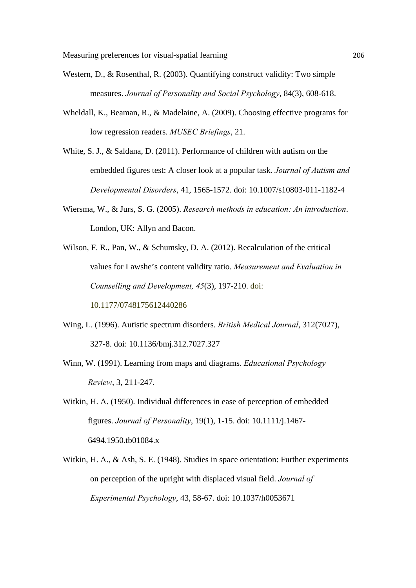- Western, D., & Rosenthal, R. (2003). Quantifying construct validity: Two simple measures. *Journal of Personality and Social Psychology*, 84(3), 608-618.
- Wheldall, K., Beaman, R., & Madelaine, A. (2009). Choosing effective programs for low regression readers. *MUSEC Briefings*, 21.

White, S. J., & Saldana, D. (2011). Performance of children with autism on the embedded figures test: A closer look at a popular task. *Journal of Autism and Developmental Disorders*, 41, 1565-1572. doi: 10.1007/s10803-011-1182-4

- Wiersma, W., & Jurs, S. G. (2005). *Research methods in education: An introduction*. London, UK: Allyn and Bacon.
- Wilson, F. R., Pan, W., & Schumsky, D. A. (2012). Recalculation of the critical values for Lawshe's content validity ratio. *Measurement and Evaluation in Counselling and Development, 45*(3), 197-210. doi:

10.1177/0748175612440286

- Wing, L. (1996). Autistic spectrum disorders. *British Medical Journal*, 312(7027), 327-8. doi: 10.1136/bmj.312.7027.327
- Winn, W. (1991). Learning from maps and diagrams. *Educational Psychology Review*, 3, 211-247.
- Witkin, H. A. (1950). Individual differences in ease of perception of embedded figures. *Journal of Personality*, 19(1), 1-15. doi: 10.1111/j.1467- 6494.1950.tb01084.x
- Witkin, H. A., & Ash, S. E. (1948). Studies in space orientation: Further experiments on perception of the upright with displaced visual field. *Journal of Experimental Psychology*, 43, 58-67. doi: 10.1037/h0053671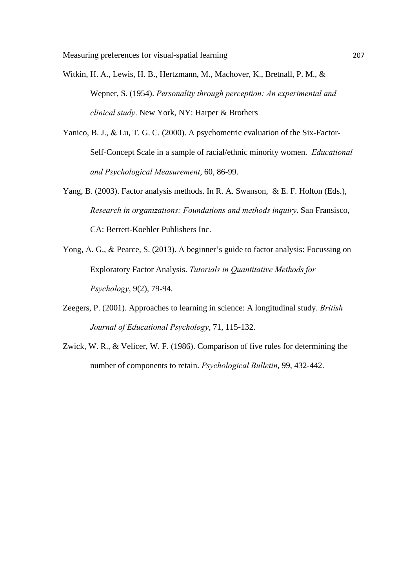- Witkin, H. A., Lewis, H. B., Hertzmann, M., Machover, K., Bretnall, P. M., & Wepner, S. (1954). *Personality through perception: An experimental and clinical study*. New York, NY: Harper & Brothers
- Yanico, B. J., & Lu, T. G. C. (2000). A psychometric evaluation of the Six-Factor-Self-Concept Scale in a sample of racial/ethnic minority women. *Educational and Psychological Measurement*, 60, 86-99.
- Yang, B. (2003). Factor analysis methods. In R. A. Swanson, & E. F. Holton (Eds.), *Research in organizations: Foundations and methods inquiry*. San Fransisco, CA: Berrett-Koehler Publishers Inc.
- Yong, A. G., & Pearce, S. (2013). A beginner's guide to factor analysis: Focussing on Exploratory Factor Analysis. *Tutorials in Quantitative Methods for Psychology*, 9(2), 79-94.
- Zeegers, P. (2001). Approaches to learning in science: A longitudinal study. *British Journal of Educational Psychology*, 71, 115-132.
- Zwick, W. R., & Velicer, W. F. (1986). Comparison of five rules for determining the number of components to retain. *Psychological Bulletin*, 99, 432-442.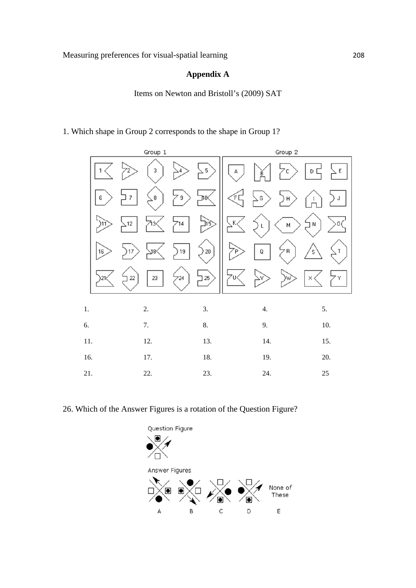## **Appendix A**

Items on Newton and Bristoll's (2009) SAT

1. Which shape in Group 2 corresponds to the shape in Group 1?



26. Which of the Answer Figures is a rotation of the Question Figure?

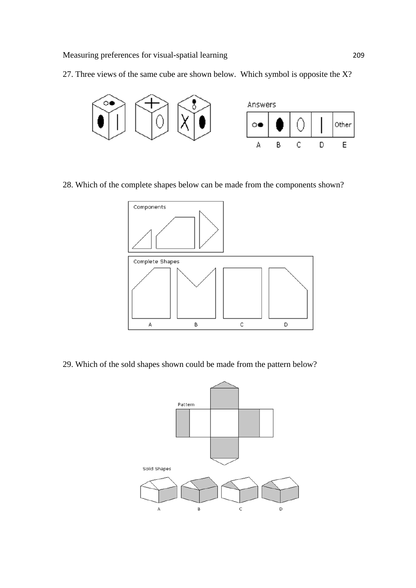27. Three views of the same cube are shown below. Which symbol is opposite the X?



28. Which of the complete shapes below can be made from the components shown?



29. Which of the sold shapes shown could be made from the pattern below?

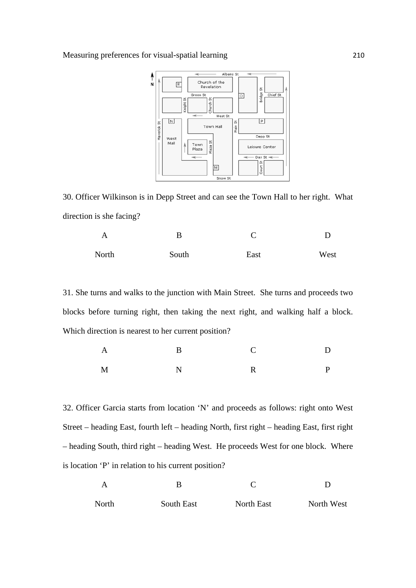

30. Officer Wilkinson is in Depp Street and can see the Town Hall to her right. What direction is she facing?

| A     | в     |      |      |
|-------|-------|------|------|
| North | South | East | West |

31. She turns and walks to the junction with Main Street. She turns and proceeds two blocks before turning right, then taking the next right, and walking half a block. Which direction is nearest to her current position?

| $\mathbf{A}$ | $\mathbf{B}$ | $\mathbf C$ | $\mathbf{D}$ |
|--------------|--------------|-------------|--------------|
| $\mathbf M$  | N            | $\mathbf R$ | $\mathbf{P}$ |

32. Officer Garcia starts from location 'N' and proceeds as follows: right onto West Street – heading East, fourth left – heading North, first right – heading East, first right – heading South, third right – heading West. He proceeds West for one block. Where is location 'P' in relation to his current position?

| A     |            |            |            |
|-------|------------|------------|------------|
| North | South East | North East | North West |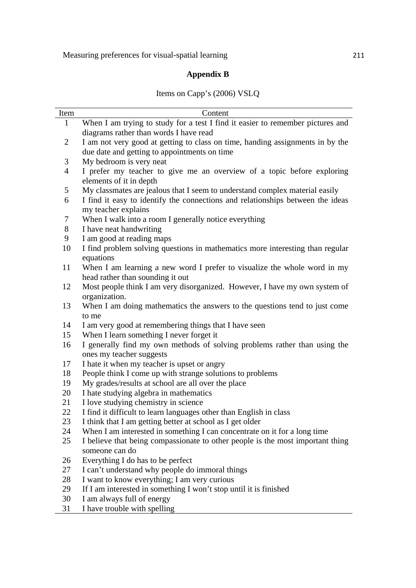## **Appendix B**

## Items on Capp's (2006) VSLQ

| Item           | Content                                                                                               |
|----------------|-------------------------------------------------------------------------------------------------------|
| $\mathbf{1}$   | When I am trying to study for a test I find it easier to remember pictures and                        |
|                | diagrams rather than words I have read                                                                |
| 2              | I am not very good at getting to class on time, handing assignments in by the                         |
|                | due date and getting to appointments on time                                                          |
| 3              | My bedroom is very neat                                                                               |
| $\overline{4}$ | I prefer my teacher to give me an overview of a topic before exploring                                |
|                | elements of it in depth                                                                               |
| 5              | My classmates are jealous that I seem to understand complex material easily                           |
| 6              | I find it easy to identify the connections and relationships between the ideas<br>my teacher explains |
| 7              | When I walk into a room I generally notice everything                                                 |
| 8              | I have neat handwriting                                                                               |
| 9              | I am good at reading maps                                                                             |
| 10             | I find problem solving questions in mathematics more interesting than regular                         |
|                | equations                                                                                             |
| 11             | When I am learning a new word I prefer to visualize the whole word in my                              |
|                | head rather than sounding it out                                                                      |
| 12             | Most people think I am very disorganized. However, I have my own system of                            |
|                | organization.                                                                                         |
| 13             | When I am doing mathematics the answers to the questions tend to just come                            |
|                | to me                                                                                                 |
| 14             | I am very good at remembering things that I have seen                                                 |
| 15             | When I learn something I never forget it                                                              |
| 16             | I generally find my own methods of solving problems rather than using the                             |
|                | ones my teacher suggests                                                                              |
| 17             | I hate it when my teacher is upset or angry                                                           |
| 18             | People think I come up with strange solutions to problems                                             |
| 19             | My grades/results at school are all over the place                                                    |
| 20             | I hate studying algebra in mathematics                                                                |
| 21             | I love studying chemistry in science                                                                  |
| 22             | I find it difficult to learn languages other than English in class                                    |
| 23             | I think that I am getting better at school as I get older                                             |
| 24             | When I am interested in something I can concentrate on it for a long time                             |
| 25             | I believe that being compassionate to other people is the most important thing                        |
|                | someone can do                                                                                        |
| 26             | Everything I do has to be perfect                                                                     |
| 27             | I can't understand why people do immoral things                                                       |
| 28             | I want to know everything; I am very curious                                                          |
| 29             | If I am interested in something I won't stop until it is finished                                     |
| 30             | I am always full of energy                                                                            |
| 31             | I have trouble with spelling                                                                          |